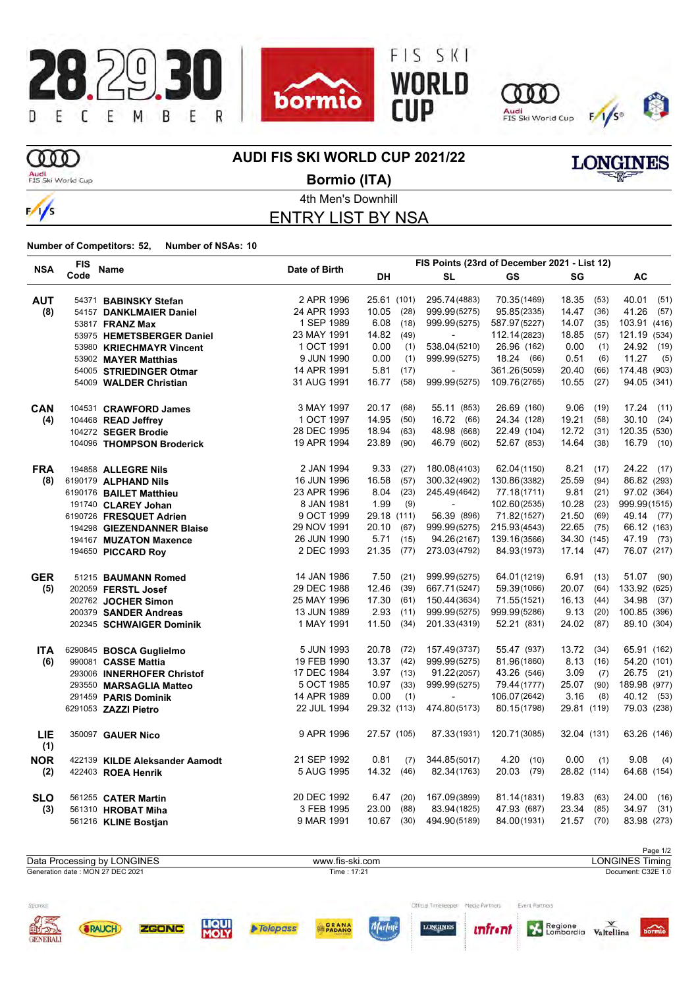







VES

# m

 $\frac{1}{s}$ 

**AUDI FIS SKI WORLD CUP 2021/22**

Audi<br>FIS Ski World Cup

**Bormio (ITA)**

ID

ENTRY LIST BY NSA

**Number of Competitors: 52, Number of NSAs: 10**

**SRAUCH** 

**GENERAL** 

ZGONC

|            | <b>FIS</b> |                                | Date of Birth |               | FIS Points (23rd of December 2021 - List 12) |              |               |               |  |
|------------|------------|--------------------------------|---------------|---------------|----------------------------------------------|--------------|---------------|---------------|--|
| <b>NSA</b> | Code       | Name                           |               | DH            | <b>SL</b>                                    | GS           | SG            | AC            |  |
| <b>AUT</b> |            | 54371 BABINSKY Stefan          | 2 APR 1996    | 25.61 (101)   | 295.74(4883)                                 | 70.35(1469)  | 18.35<br>(53) | 40.01<br>(51) |  |
| (8)        |            | 54157 DANKLMAIER Daniel        | 24 APR 1993   | 10.05<br>(28) | 999.99(5275)                                 | 95.85(2335)  | 14.47<br>(36) | 41.26<br>(57) |  |
|            |            | 53817 FRANZ Max                | 1 SEP 1989    | 6.08<br>(18)  | 999.99(5275)                                 | 587.97(5227) | 14.07<br>(35) | 103.91 (416)  |  |
|            |            | 53975 HEMETSBERGER Daniel      | 23 MAY 1991   | 14.82<br>(49) | $\blacksquare$                               | 112.14(2823) | 18.85<br>(57) | 121.19 (534)  |  |
|            |            | 53980 KRIECHMAYR Vincent       | 1 OCT 1991    | 0.00<br>(1)   | 538.04 (5210)                                | 26.96 (162)  | 0.00<br>(1)   | 24.92<br>(19) |  |
|            |            | 53902 MAYER Matthias           | 9 JUN 1990    | 0.00<br>(1)   | 999.99(5275)                                 | 18.24 (66)   | 0.51<br>(6)   | 11.27<br>(5)  |  |
|            |            | 54005 STRIEDINGER Otmar        | 14 APR 1991   | 5.81<br>(17)  | $\overline{\phantom{a}}$                     | 361.26(5059) | 20.40<br>(66) | 174.48 (903)  |  |
|            |            | 54009 WALDER Christian         | 31 AUG 1991   | 16.77<br>(58) | 999.99(5275)                                 | 109.76(2765) | 10.55<br>(27) | 94.05 (341)   |  |
| <b>CAN</b> |            | 104531 CRAWFORD James          | 3 MAY 1997    | 20.17<br>(68) | 55.11 (853)                                  | 26.69 (160)  | 9.06<br>(19)  | 17.24<br>(11) |  |
| (4)        |            | 104468 READ Jeffrey            | 1 OCT 1997    | 14.95<br>(50) | 16.72<br>(66)                                | 24.34 (128)  | 19.21<br>(58) | 30.10<br>(24) |  |
|            |            | 104272 SEGER Brodie            | 28 DEC 1995   | 18.94<br>(63) | 48.98 (668)                                  | 22.49 (104)  | 12.72<br>(31) | 120.35 (530)  |  |
|            |            | 104096 THOMPSON Broderick      | 19 APR 1994   | 23.89<br>(90) | 46.79 (602)                                  | 52.67 (853)  | 14.64<br>(38) | 16.79<br>(10) |  |
| <b>FRA</b> |            | 194858 ALLEGRE Nils            | 2 JAN 1994    | 9.33<br>(27)  | 180.08(4103)                                 | 62.04(1150)  | 8.21<br>(17)  | 24.22 (17)    |  |
| (8)        |            | 6190179 ALPHAND Nils           | 16 JUN 1996   | 16.58<br>(57) | 300.32(4902)                                 | 130.86(3382) | 25.59<br>(94) | 86.82 (293)   |  |
|            |            | 6190176 BAILET Matthieu        | 23 APR 1996   | 8.04<br>(23)  | 245.49(4642)                                 | 77.18(1711)  | 9.81<br>(21)  | 97.02 (364)   |  |
|            |            | 191740 CLAREY Johan            | 8 JAN 1981    | 1.99<br>(9)   | $\blacksquare$                               | 102.60(2535) | 10.28<br>(23) | 999.99(1515)  |  |
|            |            | 6190726 FRESQUET Adrien        | 9 OCT 1999    | 29.18 (111)   | 56.39 (896)                                  | 71.82(1527)  | 21.50<br>(69) | 49.14 (77)    |  |
|            |            | 194298 GIEZENDANNER Blaise     | 29 NOV 1991   | 20.10<br>(67) | 999.99(5275)                                 | 215.93(4543) | 22.65 (75)    | 66.12 (163)   |  |
|            |            | 194167 MUZATON Maxence         | 26 JUN 1990   | 5.71<br>(15)  | 94.26(2167)                                  | 139.16(3566) | 34.30 (145)   | 47.19 (73)    |  |
|            |            | 194650 PICCARD Roy             | 2 DEC 1993    | 21.35<br>(77) | 273.03(4792)                                 | 84.93(1973)  | $17.14$ (47)  | 76.07 (217)   |  |
| <b>GER</b> |            | 51215 BAUMANN Romed            | 14 JAN 1986   | 7.50<br>(21)  | 999.99(5275)                                 | 64.01(1219)  | 6.91<br>(13)  | 51.07 (90)    |  |
| (5)        |            | 202059 FERSTL Josef            | 29 DEC 1988   | 12.46<br>(39) | 667.71(5247)                                 | 59.39(1066)  | 20.07<br>(64) | 133.92 (625)  |  |
|            |            | 202762 JOCHER Simon            | 25 MAY 1996   | 17.30<br>(61) | 150.44(3634)                                 | 71.55(1521)  | 16.13<br>(44) | 34.98<br>(37) |  |
|            |            | 200379 SANDER Andreas          | 13 JUN 1989   | 2.93<br>(11)  | 999.99(5275)                                 | 999.99(5286) | 9.13<br>(20)  | 100.85 (396)  |  |
|            |            | 202345 SCHWAIGER Dominik       | 1 MAY 1991    | 11.50<br>(34) | 201.33(4319)                                 | 52.21 (831)  | 24.02 (87)    | 89.10 (304)   |  |
| ITA.       |            | 6290845 BOSCA Guglielmo        | 5 JUN 1993    | 20.78<br>(72) | 157.49(3737)                                 | 55.47 (937)  | 13.72 (34)    | 65.91 (162)   |  |
| (6)        |            | 990081 CASSE Mattia            | 19 FEB 1990   | 13.37<br>(42) | 999.99(5275)                                 | 81.96(1860)  | 8.13(16)      | 54.20 (101)   |  |
|            |            | 293006 INNERHOFER Christof     | 17 DEC 1984   | 3.97<br>(13)  | 91.22(2057)                                  | 43.26 (546)  | 3.09<br>(7)   | 26.75<br>(21) |  |
|            |            | 293550 MARSAGLIA Matteo        | 5 OCT 1985    | 10.97<br>(33) | 999.99(5275)                                 | 79.44 (1777) | 25.07<br>(90) | 189.98 (977)  |  |
|            |            | 291459 PARIS Dominik           | 14 APR 1989   | 0.00<br>(1)   |                                              | 106.07(2642) | 3.16<br>(8)   | 40.12 (53)    |  |
|            |            | 6291053 ZAZZI Pietro           | 22 JUL 1994   | 29.32 (113)   | 474.80(5173)                                 | 80.15(1798)  | 29.81 (119)   | 79.03 (238)   |  |
| LIE<br>(1) |            | 350097 GAUER Nico              | 9 APR 1996    | 27.57 (105)   | 87.33(1931)                                  | 120.71(3085) | 32.04 (131)   | 63.26 (146)   |  |
| <b>NOR</b> |            | 422139 KILDE Aleksander Aamodt | 21 SEP 1992   | 0.81<br>(7)   | 344.85(5017)                                 | 4.20<br>(10) | 0.00<br>(1)   | 9.08<br>(4)   |  |
| (2)        |            | 422403 ROEA Henrik             | 5 AUG 1995    | 14.32<br>(46) | 82.34(1763)                                  | 20.03 (79)   | 28.82 (114)   | 64.68 (154)   |  |
| <b>SLO</b> |            | 561255 CATER Martin            | 20 DEC 1992   | 6.47<br>(20)  | 167.09(3899)                                 | 81.14(1831)  | 19.83<br>(63) | 24.00<br>(16) |  |
| (3)        |            | 561310 HROBAT Miha             | 3 FEB 1995    | 23.00<br>(88) | 83.94 (1825)                                 | 47.93 (687)  | 23.34<br>(85) | 34.97<br>(31) |  |
|            |            | 561216 KLINE Bostjan           | 9 MAR 1991    | $10.67$ (30)  | 494.90(5189)                                 | 84.00(1931)  | 21.57 (70)    | 83.98 (273)   |  |



**PADANC** 

Telepass

Marlen

| <b>DUITIIU (ITA)</b> |
|----------------------|
| 4th Men's Downhill   |
|                      |



Regione Valtellina bormio



**LONG**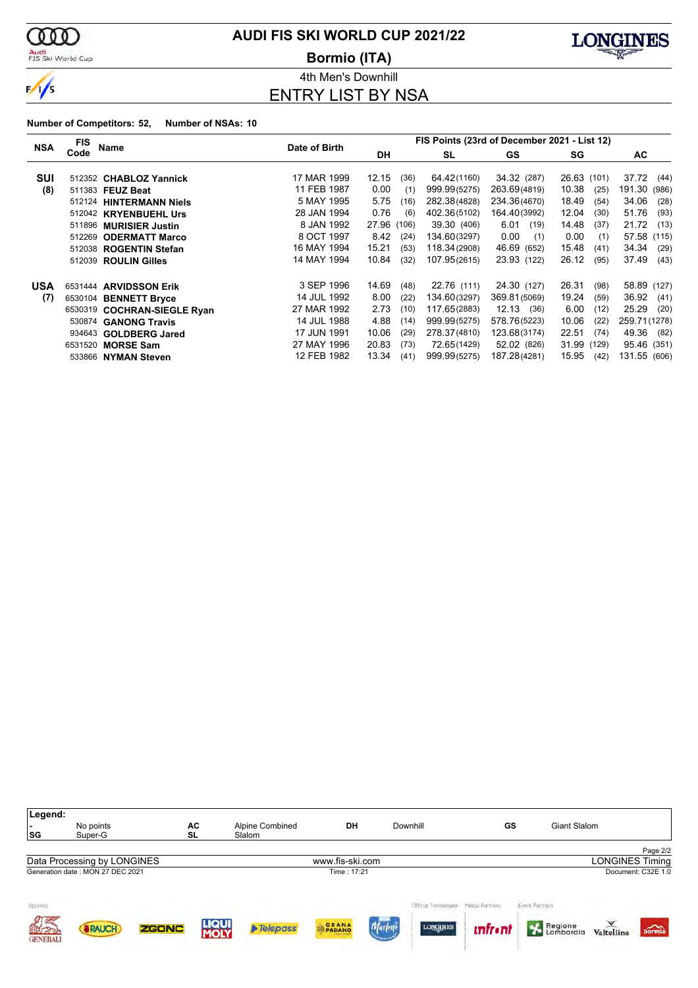

### Audi<br>FIS Ski World Cup

# **AUDI FIS SKI WORLD CUP 2021/22**

**Bormio (ITA)**



4th Men's Downhill ENTRY LIST BY NSA

|            | FIS                         |                            | Date of Birth | FIS Points (23rd of December 2021 - List 12) |      |              |              |               |             |                 |  |
|------------|-----------------------------|----------------------------|---------------|----------------------------------------------|------|--------------|--------------|---------------|-------------|-----------------|--|
| <b>NSA</b> | Name<br>Code                |                            |               | <b>DH</b>                                    |      | SL           | GS           | SG            |             | AC.             |  |
|            |                             |                            |               |                                              |      |              |              |               |             |                 |  |
| <b>SUI</b> | 512352                      | <b>CHABLOZ Yannick</b>     | 17 MAR 1999   | 12.15                                        | (36) | 64.42(1160)  | 34.32 (287)  |               | 26.63 (101) | 37.72<br>(44)   |  |
| (8)        | 511383 FEUZ Beat            |                            | 11 FEB 1987   | 0.00                                         | (1)  | 999.99(5275) | 263.69(4819) | 10.38         | (25)        | 191.30<br>(986) |  |
|            | 512124 HINTERMANN Niels     |                            | 5 MAY 1995    | 5.75                                         | (16) | 282.38(4828) | 234.36(4670) | 18.49         | (54)        | 34.06<br>(28)   |  |
|            | 512042 KRYENBUEHL Urs       |                            | 28 JAN 1994   | 0.76                                         | (6)  | 402.36(5102) | 164.40(3992) | 12.04         | (30)        | 51.76<br>(93)   |  |
|            | 511896 MURISIER Justin      |                            | 8 JAN 1992    | 27.96 (106)                                  |      | 39.30 (406)  | 6.01         | 14.48<br>(19) | (37)        | 21.72<br>(13)   |  |
|            | 512269                      | <b>ODERMATT Marco</b>      | 8 OCT 1997    | 8.42                                         | (24) | 134.60(3297) | 0.00         | 0.00<br>(1)   | (1)         | 57.58 (115)     |  |
|            | 512038                      | <b>ROGENTIN Stefan</b>     | 16 MAY 1994   | 15.21                                        | (53) | 118.34(2908) | 46.69 (652)  | 15.48         | (41)        | 34.34<br>(29)   |  |
|            | 512039                      | <b>ROULIN Gilles</b>       | 14 MAY 1994   | 10.84                                        | (32) | 107.95(2615) | 23.93 (122)  | 26.12         | (95)        | 37.49<br>(43)   |  |
| <b>USA</b> | 6531444 ARVIDSSON Erik      |                            | 3 SEP 1996    | 14.69                                        | (48) | 22.76 (111)  | 24.30 (127)  | 26.31         | (98)        | 58.89 (127)     |  |
| (7)        | 6530104                     | <b>BENNETT Bryce</b>       | 14 JUL 1992   | 8.00                                         | (22) | 134.60(3297) | 369.81(5069) | 19.24         | (59)        | 36.92<br>(41)   |  |
|            | 6530319                     | <b>COCHRAN-SIEGLE Ryan</b> | 27 MAR 1992   | 2.73                                         | (10) | 117.65(2883) | $12.13$ (36) | 6.00          | (12)        | 25.29<br>(20)   |  |
|            | 530874 GANONG Travis        |                            | 14 JUL 1988   | 4.88                                         | (14) | 999.99(5275) | 578.76(5223) | 10.06         | (22)        | 259.71 (1278)   |  |
|            | 934643                      | <b>GOLDBERG Jared</b>      | 17 JUN 1991   | 10.06                                        | (29) | 278.37(4810) | 123.68(3174) | 22.51         | (74)        | 49.36<br>(82)   |  |
|            | 6531520<br><b>MORSE Sam</b> |                            | 27 MAY 1996   | 20.83                                        | (73) | 72.65(1429)  | 52.02 (826)  |               | 31.99 (129) | 95.46 (351)     |  |
|            | 533866 NYMAN Steven         |                            | 12 FEB 1982   | 13.34                                        | (41) | 999.99(5275) | 187.28(4281) | 15.95         | (42)        | 131.55 (606)    |  |

| Legend:<br>. .<br> SG                   | No points<br>Super-G             |       | AC<br><b>SL</b>      | Alpine Combined<br>Slalom | DH              | Downhill                                | GS                               |                | Giant Slalom |                        |                             |
|-----------------------------------------|----------------------------------|-------|----------------------|---------------------------|-----------------|-----------------------------------------|----------------------------------|----------------|--------------|------------------------|-----------------------------|
|                                         |                                  |       |                      |                           |                 |                                         |                                  |                |              |                        | Page 2/2                    |
|                                         | Data Processing by LONGINES      |       |                      |                           | www.fis-ski.com |                                         |                                  |                |              | <b>LONGINES Timing</b> |                             |
|                                         | Generation date: MON 27 DEC 2021 |       |                      |                           | Time: 17:21     |                                         |                                  |                |              |                        | Document: C32E 1.0          |
| Sponsor<br>ØÆ<br>自力の<br><b>GENERALI</b> | <b>RAUCH</b>                     | ZGONC | <b>LIQUI</b><br>MOLY | <b>A</b> Telepass         | PADANO          | Official Timelerener<br><b>LONGINES</b> | Media Partners<br><i>unfront</i> | Event Partners | Regione      | Valtellina             | $\overbrace{\text{bornio}}$ |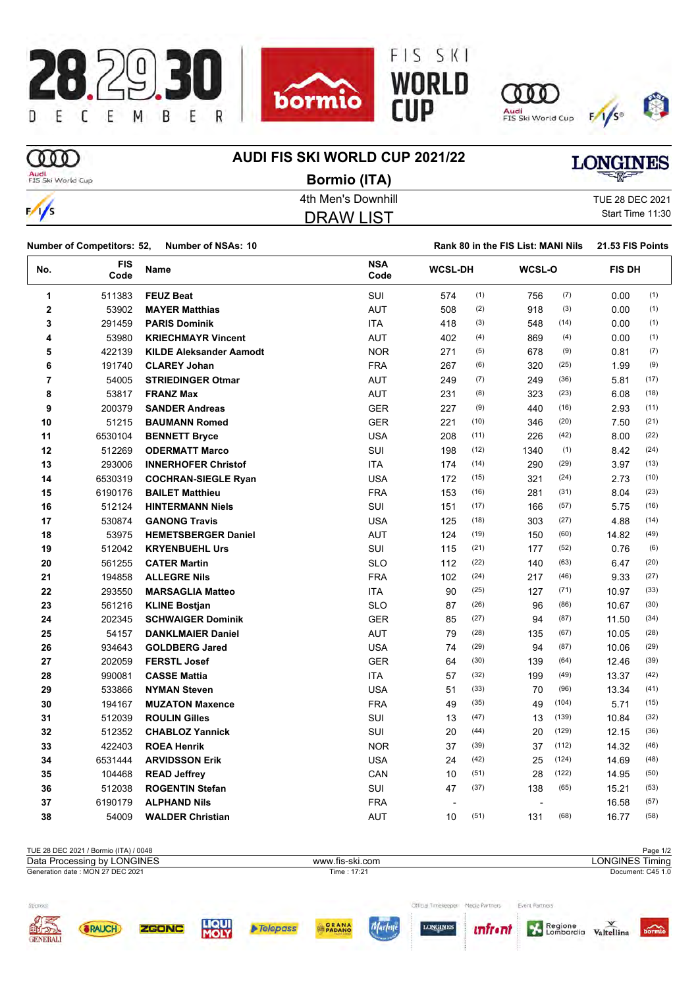





**Rank 80 in the FIS List: MANI Nils 21.53 FIS Points** 



**OOO** 

 $\frac{1}{2}$ 

# **AUDI FIS SKI WORLD CUP 2021/22**

# **LONGINES**

Audi<br>FIS Ski World Cup

DRAW LIST **Bormio (ITA)**

4th Men's Downhill TUE 28 DEC 2021 Start Time 11:30

| <b>Number of Competitors: 52,</b> | Number of NSAs: 10 |
|-----------------------------------|--------------------|

| No.                     | <b>FIS</b><br>Code | Name                           | <b>NSA</b><br>Code | <b>WCSL-DH</b> |      | <b>WCSL-O</b> |       | <b>FIS DH</b> |      |
|-------------------------|--------------------|--------------------------------|--------------------|----------------|------|---------------|-------|---------------|------|
| 1                       | 511383             | <b>FEUZ Beat</b>               | SUI                | 574            | (1)  | 756           | (7)   | 0.00          | (1)  |
| $\bf{2}$                | 53902              | <b>MAYER Matthias</b>          | <b>AUT</b>         | 508            | (2)  | 918           | (3)   | 0.00          | (1)  |
| 3                       | 291459             | <b>PARIS Dominik</b>           | <b>ITA</b>         | 418            | (3)  | 548           | (14)  | 0.00          | (1)  |
| 4                       | 53980              | <b>KRIECHMAYR Vincent</b>      | <b>AUT</b>         | 402            | (4)  | 869           | (4)   | 0.00          | (1)  |
| 5                       | 422139             | <b>KILDE Aleksander Aamodt</b> | <b>NOR</b>         | 271            | (5)  | 678           | (9)   | 0.81          | (7)  |
| 6                       | 191740             | <b>CLAREY Johan</b>            | <b>FRA</b>         | 267            | (6)  | 320           | (25)  | 1.99          | (9)  |
| $\overline{\mathbf{r}}$ | 54005              | <b>STRIEDINGER Otmar</b>       | <b>AUT</b>         | 249            | (7)  | 249           | (36)  | 5.81          | (17) |
| 8                       | 53817              | <b>FRANZ Max</b>               | <b>AUT</b>         | 231            | (8)  | 323           | (23)  | 6.08          | (18) |
| 9                       | 200379             | <b>SANDER Andreas</b>          | <b>GER</b>         | 227            | (9)  | 440           | (16)  | 2.93          | (11) |
| 10                      | 51215              | <b>BAUMANN Romed</b>           | <b>GER</b>         | 221            | (10) | 346           | (20)  | 7.50          | (21) |
| 11                      | 6530104            | <b>BENNETT Bryce</b>           | <b>USA</b>         | 208            | (11) | 226           | (42)  | 8.00          | (22) |
| 12                      | 512269             | <b>ODERMATT Marco</b>          | SUI                | 198            | (12) | 1340          | (1)   | 8.42          | (24) |
| 13                      | 293006             | <b>INNERHOFER Christof</b>     | <b>ITA</b>         | 174            | (14) | 290           | (29)  | 3.97          | (13) |
| 14                      | 6530319            | <b>COCHRAN-SIEGLE Ryan</b>     | <b>USA</b>         | 172            | (15) | 321           | (24)  | 2.73          | (10) |
| 15                      | 6190176            | <b>BAILET Matthieu</b>         | <b>FRA</b>         | 153            | (16) | 281           | (31)  | 8.04          | (23) |
| 16                      | 512124             | <b>HINTERMANN Niels</b>        | SUI                | 151            | (17) | 166           | (57)  | 5.75          | (16) |
| 17                      | 530874             | <b>GANONG Travis</b>           | <b>USA</b>         | 125            | (18) | 303           | (27)  | 4.88          | (14) |
| 18                      | 53975              | <b>HEMETSBERGER Daniel</b>     | <b>AUT</b>         | 124            | (19) | 150           | (60)  | 14.82         | (49) |
| 19                      | 512042             | <b>KRYENBUEHL Urs</b>          | <b>SUI</b>         | 115            | (21) | 177           | (52)  | 0.76          | (6)  |
| 20                      | 561255             | <b>CATER Martin</b>            | <b>SLO</b>         | 112            | (22) | 140           | (63)  | 6.47          | (20) |
| 21                      | 194858             | <b>ALLEGRE Nils</b>            | <b>FRA</b>         | 102            | (24) | 217           | (46)  | 9.33          | (27) |
| 22                      | 293550             | <b>MARSAGLIA Matteo</b>        | ITA                | 90             | (25) | 127           | (71)  | 10.97         | (33) |
| 23                      | 561216             | <b>KLINE Bostjan</b>           | <b>SLO</b>         | 87             | (26) | 96            | (86)  | 10.67         | (30) |
| 24                      | 202345             | <b>SCHWAIGER Dominik</b>       | <b>GER</b>         | 85             | (27) | 94            | (87)  | 11.50         | (34) |
| 25                      | 54157              | <b>DANKLMAIER Daniel</b>       | <b>AUT</b>         | 79             | (28) | 135           | (67)  | 10.05         | (28) |
| 26                      | 934643             | <b>GOLDBERG Jared</b>          | <b>USA</b>         | 74             | (29) | 94            | (87)  | 10.06         | (29) |
| 27                      | 202059             | <b>FERSTL Josef</b>            | <b>GER</b>         | 64             | (30) | 139           | (64)  | 12.46         | (39) |
| 28                      | 990081             | <b>CASSE Mattia</b>            | <b>ITA</b>         | 57             | (32) | 199           | (49)  | 13.37         | (42) |
| 29                      | 533866             | <b>NYMAN Steven</b>            | <b>USA</b>         | 51             | (33) | 70            | (96)  | 13.34         | (41) |
| 30                      | 194167             | <b>MUZATON Maxence</b>         | <b>FRA</b>         | 49             | (35) | 49            | (104) | 5.71          | (15) |
| 31                      | 512039             | <b>ROULIN Gilles</b>           | <b>SUI</b>         | 13             | (47) | 13            | (139) | 10.84         | (32) |
| 32                      | 512352             | <b>CHABLOZ Yannick</b>         | SUI                | 20             | (44) | 20            | (129) | 12.15         | (36) |
| 33                      | 422403             | <b>ROEA Henrik</b>             | <b>NOR</b>         | 37             | (39) | 37            | (112) | 14.32         | (46) |
| 34                      | 6531444            | <b>ARVIDSSON Erik</b>          | <b>USA</b>         | 24             | (42) | 25            | (124) | 14.69         | (48) |
| 35                      | 104468             | <b>READ Jeffrey</b>            | CAN                | 10             | (51) | 28            | (122) | 14.95         | (50) |
| 36                      | 512038             | <b>ROGENTIN Stefan</b>         | SUI                | 47             | (37) | 138           | (65)  | 15.21         | (53) |
| 37                      | 6190179            | <b>ALPHAND Nils</b>            | <b>FRA</b>         |                |      | ÷,            |       | 16.58         | (57) |
| 38                      | 54009              | <b>WALDER Christian</b>        | <b>AUT</b>         | 10             | (51) | 131           | (68)  | 16.77         | (58) |

|                 | TUE 28 DEC 2021 / Bormio (ITA) / 0048 |       |                      |                 |                 |                      |                |                |                        | Page 1/2                  |
|-----------------|---------------------------------------|-------|----------------------|-----------------|-----------------|----------------------|----------------|----------------|------------------------|---------------------------|
|                 | Data Processing by LONGINES           |       |                      |                 | www.fis-ski.com |                      |                |                | <b>LONGINES Timing</b> |                           |
|                 | Generation date: MON 27 DEC 2021      |       |                      |                 | Time: 17:21     |                      |                |                |                        | Document: C45 1.0         |
|                 |                                       |       |                      |                 |                 |                      |                |                |                        |                           |
| Sponsor         |                                       |       |                      |                 |                 | Official Timelerener | Media Partners | Event Partners |                        |                           |
| <b>OFFICERS</b> | <b>&amp;RAUCH</b>                     | ZGONC | <b>LIQUI</b><br>MOLY | <b>Telepass</b> | <b>GRANA</b>    | <b>LONGINES</b>      | <i>unfront</i> | Regione        | Valtellina             | $\overrightarrow{bormio}$ |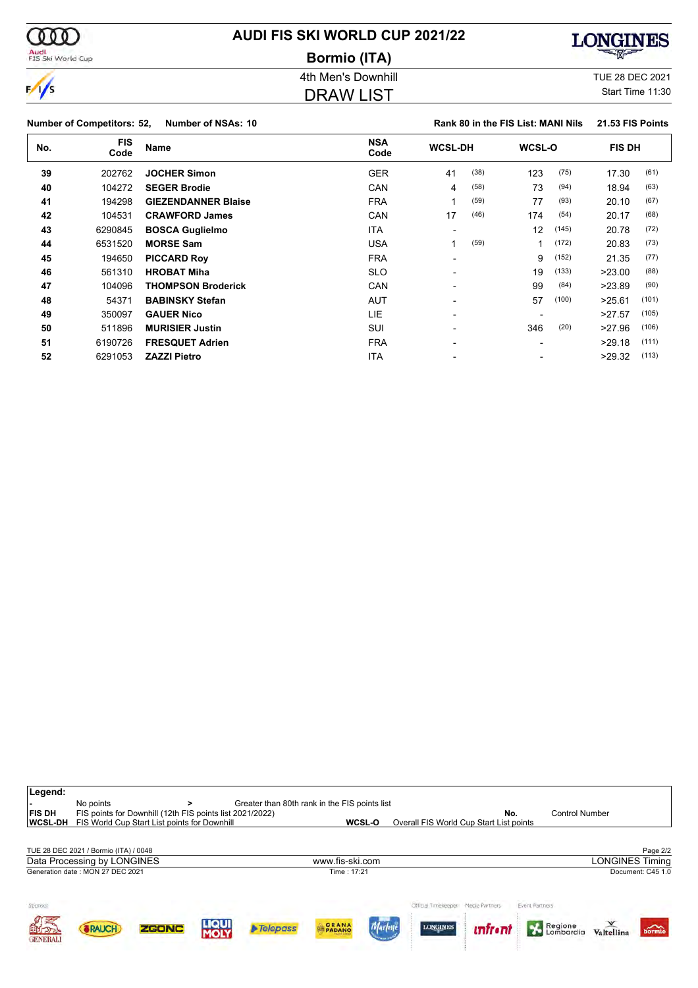| <b>AUDI FIS SKI WORLD CUP 2021/22</b> |  |
|---------------------------------------|--|
| <b>Bormio (ITA)</b>                   |  |

**COOD** 

 $\frac{1}{\sqrt{2}}$ 

Audi<br>FIS Ski World Cup



# 4th Men's Downhill **All Accord 2021** TUE 28 DEC 2021

# DRAW LIST

Start Time 11:30

|              | <b>Number of Competitors: 52,</b> | <b>Number of NSAs: 10</b>  |                    |                          |      | Rank 80 in the FIS List: MANI Nils |       | 21.53 FIS Points |       |
|--------------|-----------------------------------|----------------------------|--------------------|--------------------------|------|------------------------------------|-------|------------------|-------|
| No.          | <b>FIS</b><br>Code                | <b>Name</b>                | <b>NSA</b><br>Code | <b>WCSL-DH</b>           |      | <b>WCSL-O</b>                      |       | <b>FIS DH</b>    |       |
| 39<br>202762 |                                   | <b>JOCHER Simon</b>        | <b>GER</b>         | 41                       | (38) | 123                                | (75)  | 17.30            | (61)  |
| 40           | 104272                            | <b>SEGER Brodie</b>        | CAN                | 4                        | (58) | 73                                 | (94)  | 18.94            | (63)  |
| 41           | 194298                            | <b>GIEZENDANNER Blaise</b> | <b>FRA</b>         | 1                        | (59) | 77                                 | (93)  | 20.10            | (67)  |
| 42           | 104531                            | <b>CRAWFORD James</b>      | CAN                | 17                       | (46) | 174                                | (54)  | 20.17            | (68)  |
| 43           | 6290845                           | <b>BOSCA Guglielmo</b>     | ITA                | $\overline{\phantom{0}}$ |      | 12                                 | (145) | 20.78            | (72)  |
| 44           | 6531520                           | <b>MORSE Sam</b>           | <b>USA</b>         |                          | (59) |                                    | (172) | 20.83            | (73)  |
| 45           | 194650                            | <b>PICCARD Roy</b>         | <b>FRA</b>         |                          |      | 9                                  | (152) | 21.35            | (77)  |
| 46           | 561310                            | <b>HROBAT Miha</b>         | <b>SLO</b>         | $\overline{\phantom{0}}$ |      | 19                                 | (133) | >23.00           | (88)  |
| 47           | 104096                            | <b>THOMPSON Broderick</b>  | CAN                |                          |      | 99                                 | (84)  | >23.89           | (90)  |
| 48           | 54371                             | <b>BABINSKY Stefan</b>     | <b>AUT</b>         |                          |      | 57                                 | (100) | >25.61           | (101) |
| 49           | 350097                            | <b>GAUER Nico</b>          | LIE                |                          |      |                                    |       | >27.57           | (105) |
| 50           | 511896                            | <b>MURISIER Justin</b>     | SUI                |                          |      | 346                                | (20)  | >27.96           | (106) |
| 51           | 6190726                           | <b>FRESQUET Adrien</b>     | <b>FRA</b>         |                          |      |                                    |       | >29.18           | (111) |
| 52           | 6291053                           | <b>ZAZZI Pietro</b>        | <b>ITA</b>         |                          |      |                                    |       | >29.32           | (113) |

| Legend:<br><b>FIS DH</b><br><b>WCSL-DH</b> | No points                             | ><br>FIS points for Downhill (12th FIS points list 2021/2022)<br>FIS World Cup Start List points for Downhill |                      | Greater than 80th rank in the FIS points list |                                     | WCSL-O | Overall FIS World Cup Start List points | No.             |                | <b>Control Number</b> |                            |
|--------------------------------------------|---------------------------------------|---------------------------------------------------------------------------------------------------------------|----------------------|-----------------------------------------------|-------------------------------------|--------|-----------------------------------------|-----------------|----------------|-----------------------|----------------------------|
|                                            | TUE 28 DEC 2021 / Bormio (ITA) / 0048 |                                                                                                               |                      |                                               |                                     |        |                                         |                 |                |                       | Page 2/2                   |
|                                            | Data Processing by LONGINES           |                                                                                                               |                      |                                               | www.fis-ski.com                     |        |                                         |                 |                |                       | <b>LONGINES Timing</b>     |
|                                            | Generation date: MON 27 DEC 2021      |                                                                                                               |                      |                                               | Time: 17:21                         |        |                                         |                 |                |                       | Document: C45 1.0          |
| Sponsor                                    |                                       |                                                                                                               |                      |                                               |                                     |        | Official Timeleregies                   | Media Partners  | Event Partners |                       |                            |
| 自力の<br><b>GENERALI</b>                     | <b><i>SRAUCH</i></b>                  | <b>ZGONC</b>                                                                                                  | <b>LIQUI</b><br>MOLY | $\triangleright$ Telepass                     | <b>GRANA</b><br><b>CALIFE CHAIR</b> |        | <b>LONGINES</b>                         | <b>infr</b> •ni | Regione        | Valtellina            | $\overline{\text{bornic}}$ |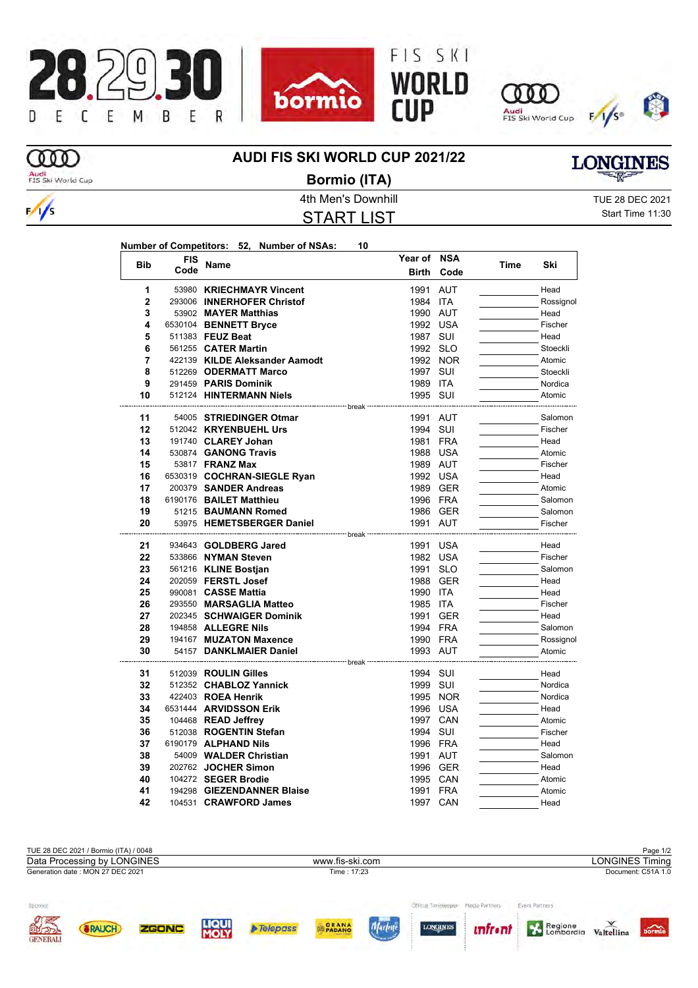







ത്ത Audi<br>FIS Ski World Cup

 $\frac{1}{s}$ 

# **AUDI FIS SKI WORLD CUP 2021/22**



**Bormio (ITA)**

START LIST

4th Men's Downhill **All Accord 2021** TUE 28 DEC 2021 Start Time 11:30

|                |            | Number of Competitors: 52, Number of NSAs:                            | 10                  |              |          |      |           |
|----------------|------------|-----------------------------------------------------------------------|---------------------|--------------|----------|------|-----------|
|                | <b>FIS</b> |                                                                       |                     | Year of NSA  |          |      |           |
| <b>Bib</b>     | Code       | Name                                                                  |                     | <b>Birth</b> | Code     | Time | Ski       |
| 1              |            | 53980 KRIECHMAYR Vincent                                              |                     | 1991 AUT     |          |      | Head      |
| $\overline{2}$ |            | 293006 INNERHOFER Christof                                            |                     | 1984 ITA     |          |      | Rossignol |
| 3              |            | 53902 MAYER Matthias                                                  |                     | 1990 AUT     |          |      | Head      |
| 4              |            | 6530104 BENNETT Bryce                                                 |                     | 1992 USA     |          |      | Fischer   |
| 5              |            | 511383 FEUZ Beat                                                      |                     | 1987 SUI     |          |      | Head      |
| 6              |            | 561255 <b>CATER Martin</b>                                            |                     | 1992 SLO     |          |      | Stoeckli  |
| 7              |            | 422139 KILDE Aleksander Aamodt                                        |                     |              | 1992 NOR |      | Atomic    |
| 8              |            | 512269 ODERMATT Marco                                                 |                     | 1997 SUI     |          |      | Stoeckli  |
| 9              |            | 291459 PARIS Dominik                                                  |                     | 1989 ITA     |          |      | Nordica   |
| 10             |            | 512124 HINTERMANN Niels                                               |                     | 1995 SUI     |          |      | Atomic    |
| 11             |            | ------------------ break -----------------<br>54005 STRIEDINGER Otmar |                     | 1991 AUT     |          |      | Salomon   |
| 12             |            | 512042 KRYENBUEHL Urs                                                 |                     | 1994 SUI     |          |      | Fischer   |
| 13             |            | 191740 CLAREY Johan                                                   |                     | 1981 FRA     |          |      | Head      |
| 14             |            | 530874 GANONG Travis                                                  |                     | 1988 USA     |          |      | Atomic    |
| 15             |            | 53817 <b>FRANZ Max</b>                                                |                     | 1989 AUT     |          |      | Fischer   |
| 16             |            | 6530319 COCHRAN-SIEGLE Ryan                                           |                     | 1992 USA     |          |      | Head      |
| 17             |            | 200379 SANDER Andreas                                                 |                     | 1989 GER     |          |      | Atomic    |
| 18             |            | 6190176 BAILET Matthieu                                               |                     | 1996 FRA     |          |      | Salomon   |
| 19             |            | 51215 BAUMANN Romed                                                   |                     | 1986 GER     |          |      | Salomon   |
| 20             |            | 53975 HEMETSBERGER Daniel                                             |                     | 1991 AUT     |          |      | Fischer   |
|                |            |                                                                       | ---------- break -- |              |          |      |           |
| 21             |            | 934643 GOLDBERG Jared                                                 |                     | 1991 USA     |          |      | Head      |
| 22             |            | 533866 NYMAN Steven                                                   |                     | 1982 USA     |          |      | Fischer   |
| 23             |            | 561216 KLINE Bostjan                                                  |                     | 1991 SLO     |          |      | Salomon   |
| 24             |            | 202059 FERSTL Josef                                                   |                     | 1988 GER     |          |      | Head      |
| 25             |            | 990081 CASSE Mattia                                                   |                     | 1990 ITA     |          |      | Head      |
| 26             |            | 293550 MARSAGLIA Matteo                                               |                     | 1985 ITA     |          |      | Fischer   |
| 27             |            | 202345 SCHWAIGER Dominik                                              |                     | 1991 GER     |          |      | Head      |
| 28             |            | 194858 ALLEGRE Nils                                                   |                     | 1994 FRA     |          |      | Salomon   |
| 29             |            | 194167 MUZATON Maxence                                                |                     | 1990 FRA     |          |      | Rossignol |
| 30             |            | 54157 DANKLMAIER Daniel                                               | break               | 1993 AUT     |          |      | Atomic    |
| 31             |            | 512039 ROULIN Gilles                                                  |                     | 1994 SUI     |          |      | Head      |
| 32             |            | 512352 CHABLOZ Yannick                                                |                     | 1999 SUI     |          |      | Nordica   |
| 33             |            | 422403 ROEA Henrik                                                    |                     |              | 1995 NOR |      | Nordica   |
| 34             |            | 6531444 ARVIDSSON Erik                                                |                     | 1996 USA     |          |      | Head      |
| 35             |            | 104468 READ Jeffrey                                                   |                     | 1997 CAN     |          |      | Atomic    |
| 36             |            | 512038 ROGENTIN Stefan                                                |                     | 1994 SUI     |          |      | Fischer   |
| 37             |            | 6190179 ALPHAND Nils                                                  |                     | 1996 FRA     |          |      | Head      |
| 38             |            | 54009 WALDER Christian                                                |                     | 1991 AUT     |          |      | Salomon   |
| 39             |            | 202762 JOCHER Simon                                                   |                     | 1996 GER     |          |      | Head      |
| 40             |            | 104272 SEGER Brodie                                                   |                     | 1995 CAN     |          |      | Atomic    |
| 41             |            | 194298 GIEZENDANNER Blaise                                            |                     | 1991 FRA     |          |      | Atomic    |
| 42             |            | 104531 CRAWFORD James                                                 |                     | 1997 CAN     |          |      | Head      |

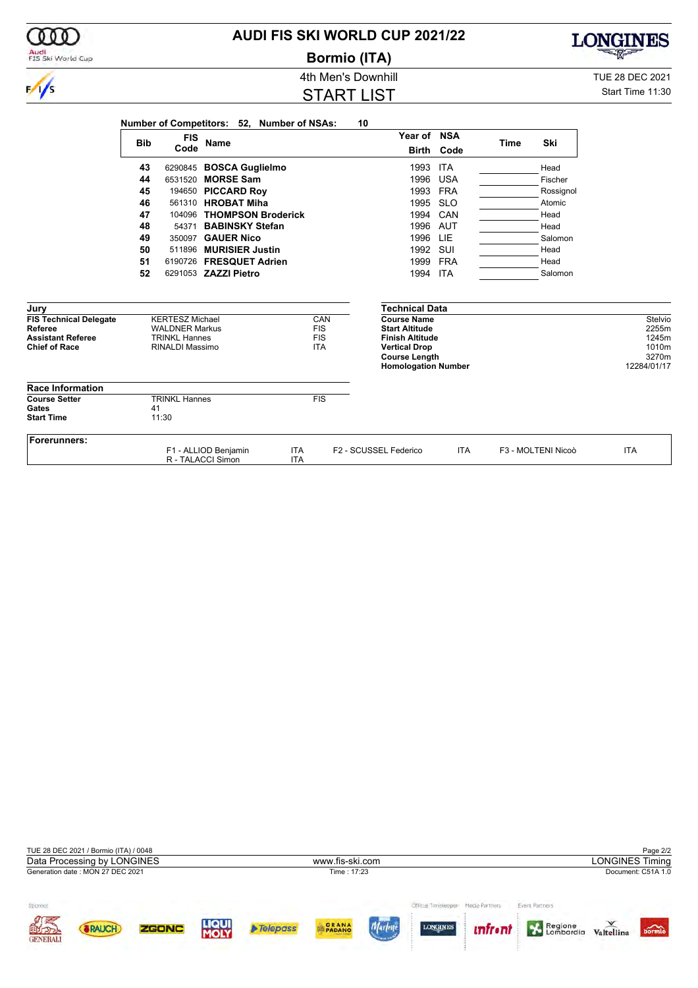| Audi<br>FIS Ski World Cup                        |                    |                                         |                                           |                                            | <b>Bormio (ITA)</b>                            |            |             |                    | <b>CONTROLL</b> |  |  |
|--------------------------------------------------|--------------------|-----------------------------------------|-------------------------------------------|--------------------------------------------|------------------------------------------------|------------|-------------|--------------------|-----------------|--|--|
|                                                  | 4th Men's Downhill |                                         |                                           |                                            |                                                |            |             |                    |                 |  |  |
| $\frac{1}{s}$                                    |                    | Start Time 11:30                        |                                           |                                            |                                                |            |             |                    |                 |  |  |
|                                                  | <b>Bib</b>         | <b>FIS</b>                              | Name                                      | Number of Competitors: 52, Number of NSAs: | 10<br>Year of NSA                              |            | <b>Time</b> | Ski                |                 |  |  |
|                                                  |                    | Code                                    |                                           |                                            | Birth                                          | Code       |             |                    |                 |  |  |
|                                                  | 43                 |                                         | 6290845 BOSCA Guglielmo                   |                                            | 1993                                           | <b>ITA</b> |             | Head               |                 |  |  |
|                                                  | 44                 | 6531520                                 | <b>MORSE Sam</b>                          |                                            | 1996                                           | <b>USA</b> |             | Fischer            |                 |  |  |
|                                                  | 45                 |                                         | 194650 PICCARD Roy                        |                                            | 1993                                           | <b>FRA</b> |             | Rossignol          |                 |  |  |
|                                                  | 46                 |                                         | 561310 HROBAT Miha                        |                                            | 1995                                           | <b>SLO</b> |             | Atomic             |                 |  |  |
|                                                  | 47                 |                                         | 104096 THOMPSON Broderick                 |                                            | 1994                                           | CAN        |             | Head               |                 |  |  |
|                                                  | 48                 | 54371                                   | <b>BABINSKY Stefan</b>                    |                                            | 1996                                           | AUT        |             | Head               |                 |  |  |
|                                                  | 49                 |                                         | 350097 GAUER Nico                         |                                            | 1996                                           | LIE        |             | Salomon            |                 |  |  |
|                                                  | 50                 |                                         | 511896 MURISIER Justin                    |                                            | 1992                                           | SUI        |             | Head               |                 |  |  |
|                                                  | 51                 |                                         | 6190726 FRESQUET Adrien                   |                                            | 1999                                           | FRA        |             | Head               |                 |  |  |
|                                                  | 52                 |                                         | 6291053 ZAZZI Pietro                      |                                            | 1994 ITA                                       |            |             | Salomon            |                 |  |  |
| Jury                                             |                    |                                         |                                           |                                            | <b>Technical Data</b>                          |            |             |                    |                 |  |  |
| <b>FIS Technical Delegate</b>                    |                    | <b>KERTESZ Michael</b>                  |                                           | CAN                                        | <b>Course Name</b>                             |            |             |                    | Stelvio         |  |  |
| Referee                                          |                    | <b>WALDNER Markus</b>                   |                                           | <b>FIS</b>                                 | <b>Start Altitude</b>                          |            |             |                    | 2255m           |  |  |
| <b>Assistant Referee</b><br><b>Chief of Race</b> |                    | <b>TRINKL Hannes</b><br>RINALDI Massimo |                                           | <b>FIS</b><br><b>ITA</b>                   | <b>Finish Altitude</b><br><b>Vertical Drop</b> |            |             |                    | 1245m<br>1010m  |  |  |
|                                                  |                    |                                         |                                           |                                            | <b>Course Length</b>                           |            |             |                    | 3270m           |  |  |
|                                                  |                    |                                         |                                           |                                            | <b>Homologation Number</b>                     |            |             |                    | 12284/01/17     |  |  |
| <b>Race Information</b>                          |                    |                                         |                                           |                                            |                                                |            |             |                    |                 |  |  |
| <b>Course Setter</b>                             |                    | <b>TRINKL Hannes</b>                    |                                           | FIS                                        |                                                |            |             |                    |                 |  |  |
| Gates<br><b>Start Time</b>                       | 41                 | 11:30                                   |                                           |                                            |                                                |            |             |                    |                 |  |  |
|                                                  |                    |                                         |                                           |                                            |                                                |            |             |                    |                 |  |  |
| Forerunners:                                     |                    |                                         |                                           |                                            |                                                |            |             |                    |                 |  |  |
|                                                  |                    |                                         | F1 - ALLIOD Benjamin<br>R - TALACCI Simon | <b>ITA</b><br><b>ITA</b>                   | F2 - SCUSSEL Federico                          | <b>ITA</b> |             | F3 - MOLTENI Nicoò | <b>ITA</b>      |  |  |

**AUDI FIS SKI WORLD CUP 2021/22**

**LONGINES** <u>ਪਤ</u>

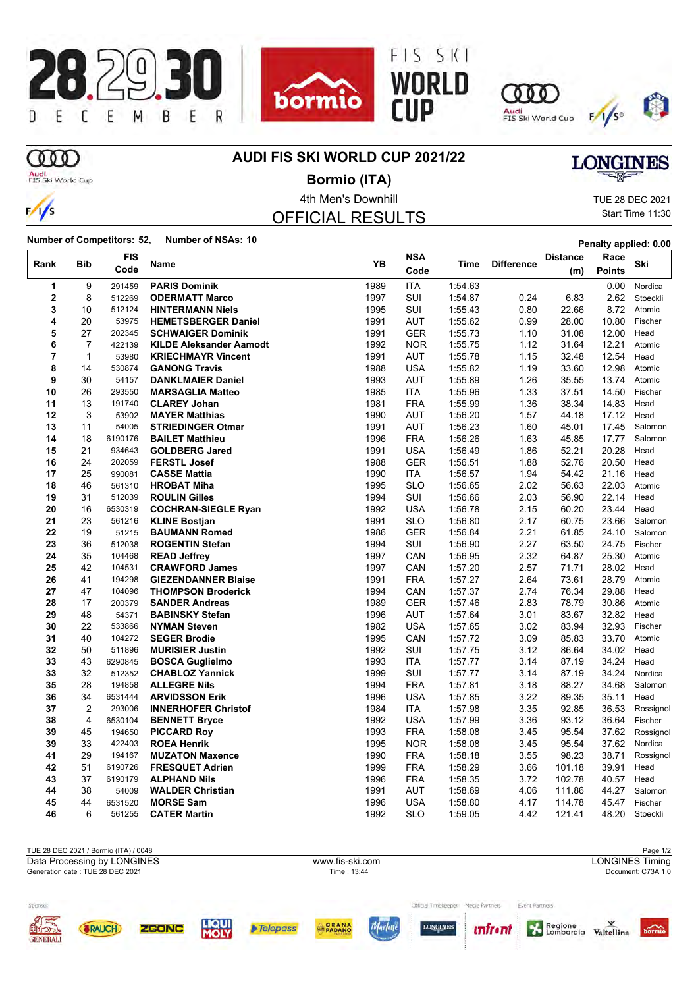









# ത്ത

 $\frac{1}{s}$ 

### **AUDI FIS SKI WORLD CUP 2021/22**

Audi<br>FIS Ski World Cup

4th Men's Downhill TUE 28 DEC 2021 **Bormio (ITA)**

# OFFICIAL RESULTS

Start Time 11:30

**LONGINES** 

**Number of Competitors: 52, Number of NSAs: 10 Penalty applied: 0.00** 

|             |                | <b>FIS</b> |                                |      | <b>NSA</b> |         |                   | <b>Distance</b> | Race          |           |
|-------------|----------------|------------|--------------------------------|------|------------|---------|-------------------|-----------------|---------------|-----------|
| Rank        | <b>Bib</b>     | Code       | <b>Name</b>                    | YB   | Code       | Time    | <b>Difference</b> | (m)             | <b>Points</b> | Ski       |
| 1           | 9              | 291459     | <b>PARIS Dominik</b>           | 1989 | <b>ITA</b> | 1:54.63 |                   |                 | 0.00          | Nordica   |
| $\mathbf 2$ | 8              | 512269     | <b>ODERMATT Marco</b>          | 1997 | SUI        | 1:54.87 | 0.24              | 6.83            | 2.62          | Stoeckli  |
| 3           | 10             | 512124     | <b>HINTERMANN Niels</b>        | 1995 | SUI        | 1:55.43 | 0.80              | 22.66           | 8.72          | Atomic    |
| 4           | 20             | 53975      | <b>HEMETSBERGER Daniel</b>     | 1991 | <b>AUT</b> | 1.55.62 | 0.99              | 28.00           | 10.80         | Fischer   |
| 5           | 27             | 202345     | <b>SCHWAIGER Dominik</b>       | 1991 | <b>GER</b> | 1:55.73 | 1.10              | 31.08           | 12.00         | Head      |
| 6           | $\overline{7}$ | 422139     | <b>KILDE Aleksander Aamodt</b> | 1992 | <b>NOR</b> | 1:55.75 | 1.12              | 31.64           | 12.21         | Atomic    |
| 7           | $\mathbf{1}$   | 53980      | <b>KRIECHMAYR Vincent</b>      | 1991 | <b>AUT</b> | 1:55.78 | 1.15              | 32.48           | 12.54         | Head      |
| 8           | 14             | 530874     | <b>GANONG Travis</b>           | 1988 | <b>USA</b> | 1:55.82 | 1.19              | 33.60           | 12.98         | Atomic    |
| 9           | 30             | 54157      | <b>DANKLMAIER Daniel</b>       | 1993 | <b>AUT</b> | 1:55.89 | 1.26              | 35.55           | 13.74         | Atomic    |
| 10          | 26             | 293550     | <b>MARSAGLIA Matteo</b>        | 1985 | <b>ITA</b> | 1:55.96 | 1.33              | 37.51           | 14.50         | Fischer   |
| 11          | 13             | 191740     | <b>CLAREY Johan</b>            | 1981 | <b>FRA</b> | 1:55.99 | 1.36              | 38.34           | 14.83         | Head      |
| 12          | 3              | 53902      | <b>MAYER Matthias</b>          | 1990 | <b>AUT</b> | 1:56.20 | 1.57              | 44.18           | 17.12         | Head      |
| 13          | 11             | 54005      | <b>STRIEDINGER Otmar</b>       | 1991 | <b>AUT</b> | 1:56.23 | 1.60              | 45.01           | 17.45         | Salomon   |
| 14          | 18             | 6190176    | <b>BAILET Matthieu</b>         | 1996 | <b>FRA</b> | 1:56.26 | 1.63              | 45.85           | 17.77         | Salomon   |
| 15          | 21             | 934643     | <b>GOLDBERG Jared</b>          | 1991 | <b>USA</b> | 1:56.49 | 1.86              | 52.21           | 20.28         | Head      |
| 16          | 24             | 202059     | <b>FERSTL Josef</b>            | 1988 | <b>GER</b> | 1:56.51 | 1.88              | 52.76           | 20.50         | Head      |
| 17          | 25             | 990081     | <b>CASSE Mattia</b>            | 1990 | <b>ITA</b> | 1:56.57 | 1.94              | 54.42           | 21.16         | Head      |
| 18          | 46             | 561310     | <b>HROBAT Miha</b>             | 1995 | <b>SLO</b> | 1:56.65 | 2.02              | 56.63           | 22.03         | Atomic    |
| 19          | 31             | 512039     | <b>ROULIN Gilles</b>           | 1994 | SUI        | 1:56.66 | 2.03              | 56.90           | 22.14         | Head      |
| 20          | 16             | 6530319    | <b>COCHRAN-SIEGLE Ryan</b>     | 1992 | <b>USA</b> | 1:56.78 | 2.15              | 60.20           | 23.44         | Head      |
| 21          | 23             | 561216     | <b>KLINE Bostjan</b>           | 1991 | <b>SLO</b> | 1:56.80 | 2.17              | 60.75           | 23.66         | Salomon   |
| 22          | 19             | 51215      | <b>BAUMANN Romed</b>           | 1986 | <b>GER</b> | 1:56.84 | 2.21              | 61.85           | 24.10         | Salomon   |
| 23          | 36             | 512038     | <b>ROGENTIN Stefan</b>         | 1994 | SUI        | 1:56.90 | 2.27              | 63.50           | 24.75         | Fischer   |
| 24          | 35             | 104468     | <b>READ Jeffrey</b>            | 1997 | CAN        | 1:56.95 | 2.32              | 64.87           | 25.30         | Atomic    |
| 25          | 42             | 104531     | <b>CRAWFORD James</b>          | 1997 | CAN        | 1:57.20 | 2.57              | 71.71           | 28.02         | Head      |
| 26          | 41             | 194298     | <b>GIEZENDANNER Blaise</b>     | 1991 | <b>FRA</b> | 1:57.27 | 2.64              | 73.61           | 28.79         | Atomic    |
| 27          | 47             | 104096     | <b>THOMPSON Broderick</b>      | 1994 | CAN        | 1:57.37 | 2.74              | 76.34           | 29.88         | Head      |
| 28          | 17             | 200379     | <b>SANDER Andreas</b>          | 1989 | <b>GER</b> | 1:57.46 | 2.83              | 78.79           | 30.86         | Atomic    |
| 29          | 48             | 54371      | <b>BABINSKY Stefan</b>         | 1996 | <b>AUT</b> | 1:57.64 | 3.01              | 83.67           | 32.82         | Head      |
| 30          | 22             | 533866     | <b>NYMAN Steven</b>            | 1982 | <b>USA</b> | 1:57.65 | 3.02              | 83.94           | 32.93         | Fischer   |
| 31          | 40             | 104272     | <b>SEGER Brodie</b>            | 1995 | CAN        | 1:57.72 | 3.09              | 85.83           | 33.70         | Atomic    |
| 32          | 50             | 511896     | <b>MURISIER Justin</b>         | 1992 | SUI        | 1:57.75 | 3.12              | 86.64           | 34.02         | Head      |
| 33          | 43             | 6290845    | <b>BOSCA Guglielmo</b>         | 1993 | <b>ITA</b> | 1:57.77 | 3.14              | 87.19           | 34.24         | Head      |
| 33          | 32             | 512352     | <b>CHABLOZ Yannick</b>         | 1999 | SUI        | 1:57.77 | 3.14              | 87.19           | 34.24         | Nordica   |
| 35          | 28             | 194858     | <b>ALLEGRE Nils</b>            | 1994 | <b>FRA</b> | 1:57.81 | 3.18              | 88.27           | 34.68         | Salomon   |
| 36          | 34             | 6531444    | <b>ARVIDSSON Erik</b>          | 1996 | <b>USA</b> | 1:57.85 | 3.22              | 89.35           | 35.11         | Head      |
| 37          | 2              | 293006     | <b>INNERHOFER Christof</b>     | 1984 | <b>ITA</b> | 1:57.98 | 3.35              | 92.85           | 36.53         | Rossignol |
| 38          | 4              | 6530104    | <b>BENNETT Bryce</b>           | 1992 | <b>USA</b> | 1:57.99 | 3.36              | 93.12           | 36.64         | Fischer   |
| 39          | 45             | 194650     | <b>PICCARD Roy</b>             | 1993 | <b>FRA</b> | 1:58.08 | 3.45              | 95.54           | 37.62         | Rossignol |
| 39          | 33             | 422403     | <b>ROEA Henrik</b>             | 1995 | <b>NOR</b> | 1:58.08 | 3.45              | 95.54           | 37.62         | Nordica   |
| 41          | 29             | 194167     | <b>MUZATON Maxence</b>         | 1990 | <b>FRA</b> | 1:58.18 | 3.55              | 98.23           | 38.71         | Rossignol |
| 42          | 51             | 6190726    | <b>FRESQUET Adrien</b>         | 1999 | <b>FRA</b> | 1.58.29 | 3.66              | 101.18          | 39.91         | Head      |
| 43          | 37             | 6190179    | <b>ALPHAND Nils</b>            | 1996 | <b>FRA</b> | 1.58.35 | 3.72              | 102.78          | 40.57         | Head      |
| 44          | 38             | 54009      | <b>WALDER Christian</b>        | 1991 | <b>AUT</b> | 1:58.69 | 4.06              | 111.86          | 44.27         | Salomon   |
| 45          | 44             | 6531520    | <b>MORSE Sam</b>               | 1996 | <b>USA</b> | 1:58.80 | 4.17              | 114.78          | 45.47         | Fischer   |
| 46          | 6              | 561255     | <b>CATER Martin</b>            | 1992 | <b>SLO</b> | 1:59.05 | 4.42              | 121.41          | 48.20         | Stoeckli  |
|             |                |            |                                |      |            |         |                   |                 |               |           |

| TUE 28 DEC 2021 / Bormio (ITA) / 0048                                     |                                                                                        | Page 1/2                                                                                      |
|---------------------------------------------------------------------------|----------------------------------------------------------------------------------------|-----------------------------------------------------------------------------------------------|
| Data Processing by LONGINES                                               | www.fis-ski.com                                                                        | <b>LONGINES Timing</b>                                                                        |
| Generation date: TUE 28 DEC 2021                                          | Time : 13:44                                                                           | Document: C73A 1.0                                                                            |
| Sponso<br><b>OTHER OFFICIAL</b><br><b>LIQUI</b><br>MOLY<br>ZGONC<br>RAUCH | Official Timelerener<br>Media Partners<br>PADANO<br><b>LONGINES</b><br><b>Telepass</b> | <b>Event Partners</b><br>Regione<br><i>unfront</i><br>$\widehat{\text{bornic}}$<br>Valtellina |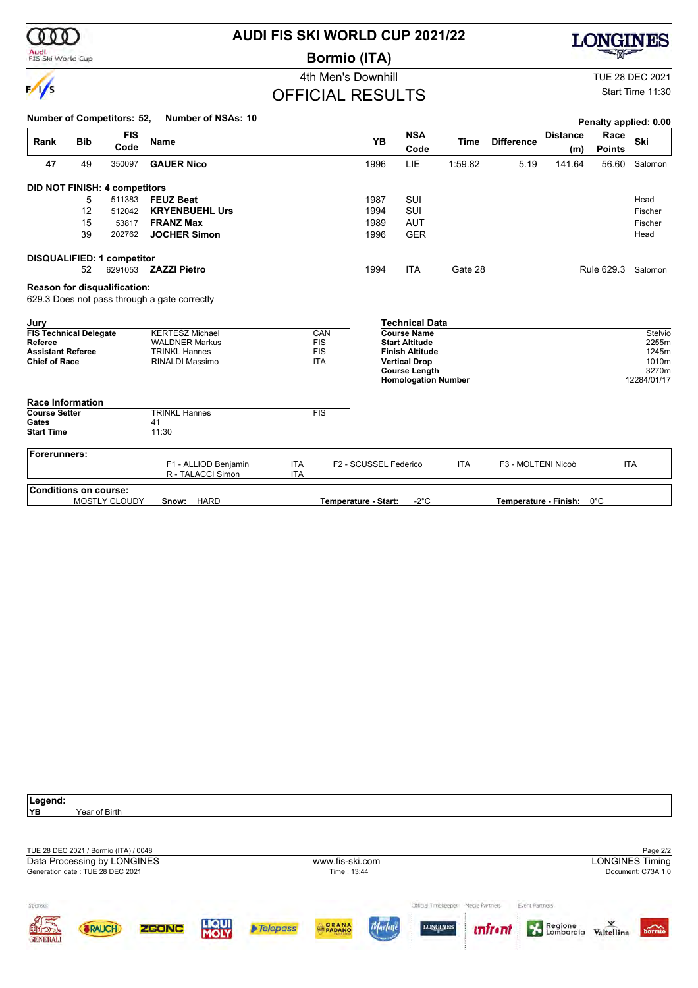| I | 000 |  |
|---|-----|--|
|   |     |  |
|   |     |  |

 $\sqrt{}$ 

### **Audi**<br>FIS Ski World Cup

# **AUDI FIS SKI WORLD CUP 2021/22**

**Bormio (ITA)**



### OFFICIAL RESULTS

**LONGINES** 

Start Time 11:30

|                                                  |            | <b>Number of Competitors: 52,</b> | <b>Number of NSAs: 10</b>                    |                          |                          |                       |                                                |             |                       |                 | Penalty applied: 0.00 |                |
|--------------------------------------------------|------------|-----------------------------------|----------------------------------------------|--------------------------|--------------------------|-----------------------|------------------------------------------------|-------------|-----------------------|-----------------|-----------------------|----------------|
|                                                  |            | <b>FIS</b>                        |                                              |                          |                          |                       | <b>NSA</b>                                     |             |                       | <b>Distance</b> | Race                  | Ski            |
| Rank                                             | <b>Bib</b> | Code                              | <b>Name</b>                                  |                          |                          | YB                    | Code                                           | <b>Time</b> | <b>Difference</b>     | (m)             | <b>Points</b>         |                |
| 47                                               | 49         | 350097                            | <b>GAUER Nico</b>                            |                          |                          | 1996                  | LIE                                            | 1:59.82     | 5.19                  | 141.64          | 56.60                 | Salomon        |
|                                                  |            | DID NOT FINISH: 4 competitors     |                                              |                          |                          |                       |                                                |             |                       |                 |                       |                |
|                                                  | 5          | 511383                            | <b>FEUZ Beat</b>                             |                          |                          | 1987                  | SUI                                            |             |                       |                 |                       | Head           |
|                                                  | 12         | 512042                            | <b>KRYENBUEHL Urs</b>                        |                          |                          | 1994                  | <b>SUI</b>                                     |             |                       |                 |                       | Fischer        |
|                                                  | 15         | 53817                             | <b>FRANZ Max</b>                             |                          |                          | 1989                  | <b>AUT</b>                                     |             |                       |                 |                       | Fischer        |
|                                                  | 39         | 202762                            | <b>JOCHER Simon</b>                          |                          |                          | 1996                  | <b>GER</b>                                     |             |                       |                 |                       | Head           |
|                                                  |            | <b>DISQUALIFIED: 1 competitor</b> |                                              |                          |                          |                       |                                                |             |                       |                 |                       |                |
|                                                  | 52         |                                   | 6291053 <b>ZAZZI Pietro</b>                  |                          |                          | 1994                  | <b>ITA</b>                                     | Gate 28     |                       |                 | Rule 629.3            | Salomon        |
|                                                  |            | Reason for disqualification:      |                                              |                          |                          |                       |                                                |             |                       |                 |                       |                |
|                                                  |            |                                   | 629.3 Does not pass through a gate correctly |                          |                          |                       |                                                |             |                       |                 |                       |                |
| Jury                                             |            |                                   |                                              |                          |                          |                       | <b>Technical Data</b>                          |             |                       |                 |                       |                |
| <b>FIS Technical Delegate</b>                    |            |                                   | <b>KERTESZ Michael</b>                       |                          | CAN                      |                       | <b>Course Name</b>                             |             |                       |                 |                       | Stelvio        |
| Referee                                          |            |                                   | <b>WALDNER Markus</b>                        |                          | <b>FIS</b>               |                       | <b>Start Altitude</b>                          |             |                       |                 |                       | 2255m          |
| <b>Assistant Referee</b><br><b>Chief of Race</b> |            |                                   | <b>TRINKL Hannes</b><br>RINALDI Massimo      |                          | <b>FIS</b><br><b>ITA</b> |                       | <b>Finish Altitude</b><br><b>Vertical Drop</b> |             |                       |                 |                       | 1245m<br>1010m |
|                                                  |            |                                   |                                              |                          |                          |                       | <b>Course Length</b>                           |             |                       |                 |                       | 3270m          |
|                                                  |            |                                   |                                              |                          |                          |                       | <b>Homologation Number</b>                     |             |                       |                 |                       | 12284/01/17    |
| <b>Race Information</b>                          |            |                                   |                                              |                          |                          |                       |                                                |             |                       |                 |                       |                |
| <b>Course Setter</b>                             |            |                                   | <b>TRINKL Hannes</b>                         |                          | <b>FIS</b>               |                       |                                                |             |                       |                 |                       |                |
| Gates                                            |            |                                   | 41                                           |                          |                          |                       |                                                |             |                       |                 |                       |                |
| <b>Start Time</b>                                |            |                                   | 11:30                                        |                          |                          |                       |                                                |             |                       |                 |                       |                |
| Forerunners:                                     |            |                                   |                                              |                          |                          |                       |                                                |             |                       |                 |                       |                |
|                                                  |            |                                   | F1 - ALLIOD Benjamin<br>R - TALACCI Simon    | <b>ITA</b><br><b>ITA</b> |                          | F2 - SCUSSEL Federico |                                                | <b>ITA</b>  | F3 - MOLTENI Nicoò    |                 |                       | <b>ITA</b>     |
| <b>Conditions on course:</b>                     |            |                                   |                                              |                          |                          |                       |                                                |             |                       |                 |                       |                |
|                                                  |            | MOSTLY CLOUDY                     | <b>HARD</b><br>Snow:                         |                          |                          | Temperature - Start:  | $-2^{\circ}$ C                                 |             | Temperature - Finish: |                 | $0^{\circ}$ C         |                |

| Legend:         |                                       |       |                      |                 |                 |                      |                |                |            |                             |
|-----------------|---------------------------------------|-------|----------------------|-----------------|-----------------|----------------------|----------------|----------------|------------|-----------------------------|
| YB              | Year of Birth                         |       |                      |                 |                 |                      |                |                |            |                             |
|                 |                                       |       |                      |                 |                 |                      |                |                |            |                             |
|                 |                                       |       |                      |                 |                 |                      |                |                |            |                             |
|                 | TUE 28 DEC 2021 / Bormio (ITA) / 0048 |       |                      |                 |                 |                      |                |                |            | Page 2/2                    |
|                 | Data Processing by LONGINES           |       |                      |                 | www.fis-ski.com |                      |                |                |            | <b>LONGINES Timing</b>      |
|                 | Generation date: TUE 28 DEC 2021      |       |                      |                 | Time: 13:44     |                      |                |                |            | Document: C73A 1.0          |
|                 |                                       |       |                      |                 |                 |                      |                |                |            |                             |
|                 |                                       |       |                      |                 |                 | Official Timelerenes | Media Partners | Event Partners |            |                             |
| Sponsor         |                                       |       |                      |                 |                 |                      |                |                |            |                             |
|                 | <b>SRAUCH</b>                         | ZGONC | <b>LIQUI</b><br>MOLY | <b>Telepass</b> | PADANO          | <b>LONGINES</b>      | <i>unfront</i> | Regione        |            | $\overbrace{\text{bornio}}$ |
| <b>OFFICIAL</b> |                                       |       |                      |                 |                 |                      |                |                | Valtellina |                             |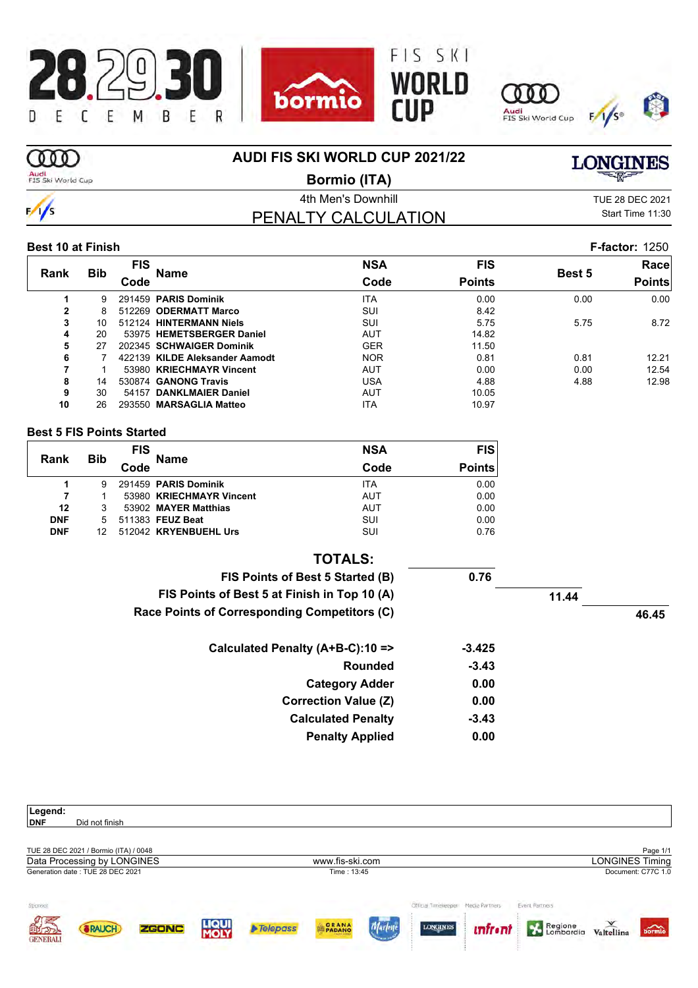







# m

 $\frac{1}{s}$ 

**AUDI FIS SKI WORLD CUP 2021/22**

### Audi<br>FIS Ski World Cup

**Bormio (ITA)**

**LONGINES** 

4th Men's Downhill **All Accord 2021** TUE 28 DEC 2021 PENALTY CALCULATION

Start Time 11:30

### **Best 10 at Finish F-factor:** 1250

|              |            | FIS  |                                | <b>NSA</b> | <b>FIS</b>    |        | Race          |  |
|--------------|------------|------|--------------------------------|------------|---------------|--------|---------------|--|
| Rank         | <b>Bib</b> | Code | Name                           | Code       | <b>Points</b> | Best 5 | <b>Points</b> |  |
|              | 9          |      | 291459 PARIS Dominik           | <b>ITA</b> | 0.00          | 0.00   | 0.00          |  |
| $\mathbf{2}$ | 8          |      | 512269 ODERMATT Marco          | SUI        | 8.42          |        |               |  |
| 3            | 10         |      | 512124 HINTERMANN Niels        | <b>SUI</b> | 5.75          | 5.75   | 8.72          |  |
| 4            | 20         |      | 53975 HEMETSBERGER Daniel      | <b>AUT</b> | 14.82         |        |               |  |
| 5            | 27         |      | 202345 SCHWAIGER Dominik       | <b>GER</b> | 11.50         |        |               |  |
| 6            |            |      | 422139 KILDE Aleksander Aamodt | <b>NOR</b> | 0.81          | 0.81   | 12.21         |  |
|              |            |      | 53980 KRIECHMAYR Vincent       | <b>AUT</b> | 0.00          | 0.00   | 12.54         |  |
| 8            | 14         |      | 530874 GANONG Travis           | USA        | 4.88          | 4.88   | 12.98         |  |
| 9            | 30         |      | 54157 DANKLMAIER Daniel        | <b>AUT</b> | 10.05         |        |               |  |
| 10           | 26         |      | 293550 MARSAGLIA Matteo        | <b>ITA</b> | 10.97         |        |               |  |
|              |            |      |                                |            |               |        |               |  |

### **Best 5 FIS Points Started**

| Rank       |            | <b>FIS</b> | <b>Name</b>              | <b>NSA</b> | <b>FIS</b>    |
|------------|------------|------------|--------------------------|------------|---------------|
|            | <b>Bib</b> | Code       |                          | Code       | <b>Points</b> |
|            | 9          |            | 291459 PARIS Dominik     | <b>ITA</b> | 0.00          |
| 7          |            |            | 53980 KRIECHMAYR Vincent | AUT        | 0.00          |
| 12         | 3          |            | 53902 MAYER Matthias     | AUT        | 0.00          |
| <b>DNF</b> | 5          |            | 511383 FEUZ Beat         | SUI        | 0.00          |
| <b>DNF</b> |            |            | 512042 KRYENBUEHL Urs    | SUI        | 0.76          |

|       |       |          | <b>TOTALS:</b>                               |
|-------|-------|----------|----------------------------------------------|
|       |       | 0.76     | FIS Points of Best 5 Started (B)             |
|       | 11.44 |          | FIS Points of Best 5 at Finish in Top 10 (A) |
| 46.45 |       |          | Race Points of Corresponding Competitors (C) |
|       |       | $-3.425$ | Calculated Penalty (A+B-C):10 =>             |
|       |       | $-3.43$  | <b>Rounded</b>                               |
|       |       | 0.00     | <b>Category Adder</b>                        |
|       |       | 0.00     | <b>Correction Value (Z)</b>                  |
|       |       | $-3.43$  | <b>Calculated Penalty</b>                    |
|       |       | 0.00     | <b>Penalty Applied</b>                       |

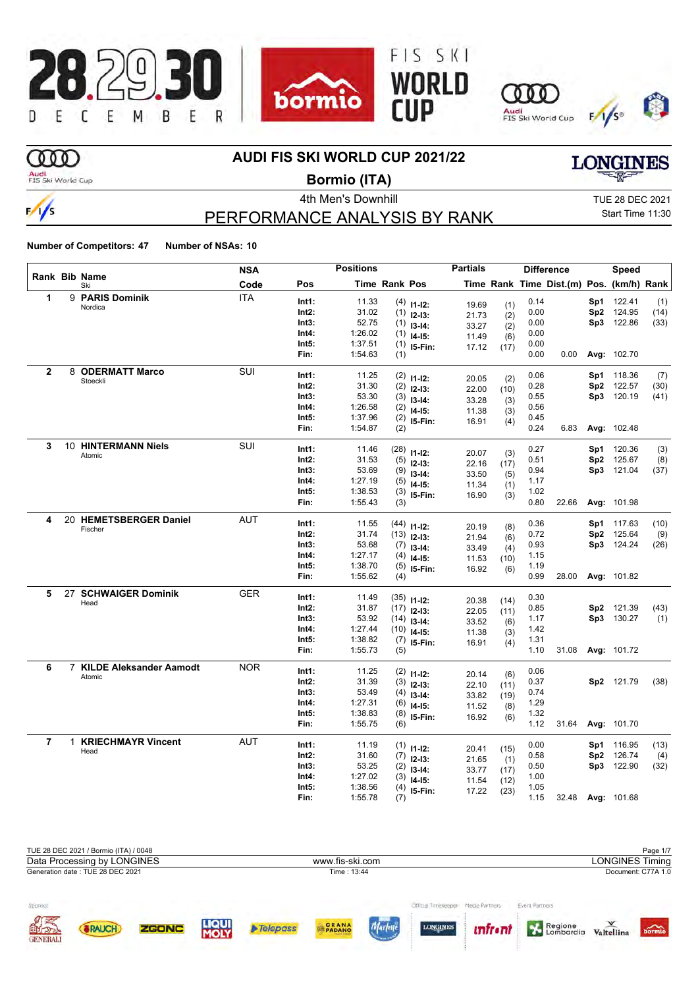

# **OOO**

 $\frac{1}{s}$ 

### **AUDI FIS SKI WORLD CUP 2021/22**

Audi<br>FIS Ski World Cup

**Bormio (ITA)**

4th Men's Downhill **All Accord 2021** TUE 28 DEC 2021 Start Time 11:30

**LONGINES** 

# PERFORMANCE ANALYSIS BY RANK

| Rank Bib Name  |    |                              | <b>NSA</b> | <b>Positions</b> |                    |                      | <b>Partials</b> |                | <b>Difference</b> |              |                                          | Speed |                          |      |
|----------------|----|------------------------------|------------|------------------|--------------------|----------------------|-----------------|----------------|-------------------|--------------|------------------------------------------|-------|--------------------------|------|
|                |    | Ski                          | Code       | Pos              |                    | <b>Time Rank Pos</b> |                 |                |                   |              | Time Rank Time Dist.(m) Pos. (km/h) Rank |       |                          |      |
| 1              |    | 9 PARIS Dominik              | <b>ITA</b> | Int1:            | 11.33              |                      | $(4)$ 11-12:    | 19.69          | (1)               | 0.14         |                                          | Sp1   | 122.41                   | (1)  |
|                |    | Nordica                      |            | Int2:            | 31.02              |                      | $(1)$ 12-13:    | 21.73          | (2)               | 0.00         |                                          | Sp2   | 124.95                   | (14) |
|                |    |                              |            | Int3:            | 52.75              | (1)                  | $13-14:$        | 33.27          | (2)               | 0.00         |                                          |       | Sp3 122.86               | (33) |
|                |    |                              |            | Int4:            | 1:26.02            | (1)                  | $14-15:$        | 11.49          | (6)               | 0.00         |                                          |       |                          |      |
|                |    |                              |            | Int5:            | 1:37.51            | (1)                  | 15-Fin:         | 17.12          | (17)              | 0.00         |                                          |       |                          |      |
|                |    |                              |            | Fin:             | 1:54.63            | (1)                  |                 |                |                   | 0.00         | 0.00                                     |       | Avg: 102.70              |      |
| $\mathbf{2}$   |    | 8 ODERMATT Marco             | SUI        | Int1:            | 11.25              |                      | $(2)$ 11-12:    |                |                   | 0.06         |                                          | Sp1   | 118.36                   | (7)  |
|                |    | Stoeckli                     |            | Int2:            | 31.30              | (2)                  | $12-13:$        | 20.05          | (2)               | 0.28         |                                          |       | Sp2 122.57               | (30) |
|                |    |                              |            | Int3:            | 53.30              |                      | $(3)$ 13-14:    | 22.00          | (10)              | 0.55         |                                          |       | Sp3 120.19               | (41) |
|                |    |                              |            | Int4:            | 1:26.58            |                      | $(2)$ 14-15:    | 33.28          | (3)               | 0.56         |                                          |       |                          |      |
|                |    |                              |            | Int5:            | 1:37.96            |                      | $(2)$ 15-Fin:   | 11.38          | (3)               | 0.45         |                                          |       |                          |      |
|                |    |                              |            | Fin:             | 1:54.87            | (2)                  |                 | 16.91          | (4)               | 0.24         | 6.83                                     |       | Avg: 102.48              |      |
| 3              |    | 10 HINTERMANN Niels          | SUI        |                  |                    |                      |                 |                |                   |              |                                          |       |                          |      |
|                |    | Atomic                       |            | Int1:            | 11.46              | (28)                 | $11 - 12$ :     | 20.07          | (3)               | 0.27         |                                          | Sp1   | 120.36                   | (3)  |
|                |    |                              |            | Int2:<br>Int3:   | 31.53<br>53.69     | (5)                  | $12 - 13:$      | 22.16          | (17)              | 0.51<br>0.94 |                                          |       | Sp2 125.67<br>Sp3 121.04 | (8)  |
|                |    |                              |            | Int4:            | 1:27.19            | (9)                  | $13-14:$        | 33.50          | (5)               | 1.17         |                                          |       |                          | (37) |
|                |    |                              |            | Int5:            | 1:38.53            | (5)                  | $14 - 15$ :     | 11.34          | (1)               | 1.02         |                                          |       |                          |      |
|                |    |                              |            | Fin:             | 1:55.43            | (3)                  | 15-Fin:         | 16.90          | (3)               | 0.80         | 22.66                                    |       | Avg: 101.98              |      |
|                |    |                              |            |                  |                    | (3)                  |                 |                |                   |              |                                          |       |                          |      |
| 4              |    | 20 HEMETSBERGER Daniel       | <b>AUT</b> | Int1:            | 11.55              |                      | $(44)$ 11-12:   | 20.19          | (8)               | 0.36         |                                          |       | Sp1 117.63               | (10) |
|                |    | Fischer                      |            | Int2:            | 31.74              |                      | $(13)$ 12-13:   | 21.94          | (6)               | 0.72         |                                          | Sp2   | 125.64                   | (9)  |
|                |    |                              |            | Int3:            | 53.68              |                      | $(7)$ 13-14:    | 33.49          | (4)               | 0.93         |                                          |       | Sp3 124.24               | (26) |
|                |    |                              |            | Int4:            | 1:27.17            | (4)                  | $14 - 15$ :     | 11.53          | (10)              | 1.15         |                                          |       |                          |      |
|                |    |                              |            | Int5:            | 1:38.70            | (5)                  | I5-Fin:         | 16.92          | (6)               | 1.19         |                                          |       |                          |      |
|                |    |                              |            | Fin:             | 1:55.62            | (4)                  |                 |                |                   | 0.99         | 28.00                                    |       | Avg: 101.82              |      |
| 5              | 27 | <b>SCHWAIGER Dominik</b>     | GER        | Int1:            | 11.49              |                      | $(35)$ 11-12:   |                |                   | 0.30         |                                          |       |                          |      |
|                |    | Head                         |            | Int2:            | 31.87              |                      | $(17)$ 12-13:   | 20.38          | (14)              | 0.85         |                                          |       | Sp2 121.39               | (43) |
|                |    |                              |            | Int3:            | 53.92              |                      | $(14)$ 13-14:   | 22.05          | (11)              | 1.17         |                                          |       | Sp3 130.27               | (1)  |
|                |    |                              |            | Int4:            | 1:27.44            |                      | $(10)$ 14-15:   | 33.52          | (6)               | 1.42         |                                          |       |                          |      |
|                |    |                              |            | Int5:            | 1:38.82            |                      | $(7)$ 15-Fin:   | 11.38<br>16.91 | (3)               | 1.31         |                                          |       |                          |      |
|                |    |                              |            | Fin:             | 1:55.73            | (5)                  |                 |                | (4)               | 1.10         | 31.08                                    |       | Avg: 101.72              |      |
| 6              |    | 7 KILDE Aleksander Aamodt    | <b>NOR</b> |                  |                    |                      |                 |                |                   |              |                                          |       |                          |      |
|                |    | Atomic                       |            | Int1:            | 11.25              |                      | $(2)$ 11-12:    | 20.14          | (6)               | 0.06         |                                          |       |                          |      |
|                |    |                              |            | Int2:            | 31.39              |                      | $(3)$ 12-13:    | 22.10          | (11)              | 0.37         |                                          |       | Sp2 121.79               | (38) |
|                |    |                              |            | Int3:            | 53.49              |                      | $(4)$ 13-14:    | 33.82          | (19)              | 0.74         |                                          |       |                          |      |
|                |    |                              |            | Int4:            | 1:27.31            | (6)                  | $14 - 15$ :     | 11.52          | (8)               | 1.29         |                                          |       |                          |      |
|                |    |                              |            | Int5:<br>Fin:    | 1:38.83<br>1:55.75 | (8)<br>(6)           | 15-Fin:         | 16.92          | (6)               | 1.32<br>1.12 | 31.64                                    |       | Avg: 101.70              |      |
|                |    |                              |            |                  |                    |                      |                 |                |                   |              |                                          |       |                          |      |
| $\overline{7}$ |    | 1 KRIECHMAYR Vincent<br>Head | AUT        | Int1:            | 11.19              |                      | $(1)$ 11-12:    | 20.41          | (15)              | 0.00         |                                          | Sp1   | 116.95                   | (13) |
|                |    |                              |            | Int2:            | 31.60              |                      | $(7)$ 12-13:    | 21.65          | (1)               | 0.58         |                                          |       | Sp2 126.74               | (4)  |
|                |    |                              |            | Int3:            | 53.25              | (2)                  | $13 - 14$ :     | 33.77          | (17)              | 0.50         |                                          |       | Sp3 122.90               | (32) |
|                |    |                              |            | Int4:            | 1:27.02            | (3)                  | $14-15$ :       | 11.54          | (12)              | 1.00         |                                          |       |                          |      |
|                |    |                              |            | Int5:            | 1:38.56            | (4)                  | 15-Fin:         | 17.22          | (23)              | 1.05         |                                          |       |                          |      |
|                |    |                              |            | Fin:             | 1:55.78            | (7)                  |                 |                |                   | 1.15         | 32.48                                    |       | Avg: 101.68              |      |

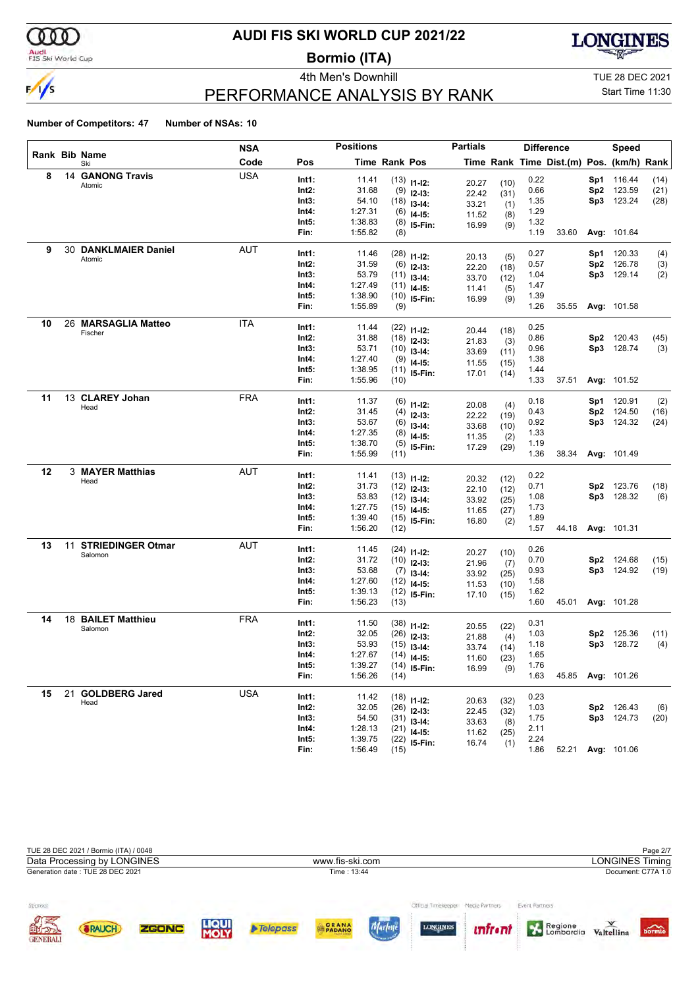

### Audi<br>FIS Ski World Cup

# **AUDI FIS SKI WORLD CUP 2021/22**

**Bormio (ITA)**





# Start Time 11:30

## PERFORMANCE ANALYSIS BY RANK

#### **Number of Competitors: 47 Number of NSAs: 10**

| Rank Bib Name<br>Code<br>Pos<br>Time Rank Pos<br>Time Rank Time Dist.(m) Pos. (km/h) Rank<br>Ski<br><b>USA</b><br>14 GANONG Travis<br>8<br>Int1:<br>0.22<br>116.44<br>11.41<br>Sp1<br>(14)<br>$(13)$ 11-12:<br>(10)<br>20.27<br>Atomic<br>Int2:<br>31.68<br>0.66<br>Sp2<br>123.59<br>(21)<br>$(9)$ 12-13:<br>22.42<br>(31)<br>54.10<br>1.35<br>Sp3<br>123.24<br>(28)<br>Int3:<br>$(18)$ 13-14:<br>33.21<br>(1)<br>1:27.31<br>1.29<br>Int4:<br>$(6)$ 14-15:<br>11.52<br>(8)<br>1.32<br>Int5:<br>1:38.83<br>$(8)$ 15-Fin:<br>16.99<br>(9)<br>1:55.82<br>1.19<br>33.60<br>Fin:<br>Avg: 101.64<br>(8)<br>30 DANKLMAIER Daniel<br><b>AUT</b><br>9<br>Int1:<br>11.46<br>0.27<br>Sp1<br>120.33<br>(4)<br>$(28)$ 11-12:<br>20.13<br>(5)<br>Atomic<br>Int2:<br>31.59<br>0.57<br>Sp2<br>126.78<br>(3)<br>$(6)$ 12-13:<br>22.20<br>(18)<br>53.79<br>1.04<br>Sp3 129.14<br>Int3:<br>(2)<br>$(11)$ 13-14:<br>33.70<br>(12)<br>1:27.49<br>1.47<br>Int4:<br>$(11)$ 14-15:<br>11.41<br>(5)<br>Int5:<br>1:38.90<br>1.39<br>$(10)$ 15-Fin:<br>16.99<br>(9)<br>Fin:<br>1:55.89<br>1.26<br>(9)<br>35.55<br>Avg: 101.58<br>26 MARSAGLIA Matteo<br><b>ITA</b><br>10<br>0.25<br>Int1:<br>11.44<br>$(22)$ 11-12:<br>(18)<br>20.44<br>Fischer<br>Int2:<br>31.88<br>0.86<br>Sp2<br>120.43<br>(45)<br>$(18)$ 12-13:<br>21.83<br>(3)<br>53.71<br>0.96<br>Sp3 128.74<br>Int3:<br>(3)<br>$(10)$ 13-14:<br>33.69<br>(11)<br>Int4:<br>1:27.40<br>1.38<br>$(9)$ 14-15:<br>11.55<br>(15)<br>Int5:<br>1:38.95<br>1.44<br>$(11)$ 15-Fin:<br>17.01<br>(14)<br>1:55.96<br>1.33<br>Fin:<br>37.51<br>Avg: 101.52<br>(10)<br>11<br>13 CLAREY Johan<br><b>FRA</b><br>Int1:<br>11.37<br>0.18<br>Sp1<br>120.91<br>(2)<br>$(6)$ 11-12:<br>20.08<br>(4)<br>Head<br>Int2:<br>31.45<br>0.43<br>Sp2<br>124.50<br>(16)<br>$(4)$ 12-13:<br>22.22<br>(19)<br>53.67<br>0.92<br>Sp3 124.32<br>Int3:<br>(24)<br>$(6)$ 13-14:<br>33.68<br>(10)<br>1:27.35<br>1.33<br>Int4:<br>$(8)$ 14-15:<br>11.35<br>(2)<br>Int5:<br>1:38.70<br>1.19<br>$(5)$ 15-Fin:<br>17.29<br>(29)<br>Fin:<br>1:55.99<br>1.36<br>38.34<br>Avg: 101.49<br>(11)<br>12<br>3 MAYER Matthias<br><b>AUT</b><br>0.22<br>Int1:<br>11.41<br>$(13)$ 11-12:<br>(12)<br>20.32<br>Head<br>Int2:<br>31.73<br>0.71<br>123.76<br>(18)<br>$(12)$ 12-13:<br>Sp2<br>22.10<br>(12)<br>53.83<br>1.08<br>Sp3 128.32<br>Int3:<br>(6)<br>$(12)$ 13-14:<br>33.92<br>(25)<br>1:27.75<br>1.73<br>Int4:<br>$(15)$ 14-15:<br>11.65<br>(27)<br>Int5:<br>1:39.40<br>1.89<br>$(15)$ 15-Fin:<br>16.80<br>(2)<br>1:56.20<br>1.57<br>Fin:<br>44.18<br>Avg: 101.31<br>(12)<br><b>AUT</b><br>13<br>11 STRIEDINGER Otmar<br>Int1:<br>11.45<br>0.26<br>$(24)$ 11-12:<br>(10)<br>20.27<br>Salomon<br>Int2:<br>31.72<br>0.70<br>Sp2 124.68<br>(15)<br>$(10)$ 12-13:<br>21.96<br>(7)<br>53.68<br>0.93<br>Sp3 124.92<br>Int3:<br>(19)<br>$(7)$ 13-14:<br>33.92<br>(25)<br>Int4:<br>1:27.60<br>1.58<br>$(12)$ 14-15:<br>11.53<br>(10)<br>Int5:<br>1:39.13<br>1.62<br>$(12)$ 15-Fin:<br>17.10<br>(15)<br>Fin:<br>1:56.23<br>1.60<br>45.01<br>Avg: 101.28<br>(13)<br>18 BAILET Matthieu<br>14<br><b>FRA</b><br>Int1:<br>11.50<br>0.31<br>$(38)$ 11-12:<br>(22)<br>20.55<br>Salomon<br>Int2:<br>32.05<br>1.03<br>(11)<br>$(26)$ 12-13:<br>Sp2<br>125.36<br>21.88<br>(4)<br>53.93<br>Sp3 128.72<br>Int3:<br>1.18<br>(4)<br>$(15)$ 13-14:<br>33.74<br>(14)<br>1:27.67<br>1.65<br>Int4:<br>$(14)$ 14-15:<br>11.60<br>(23)<br>1:39.27<br>Int5:<br>1.76<br>$(14)$ 15-Fin:<br>16.99<br>(9)<br>Fin:<br>1:56.26<br>1.63<br>(14)<br>45.85<br>Avg: 101.26<br>21<br><b>GOLDBERG Jared</b><br><b>USA</b><br>15<br>0.23<br>Int1:<br>11.42<br>$(18)$ 11-12:<br>(32)<br>20.63<br>Head<br>Int2:<br>32.05<br>1.03<br>$(26)$ 12-13:<br>Sp2<br>126.43<br>(6)<br>22.45<br>(32)<br>54.50<br>Sp3 124.73<br>Int3:<br>1.75<br>(20)<br>$(31)$ 13-14:<br>33.63<br>(8) |  | <b>Positions</b><br><b>NSA</b> |       |         | <b>Partials</b><br><b>Difference</b> |  |  |      | Speed |  |  |  |
|------------------------------------------------------------------------------------------------------------------------------------------------------------------------------------------------------------------------------------------------------------------------------------------------------------------------------------------------------------------------------------------------------------------------------------------------------------------------------------------------------------------------------------------------------------------------------------------------------------------------------------------------------------------------------------------------------------------------------------------------------------------------------------------------------------------------------------------------------------------------------------------------------------------------------------------------------------------------------------------------------------------------------------------------------------------------------------------------------------------------------------------------------------------------------------------------------------------------------------------------------------------------------------------------------------------------------------------------------------------------------------------------------------------------------------------------------------------------------------------------------------------------------------------------------------------------------------------------------------------------------------------------------------------------------------------------------------------------------------------------------------------------------------------------------------------------------------------------------------------------------------------------------------------------------------------------------------------------------------------------------------------------------------------------------------------------------------------------------------------------------------------------------------------------------------------------------------------------------------------------------------------------------------------------------------------------------------------------------------------------------------------------------------------------------------------------------------------------------------------------------------------------------------------------------------------------------------------------------------------------------------------------------------------------------------------------------------------------------------------------------------------------------------------------------------------------------------------------------------------------------------------------------------------------------------------------------------------------------------------------------------------------------------------------------------------------------------------------------------------------------------------------------------------------------------------------------------------------------------------------------------------------------------------------------------------------------------------------------------------------------------------------------------------------------------------------------------------------------------------------------------------------------------------------------------------------------------------------------------------------------------------------------------------------------------------------------------------------------------------------------------------------------------------------------------|--|--------------------------------|-------|---------|--------------------------------------|--|--|------|-------|--|--|--|
|                                                                                                                                                                                                                                                                                                                                                                                                                                                                                                                                                                                                                                                                                                                                                                                                                                                                                                                                                                                                                                                                                                                                                                                                                                                                                                                                                                                                                                                                                                                                                                                                                                                                                                                                                                                                                                                                                                                                                                                                                                                                                                                                                                                                                                                                                                                                                                                                                                                                                                                                                                                                                                                                                                                                                                                                                                                                                                                                                                                                                                                                                                                                                                                                                                                                                                                                                                                                                                                                                                                                                                                                                                                                                                                                                                                                            |  |                                |       |         |                                      |  |  |      |       |  |  |  |
|                                                                                                                                                                                                                                                                                                                                                                                                                                                                                                                                                                                                                                                                                                                                                                                                                                                                                                                                                                                                                                                                                                                                                                                                                                                                                                                                                                                                                                                                                                                                                                                                                                                                                                                                                                                                                                                                                                                                                                                                                                                                                                                                                                                                                                                                                                                                                                                                                                                                                                                                                                                                                                                                                                                                                                                                                                                                                                                                                                                                                                                                                                                                                                                                                                                                                                                                                                                                                                                                                                                                                                                                                                                                                                                                                                                                            |  |                                |       |         |                                      |  |  |      |       |  |  |  |
|                                                                                                                                                                                                                                                                                                                                                                                                                                                                                                                                                                                                                                                                                                                                                                                                                                                                                                                                                                                                                                                                                                                                                                                                                                                                                                                                                                                                                                                                                                                                                                                                                                                                                                                                                                                                                                                                                                                                                                                                                                                                                                                                                                                                                                                                                                                                                                                                                                                                                                                                                                                                                                                                                                                                                                                                                                                                                                                                                                                                                                                                                                                                                                                                                                                                                                                                                                                                                                                                                                                                                                                                                                                                                                                                                                                                            |  |                                |       |         |                                      |  |  |      |       |  |  |  |
|                                                                                                                                                                                                                                                                                                                                                                                                                                                                                                                                                                                                                                                                                                                                                                                                                                                                                                                                                                                                                                                                                                                                                                                                                                                                                                                                                                                                                                                                                                                                                                                                                                                                                                                                                                                                                                                                                                                                                                                                                                                                                                                                                                                                                                                                                                                                                                                                                                                                                                                                                                                                                                                                                                                                                                                                                                                                                                                                                                                                                                                                                                                                                                                                                                                                                                                                                                                                                                                                                                                                                                                                                                                                                                                                                                                                            |  |                                |       |         |                                      |  |  |      |       |  |  |  |
|                                                                                                                                                                                                                                                                                                                                                                                                                                                                                                                                                                                                                                                                                                                                                                                                                                                                                                                                                                                                                                                                                                                                                                                                                                                                                                                                                                                                                                                                                                                                                                                                                                                                                                                                                                                                                                                                                                                                                                                                                                                                                                                                                                                                                                                                                                                                                                                                                                                                                                                                                                                                                                                                                                                                                                                                                                                                                                                                                                                                                                                                                                                                                                                                                                                                                                                                                                                                                                                                                                                                                                                                                                                                                                                                                                                                            |  |                                |       |         |                                      |  |  |      |       |  |  |  |
|                                                                                                                                                                                                                                                                                                                                                                                                                                                                                                                                                                                                                                                                                                                                                                                                                                                                                                                                                                                                                                                                                                                                                                                                                                                                                                                                                                                                                                                                                                                                                                                                                                                                                                                                                                                                                                                                                                                                                                                                                                                                                                                                                                                                                                                                                                                                                                                                                                                                                                                                                                                                                                                                                                                                                                                                                                                                                                                                                                                                                                                                                                                                                                                                                                                                                                                                                                                                                                                                                                                                                                                                                                                                                                                                                                                                            |  |                                |       |         |                                      |  |  |      |       |  |  |  |
|                                                                                                                                                                                                                                                                                                                                                                                                                                                                                                                                                                                                                                                                                                                                                                                                                                                                                                                                                                                                                                                                                                                                                                                                                                                                                                                                                                                                                                                                                                                                                                                                                                                                                                                                                                                                                                                                                                                                                                                                                                                                                                                                                                                                                                                                                                                                                                                                                                                                                                                                                                                                                                                                                                                                                                                                                                                                                                                                                                                                                                                                                                                                                                                                                                                                                                                                                                                                                                                                                                                                                                                                                                                                                                                                                                                                            |  |                                |       |         |                                      |  |  |      |       |  |  |  |
|                                                                                                                                                                                                                                                                                                                                                                                                                                                                                                                                                                                                                                                                                                                                                                                                                                                                                                                                                                                                                                                                                                                                                                                                                                                                                                                                                                                                                                                                                                                                                                                                                                                                                                                                                                                                                                                                                                                                                                                                                                                                                                                                                                                                                                                                                                                                                                                                                                                                                                                                                                                                                                                                                                                                                                                                                                                                                                                                                                                                                                                                                                                                                                                                                                                                                                                                                                                                                                                                                                                                                                                                                                                                                                                                                                                                            |  |                                |       |         |                                      |  |  |      |       |  |  |  |
|                                                                                                                                                                                                                                                                                                                                                                                                                                                                                                                                                                                                                                                                                                                                                                                                                                                                                                                                                                                                                                                                                                                                                                                                                                                                                                                                                                                                                                                                                                                                                                                                                                                                                                                                                                                                                                                                                                                                                                                                                                                                                                                                                                                                                                                                                                                                                                                                                                                                                                                                                                                                                                                                                                                                                                                                                                                                                                                                                                                                                                                                                                                                                                                                                                                                                                                                                                                                                                                                                                                                                                                                                                                                                                                                                                                                            |  |                                |       |         |                                      |  |  |      |       |  |  |  |
|                                                                                                                                                                                                                                                                                                                                                                                                                                                                                                                                                                                                                                                                                                                                                                                                                                                                                                                                                                                                                                                                                                                                                                                                                                                                                                                                                                                                                                                                                                                                                                                                                                                                                                                                                                                                                                                                                                                                                                                                                                                                                                                                                                                                                                                                                                                                                                                                                                                                                                                                                                                                                                                                                                                                                                                                                                                                                                                                                                                                                                                                                                                                                                                                                                                                                                                                                                                                                                                                                                                                                                                                                                                                                                                                                                                                            |  |                                |       |         |                                      |  |  |      |       |  |  |  |
|                                                                                                                                                                                                                                                                                                                                                                                                                                                                                                                                                                                                                                                                                                                                                                                                                                                                                                                                                                                                                                                                                                                                                                                                                                                                                                                                                                                                                                                                                                                                                                                                                                                                                                                                                                                                                                                                                                                                                                                                                                                                                                                                                                                                                                                                                                                                                                                                                                                                                                                                                                                                                                                                                                                                                                                                                                                                                                                                                                                                                                                                                                                                                                                                                                                                                                                                                                                                                                                                                                                                                                                                                                                                                                                                                                                                            |  |                                |       |         |                                      |  |  |      |       |  |  |  |
|                                                                                                                                                                                                                                                                                                                                                                                                                                                                                                                                                                                                                                                                                                                                                                                                                                                                                                                                                                                                                                                                                                                                                                                                                                                                                                                                                                                                                                                                                                                                                                                                                                                                                                                                                                                                                                                                                                                                                                                                                                                                                                                                                                                                                                                                                                                                                                                                                                                                                                                                                                                                                                                                                                                                                                                                                                                                                                                                                                                                                                                                                                                                                                                                                                                                                                                                                                                                                                                                                                                                                                                                                                                                                                                                                                                                            |  |                                |       |         |                                      |  |  |      |       |  |  |  |
|                                                                                                                                                                                                                                                                                                                                                                                                                                                                                                                                                                                                                                                                                                                                                                                                                                                                                                                                                                                                                                                                                                                                                                                                                                                                                                                                                                                                                                                                                                                                                                                                                                                                                                                                                                                                                                                                                                                                                                                                                                                                                                                                                                                                                                                                                                                                                                                                                                                                                                                                                                                                                                                                                                                                                                                                                                                                                                                                                                                                                                                                                                                                                                                                                                                                                                                                                                                                                                                                                                                                                                                                                                                                                                                                                                                                            |  |                                |       |         |                                      |  |  |      |       |  |  |  |
|                                                                                                                                                                                                                                                                                                                                                                                                                                                                                                                                                                                                                                                                                                                                                                                                                                                                                                                                                                                                                                                                                                                                                                                                                                                                                                                                                                                                                                                                                                                                                                                                                                                                                                                                                                                                                                                                                                                                                                                                                                                                                                                                                                                                                                                                                                                                                                                                                                                                                                                                                                                                                                                                                                                                                                                                                                                                                                                                                                                                                                                                                                                                                                                                                                                                                                                                                                                                                                                                                                                                                                                                                                                                                                                                                                                                            |  |                                |       |         |                                      |  |  |      |       |  |  |  |
|                                                                                                                                                                                                                                                                                                                                                                                                                                                                                                                                                                                                                                                                                                                                                                                                                                                                                                                                                                                                                                                                                                                                                                                                                                                                                                                                                                                                                                                                                                                                                                                                                                                                                                                                                                                                                                                                                                                                                                                                                                                                                                                                                                                                                                                                                                                                                                                                                                                                                                                                                                                                                                                                                                                                                                                                                                                                                                                                                                                                                                                                                                                                                                                                                                                                                                                                                                                                                                                                                                                                                                                                                                                                                                                                                                                                            |  |                                |       |         |                                      |  |  |      |       |  |  |  |
|                                                                                                                                                                                                                                                                                                                                                                                                                                                                                                                                                                                                                                                                                                                                                                                                                                                                                                                                                                                                                                                                                                                                                                                                                                                                                                                                                                                                                                                                                                                                                                                                                                                                                                                                                                                                                                                                                                                                                                                                                                                                                                                                                                                                                                                                                                                                                                                                                                                                                                                                                                                                                                                                                                                                                                                                                                                                                                                                                                                                                                                                                                                                                                                                                                                                                                                                                                                                                                                                                                                                                                                                                                                                                                                                                                                                            |  |                                |       |         |                                      |  |  |      |       |  |  |  |
|                                                                                                                                                                                                                                                                                                                                                                                                                                                                                                                                                                                                                                                                                                                                                                                                                                                                                                                                                                                                                                                                                                                                                                                                                                                                                                                                                                                                                                                                                                                                                                                                                                                                                                                                                                                                                                                                                                                                                                                                                                                                                                                                                                                                                                                                                                                                                                                                                                                                                                                                                                                                                                                                                                                                                                                                                                                                                                                                                                                                                                                                                                                                                                                                                                                                                                                                                                                                                                                                                                                                                                                                                                                                                                                                                                                                            |  |                                |       |         |                                      |  |  |      |       |  |  |  |
|                                                                                                                                                                                                                                                                                                                                                                                                                                                                                                                                                                                                                                                                                                                                                                                                                                                                                                                                                                                                                                                                                                                                                                                                                                                                                                                                                                                                                                                                                                                                                                                                                                                                                                                                                                                                                                                                                                                                                                                                                                                                                                                                                                                                                                                                                                                                                                                                                                                                                                                                                                                                                                                                                                                                                                                                                                                                                                                                                                                                                                                                                                                                                                                                                                                                                                                                                                                                                                                                                                                                                                                                                                                                                                                                                                                                            |  |                                |       |         |                                      |  |  |      |       |  |  |  |
|                                                                                                                                                                                                                                                                                                                                                                                                                                                                                                                                                                                                                                                                                                                                                                                                                                                                                                                                                                                                                                                                                                                                                                                                                                                                                                                                                                                                                                                                                                                                                                                                                                                                                                                                                                                                                                                                                                                                                                                                                                                                                                                                                                                                                                                                                                                                                                                                                                                                                                                                                                                                                                                                                                                                                                                                                                                                                                                                                                                                                                                                                                                                                                                                                                                                                                                                                                                                                                                                                                                                                                                                                                                                                                                                                                                                            |  |                                |       |         |                                      |  |  |      |       |  |  |  |
|                                                                                                                                                                                                                                                                                                                                                                                                                                                                                                                                                                                                                                                                                                                                                                                                                                                                                                                                                                                                                                                                                                                                                                                                                                                                                                                                                                                                                                                                                                                                                                                                                                                                                                                                                                                                                                                                                                                                                                                                                                                                                                                                                                                                                                                                                                                                                                                                                                                                                                                                                                                                                                                                                                                                                                                                                                                                                                                                                                                                                                                                                                                                                                                                                                                                                                                                                                                                                                                                                                                                                                                                                                                                                                                                                                                                            |  |                                |       |         |                                      |  |  |      |       |  |  |  |
|                                                                                                                                                                                                                                                                                                                                                                                                                                                                                                                                                                                                                                                                                                                                                                                                                                                                                                                                                                                                                                                                                                                                                                                                                                                                                                                                                                                                                                                                                                                                                                                                                                                                                                                                                                                                                                                                                                                                                                                                                                                                                                                                                                                                                                                                                                                                                                                                                                                                                                                                                                                                                                                                                                                                                                                                                                                                                                                                                                                                                                                                                                                                                                                                                                                                                                                                                                                                                                                                                                                                                                                                                                                                                                                                                                                                            |  |                                |       |         |                                      |  |  |      |       |  |  |  |
|                                                                                                                                                                                                                                                                                                                                                                                                                                                                                                                                                                                                                                                                                                                                                                                                                                                                                                                                                                                                                                                                                                                                                                                                                                                                                                                                                                                                                                                                                                                                                                                                                                                                                                                                                                                                                                                                                                                                                                                                                                                                                                                                                                                                                                                                                                                                                                                                                                                                                                                                                                                                                                                                                                                                                                                                                                                                                                                                                                                                                                                                                                                                                                                                                                                                                                                                                                                                                                                                                                                                                                                                                                                                                                                                                                                                            |  |                                |       |         |                                      |  |  |      |       |  |  |  |
|                                                                                                                                                                                                                                                                                                                                                                                                                                                                                                                                                                                                                                                                                                                                                                                                                                                                                                                                                                                                                                                                                                                                                                                                                                                                                                                                                                                                                                                                                                                                                                                                                                                                                                                                                                                                                                                                                                                                                                                                                                                                                                                                                                                                                                                                                                                                                                                                                                                                                                                                                                                                                                                                                                                                                                                                                                                                                                                                                                                                                                                                                                                                                                                                                                                                                                                                                                                                                                                                                                                                                                                                                                                                                                                                                                                                            |  |                                |       |         |                                      |  |  |      |       |  |  |  |
|                                                                                                                                                                                                                                                                                                                                                                                                                                                                                                                                                                                                                                                                                                                                                                                                                                                                                                                                                                                                                                                                                                                                                                                                                                                                                                                                                                                                                                                                                                                                                                                                                                                                                                                                                                                                                                                                                                                                                                                                                                                                                                                                                                                                                                                                                                                                                                                                                                                                                                                                                                                                                                                                                                                                                                                                                                                                                                                                                                                                                                                                                                                                                                                                                                                                                                                                                                                                                                                                                                                                                                                                                                                                                                                                                                                                            |  |                                |       |         |                                      |  |  |      |       |  |  |  |
|                                                                                                                                                                                                                                                                                                                                                                                                                                                                                                                                                                                                                                                                                                                                                                                                                                                                                                                                                                                                                                                                                                                                                                                                                                                                                                                                                                                                                                                                                                                                                                                                                                                                                                                                                                                                                                                                                                                                                                                                                                                                                                                                                                                                                                                                                                                                                                                                                                                                                                                                                                                                                                                                                                                                                                                                                                                                                                                                                                                                                                                                                                                                                                                                                                                                                                                                                                                                                                                                                                                                                                                                                                                                                                                                                                                                            |  |                                |       |         |                                      |  |  |      |       |  |  |  |
|                                                                                                                                                                                                                                                                                                                                                                                                                                                                                                                                                                                                                                                                                                                                                                                                                                                                                                                                                                                                                                                                                                                                                                                                                                                                                                                                                                                                                                                                                                                                                                                                                                                                                                                                                                                                                                                                                                                                                                                                                                                                                                                                                                                                                                                                                                                                                                                                                                                                                                                                                                                                                                                                                                                                                                                                                                                                                                                                                                                                                                                                                                                                                                                                                                                                                                                                                                                                                                                                                                                                                                                                                                                                                                                                                                                                            |  |                                |       |         |                                      |  |  |      |       |  |  |  |
|                                                                                                                                                                                                                                                                                                                                                                                                                                                                                                                                                                                                                                                                                                                                                                                                                                                                                                                                                                                                                                                                                                                                                                                                                                                                                                                                                                                                                                                                                                                                                                                                                                                                                                                                                                                                                                                                                                                                                                                                                                                                                                                                                                                                                                                                                                                                                                                                                                                                                                                                                                                                                                                                                                                                                                                                                                                                                                                                                                                                                                                                                                                                                                                                                                                                                                                                                                                                                                                                                                                                                                                                                                                                                                                                                                                                            |  |                                |       |         |                                      |  |  |      |       |  |  |  |
|                                                                                                                                                                                                                                                                                                                                                                                                                                                                                                                                                                                                                                                                                                                                                                                                                                                                                                                                                                                                                                                                                                                                                                                                                                                                                                                                                                                                                                                                                                                                                                                                                                                                                                                                                                                                                                                                                                                                                                                                                                                                                                                                                                                                                                                                                                                                                                                                                                                                                                                                                                                                                                                                                                                                                                                                                                                                                                                                                                                                                                                                                                                                                                                                                                                                                                                                                                                                                                                                                                                                                                                                                                                                                                                                                                                                            |  |                                |       |         |                                      |  |  |      |       |  |  |  |
|                                                                                                                                                                                                                                                                                                                                                                                                                                                                                                                                                                                                                                                                                                                                                                                                                                                                                                                                                                                                                                                                                                                                                                                                                                                                                                                                                                                                                                                                                                                                                                                                                                                                                                                                                                                                                                                                                                                                                                                                                                                                                                                                                                                                                                                                                                                                                                                                                                                                                                                                                                                                                                                                                                                                                                                                                                                                                                                                                                                                                                                                                                                                                                                                                                                                                                                                                                                                                                                                                                                                                                                                                                                                                                                                                                                                            |  |                                |       |         |                                      |  |  |      |       |  |  |  |
|                                                                                                                                                                                                                                                                                                                                                                                                                                                                                                                                                                                                                                                                                                                                                                                                                                                                                                                                                                                                                                                                                                                                                                                                                                                                                                                                                                                                                                                                                                                                                                                                                                                                                                                                                                                                                                                                                                                                                                                                                                                                                                                                                                                                                                                                                                                                                                                                                                                                                                                                                                                                                                                                                                                                                                                                                                                                                                                                                                                                                                                                                                                                                                                                                                                                                                                                                                                                                                                                                                                                                                                                                                                                                                                                                                                                            |  |                                |       |         |                                      |  |  |      |       |  |  |  |
|                                                                                                                                                                                                                                                                                                                                                                                                                                                                                                                                                                                                                                                                                                                                                                                                                                                                                                                                                                                                                                                                                                                                                                                                                                                                                                                                                                                                                                                                                                                                                                                                                                                                                                                                                                                                                                                                                                                                                                                                                                                                                                                                                                                                                                                                                                                                                                                                                                                                                                                                                                                                                                                                                                                                                                                                                                                                                                                                                                                                                                                                                                                                                                                                                                                                                                                                                                                                                                                                                                                                                                                                                                                                                                                                                                                                            |  |                                |       |         |                                      |  |  |      |       |  |  |  |
|                                                                                                                                                                                                                                                                                                                                                                                                                                                                                                                                                                                                                                                                                                                                                                                                                                                                                                                                                                                                                                                                                                                                                                                                                                                                                                                                                                                                                                                                                                                                                                                                                                                                                                                                                                                                                                                                                                                                                                                                                                                                                                                                                                                                                                                                                                                                                                                                                                                                                                                                                                                                                                                                                                                                                                                                                                                                                                                                                                                                                                                                                                                                                                                                                                                                                                                                                                                                                                                                                                                                                                                                                                                                                                                                                                                                            |  |                                |       |         |                                      |  |  |      |       |  |  |  |
|                                                                                                                                                                                                                                                                                                                                                                                                                                                                                                                                                                                                                                                                                                                                                                                                                                                                                                                                                                                                                                                                                                                                                                                                                                                                                                                                                                                                                                                                                                                                                                                                                                                                                                                                                                                                                                                                                                                                                                                                                                                                                                                                                                                                                                                                                                                                                                                                                                                                                                                                                                                                                                                                                                                                                                                                                                                                                                                                                                                                                                                                                                                                                                                                                                                                                                                                                                                                                                                                                                                                                                                                                                                                                                                                                                                                            |  |                                |       |         |                                      |  |  |      |       |  |  |  |
|                                                                                                                                                                                                                                                                                                                                                                                                                                                                                                                                                                                                                                                                                                                                                                                                                                                                                                                                                                                                                                                                                                                                                                                                                                                                                                                                                                                                                                                                                                                                                                                                                                                                                                                                                                                                                                                                                                                                                                                                                                                                                                                                                                                                                                                                                                                                                                                                                                                                                                                                                                                                                                                                                                                                                                                                                                                                                                                                                                                                                                                                                                                                                                                                                                                                                                                                                                                                                                                                                                                                                                                                                                                                                                                                                                                                            |  |                                |       |         |                                      |  |  |      |       |  |  |  |
|                                                                                                                                                                                                                                                                                                                                                                                                                                                                                                                                                                                                                                                                                                                                                                                                                                                                                                                                                                                                                                                                                                                                                                                                                                                                                                                                                                                                                                                                                                                                                                                                                                                                                                                                                                                                                                                                                                                                                                                                                                                                                                                                                                                                                                                                                                                                                                                                                                                                                                                                                                                                                                                                                                                                                                                                                                                                                                                                                                                                                                                                                                                                                                                                                                                                                                                                                                                                                                                                                                                                                                                                                                                                                                                                                                                                            |  |                                |       |         |                                      |  |  |      |       |  |  |  |
|                                                                                                                                                                                                                                                                                                                                                                                                                                                                                                                                                                                                                                                                                                                                                                                                                                                                                                                                                                                                                                                                                                                                                                                                                                                                                                                                                                                                                                                                                                                                                                                                                                                                                                                                                                                                                                                                                                                                                                                                                                                                                                                                                                                                                                                                                                                                                                                                                                                                                                                                                                                                                                                                                                                                                                                                                                                                                                                                                                                                                                                                                                                                                                                                                                                                                                                                                                                                                                                                                                                                                                                                                                                                                                                                                                                                            |  |                                |       |         |                                      |  |  |      |       |  |  |  |
|                                                                                                                                                                                                                                                                                                                                                                                                                                                                                                                                                                                                                                                                                                                                                                                                                                                                                                                                                                                                                                                                                                                                                                                                                                                                                                                                                                                                                                                                                                                                                                                                                                                                                                                                                                                                                                                                                                                                                                                                                                                                                                                                                                                                                                                                                                                                                                                                                                                                                                                                                                                                                                                                                                                                                                                                                                                                                                                                                                                                                                                                                                                                                                                                                                                                                                                                                                                                                                                                                                                                                                                                                                                                                                                                                                                                            |  |                                |       |         |                                      |  |  |      |       |  |  |  |
|                                                                                                                                                                                                                                                                                                                                                                                                                                                                                                                                                                                                                                                                                                                                                                                                                                                                                                                                                                                                                                                                                                                                                                                                                                                                                                                                                                                                                                                                                                                                                                                                                                                                                                                                                                                                                                                                                                                                                                                                                                                                                                                                                                                                                                                                                                                                                                                                                                                                                                                                                                                                                                                                                                                                                                                                                                                                                                                                                                                                                                                                                                                                                                                                                                                                                                                                                                                                                                                                                                                                                                                                                                                                                                                                                                                                            |  |                                |       |         |                                      |  |  |      |       |  |  |  |
|                                                                                                                                                                                                                                                                                                                                                                                                                                                                                                                                                                                                                                                                                                                                                                                                                                                                                                                                                                                                                                                                                                                                                                                                                                                                                                                                                                                                                                                                                                                                                                                                                                                                                                                                                                                                                                                                                                                                                                                                                                                                                                                                                                                                                                                                                                                                                                                                                                                                                                                                                                                                                                                                                                                                                                                                                                                                                                                                                                                                                                                                                                                                                                                                                                                                                                                                                                                                                                                                                                                                                                                                                                                                                                                                                                                                            |  |                                |       |         |                                      |  |  |      |       |  |  |  |
|                                                                                                                                                                                                                                                                                                                                                                                                                                                                                                                                                                                                                                                                                                                                                                                                                                                                                                                                                                                                                                                                                                                                                                                                                                                                                                                                                                                                                                                                                                                                                                                                                                                                                                                                                                                                                                                                                                                                                                                                                                                                                                                                                                                                                                                                                                                                                                                                                                                                                                                                                                                                                                                                                                                                                                                                                                                                                                                                                                                                                                                                                                                                                                                                                                                                                                                                                                                                                                                                                                                                                                                                                                                                                                                                                                                                            |  |                                |       |         |                                      |  |  |      |       |  |  |  |
|                                                                                                                                                                                                                                                                                                                                                                                                                                                                                                                                                                                                                                                                                                                                                                                                                                                                                                                                                                                                                                                                                                                                                                                                                                                                                                                                                                                                                                                                                                                                                                                                                                                                                                                                                                                                                                                                                                                                                                                                                                                                                                                                                                                                                                                                                                                                                                                                                                                                                                                                                                                                                                                                                                                                                                                                                                                                                                                                                                                                                                                                                                                                                                                                                                                                                                                                                                                                                                                                                                                                                                                                                                                                                                                                                                                                            |  |                                |       |         |                                      |  |  |      |       |  |  |  |
|                                                                                                                                                                                                                                                                                                                                                                                                                                                                                                                                                                                                                                                                                                                                                                                                                                                                                                                                                                                                                                                                                                                                                                                                                                                                                                                                                                                                                                                                                                                                                                                                                                                                                                                                                                                                                                                                                                                                                                                                                                                                                                                                                                                                                                                                                                                                                                                                                                                                                                                                                                                                                                                                                                                                                                                                                                                                                                                                                                                                                                                                                                                                                                                                                                                                                                                                                                                                                                                                                                                                                                                                                                                                                                                                                                                                            |  |                                |       |         |                                      |  |  |      |       |  |  |  |
|                                                                                                                                                                                                                                                                                                                                                                                                                                                                                                                                                                                                                                                                                                                                                                                                                                                                                                                                                                                                                                                                                                                                                                                                                                                                                                                                                                                                                                                                                                                                                                                                                                                                                                                                                                                                                                                                                                                                                                                                                                                                                                                                                                                                                                                                                                                                                                                                                                                                                                                                                                                                                                                                                                                                                                                                                                                                                                                                                                                                                                                                                                                                                                                                                                                                                                                                                                                                                                                                                                                                                                                                                                                                                                                                                                                                            |  |                                |       |         |                                      |  |  |      |       |  |  |  |
|                                                                                                                                                                                                                                                                                                                                                                                                                                                                                                                                                                                                                                                                                                                                                                                                                                                                                                                                                                                                                                                                                                                                                                                                                                                                                                                                                                                                                                                                                                                                                                                                                                                                                                                                                                                                                                                                                                                                                                                                                                                                                                                                                                                                                                                                                                                                                                                                                                                                                                                                                                                                                                                                                                                                                                                                                                                                                                                                                                                                                                                                                                                                                                                                                                                                                                                                                                                                                                                                                                                                                                                                                                                                                                                                                                                                            |  |                                |       |         |                                      |  |  |      |       |  |  |  |
|                                                                                                                                                                                                                                                                                                                                                                                                                                                                                                                                                                                                                                                                                                                                                                                                                                                                                                                                                                                                                                                                                                                                                                                                                                                                                                                                                                                                                                                                                                                                                                                                                                                                                                                                                                                                                                                                                                                                                                                                                                                                                                                                                                                                                                                                                                                                                                                                                                                                                                                                                                                                                                                                                                                                                                                                                                                                                                                                                                                                                                                                                                                                                                                                                                                                                                                                                                                                                                                                                                                                                                                                                                                                                                                                                                                                            |  |                                |       |         |                                      |  |  |      |       |  |  |  |
|                                                                                                                                                                                                                                                                                                                                                                                                                                                                                                                                                                                                                                                                                                                                                                                                                                                                                                                                                                                                                                                                                                                                                                                                                                                                                                                                                                                                                                                                                                                                                                                                                                                                                                                                                                                                                                                                                                                                                                                                                                                                                                                                                                                                                                                                                                                                                                                                                                                                                                                                                                                                                                                                                                                                                                                                                                                                                                                                                                                                                                                                                                                                                                                                                                                                                                                                                                                                                                                                                                                                                                                                                                                                                                                                                                                                            |  |                                |       |         |                                      |  |  |      |       |  |  |  |
|                                                                                                                                                                                                                                                                                                                                                                                                                                                                                                                                                                                                                                                                                                                                                                                                                                                                                                                                                                                                                                                                                                                                                                                                                                                                                                                                                                                                                                                                                                                                                                                                                                                                                                                                                                                                                                                                                                                                                                                                                                                                                                                                                                                                                                                                                                                                                                                                                                                                                                                                                                                                                                                                                                                                                                                                                                                                                                                                                                                                                                                                                                                                                                                                                                                                                                                                                                                                                                                                                                                                                                                                                                                                                                                                                                                                            |  |                                | Int4: | 1:28.13 |                                      |  |  | 2.11 |       |  |  |  |
| $(21)$ 14-15:<br>11.62<br>(25)<br>1:39.75<br>2.24<br>Int5:                                                                                                                                                                                                                                                                                                                                                                                                                                                                                                                                                                                                                                                                                                                                                                                                                                                                                                                                                                                                                                                                                                                                                                                                                                                                                                                                                                                                                                                                                                                                                                                                                                                                                                                                                                                                                                                                                                                                                                                                                                                                                                                                                                                                                                                                                                                                                                                                                                                                                                                                                                                                                                                                                                                                                                                                                                                                                                                                                                                                                                                                                                                                                                                                                                                                                                                                                                                                                                                                                                                                                                                                                                                                                                                                                 |  |                                |       |         |                                      |  |  |      |       |  |  |  |
| $(22)$ 15-Fin:<br>16.74<br>(1)<br>Fin:<br>1:56.49<br>1.86<br>52.21<br>(15)<br>Avg: 101.06                                                                                                                                                                                                                                                                                                                                                                                                                                                                                                                                                                                                                                                                                                                                                                                                                                                                                                                                                                                                                                                                                                                                                                                                                                                                                                                                                                                                                                                                                                                                                                                                                                                                                                                                                                                                                                                                                                                                                                                                                                                                                                                                                                                                                                                                                                                                                                                                                                                                                                                                                                                                                                                                                                                                                                                                                                                                                                                                                                                                                                                                                                                                                                                                                                                                                                                                                                                                                                                                                                                                                                                                                                                                                                                  |  |                                |       |         |                                      |  |  |      |       |  |  |  |

TUE 28 DEC 2021 / Bormio (ITA) / 0048 Page 2/7<br>
Data Processing by LONGINES **Page 2/7**<br>
Page 2/7 **Page 2/7** Data Processing by LONGINES www.fis-ski.com Generation date : TUE 28 DEC 2021 Time : 13:44 Document: C77A 1.0 Event Partners Sponso Official Timeleeper Media Partners Regione Valtellina Marlen **PADANC** LONGINE **SRAUCH** ZGONC Telepass *unfront* bormio **GENERAL**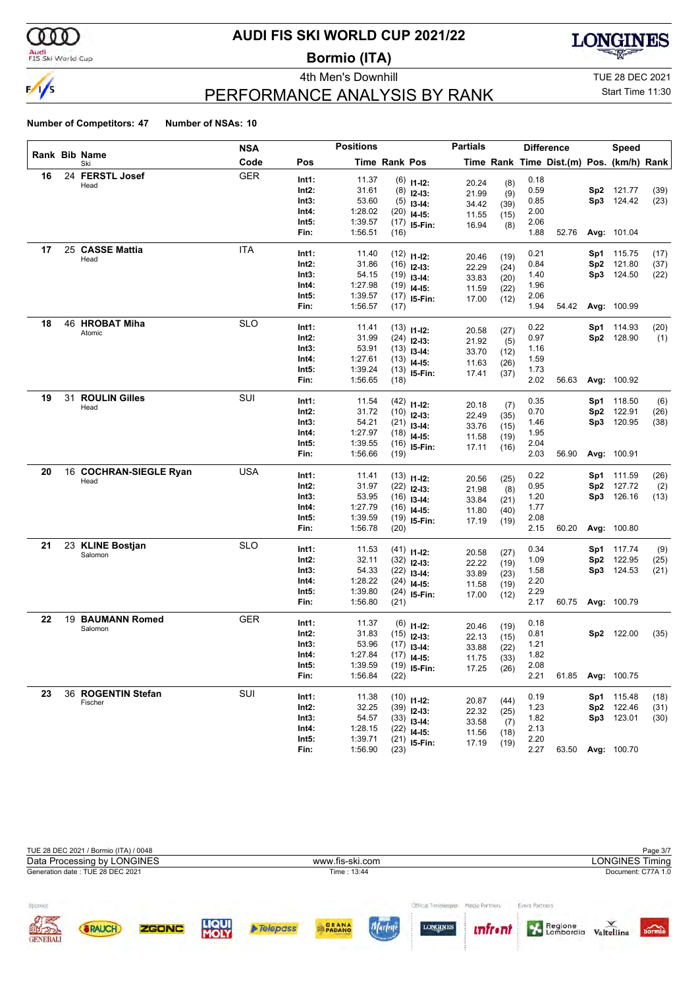

### Audi<br>FIS Ski World Cup

# **AUDI FIS SKI WORLD CUP 2021/22**

**Bormio (ITA)**





# PERFORMANCE ANALYSIS BY RANK

Start Time 11:30

|    |    |                        | <b>NSA</b> | <b>Positions</b> |         |               | <b>Partials</b>                | <b>Difference</b> |              |      | <b>Speed</b>                             |     |                    |      |
|----|----|------------------------|------------|------------------|---------|---------------|--------------------------------|-------------------|--------------|------|------------------------------------------|-----|--------------------|------|
|    |    | Rank Bib Name<br>Ski   | Code       | Pos              |         | Time Rank Pos |                                |                   |              |      | Time Rank Time Dist.(m) Pos. (km/h) Rank |     |                    |      |
| 16 |    | 24 FERSTL Josef        | <b>GER</b> | Int1:            | 11.37   |               | $(6)$ 11-12:                   | 20.24             | (8)          | 0.18 |                                          |     |                    |      |
|    |    | Head                   |            | Int2:            | 31.61   |               | $(8)$ 12-13:                   | 21.99             | (9)          | 0.59 |                                          |     | Sp2 121.77         | (39) |
|    |    |                        |            | Int3:            | 53.60   |               | $(5)$ 13-14:                   | 34.42             | (39)         | 0.85 |                                          |     | Sp3 124.42         | (23) |
|    |    |                        |            | Int4:            | 1:28.02 |               | $(20)$ 14-15:                  | 11.55             | (15)         | 2.00 |                                          |     |                    |      |
|    |    |                        |            | Int5:            | 1:39.57 |               | $(17)$ 15-Fin:                 | 16.94             | (8)          | 2.06 |                                          |     |                    |      |
|    |    |                        |            | Fin:             | 1:56.51 | (16)          |                                |                   |              | 1.88 | 52.76                                    |     | Avg: 101.04        |      |
| 17 |    | 25 CASSE Mattia        | <b>ITA</b> | Int1:            | 11.40   |               | $(12)$ 11-12:                  |                   |              | 0.21 |                                          |     | Sp1 115.75         | (17) |
|    |    | Head                   |            | $Int2$ :         | 31.86   |               | $(16)$ 12-13:                  | 20.46<br>22.29    | (19)<br>(24) | 0.84 |                                          |     | Sp2 121.80         | (37) |
|    |    |                        |            | Int3:            | 54.15   |               | $(19)$ 13-14:                  | 33.83             | (20)         | 1.40 |                                          |     | Sp3 124.50         | (22) |
|    |    |                        |            | Int4:            | 1:27.98 |               | $(19)$ 14-15:                  | 11.59             | (22)         | 1.96 |                                          |     |                    |      |
|    |    |                        |            | Int5:            | 1:39.57 |               | $(17)$ 15-Fin:                 | 17.00             | (12)         | 2.06 |                                          |     |                    |      |
|    |    |                        |            | Fin:             | 1:56.57 | (17)          |                                |                   |              | 1.94 | 54.42                                    |     | Avg: 100.99        |      |
| 18 |    | 46 HROBAT Miha         | <b>SLO</b> | Int1:            | 11.41   |               | $(13)$ 11-12:                  |                   |              | 0.22 |                                          |     | Sp1 114.93         | (20) |
|    |    | Atomic                 |            | Int2:            | 31.99   |               | $(24)$ 12-13:                  | 20.58<br>21.92    | (27)<br>(5)  | 0.97 |                                          |     | Sp2 128.90         | (1)  |
|    |    |                        |            | Int3:            | 53.91   |               | $(13)$ 13-14:                  | 33.70             | (12)         | 1.16 |                                          |     |                    |      |
|    |    |                        |            | Int4:            | 1:27.61 |               | $(13)$ 14-15:                  | 11.63             | (26)         | 1.59 |                                          |     |                    |      |
|    |    |                        |            | Int5:            | 1:39.24 |               | $(13)$ 15-Fin:                 | 17.41             | (37)         | 1.73 |                                          |     |                    |      |
|    |    |                        |            | Fin:             | 1:56.65 | (18)          |                                |                   |              | 2.02 | 56.63                                    |     | Avg: 100.92        |      |
| 19 | 31 | <b>ROULIN Gilles</b>   | SUI        | Int1:            | 11.54   |               | $(42)$ 11-12:                  |                   |              | 0.35 |                                          |     | Sp1 118.50         | (6)  |
|    |    | Head                   |            | Int2:            | 31.72   |               | $(10)$ 12-13:                  | 20.18             | (7)          | 0.70 |                                          |     | Sp2 122.91         | (26) |
|    |    |                        |            | Int3:            | 54.21   |               | $(21)$ 13-14:                  | 22.49<br>33.76    | (35)<br>(15) | 1.46 |                                          |     | Sp3 120.95         | (38) |
|    |    |                        |            | Int4:            | 1:27.97 |               | $(18)$ 14-15:                  | 11.58             | (19)         | 1.95 |                                          |     |                    |      |
|    |    |                        |            | Int5:            | 1:39.55 |               | $(16)$ 15-Fin:                 | 17.11             | (16)         | 2.04 |                                          |     |                    |      |
|    |    |                        |            | Fin:             | 1:56.66 | (19)          |                                |                   |              | 2.03 | 56.90                                    |     | Avg: 100.91        |      |
| 20 |    | 16 COCHRAN-SIEGLE Ryan | <b>USA</b> | Int1:            | 11.41   |               | $(13)$ 11-12:                  |                   |              | 0.22 |                                          |     | Sp1 111.59         | (26) |
|    |    | Head                   |            | Int2:            | 31.97   |               | $(22)$ 12-13:                  | 20.56             | (25)         | 0.95 |                                          |     | Sp2 127.72         | (2)  |
|    |    |                        |            | Int3:            | 53.95   |               | $(16)$ 13-14:                  | 21.98<br>33.84    | (8)          | 1.20 |                                          |     | Sp3 126.16         | (13) |
|    |    |                        |            | Int4:            | 1:27.79 |               | $(16)$ 14-15:                  | 11.80             | (21)<br>(40) | 1.77 |                                          |     |                    |      |
|    |    |                        |            | Int5:            | 1:39.59 |               | $(19)$ 15-Fin:                 | 17.19             | (19)         | 2.08 |                                          |     |                    |      |
|    |    |                        |            | Fin:             | 1:56.78 | (20)          |                                |                   |              | 2.15 | 60.20                                    |     | Avg: 100.80        |      |
| 21 |    | 23 KLINE Bostjan       | <b>SLO</b> | Int1:            | 11.53   |               | $(41)$ 11-12:                  |                   |              | 0.34 |                                          | Sp1 | 117.74             | (9)  |
|    |    | Salomon                |            | $Int2$ :         | 32.11   |               | $(32)$ 12-13:                  | 20.58             | (27)         | 1.09 |                                          |     | Sp2 122.95         | (25) |
|    |    |                        |            | Int3:            | 54.33   |               | $(22)$ 13-14:                  | 22.22<br>33.89    | (19)         | 1.58 |                                          |     | Sp3 124.53         | (21) |
|    |    |                        |            | Int4:            | 1:28.22 |               | $(24)$ 14-15:                  | 11.58             | (23)<br>(19) | 2.20 |                                          |     |                    |      |
|    |    |                        |            | Int5:            | 1:39.80 |               | $(24)$ 15-Fin:                 | 17.00             | (12)         | 2.29 |                                          |     |                    |      |
|    |    |                        |            | Fin:             | 1:56.80 | (21)          |                                |                   |              | 2.17 | 60.75                                    |     | <b>Avg: 100.79</b> |      |
| 22 |    | 19 BAUMANN Romed       | <b>GER</b> | Int1:            | 11.37   |               | $(6)$ 11-12:                   |                   |              | 0.18 |                                          |     |                    |      |
|    |    | Salomon                |            | Int2:            | 31.83   |               | $(15)$ 12-13:                  | 20.46             | (19)         | 0.81 |                                          |     | Sp2 122.00         | (35) |
|    |    |                        |            | Int3:            | 53.96   |               | $(17)$ 13-14:                  | 22.13             | (15)         | 1.21 |                                          |     |                    |      |
|    |    |                        |            | Int4:            | 1:27.84 |               | $(17)$ 14-15:                  | 33.88<br>11.75    | (22)<br>(33) | 1.82 |                                          |     |                    |      |
|    |    |                        |            | Int5:            | 1:39.59 |               | $(19)$ 15-Fin:                 | 17.25             | (26)         | 2.08 |                                          |     |                    |      |
|    |    |                        |            | Fin:             | 1:56.84 | (22)          |                                |                   |              | 2.21 | 61.85                                    |     | Avg: 100.75        |      |
| 23 |    | 36 ROGENTIN Stefan     | SUI        | Int1:            | 11.38   |               |                                |                   |              | 0.19 |                                          |     | Sp1 115.48         | (18) |
|    |    | Fischer                |            | $Int2$ :         | 32.25   |               | $(10)$ 11-12:<br>$(39)$ 12-13: | 20.87             | (44)         | 1.23 |                                          |     | Sp2 122.46         | (31) |
|    |    |                        |            | Int3:            | 54.57   |               | $(33)$ 13-14:                  | 22.32             | (25)         | 1.82 |                                          |     | Sp3 123.01         | (30) |
|    |    |                        |            | Int4:            | 1:28.15 |               | $(22)$ 14-15:                  | 33.58             | (7)          | 2.13 |                                          |     |                    |      |
|    |    |                        |            | Int5:            | 1:39.71 |               | $(21)$ 15-Fin:                 | 11.56<br>17.19    | (18)         | 2.20 |                                          |     |                    |      |
|    |    |                        |            | Fin:             | 1:56.90 | (23)          |                                |                   | (19)         | 2.27 |                                          |     | 63.50 Avg: 100.70  |      |

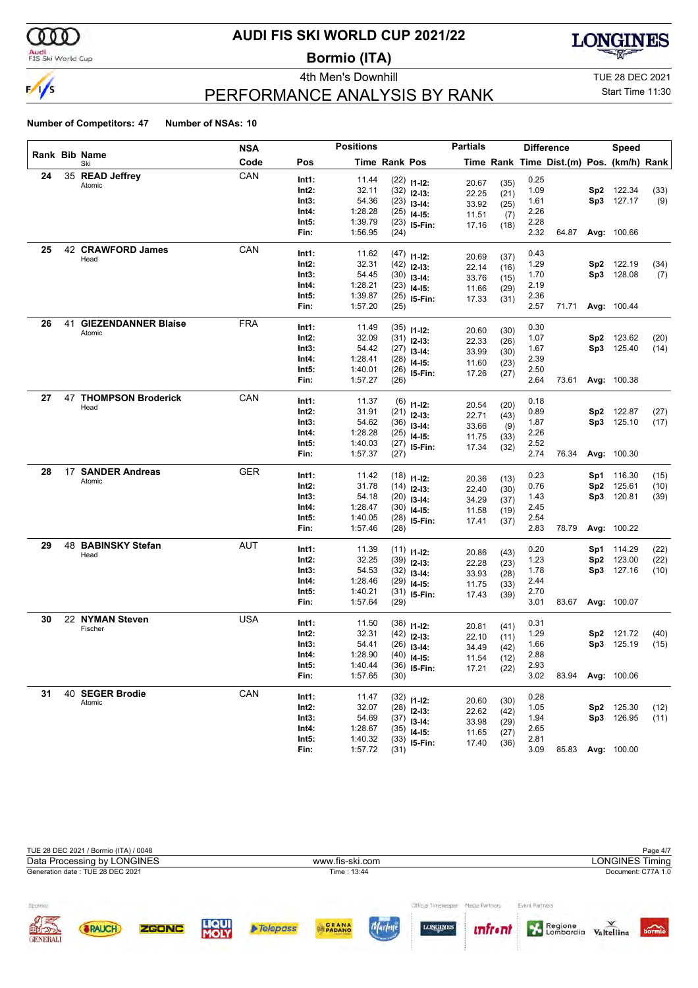

### Audi<br>FIS Ski World Cup

### **AUDI FIS SKI WORLD CUP 2021/22**

**Bormio (ITA)**



**LONGINES** 

# PERFORMANCE ANALYSIS BY RANK

4th Men's Downhill **TUE 28 DEC 2021** Start Time 11:30

#### **Number of Competitors: 47 Number of NSAs: 10**

**30** 22 **NYMAN Steven** USA

**31** 40 **SEGER Brodie** CAN

Fischer

Atomic

|    |                              | <b>NSA</b> |          | <b>Positions</b> |               |                | <b>Partials</b> |              |      | <b>Difference</b>                        |                 | <b>Speed</b>      |      |
|----|------------------------------|------------|----------|------------------|---------------|----------------|-----------------|--------------|------|------------------------------------------|-----------------|-------------------|------|
|    | Rank Bib Name<br>Ski         | Code       | Pos      |                  | Time Rank Pos |                |                 |              |      | Time Rank Time Dist.(m) Pos. (km/h) Rank |                 |                   |      |
| 24 | 35 READ Jeffrey              | CAN        | Int1:    | 11.44            |               |                |                 |              | 0.25 |                                          |                 |                   |      |
|    | Atomic                       |            | $Int2$ : | 32.11            |               | $(22)$ 11-12:  | 20.67           | (35)         | 1.09 |                                          |                 | Sp2 122.34        | (33) |
|    |                              |            | Int3:    | 54.36            |               | $(32)$ 12-13:  | 22.25           | (21)         | 1.61 |                                          |                 | Sp3 127.17        | (9)  |
|    |                              |            | Int4:    | 1:28.28          | (25)          | $(23)$ 13-14:  | 33.92           | (25)         | 2.26 |                                          |                 |                   |      |
|    |                              |            | Int5:    | 1:39.79          |               | $14 - 15$ :    | 11.51           | (7)          | 2.28 |                                          |                 |                   |      |
|    |                              |            | Fin:     | 1:56.95          | (24)          | $(23)$ 15-Fin: | 17.16           | (18)         | 2.32 | 64.87                                    |                 | Avg: 100.66       |      |
| 25 | 42 CRAWFORD James            | CAN        | Int1:    | 11.62            |               |                |                 |              | 0.43 |                                          |                 |                   |      |
|    | Head                         |            | Int2:    | 32.31            |               | $(47)$ 11-12:  | 20.69           | (37)         | 1.29 |                                          |                 | Sp2 122.19        | (34) |
|    |                              |            | Int3:    | 54.45            |               | $(42)$ 12-13:  | 22.14           | (16)         | 1.70 |                                          |                 | Sp3 128.08        | (7)  |
|    |                              |            | Int4:    | 1:28.21          |               | $(30)$ 13-14:  | 33.76           | (15)         | 2.19 |                                          |                 |                   |      |
|    |                              |            | Int5:    | 1:39.87          |               | $(23)$ 14-15:  | 11.66           | (29)         | 2.36 |                                          |                 |                   |      |
|    |                              |            | Fin:     | 1:57.20          | (25)<br>(25)  | 15-Fin:        | 17.33           | (31)         | 2.57 | 71.71                                    |                 | Avg: 100.44       |      |
|    |                              |            |          |                  |               |                |                 |              |      |                                          |                 |                   |      |
| 26 | 41 GIEZENDANNER Blaise       | <b>FRA</b> | Int1:    | 11.49            |               |                |                 |              | 0.30 |                                          |                 |                   |      |
|    | Atomic                       |            | $Int2$ : | 32.09            |               | $(35)$ 11-12:  | 20.60           | (30)         | 1.07 |                                          | Sp <sub>2</sub> | 123.62            | (20) |
|    |                              |            | Int3:    | 54.42            | (27)          | $(31)$ 12-13:  | 22.33           | (26)         | 1.67 |                                          |                 | Sp3 125.40        | (14) |
|    |                              |            | Int4:    | 1:28.41          | (28)          | $13 - 14$ :    | 33.99           | (30)         | 2.39 |                                          |                 |                   |      |
|    |                              |            | Int5:    | 1:40.01          |               | $14 - 15$ :    | 11.60           | (23)         | 2.50 |                                          |                 |                   |      |
|    |                              |            | Fin:     | 1:57.27          | (26)          | $(26)$ 15-Fin: | 17.26           | (27)         | 2.64 | 73.61                                    |                 | Avg: 100.38       |      |
|    | <b>47 THOMPSON Broderick</b> | CAN        |          |                  |               |                |                 |              |      |                                          |                 |                   |      |
| 27 | Head                         |            | Int1:    | 11.37            | (6)           | $11 - 12$ :    | 20.54           | (20)         | 0.18 |                                          |                 |                   |      |
|    |                              |            | Int2:    | 31.91            |               | $(21)$ 12-13:  | 22.71           | (43)         | 0.89 |                                          |                 | Sp2 122.87        | (27) |
|    |                              |            | Int3:    | 54.62            |               | $(36)$ 13-14:  | 33.66           | (9)          | 1.87 |                                          |                 | Sp3 125.10        | (17) |
|    |                              |            | Int4:    | 1:28.28          | (25)          | $14 - 15$ :    | 11.75           | (33)         | 2.26 |                                          |                 |                   |      |
|    |                              |            | Int5:    | 1:40.03          |               | $(27)$ 15-Fin: | 17.34           | (32)         | 2.52 |                                          |                 |                   |      |
|    |                              |            | Fin:     | 1:57.37          | (27)          |                |                 |              | 2.74 | 76.34                                    |                 | Avg: 100.30       |      |
| 28 | 17 SANDER Andreas            | <b>GER</b> | Int1:    | 11.42            |               | $(18)$ 11-12:  | 20.36           | (13)         | 0.23 |                                          |                 | Sp1 116.30        | (15) |
|    | Atomic                       |            | Int2:    | 31.78            |               | $(14)$ 12-13:  | 22.40           | (30)         | 0.76 |                                          |                 | Sp2 125.61        | (10) |
|    |                              |            | Int3:    | 54.18            |               | $(20)$ 13-14:  | 34.29           |              | 1.43 |                                          |                 | Sp3 120.81        | (39) |
|    |                              |            | Int4:    | 1:28.47          |               | $(30)$ 14-15:  | 11.58           | (37)<br>(19) | 2.45 |                                          |                 |                   |      |
|    |                              |            | Int5:    | 1:40.05          | (28)          | 15-Fin:        | 17.41           | (37)         | 2.54 |                                          |                 |                   |      |
|    |                              |            | Fin:     | 1:57.46          | (28)          |                |                 |              | 2.83 | 78.79                                    |                 | Avg: 100.22       |      |
| 29 | 48 BABINSKY Stefan           | <b>AUT</b> | Int1:    | 11.39            |               | $(11)$ 11-12:  |                 |              | 0.20 |                                          |                 | Sp1 114.29        | (22) |
|    | Head                         |            | Int2:    | 32.25            |               | $(39)$ 12-13:  | 20.86           | (43)         | 1.23 |                                          |                 | Sp2 123.00        | (22) |
|    |                              |            | Int3:    | 54.53            | (32)          | $13 - 14$ :    | 22.28           | (23)         | 1.78 |                                          |                 | Sp3 127.16        | (10) |
|    |                              |            | Int4:    | 1:28.46          | (29)          | $14-15:$       | 33.93<br>11.75  | (28)         | 2.44 |                                          |                 |                   |      |
|    |                              |            | Int5:    | 1:40.21          | (31)          | 15-Fin:        | 17.43           | (33)<br>(39) | 2.70 |                                          |                 |                   |      |
|    |                              |            | Fin:     | 1:57.64          | (29)          |                |                 |              | 3.01 |                                          |                 | 83.67 Avg: 100.07 |      |

|                                          | TUE 28 DEC 2021 / Bormio (ITA) / 0048<br>Data Processing by LONGINES<br>Generation date: TUE 28 DEC 2021 |              |                      |                 | www.fis-ski.com<br>Time: 13:44 |                                          |                                  |                           | <b>LONGINES Timing</b> | Page 4/7<br>Document: C77A 1.0 |
|------------------------------------------|----------------------------------------------------------------------------------------------------------|--------------|----------------------|-----------------|--------------------------------|------------------------------------------|----------------------------------|---------------------------|------------------------|--------------------------------|
| ponsor<br>ØÆ<br>EN DR<br><b>GENERALI</b> | <b>&amp;RAUCH</b>                                                                                        | <b>ZGONC</b> | <b>LIQUI</b><br>MOLY | <b>Telepass</b> | PADANO<br><b>CALIFE CHEM</b>   | Official Timeleregies<br><b>LONGINES</b> | Media Partners<br><i>unfront</i> | Event Partners<br>Regione | Valtellina             | bormio                         |

**Int1:** 11.50 (38) **I1-I2:** 20.81 (41) 0.31

**Int3:** 54.41 (26) **I3-14:** 34.49 (42) 1.66<br>**Int4:** 1:28.90 (40) **I4-15:** 11.54 (12) 2.88 **Int4:** 1:28.90 (40) **I4-15:** 11.54 (12) 2.88<br>**Int5:** 1:40.44 (36) **IF Fin:** 17.21 (22) 2.93 **Int5:** 1:40.44 (36) **IS-Fin:** 17.21 (22) 2.93<br>**Fin:** 1:57.65 (30) **IS-Fin:** 17.21 (22) 3.02

**Int1:** 11.47 (32) **I1-I2:** 20.60 (30) 0.28<br> **Int2:** 32.07 (28) **I2-I3:** 22.62 (42) 1.05

**Int3:** 54.69 (37) **I3-I4:** 33.98 (29) 1.94<br>**Int4:** 1:28.67 (35) **I4 I5:** 44.65 (27) 2.65 **Int4:** 1:28.67 (35) **I4-I5:** 11.65 (27) 2.65<br>**Int5:** 1:40.32 (33) **IE.Fin:** 17.40 (38) 2.81 **Int5:** 1:40.32 (33) **I5-Fin:** 17.40 (36) 2.81

**Int2:** 32.31 (42) **I2-I3:** 20.00 (11) 1.29 **Sp2** 121.72 (40)<br> **Int3:** 54.41 (26) **I3-I4:** 24.49 (42) 1.66 **Sp3** 125.19 (15)

**Int2:** 32.07 (28) **I2-I3:** 20.00 (30)<br> **Int2:** 32.07 (28) **I2-I3:** 22.62 (42) 1.05 **Sp2** 125.30 (12)<br> **Int3:** 54.69 (37) **I3-I4**: 33.98 (29) 1.94 **Sp3** 126.95 (11)

**Fin:** 1:57.65 (30) 3.02 83.94 **Avg:** 100.06

**Fin:** 1:57.72 (31) 3.09 85.83 **Avg:** 100.00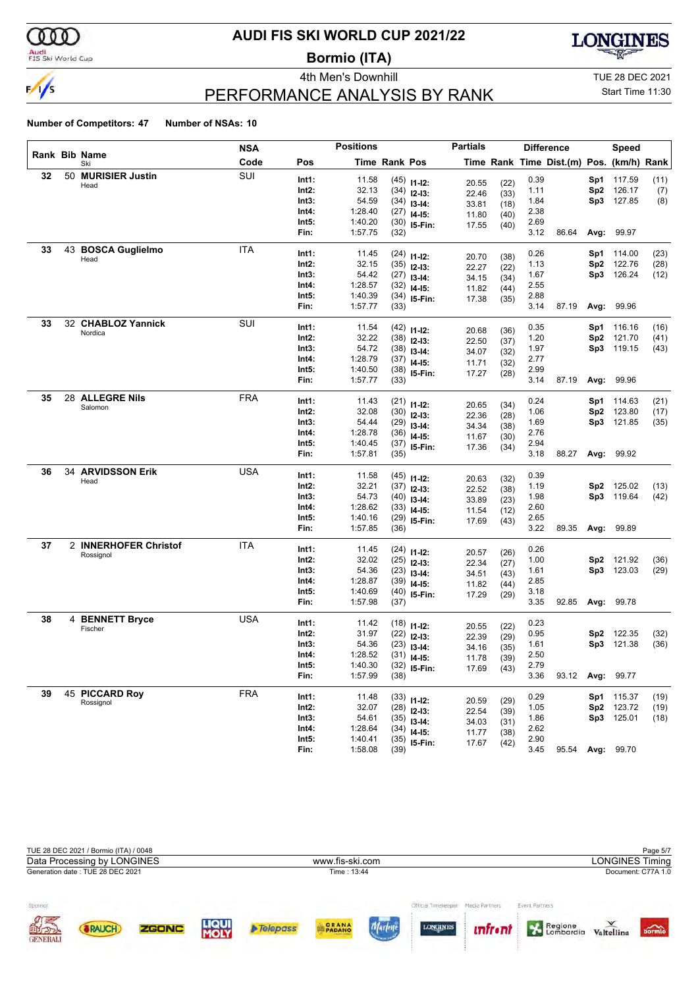

# **AUDI FIS SKI WORLD CUP 2021/22**

**Bormio (ITA)**



# PERFORMANCE ANALYSIS BY RANK

4th Men's Downhill **All Accord 2021** TUE 28 DEC 2021

# Start Time 11:30

|    |                             | NSA        |                | <b>Positions</b>   |               |                                 | <b>Partials</b> |      |              | <b>Difference</b>                        |            | Speed                    |              |
|----|-----------------------------|------------|----------------|--------------------|---------------|---------------------------------|-----------------|------|--------------|------------------------------------------|------------|--------------------------|--------------|
|    | Rank Bib Name<br>Ski        | Code       | Pos            |                    | Time Rank Pos |                                 |                 |      |              | Time Rank Time Dist.(m) Pos. (km/h) Rank |            |                          |              |
| 32 | 50 MURISIER Justin          | SUI        | Int1:          | 11.58              |               | $(45)$ 11-12:                   | 20.55           | (22) | 0.39         |                                          | Sp1        | 117.59                   | (11)         |
|    | Head                        |            | Int2:          | 32.13              |               | $(34)$ 12-13:                   | 22.46           | (33) | 1.11         |                                          | Sp2        | 126.17                   | (7)          |
|    |                             |            | Int3:          | 54.59              |               | $(34)$ 13-14:                   | 33.81           | (18) | 1.84         |                                          | Sp3        | 127.85                   | (8)          |
|    |                             |            | Int4:          | 1:28.40            |               | $(27)$ 14-15:                   | 11.80           | (40) | 2.38         |                                          |            |                          |              |
|    |                             |            | Int5:          | 1:40.20            |               | $(30)$ 15-Fin:                  | 17.55           | (40) | 2.69         |                                          |            |                          |              |
|    |                             |            | Fin:           | 1:57.75            | (32)          |                                 |                 |      | 3.12         | 86.64                                    | Avg:       | 99.97                    |              |
| 33 | 43 BOSCA Guglielmo          | ITA        | Int1:          | 11.45              |               | $(24)$ 11-12:                   | 20.70           | (38) | 0.26         |                                          | Sp1        | 114.00                   | (23)         |
|    | Head                        |            | Int2:          | 32.15              |               | $(35)$ 12-13:                   | 22.27           | (22) | 1.13         |                                          | Sp2        | 122.76                   | (28)         |
|    |                             |            | Int3:          | 54.42              |               | $(27)$ 13-14:                   | 34.15           | (34) | 1.67         |                                          |            | Sp3 126.24               | (12)         |
|    |                             |            | Int4:          | 1:28.57            |               | $(32)$ 14-15:                   | 11.82           | (44) | 2.55         |                                          |            |                          |              |
|    |                             |            | Int5:          | 1:40.39            |               | $(34)$ 15-Fin:                  | 17.38           | (35) | 2.88         |                                          |            |                          |              |
|    |                             |            | Fin:           | 1:57.77            | (33)          |                                 |                 |      | 3.14         | 87.19                                    |            | Avg: 99.96               |              |
| 33 | 32 CHABLOZ Yannick          | SUI        | Int1:          | 11.54              |               | $(42)$ 11-12:                   |                 |      | 0.35         |                                          | Sp1        | 116.16                   | (16)         |
|    | Nordica                     |            | Int2:          | 32.22              |               | $(38)$ 12-13:                   | 20.68           | (36) | 1.20         |                                          | Sp2        | 121.70                   | (41)         |
|    |                             |            | Int3:          | 54.72              |               | $(38)$ 13-14:                   | 22.50           | (37) | 1.97         |                                          |            | Sp3 119.15               | (43)         |
|    |                             |            | Int4:          | 1:28.79            |               | $(37)$ 14-15:                   | 34.07           | (32) | 2.77         |                                          |            |                          |              |
|    |                             |            | Int5:          | 1:40.50            |               | $(38)$ 15-Fin:                  | 11.71<br>17.27  | (32) | 2.99         |                                          |            |                          |              |
|    |                             |            | Fin:           | 1:57.77            | (33)          |                                 |                 | (28) | 3.14         | 87.19                                    |            | Avg: 99.96               |              |
| 35 | 28 ALLEGRE Nils             | <b>FRA</b> | Int1:          | 11.43              |               |                                 |                 |      | 0.24         |                                          |            |                          |              |
|    | Salomon                     |            | Int2:          | 32.08              |               | $(21)$ 11-12:                   | 20.65           | (34) | 1.06         |                                          | Sp1<br>Sp2 | 114.63<br>123.80         | (21)<br>(17) |
|    |                             |            | Int3:          | 54.44              |               | $(30)$ 12-13:                   | 22.36           | (28) | 1.69         |                                          |            | Sp3 121.85               | (35)         |
|    |                             |            | Int4:          | 1:28.78            |               | $(29)$ 13-14:                   | 34.34           | (38) | 2.76         |                                          |            |                          |              |
|    |                             |            | Int5:          | 1:40.45            |               | $(36)$ 14-15:<br>$(37)$ 15-Fin: | 11.67           | (30) | 2.94         |                                          |            |                          |              |
|    |                             |            | Fin:           | 1:57.81            | (35)          |                                 | 17.36           | (34) | 3.18         | 88.27                                    |            | <b>Avg: 99.92</b>        |              |
| 36 | 34 ARVIDSSON Erik           | <b>USA</b> |                |                    |               |                                 |                 |      |              |                                          |            |                          |              |
|    | Head                        |            | Int1:<br>Int2: | 11.58<br>32.21     |               | $(45)$ 11-12:                   | 20.63           | (32) | 0.39         |                                          |            |                          |              |
|    |                             |            | Int3:          | 54.73              |               | $(37)$ 12-13:                   | 22.52           | (38) | 1.19<br>1.98 |                                          |            | Sp2 125.02<br>Sp3 119.64 | (13)<br>(42) |
|    |                             |            | Int4:          | 1:28.62            |               | $(40)$ 13-14:                   | 33.89           | (23) | 2.60         |                                          |            |                          |              |
|    |                             |            | Int5:          | 1:40.16            |               | $(33)$ 14-15:                   | 11.54           | (12) | 2.65         |                                          |            |                          |              |
|    |                             |            | Fin:           | 1:57.85            | (36)          | $(29)$ 15-Fin:                  | 17.69           | (43) | 3.22         | 89.35                                    |            | Avg: 99.89               |              |
| 37 | 2 INNERHOFER Christof       | ITA        |                |                    |               |                                 |                 |      |              |                                          |            |                          |              |
|    | Rossignol                   |            | Int1:          | 11.45              |               | $(24)$ 11-12:                   | 20.57           | (26) | 0.26         |                                          |            |                          |              |
|    |                             |            | Int2:          | 32.02<br>54.36     |               | $(25)$ 12-13:                   | 22.34           | (27) | 1.00         |                                          | Sp2        | 121.92<br>Sp3 123.03     | (36)         |
|    |                             |            | Int3:<br>Int4: | 1:28.87            |               | $(23)$ 13-14:                   | 34.51           | (43) | 1.61<br>2.85 |                                          |            |                          | (29)         |
|    |                             |            | Int5:          | 1:40.69            |               | $(39)$ 14-15:                   | 11.82           | (44) | 3.18         |                                          |            |                          |              |
|    |                             |            | Fin:           | 1:57.98            | (37)          | $(40)$ 15-Fin:                  | 17.29           | (29) | 3.35         | 92.85                                    |            | <b>Avg: 99.78</b>        |              |
| 38 | 4 BENNETT Bryce             | <b>USA</b> |                |                    |               |                                 |                 |      |              |                                          |            |                          |              |
|    | Fischer                     |            | Int1:          | 11.42              |               | $(18)$ 11-12:                   | 20.55           | (22) | 0.23         |                                          |            |                          |              |
|    |                             |            | Int2:          | 31.97              |               | $(22)$ 12-13:                   | 22.39           | (29) | 0.95         |                                          | Sp2        | 122.35                   | (32)         |
|    |                             |            | Int3:          | 54.36              |               | $(23)$ 13-14:                   | 34.16           | (35) | 1.61         |                                          |            | Sp3 121.38               | (36)         |
|    |                             |            | Int4:<br>Int5: | 1:28.52<br>1:40.30 |               | $(31)$ 14-15:                   | 11.78           | (39) | 2.50<br>2.79 |                                          |            |                          |              |
|    |                             |            | Fin:           | 1:57.99            | (38)          | $(32)$ 15-Fin:                  | 17.69           | (43) | 3.36         | 93.12                                    |            | <b>Avg: 99.77</b>        |              |
| 39 |                             | <b>FRA</b> |                |                    |               |                                 |                 |      |              |                                          |            |                          |              |
|    | 45 PICCARD Roy<br>Rossignol |            | Int1:          | 11.48              |               | $(33)$ 11-12:                   | 20.59           | (29) | 0.29         |                                          |            | <b>Sp1</b> 115.37        | (19)         |
|    |                             |            | Int2:          | 32.07              |               | $(28)$ 12-13:                   | 22.54           | (39) | 1.05         |                                          |            | Sp2 123.72               | (19)         |
|    |                             |            | Int3:          | 54.61              |               | $(35)$ 13-14:                   | 34.03           | (31) | 1.86         |                                          |            | Sp3 125.01               | (18)         |
|    |                             |            | Int4:          | 1:28.64            |               | $(34)$ 14-15:                   | 11.77           | (38) | 2.62         |                                          |            |                          |              |
|    |                             |            | Int5:          | 1:40.41            |               | $(35)$ 15-Fin:                  | 17.67           | (42) | 2.90         |                                          |            |                          |              |
|    |                             |            | Fin:           | 1:58.08            | (39)          |                                 |                 |      | 3.45         | 95.54                                    |            | Avg: 99.70               |              |

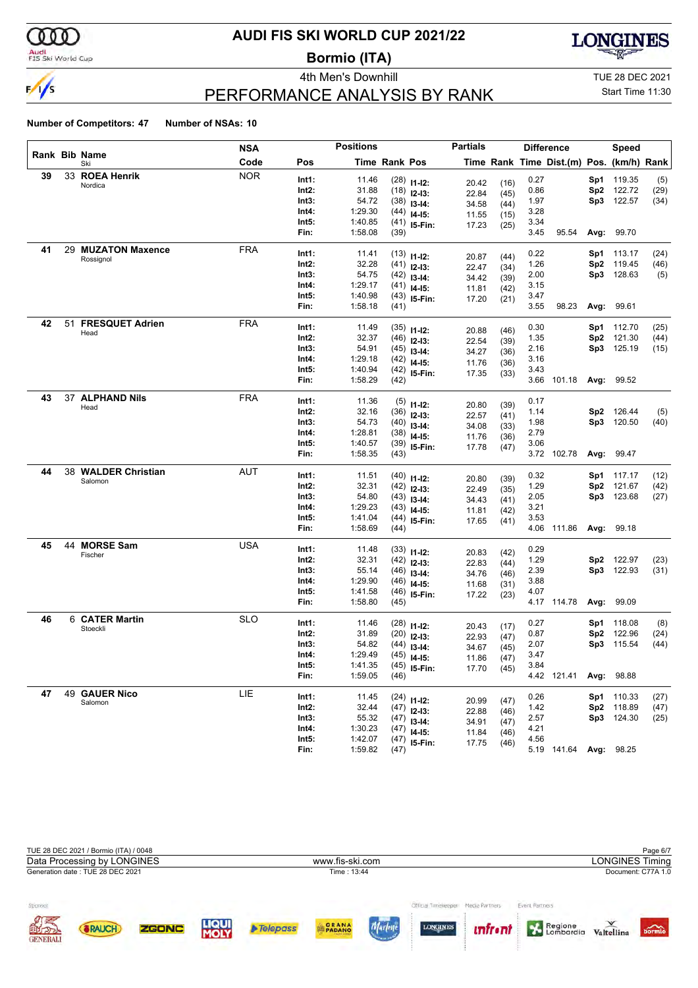

### Audi<br>FIS Ski World Cup

# **AUDI FIS SKI WORLD CUP 2021/22**

**Bormio (ITA)**





# PERFORMANCE ANALYSIS BY RANK

Start Time 11:30

|    |    |                        | NSA        |                | <b>Positions</b>   |               |                                | <b>Partials</b> |              |              | <b>Difference</b>                        |                        | <b>Speed</b>     |      |
|----|----|------------------------|------------|----------------|--------------------|---------------|--------------------------------|-----------------|--------------|--------------|------------------------------------------|------------------------|------------------|------|
|    |    | Rank Bib Name<br>Ski   | Code       | Pos            |                    | Time Rank Pos |                                |                 |              |              | Time Rank Time Dist.(m) Pos. (km/h) Rank |                        |                  |      |
| 39 |    | 33 ROEA Henrik         | <b>NOR</b> | Int1:          | 11.46              |               | $(28)$ 11-12:                  | 20.42           | (16)         | 0.27         |                                          | Sp1                    | 119.35           | (5)  |
|    |    | Nordica                |            | Int2:          | 31.88              |               | $(18)$ 12-13:                  | 22.84           | (45)         | 0.86         |                                          | Sp <sub>2</sub>        | 122.72           | (29) |
|    |    |                        |            | Int3:          | 54.72              |               | $(38)$ 13-14:                  | 34.58           | (44)         | 1.97         |                                          | Sp3                    | 122.57           | (34) |
|    |    |                        |            | Int4:          | 1:29.30            |               | $(44)$ 14-15:                  | 11.55           | (15)         | 3.28         |                                          |                        |                  |      |
|    |    |                        |            | Int5:          | 1:40.85            |               | $(41)$ 15-Fin:                 | 17.23           | (25)         | 3.34         |                                          |                        |                  |      |
|    |    |                        |            | Fin:           | 1:58.08            | (39)          |                                |                 |              | 3.45         | 95.54                                    | Avg:                   | 99.70            |      |
| 41 |    | 29 MUZATON Maxence     | <b>FRA</b> | Int1:          | 11.41              |               | $(13)$ 11-12:                  | 20.87           | (44)         | 0.22         |                                          | Sp1                    | 113.17           | (24) |
|    |    | Rossignol              |            | Int2:          | 32.28              |               | $(41)$ 12-13:                  | 22.47           | (34)         | 1.26         |                                          | Sp <sub>2</sub>        | 119.45           | (46) |
|    |    |                        |            | Int3:          | 54.75              |               | $(42)$ 13-14:                  | 34.42           | (39)         | 2.00         |                                          | Sp3                    | 128.63           | (5)  |
|    |    |                        |            | Int4:          | 1:29.17            |               | $(41)$ 14-15:                  | 11.81           | (42)         | 3.15         |                                          |                        |                  |      |
|    |    |                        |            | Int5:          | 1:40.98            |               | $(43)$ 15-Fin:                 | 17.20           | (21)         | 3.47         |                                          |                        |                  |      |
|    |    |                        |            | Fin:           | 1:58.18            | (41)          |                                |                 |              | 3.55         | 98.23                                    |                        | Avg: 99.61       |      |
| 42 | 51 | <b>FRESQUET Adrien</b> | <b>FRA</b> | Int1:          | 11.49              |               | $(35)$ 11-12:                  |                 |              | 0.30         |                                          | Sp1                    | 112.70           | (25) |
|    |    | Head                   |            | Int2:          | 32.37              |               | $(46)$ 12-13:                  | 20.88           | (46)         | 1.35         |                                          | Sp <sub>2</sub>        | 121.30           | (44) |
|    |    |                        |            | Int3:          | 54.91              |               | $(45)$ 13-14:                  | 22.54           | (39)         | 2.16         |                                          | Sp3                    | 125.19           | (15) |
|    |    |                        |            | Int4:          | 1:29.18            |               | $(42)$ 14-15:                  | 34.27<br>11.76  | (36)         | 3.16         |                                          |                        |                  |      |
|    |    |                        |            | Int5:          | 1:40.94            |               | $(42)$ 15-Fin:                 | 17.35           | (36)<br>(33) | 3.43         |                                          |                        |                  |      |
|    |    |                        |            | Fin:           | 1:58.29            | (42)          |                                |                 |              | 3.66         | 101.18                                   |                        | Avg: 99.52       |      |
| 43 |    | 37 ALPHAND Nils        | <b>FRA</b> | Int1:          | 11.36              |               |                                |                 |              | 0.17         |                                          |                        |                  |      |
|    |    | Head                   |            | Int2:          | 32.16              |               | $(5)$ 11-12:                   | 20.80           | (39)         | 1.14         |                                          | Sp2                    | 126.44           | (5)  |
|    |    |                        |            | Int3:          | 54.73              |               | $(36)$ 12-13:                  | 22.57           | (41)         | 1.98         |                                          |                        | Sp3 120.50       | (40) |
|    |    |                        |            | Int4:          | 1:28.81            |               | $(40)$ 13-14:<br>$(38)$ 14-15: | 34.08           | (33)         | 2.79         |                                          |                        |                  |      |
|    |    |                        |            | Int5:          | 1:40.57            |               | $(39)$ 15-Fin:                 | 11.76           | (36)         | 3.06         |                                          |                        |                  |      |
|    |    |                        |            | Fin:           | 1:58.35            | (43)          |                                | 17.78           | (47)         |              | 3.72 102.78                              | Avg:                   | 99.47            |      |
| 44 |    | 38 WALDER Christian    | <b>AUT</b> |                |                    |               |                                |                 |              |              |                                          |                        |                  |      |
|    |    | Salomon                |            | Int1:          | 11.51              |               | $(40)$ 11-12:                  | 20.80           | (39)         | 0.32         |                                          | Sp1                    | 117.17           | (12) |
|    |    |                        |            | Int2:<br>Int3: | 32.31<br>54.80     |               | $(42)$ 12-13:                  | 22.49           | (35)         | 1.29<br>2.05 |                                          | Sp <sub>2</sub><br>Sp3 | 121.67<br>123.68 | (42) |
|    |    |                        |            | Int4:          | 1:29.23            |               | $(43)$ 13-14:                  | 34.43           | (41)         | 3.21         |                                          |                        |                  | (27) |
|    |    |                        |            | Int5:          | 1:41.04            |               | $(43)$ 14-15:                  | 11.81           | (42)         | 3.53         |                                          |                        |                  |      |
|    |    |                        |            | Fin:           | 1:58.69            | (44)          | $(44)$ 15-Fin:                 | 17.65           | (41)         | 4.06         | 111.86                                   |                        | Avg: 99.18       |      |
| 45 | 44 | <b>MORSE Sam</b>       | <b>USA</b> |                |                    |               |                                |                 |              |              |                                          |                        |                  |      |
|    |    | Fischer                |            | Int1:          | 11.48              |               | $(33)$ 11-12:                  | 20.83           | (42)         | 0.29         |                                          |                        |                  |      |
|    |    |                        |            | Int2:          | 32.31              |               | $(42)$ 12-13:                  | 22.83           | (44)         | 1.29         |                                          | Sp2                    | 122.97           | (23) |
|    |    |                        |            | Int3:          | 55.14              |               | $(46)$ 13-14:                  | 34.76           | (46)         | 2.39         |                                          | Sp3                    | 122.93           | (31) |
|    |    |                        |            | Int4:<br>Int5: | 1:29.90<br>1:41.58 |               | $(46)$ 14-15:                  | 11.68           | (31)         | 3.88<br>4.07 |                                          |                        |                  |      |
|    |    |                        |            | Fin:           | 1:58.80            | (45)          | $(46)$ 15-Fin:                 | 17.22           | (23)         |              | 4.17 114.78                              | Avg:                   | 99.09            |      |
| 46 |    | 6 CATER Martin         | <b>SLO</b> |                |                    |               |                                |                 |              |              |                                          |                        |                  |      |
|    |    | Stoeckli               |            | Int1:          | 11.46              |               | $(28)$ 11-12:                  | 20.43           | (17)         | 0.27         |                                          | Sp1                    | 118.08           | (8)  |
|    |    |                        |            | Int2:          | 31.89              |               | $(20)$ 12-13:                  | 22.93           | (47)         | 0.87         |                                          | Sp <sub>2</sub>        | 122.96           | (24) |
|    |    |                        |            | Int3:          | 54.82              |               | $(44)$ 13-14:                  | 34.67           | (45)         | 2.07         |                                          | Sp3                    | 115.54           | (44) |
|    |    |                        |            | Int4:          | 1:29.49<br>1:41.35 |               | $(45)$ 14-15:                  | 11.86           | (47)         | 3.47<br>3.84 |                                          |                        |                  |      |
|    |    |                        |            | Int5:<br>Fin:  | 1:59.05            | (46)          | $(45)$ 15-Fin:                 | 17.70           | (45)         |              | 4.42 121.41                              |                        | Avg: 98.88       |      |
| 47 |    | 49 GAUER Nico          | LIE        |                |                    |               |                                |                 |              |              |                                          |                        |                  |      |
|    |    | Salomon                |            | Int1:          | 11.45              |               | $(24)$ 11-12:                  | 20.99           | (47)         | 0.26         |                                          |                        | Sp1 110.33       | (27) |
|    |    |                        |            | Int2:          | 32.44              |               | $(47)$ 12-13:                  | 22.88           | (46)         | 1.42         |                                          |                        | Sp2 118.89       | (47) |
|    |    |                        |            | Int3:          | 55.32              |               | $(47)$ 13-14:                  | 34.91           | (47)         | 2.57         |                                          |                        | Sp3 124.30       | (25) |
|    |    |                        |            | Int4:          | 1:30.23            |               | $(47)$ 14-15:                  | 11.84           | (46)         | 4.21         |                                          |                        |                  |      |
|    |    |                        |            | Int5:<br>Fin:  | 1:42.07            |               | $(47)$ 15-Fin:                 | 17.75           | (46)         | 4.56         |                                          |                        |                  |      |
|    |    |                        |            |                | 1:59.82            | (47)          |                                |                 |              |              | 5.19 141.64 Avg: 98.25                   |                        |                  |      |

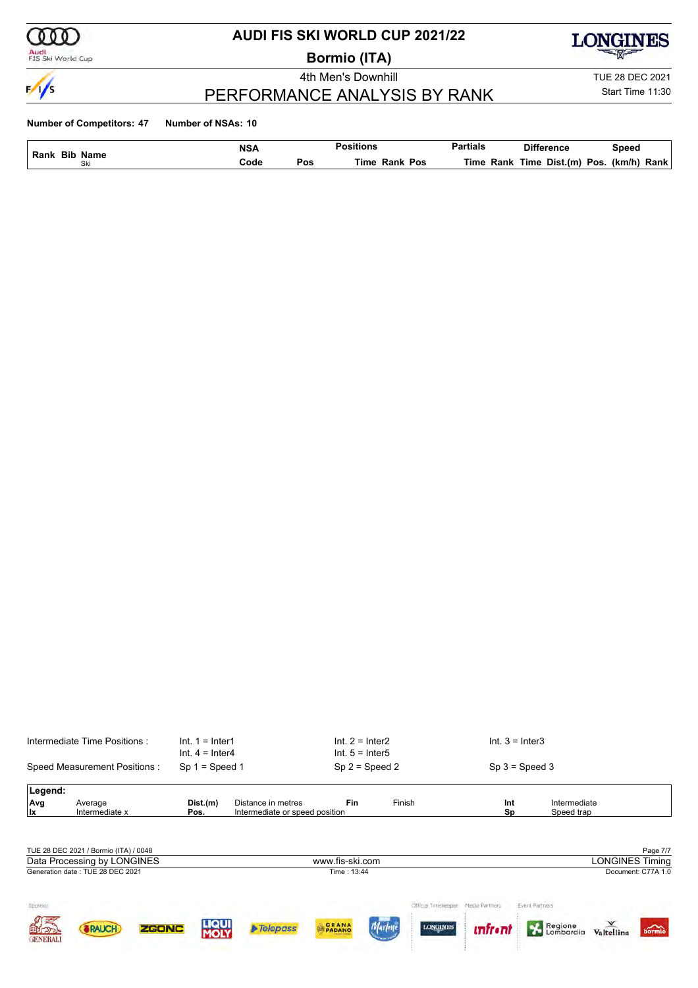

### Audi<br>FIS Ski World Cup

# **AUDI FIS SKI WORLD CUP 2021/22**

**Bormio (ITA)**

**LONGINES** 

 $\frac{1}{\sqrt{2}}$ 

### 4th Men's Downhill TUE 28 DEC 2021

Start Time 11:30

# PERFORMANCE ANALYSIS BY RANK

| <b>Bib</b><br>Rank | <b>NSA</b><br>Name |     | <br>Positions       | <b>Partials</b> | <b>Difference</b>        | Speed          |
|--------------------|--------------------|-----|---------------------|-----------------|--------------------------|----------------|
| CI.<br>OK.         | Code               | Pos | Pos<br>Time<br>Rank | Time<br>Rank    | Dist.(m)<br>Pos.<br>Time | (km/h)<br>Rank |

|                         | Intermediate Time Positions:          | $Int. 1 = Inter1$<br>$Int. 4 = Inter4$ |                                                      | $Int. 2 = Inter2$<br>$Int. 5 = Inter5$ |                                   | $Int. 3 = Inter3$                  |                            |                                          |
|-------------------------|---------------------------------------|----------------------------------------|------------------------------------------------------|----------------------------------------|-----------------------------------|------------------------------------|----------------------------|------------------------------------------|
|                         | Speed Measurement Positions:          | $Sp 1 = Speed 1$                       |                                                      | $Sp 2 = Speed 2$                       |                                   | $Sp 3 = Speed 3$                   |                            |                                          |
| Legend:                 |                                       |                                        |                                                      |                                        |                                   |                                    |                            |                                          |
| Avg<br>lx               | Average<br>Intermediate x             | Dist.(m)<br>Pos.                       | Distance in metres<br>Intermediate or speed position | <b>Fin</b>                             | Finish                            | Int<br>Sp                          | Intermediate<br>Speed trap |                                          |
|                         |                                       |                                        |                                                      |                                        |                                   |                                    |                            |                                          |
|                         | TUE 28 DEC 2021 / Bormio (ITA) / 0048 |                                        |                                                      |                                        |                                   |                                    |                            | Page 7/7                                 |
|                         | Data Processing by LONGINES           |                                        |                                                      | www.fis-ski.com                        |                                   |                                    |                            | <b>LONGINES Timing</b>                   |
|                         | Generation date: TUE 28 DEC 2021      |                                        |                                                      | Time: 13:44                            |                                   |                                    |                            | Document: C77A 1.0                       |
| Sponsor                 |                                       |                                        |                                                      |                                        |                                   | Official Timeleeper Media Partners | Event Partners             |                                          |
| 国立つつ<br><b>GENERALI</b> | <b>ZGONC</b><br><b><i>SRAUCH</i></b>  | LIQUI<br><b>MOLY</b>                   | $\triangleright$ Telepass                            | GRANA<br><b>PADANO</b>                 | <b>LONGINES</b><br><b>Marleye</b> | <u>infroni</u>                     | Regione                    | $\overline{\text{bornio}}$<br>Valtellina |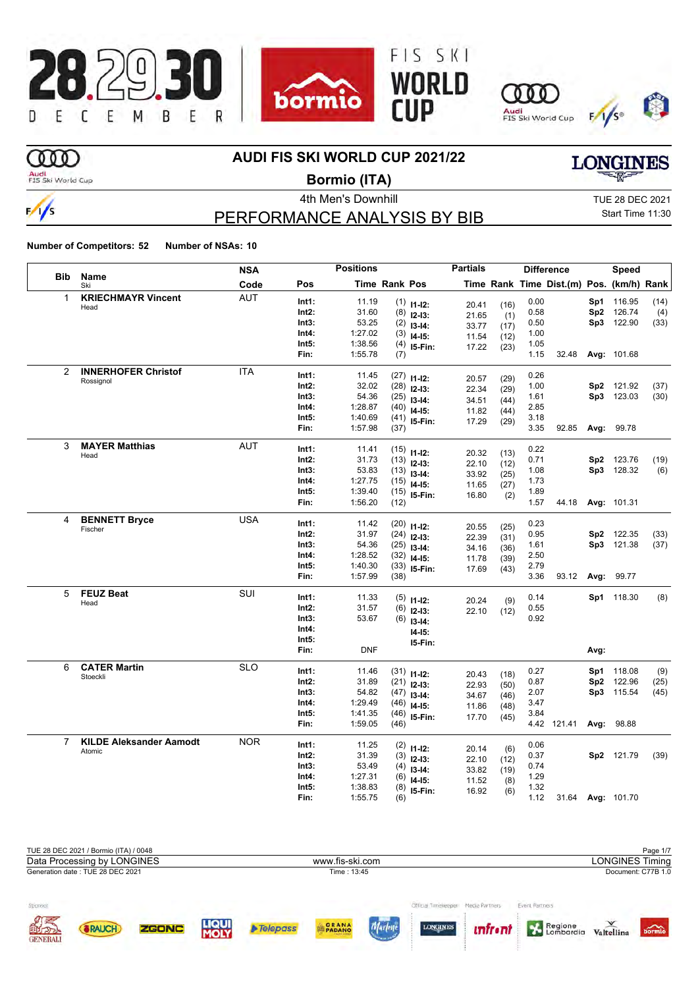

# m

### **AUDI FIS SKI WORLD CUP 2021/22**

Audi<br>FIS Ski World Cup

 $\frac{1}{s}$ 

**Bormio (ITA)**

PERFORMANCE ANALYSIS BY BIB

4th Men's Downhill **All Accord 2021** TUE 28 DEC 2021 Start Time 11:30

**LONGINES** 

|                |                                 | <b>NSA</b> |          | <b>Positions</b> |                      |                                 | <b>Partials</b> |             |      | <b>Difference</b>                        |      | Speed             |      |
|----------------|---------------------------------|------------|----------|------------------|----------------------|---------------------------------|-----------------|-------------|------|------------------------------------------|------|-------------------|------|
| <b>Bib</b>     | <b>Name</b><br>Ski              | Code       | Pos      |                  | <b>Time Rank Pos</b> |                                 |                 |             |      | Time Rank Time Dist.(m) Pos. (km/h) Rank |      |                   |      |
| 1              | <b>KRIECHMAYR Vincent</b>       | <b>AUT</b> | Int1:    | 11.19            |                      | $(1)$ 11-12:                    |                 | (16)        | 0.00 |                                          | Sp1  | 116.95            | (14) |
|                | Head                            |            | Int2:    | 31.60            | (8)                  | $12-13:$                        | 20.41<br>21.65  | (1)         | 0.58 |                                          | Sp2  | 126.74            | (4)  |
|                |                                 |            | Int3:    | 53.25            | (2)                  | $13-14:$                        | 33.77           | (17)        | 0.50 |                                          |      | Sp3 122.90        | (33) |
|                |                                 |            | Int4:    | 1:27.02          | (3)                  | $14-15$ :                       | 11.54           | (12)        | 1.00 |                                          |      |                   |      |
|                |                                 |            | Int5:    | 1:38.56          | (4)                  | I5-Fin:                         | 17.22           | (23)        | 1.05 |                                          |      |                   |      |
|                |                                 |            | Fin:     | 1:55.78          | (7)                  |                                 |                 |             | 1.15 | 32.48                                    |      | Avg: 101.68       |      |
| 2              | <b>INNERHOFER Christof</b>      | <b>ITA</b> | Int1:    | 11.45            |                      |                                 |                 |             | 0.26 |                                          |      |                   |      |
|                | Rossignol                       |            | Int2:    | 32.02            |                      | $(27)$ 11-12:                   | 20.57           | (29)        | 1.00 |                                          |      | Sp2 121.92        | (37) |
|                |                                 |            | Int3:    | 54.36            |                      | $(28)$ 12-13:                   | 22.34           | (29)        | 1.61 |                                          |      | Sp3 123.03        | (30) |
|                |                                 |            | Int4:    | 1:28.87          |                      | $(25)$ 13-14:                   | 34.51           | (44)        | 2.85 |                                          |      |                   |      |
|                |                                 |            | Int5:    | 1:40.69          |                      | $(40)$ 14-15:<br>$(41)$ 15-Fin: | 11.82           | (44)        | 3.18 |                                          |      |                   |      |
|                |                                 |            | Fin:     | 1:57.98          | (37)                 |                                 | 17.29           | (29)        | 3.35 | 92.85                                    |      | Avg: 99.78        |      |
| 3              | <b>MAYER Matthias</b>           | <b>AUT</b> |          |                  |                      |                                 |                 |             |      |                                          |      |                   |      |
|                | Head                            |            | Int1:    | 11.41            |                      | $(15)$ 11-12:                   | 20.32           | (13)        | 0.22 |                                          |      |                   |      |
|                |                                 |            | Int2:    | 31.73            |                      | $(13)$ 12-13:                   | 22.10           | (12)        | 0.71 |                                          | Sp2  | 123.76            | (19) |
|                |                                 |            | Int3:    | 53.83            |                      | $(13)$ 13-14:                   | 33.92           | (25)        | 1.08 |                                          | Sp3  | 128.32            | (6)  |
|                |                                 |            | Int4:    | 1:27.75          |                      | $(15)$ 14-15:                   | 11.65           | (27)        | 1.73 |                                          |      |                   |      |
|                |                                 |            | Int5:    | 1:39.40          |                      | $(15)$ 15-Fin:                  | 16.80           | (2)         | 1.89 |                                          |      |                   |      |
|                |                                 |            | Fin:     | 1:56.20          | (12)                 |                                 |                 |             | 1.57 | 44.18                                    |      | Avg: 101.31       |      |
| 4              | <b>BENNETT Bryce</b>            | <b>USA</b> | Int1:    | 11.42            |                      | $(20)$ 11-12:                   |                 |             | 0.23 |                                          |      |                   |      |
|                | Fischer                         |            | Int2:    | 31.97            |                      | $(24)$ 12-13:                   | 20.55           | (25)        | 0.95 |                                          |      | Sp2 122.35        | (33) |
|                |                                 |            | Int3:    | 54.36            | (25)                 | $13-14:$                        | 22.39           | (31)        | 1.61 |                                          |      | Sp3 121.38        | (37) |
|                |                                 |            | Int4:    | 1:28.52          |                      | $(32)$ 14-15:                   | 34.16           | (36)        | 2.50 |                                          |      |                   |      |
|                |                                 |            | Int5:    | 1:40.30          | (33)                 | I5-Fin:                         | 11.78<br>17.69  | (39)        | 2.79 |                                          |      |                   |      |
|                |                                 |            | Fin:     | 1:57.99          | (38)                 |                                 |                 | (43)        | 3.36 | 93.12                                    | Avg: | 99.77             |      |
| 5              | <b>FEUZ Beat</b>                | SUI        | Int1:    | 11.33            |                      |                                 |                 |             | 0.14 |                                          |      | Sp1 118.30        |      |
|                | Head                            |            | Int2:    | 31.57            |                      | $(5)$ 11-12:                    | 20.24           | (9)         | 0.55 |                                          |      |                   | (8)  |
|                |                                 |            | Int3:    | 53.67            | (6)                  | $12-13:$                        | 22.10           | (12)        | 0.92 |                                          |      |                   |      |
|                |                                 |            | Int4:    |                  | (6)                  | $13-14:$                        |                 |             |      |                                          |      |                   |      |
|                |                                 |            | Int5:    |                  |                      | $14 - 15:$                      |                 |             |      |                                          |      |                   |      |
|                |                                 |            | Fin:     | <b>DNF</b>       |                      | 15-Fin:                         |                 |             |      |                                          | Avg: |                   |      |
|                |                                 |            |          |                  |                      |                                 |                 |             |      |                                          |      |                   |      |
| 6              | <b>CATER Martin</b><br>Stoeckli | <b>SLO</b> | Int1:    | 11.46            |                      | $(31)$ 11-12:                   | 20.43           | (18)        | 0.27 |                                          | Sp1  | 118.08            | (9)  |
|                |                                 |            | Int2:    | 31.89            |                      | $(21)$ 12-13:                   | 22.93           | (50)        | 0.87 |                                          | Sp2  | 122.96            | (25) |
|                |                                 |            | Int3:    | 54.82            |                      | $(47)$ 13-14:                   | 34.67           | (46)        | 2.07 |                                          |      | Sp3 115.54        | (45) |
|                |                                 |            | Int4:    | 1:29.49          | (46)                 | $14-15:$                        | 11.86           | (48)        | 3.47 |                                          |      |                   |      |
|                |                                 |            | Int5:    | 1:41.35          | (46)                 | 15-Fin:                         | 17.70           | (45)        | 3.84 |                                          |      |                   |      |
|                |                                 |            | Fin:     | 1:59.05          | (46)                 |                                 |                 |             |      | 4.42 121.41                              |      | Avg: 98.88        |      |
| $\overline{7}$ | <b>KILDE Aleksander Aamodt</b>  | <b>NOR</b> | Int1:    | 11.25            |                      | $(2)$ 11-12:                    |                 |             | 0.06 |                                          |      |                   |      |
|                | Atomic                          |            | $Int2$ : | 31.39            |                      | $(3)$ 12-13:                    | 20.14<br>22.10  | (6)         | 0.37 |                                          |      | Sp2 121.79        | (39) |
|                |                                 |            | Int3:    | 53.49            | (4)                  | $13-14:$                        | 33.82           | (12)        | 0.74 |                                          |      |                   |      |
|                |                                 |            | Int4:    | 1:27.31          | (6)                  | $14-15:$                        | 11.52           | (19)<br>(8) | 1.29 |                                          |      |                   |      |
|                |                                 |            | Int5:    | 1:38.83          | (8)                  | 15-Fin:                         | 16.92           | (6)         | 1.32 |                                          |      |                   |      |
|                |                                 |            | Fin:     | 1:55.75          | (6)                  |                                 |                 |             | 1.12 |                                          |      | 31.64 Avg: 101.70 |      |

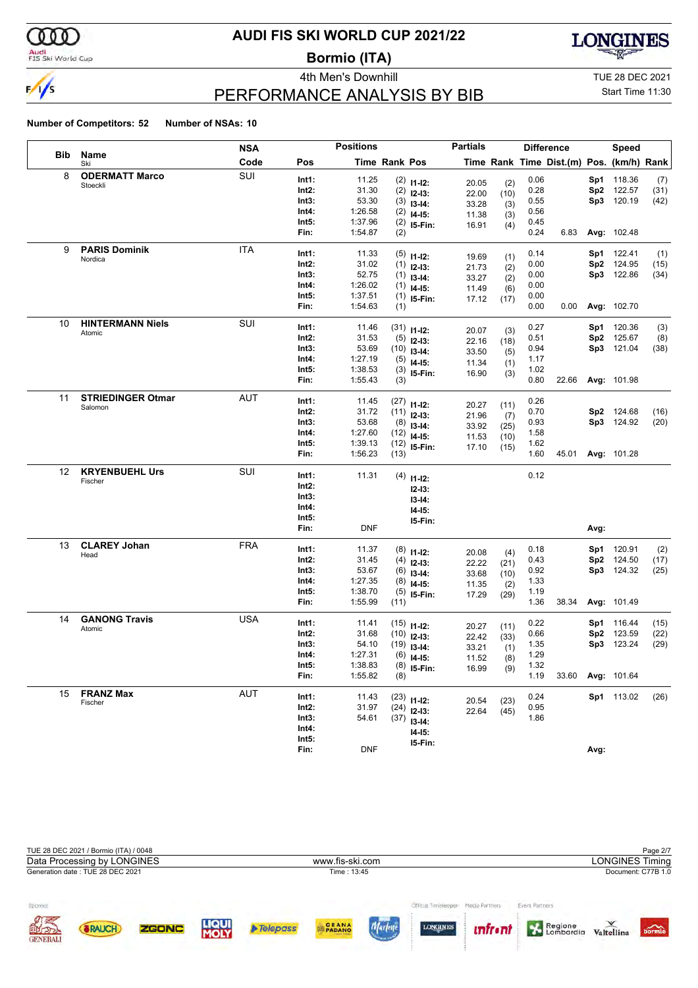

# Audi<br>FIS Ski World Cup

# **AUDI FIS SKI WORLD CUP 2021/22**

**Bormio (ITA)**



PERFORMANCE ANALYSIS BY BIB

4th Men's Downhill **All Accord 2021** TUE 28 DEC 2021

# Start Time 11:30

|     |                                   | NSA        |                   | <b>Positions</b> |                      |                                | <b>Partials</b> |             |              | <b>Difference</b>                        |      | Speed             |              |
|-----|-----------------------------------|------------|-------------------|------------------|----------------------|--------------------------------|-----------------|-------------|--------------|------------------------------------------|------|-------------------|--------------|
| Bib | Name<br>Ski                       | Code       | Pos               |                  | <b>Time Rank Pos</b> |                                |                 |             |              | Time Rank Time Dist.(m) Pos. (km/h) Rank |      |                   |              |
| 8   | <b>ODERMATT Marco</b><br>Stoeckli | SUI        | Int1:             | 11.25            |                      | $(2)$ 11-12:                   | 20.05           | (2)         | 0.06         |                                          |      | Sp1 118.36        | (7)          |
|     |                                   |            | Int2:             | 31.30            |                      | $(2)$ 12-13:                   | 22.00           | (10)        | 0.28         |                                          |      | Sp2 122.57        | (31)         |
|     |                                   |            | Int3:             | 53.30            |                      | $(3)$ 13-14:                   | 33.28           | (3)         | 0.55         |                                          | Sp3  | 120.19            | (42)         |
|     |                                   |            | Int4:             | 1:26.58          |                      | $(2)$ 14-15:                   | 11.38           | (3)         | 0.56         |                                          |      |                   |              |
|     |                                   |            | Int5:             | 1:37.96          |                      | $(2)$ 15-Fin:                  | 16.91           | (4)         | 0.45         |                                          |      |                   |              |
|     |                                   |            | Fin:              | 1:54.87          | (2)                  |                                |                 |             | 0.24         | 6.83                                     |      | Avg: 102.48       |              |
| 9   | <b>PARIS Dominik</b>              | <b>ITA</b> | Int1:             | 11.33            |                      | $(5)$ 11-12:                   | 19.69           | (1)         | 0.14         |                                          |      | <b>Sp1</b> 122.41 | (1)          |
|     | Nordica                           |            | $Int2$ :          | 31.02            |                      | $(1)$ 12-13:                   | 21.73           | (2)         | 0.00         |                                          |      | Sp2 124.95        | (15)         |
|     |                                   |            | Int3:             | 52.75            |                      | $(1)$ 13-14:                   | 33.27           | (2)         | 0.00         |                                          |      | Sp3 122.86        | (34)         |
|     |                                   |            | Int4:             | 1:26.02          |                      | $(1)$ 14-15:                   | 11.49           | (6)         | 0.00         |                                          |      |                   |              |
|     |                                   |            | Int5:             | 1:37.51          |                      | $(1)$ 15-Fin:                  | 17.12           | (17)        | 0.00         |                                          |      |                   |              |
|     |                                   |            | Fin:              | 1:54.63          | (1)                  |                                |                 |             | 0.00         | 0.00                                     |      | Avg: 102.70       |              |
| 10  | <b>HINTERMANN Niels</b>           | SUI        | Int1:             | 11.46            |                      | $(31)$ 11-12:                  |                 |             | 0.27         |                                          | Sp1. | 120.36            | (3)          |
|     | Atomic                            |            | Int2:             | 31.53            |                      | $(5)$ 12-13:                   | 20.07<br>22.16  | (3)<br>(18) | 0.51         |                                          | Sp2  | 125.67            | (8)          |
|     |                                   |            | Int3:             | 53.69            |                      | $(10)$ 13-14:                  | 33.50           | (5)         | 0.94         |                                          |      | Sp3 121.04        | (38)         |
|     |                                   |            | Int4:             | 1:27.19          |                      | $(5)$ 14-15:                   | 11.34           | (1)         | 1.17         |                                          |      |                   |              |
|     |                                   |            | Int5:             | 1:38.53          |                      | $(3)$ 15-Fin:                  | 16.90           | (3)         | 1.02         |                                          |      |                   |              |
|     |                                   |            | Fin:              | 1:55.43          | (3)                  |                                |                 |             | 0.80         | 22.66                                    |      | Avg: 101.98       |              |
| 11  | <b>STRIEDINGER Otmar</b>          | AUT        | Int1:             | 11.45            |                      | $(27)$ 11-12:                  |                 |             | 0.26         |                                          |      |                   |              |
|     | Salomon                           |            | $Int2$ :          | 31.72            |                      | $(11)$ 12-13:                  | 20.27           | (11)        | 0.70         |                                          |      | Sp2 124.68        | (16)         |
|     |                                   |            | Int3:             | 53.68            |                      | $(8)$ 13-14:                   | 21.96<br>33.92  | (7)<br>(25) | 0.93         |                                          |      | Sp3 124.92        | (20)         |
|     |                                   |            | Int4:             | 1:27.60          |                      | $(12)$ 14-15:                  | 11.53           | (10)        | 1.58         |                                          |      |                   |              |
|     |                                   |            | Int5:             | 1:39.13          |                      | $(12)$ 15-Fin:                 | 17.10           | (15)        | 1.62         |                                          |      |                   |              |
|     |                                   |            | Fin:              | 1:56.23          | (13)                 |                                |                 |             | 1.60         | 45.01                                    |      | Avg: 101.28       |              |
| 12  | <b>KRYENBUEHL Urs</b>             | SUI        | Int1:             | 11.31            |                      |                                |                 |             | 0.12         |                                          |      |                   |              |
|     | Fischer                           |            | Int2:             |                  |                      | $(4)$ 11-12:                   |                 |             |              |                                          |      |                   |              |
|     |                                   |            | Int3:             |                  |                      | $12-13:$                       |                 |             |              |                                          |      |                   |              |
|     |                                   |            | Int4:             |                  |                      | $13-14:$<br>$14-15:$           |                 |             |              |                                          |      |                   |              |
|     |                                   |            | Int5:             |                  |                      | 15-Fin:                        |                 |             |              |                                          |      |                   |              |
|     |                                   |            | Fin:              | <b>DNF</b>       |                      |                                |                 |             |              |                                          | Avg: |                   |              |
| 13  | <b>CLAREY Johan</b>               | <b>FRA</b> |                   | 11.37            |                      |                                |                 |             | 0.18         |                                          |      | 120.91            |              |
|     | Head                              |            | Int1:<br>$Int2$ : | 31.45            |                      | $(8)$ 11-12:<br>$(4)$ 12-13:   | 20.08           | (4)         | 0.43         |                                          | Sp1. | Sp2 124.50        | (2)<br>(17)  |
|     |                                   |            | Int3:             | 53.67            |                      | $(6)$ 13-14:                   | 22.22           | (21)        | 0.92         |                                          |      | Sp3 124.32        | (25)         |
|     |                                   |            | Int4:             | 1:27.35          |                      | $(8)$ 14-15:                   | 33.68           | (10)        | 1.33         |                                          |      |                   |              |
|     |                                   |            | Int5:             | 1:38.70          |                      | $(5)$ 15-Fin:                  | 11.35<br>17.29  | (2)<br>(29) | 1.19         |                                          |      |                   |              |
|     |                                   |            | Fin:              | 1:55.99          | (11)                 |                                |                 |             | 1.36         | 38.34                                    |      | Avg: 101.49       |              |
| 14  | <b>GANONG Travis</b>              | <b>USA</b> | Int1:             | 11.41            |                      |                                |                 |             | 0.22         |                                          |      | Sp1 116.44        |              |
|     | Atomic                            |            | Int2:             | 31.68            |                      | $(15)$ 11-12:<br>$(10)$ 12-13: | 20.27           | (11)        | 0.66         |                                          |      | Sp2 123.59        | (15)<br>(22) |
|     |                                   |            | Int3:             | 54.10            |                      | $(19)$ 13-14:                  | 22.42           | (33)        | 1.35         |                                          |      | Sp3 123.24        | (29)         |
|     |                                   |            | Int4:             | 1:27.31          |                      | $(6)$ 14-15:                   | 33.21<br>11.52  | (1)         | 1.29         |                                          |      |                   |              |
|     |                                   |            | Int5:             | 1:38.83          |                      | $(8)$ 15-Fin:                  | 16.99           | (8)<br>(9)  | 1.32         |                                          |      |                   |              |
|     |                                   |            | Fin:              | 1:55.82          | (8)                  |                                |                 |             | 1.19         | 33.60                                    |      | Avg: 101.64       |              |
| 15  | <b>FRANZ Max</b>                  | <b>AUT</b> |                   |                  |                      |                                |                 |             |              |                                          |      |                   |              |
|     | Fischer                           |            | Int1:<br>$Int2$ : | 11.43<br>31.97   |                      | $(23)$ 11-12:                  | 20.54           | (23)        | 0.24<br>0.95 |                                          |      | Sp1 113.02        | (26)         |
|     |                                   |            | Int3:             | 54.61            |                      | $(24)$ 12-13:                  | 22.64           | (45)        | 1.86         |                                          |      |                   |              |
|     |                                   |            | Int4:             |                  |                      | $(37)$ 13-14:                  |                 |             |              |                                          |      |                   |              |
|     |                                   |            | Int5:             |                  |                      | $14 - 15$ :<br>15-Fin:         |                 |             |              |                                          |      |                   |              |
|     |                                   |            | Fin:              | <b>DNF</b>       |                      |                                |                 |             |              |                                          | Avg: |                   |              |

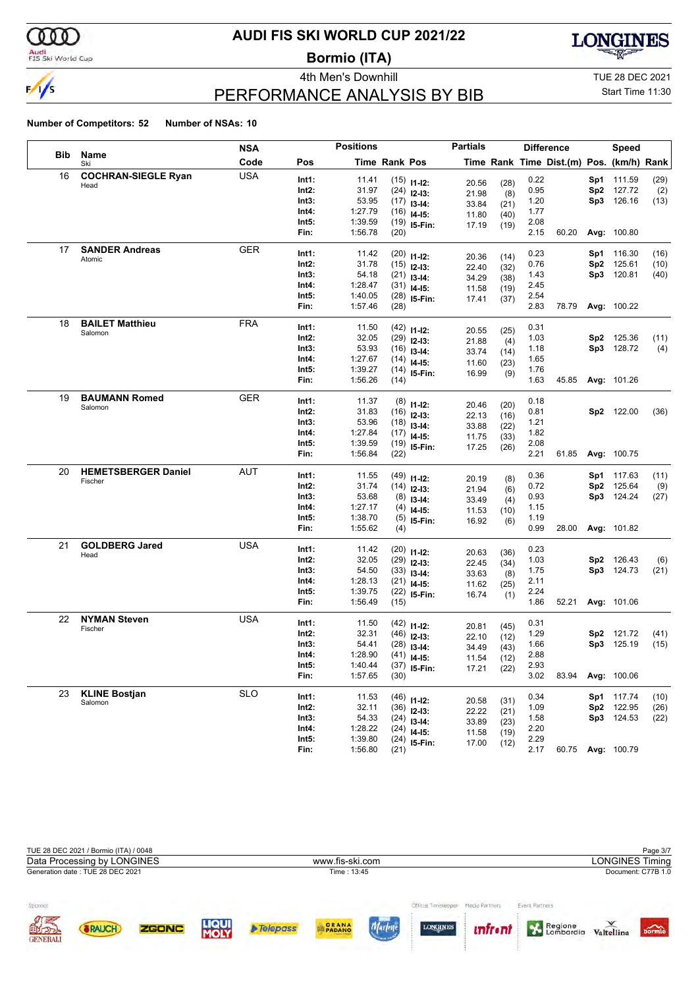

# Audi<br>FIS Ski World Cup

# **AUDI FIS SKI WORLD CUP 2021/22**

**Bormio (ITA)**



# PERFORMANCE ANALYSIS BY BIB

4th Men's Downhill TUE 28 DEC 2021

Start Time 11:30

|     |                                 | <b>NSA</b> |                | <b>Positions</b>   |               |                                | <b>Partials</b> |              |              | <b>Difference</b>                        |     | <b>Speed</b>       |      |
|-----|---------------------------------|------------|----------------|--------------------|---------------|--------------------------------|-----------------|--------------|--------------|------------------------------------------|-----|--------------------|------|
| Bib | Name<br>Ski                     | Code       | Pos            |                    | Time Rank Pos |                                |                 |              |              | Time Rank Time Dist.(m) Pos. (km/h) Rank |     |                    |      |
| 16  | <b>COCHRAN-SIEGLE Ryan</b>      | <b>USA</b> | Int1:          | 11.41              |               | $(15)$ 11-12:                  | 20.56           | (28)         | 0.22         |                                          |     | Sp1 111.59         | (29) |
|     | Head                            |            | Int2:          | 31.97              |               | $(24)$ 12-13:                  | 21.98           | (8)          | 0.95         |                                          |     | Sp2 127.72         | (2)  |
|     |                                 |            | Int3:          | 53.95              |               | $(17)$ 13-14:                  | 33.84           | (21)         | 1.20         |                                          |     | Sp3 126.16         | (13) |
|     |                                 |            | Int4:          | 1:27.79            |               | $(16)$ 14-15:                  | 11.80           | (40)         | 1.77         |                                          |     |                    |      |
|     |                                 |            | Int5:          | 1:39.59            |               | $(19)$ 15-Fin:                 | 17.19           | (19)         | 2.08         |                                          |     |                    |      |
|     |                                 |            | Fin:           | 1:56.78            | (20)          |                                |                 |              | 2.15         | 60.20                                    |     | Avg: 100.80        |      |
| 17  | <b>SANDER Andreas</b>           | <b>GER</b> | Int1:          | 11.42              |               | $(20)$ 11-12:                  |                 |              | 0.23         |                                          |     | <b>Sp1</b> 116.30  | (16) |
|     | Atomic                          |            | Int2:          | 31.78              |               | $(15)$ 12-13:                  | 20.36           | (14)         | 0.76         |                                          | Sp2 | 125.61             | (10) |
|     |                                 |            | Int3:          | 54.18              |               | $(21)$ 13-14:                  | 22.40<br>34.29  | (32)<br>(38) | 1.43         |                                          |     | Sp3 120.81         | (40) |
|     |                                 |            | Int4:          | 1:28.47            |               | $(31)$ 14-15:                  | 11.58           | (19)         | 2.45         |                                          |     |                    |      |
|     |                                 |            | Int5:          | 1:40.05            |               | $(28)$ 15-Fin:                 | 17.41           | (37)         | 2.54         |                                          |     |                    |      |
|     |                                 |            | Fin:           | 1:57.46            | (28)          |                                |                 |              | 2.83         | 78.79                                    |     | Avg: 100.22        |      |
| 18  | <b>BAILET Matthieu</b>          | <b>FRA</b> | Int1:          | 11.50              |               |                                |                 |              | 0.31         |                                          |     |                    |      |
|     | Salomon                         |            | Int2:          | 32.05              |               | $(42)$ 11-12:<br>$(29)$ 12-13: | 20.55           | (25)         | 1.03         |                                          |     | Sp2 125.36         | (11) |
|     |                                 |            | Int3:          | 53.93              |               | $(16)$ 13-14:                  | 21.88           | (4)          | 1.18         |                                          |     | Sp3 128.72         | (4)  |
|     |                                 |            | Int4:          | 1:27.67            |               | $(14)$ 14-15:                  | 33.74           | (14)         | 1.65         |                                          |     |                    |      |
|     |                                 |            | Int5:          | 1:39.27            |               | $(14)$ 15-Fin:                 | 11.60           | (23)         | 1.76         |                                          |     |                    |      |
|     |                                 |            | Fin:           | 1:56.26            | (14)          |                                | 16.99           | (9)          | 1.63         | 45.85                                    |     | Avg: 101.26        |      |
| 19  | <b>BAUMANN Romed</b>            | <b>GER</b> | Int1:          |                    |               |                                |                 |              |              |                                          |     |                    |      |
|     | Salomon                         |            | Int2:          | 11.37<br>31.83     |               | $(8)$ 11-12:                   | 20.46           | (20)         | 0.18<br>0.81 |                                          |     | Sp2 122.00         |      |
|     |                                 |            | Int3:          | 53.96              |               | $(16)$ 12-13:                  | 22.13           | (16)         | 1.21         |                                          |     |                    | (36) |
|     |                                 |            | Int4:          | 1:27.84            |               | $(18)$ 13-14:                  | 33.88           | (22)         | 1.82         |                                          |     |                    |      |
|     |                                 |            | Int5:          | 1:39.59            |               | $(17)$ 14-15:                  | 11.75           | (33)         | 2.08         |                                          |     |                    |      |
|     |                                 |            | Fin:           | 1:56.84            | (22)          | $(19)$ 15-Fin:                 | 17.25           | (26)         | 2.21         | 61.85                                    |     | <b>Avg: 100.75</b> |      |
| 20  | <b>HEMETSBERGER Daniel</b>      | AUT        |                |                    |               |                                |                 |              |              |                                          |     |                    |      |
|     | Fischer                         |            | Int1:          | 11.55              |               | $(49)$ 11-12:                  | 20.19           | (8)          | 0.36         |                                          |     | Sp1 117.63         | (11) |
|     |                                 |            | Int2:          | 31.74              |               | $(14)$ 12-13:                  | 21.94           | (6)          | 0.72         |                                          | Sp2 | 125.64             | (9)  |
|     |                                 |            | Int3:<br>Int4: | 53.68<br>1:27.17   |               | $(8)$ 13-14:                   | 33.49           | (4)          | 0.93<br>1.15 |                                          |     | Sp3 124.24         | (27) |
|     |                                 |            | Int5:          | 1:38.70            |               | $(4)$ 14-15:                   | 11.53           | (10)         | 1.19         |                                          |     |                    |      |
|     |                                 |            | Fin:           | 1:55.62            | (4)           | $(5)$ 15-Fin:                  | 16.92           | (6)          | 0.99         | 28.00                                    |     | Avg: 101.82        |      |
| 21  | <b>GOLDBERG Jared</b>           | <b>USA</b> |                |                    |               |                                |                 |              |              |                                          |     |                    |      |
|     | Head                            |            | Int1:          | 11.42              |               | $(20)$ 11-12:                  | 20.63           | (36)         | 0.23         |                                          |     |                    |      |
|     |                                 |            | Int2:          | 32.05              |               | $(29)$ 12-13:                  | 22.45           | (34)         | 1.03         |                                          | Sp2 | 126.43             | (6)  |
|     |                                 |            | Int3:          | 54.50              |               | $(33)$ 13-14:                  | 33.63           | (8)          | 1.75         |                                          |     | Sp3 124.73         | (21) |
|     |                                 |            | Int4:          | 1:28.13<br>1:39.75 |               | $(21)$ 14-15:                  | 11.62           | (25)         | 2.11<br>2.24 |                                          |     |                    |      |
|     |                                 |            | Int5:<br>Fin:  | 1:56.49            | (15)          | $(22)$ 15-Fin:                 | 16.74           | (1)          | 1.86         | 52.21                                    |     | Avg: 101.06        |      |
| 22  | <b>NYMAN Steven</b>             | <b>USA</b> |                |                    |               |                                |                 |              |              |                                          |     |                    |      |
|     | Fischer                         |            | Int1:          | 11.50              |               | $(42)$ 11-12:                  | 20.81           | (45)         | 0.31         |                                          |     |                    |      |
|     |                                 |            | Int2:          | 32.31              |               | $(46)$ 12-13:                  | 22.10           | (12)         | 1.29         |                                          |     | Sp2 121.72         | (41) |
|     |                                 |            | Int3:          | 54.41              |               | $(28)$ 13-14:                  | 34.49           | (43)         | 1.66         |                                          |     | Sp3 125.19         | (15) |
|     |                                 |            | Int4:          | 1:28.90            |               | $(41)$ 14-15:                  | 11.54           | (12)         | 2.88         |                                          |     |                    |      |
|     |                                 |            | Int5:<br>Fin:  | 1:40.44<br>1:57.65 | (30)          | $(37)$ 15-Fin:                 | 17.21           | (22)         | 2.93<br>3.02 | 83.94                                    |     | Avg: 100.06        |      |
|     |                                 |            |                |                    |               |                                |                 |              |              |                                          |     |                    |      |
| 23  | <b>KLINE Bostjan</b><br>Salomon | <b>SLO</b> | Int1:          | 11.53              |               | $(46)$ 11-12:                  | 20.58           | (31)         | 0.34         |                                          |     | Sp1 117.74         | (10) |
|     |                                 |            | $Int2$ :       | 32.11              |               | $(36)$ 12-13:                  | 22.22           | (21)         | 1.09         |                                          |     | Sp2 122.95         | (26) |
|     |                                 |            | Int3:          | 54.33              |               | $(24)$ 13-14:                  | 33.89           | (23)         | 1.58         |                                          |     | Sp3 124.53         | (22) |
|     |                                 |            | Int4:          | 1:28.22            |               | $(24)$ 14-15:                  | 11.58           | (19)         | 2.20         |                                          |     |                    |      |
|     |                                 |            | Int5:          | 1:39.80            |               | $(24)$ 15-Fin:                 | 17.00           | (12)         | 2.29         |                                          |     |                    |      |
|     |                                 |            | Fin:           | 1:56.80            | (21)          |                                |                 |              | 2.17         |                                          |     | 60.75 Avg: 100.79  |      |

|                                  | TUE 28 DEC 2021 / Bormio (ITA) / 0048 |              |                      |                 |                                                  |                                         |                                  |                                        |                        | Page 3/7                  |
|----------------------------------|---------------------------------------|--------------|----------------------|-----------------|--------------------------------------------------|-----------------------------------------|----------------------------------|----------------------------------------|------------------------|---------------------------|
|                                  | Data Processing by LONGINES           |              |                      |                 | www.fis-ski.com                                  |                                         |                                  |                                        | <b>LONGINES Timing</b> |                           |
|                                  | Generation date: TUE 28 DEC 2021      |              |                      |                 | Time: 13:45                                      |                                         |                                  |                                        |                        | Document: C77B 1.0        |
| Sponsor<br><b>NE</b><br>GENERALI | <b>&amp;RAUCH</b>                     | <b>ZGONC</b> | <b>LIQUI</b><br>MOLY | <b>Telepass</b> | <b>GRANA</b><br><b><i>CALIFORNIA CHANNEL</i></b> | Official Timelerener<br><b>LONGINES</b> | Media Partners<br><i>unfront</i> | Event Partners<br>Regione<br>Lombardia | Valtellina             | $\overrightarrow{bormio}$ |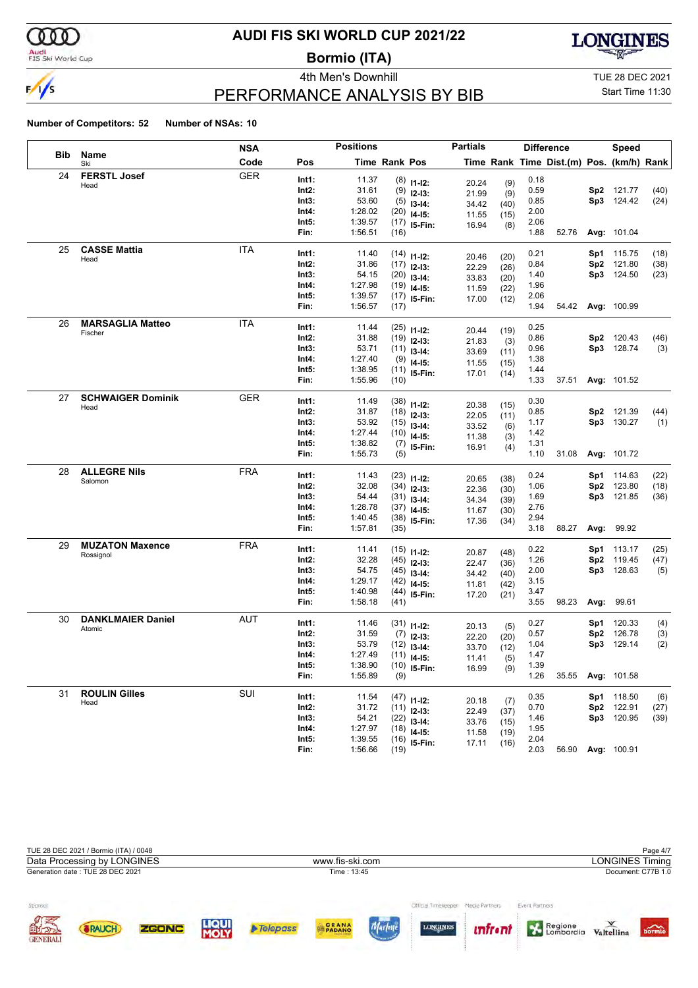

# Audi<br>FIS Ski World Cup

# **AUDI FIS SKI WORLD CUP 2021/22**

**Bormio (ITA)**



# PERFORMANCE ANALYSIS BY BIB

4th Men's Downhill TUE 28 DEC 2021

Start Time 11:30

|            |                          | NSA        |       | <b>Positions</b> |                      |                | <b>Partials</b> |              |      | <b>Difference</b>                        |                 | <b>Speed</b> |      |
|------------|--------------------------|------------|-------|------------------|----------------------|----------------|-----------------|--------------|------|------------------------------------------|-----------------|--------------|------|
| <b>Bib</b> | Name<br>Ski              | Code       | Pos   |                  | <b>Time Rank Pos</b> |                |                 |              |      | Time Rank Time Dist.(m) Pos. (km/h) Rank |                 |              |      |
| 24         | <b>FERSTL Josef</b>      | <b>GER</b> | Int1: | 11.37            |                      | $(8)$ 11-12:   |                 |              | 0.18 |                                          |                 |              |      |
|            | Head                     |            | Int2: | 31.61            |                      | $(9)$ 12-13:   | 20.24<br>21.99  | (9)<br>(9)   | 0.59 |                                          | Sp2             | 121.77       | (40) |
|            |                          |            | Int3: | 53.60            |                      | $(5)$ 13-14:   | 34.42           | (40)         | 0.85 |                                          |                 | Sp3 124.42   | (24) |
|            |                          |            | Int4: | 1:28.02          |                      | $(20)$ 14-15:  | 11.55           | (15)         | 2.00 |                                          |                 |              |      |
|            |                          |            | Int5: | 1:39.57          |                      | $(17)$ 15-Fin: | 16.94           | (8)          | 2.06 |                                          |                 |              |      |
|            |                          |            | Fin:  | 1:56.51          | (16)                 |                |                 |              | 1.88 | 52.76                                    |                 | Avg: 101.04  |      |
| 25         | <b>CASSE Mattia</b>      | ITA        | Int1: | 11.40            |                      | $(14)$ 11-12:  |                 |              | 0.21 |                                          | Sp1             | 115.75       | (18) |
|            | Head                     |            | Int2: | 31.86            |                      | $(17)$ 12-13:  | 20.46<br>22.29  | (20)         | 0.84 |                                          | Sp <sub>2</sub> | 121.80       | (38) |
|            |                          |            | Int3: | 54.15            |                      | $(20)$ 13-14:  | 33.83           | (26)<br>(20) | 1.40 |                                          | Sp3             | 124.50       | (23) |
|            |                          |            | Int4: | 1:27.98          |                      | $(19)$ 14-15:  | 11.59           | (22)         | 1.96 |                                          |                 |              |      |
|            |                          |            | Int5: | 1:39.57          |                      | $(17)$ 15-Fin: | 17.00           | (12)         | 2.06 |                                          |                 |              |      |
|            |                          |            | Fin:  | 1:56.57          | (17)                 |                |                 |              | 1.94 | 54.42                                    |                 | Avg: 100.99  |      |
| 26         | <b>MARSAGLIA Matteo</b>  | ITA        | Int1: | 11.44            |                      | $(25)$ 11-12:  |                 |              | 0.25 |                                          |                 |              |      |
|            | Fischer                  |            | Int2: | 31.88            |                      | $(19)$ 12-13:  | 20.44<br>21.83  | (19)         | 0.86 |                                          | Sp <sub>2</sub> | 120.43       | (46) |
|            |                          |            | Int3: | 53.71            |                      | $(11)$ 13-14:  | 33.69           | (3)<br>(11)  | 0.96 |                                          |                 | Sp3 128.74   | (3)  |
|            |                          |            | Int4: | 1:27.40          |                      | $(9)$ 14-15:   | 11.55           | (15)         | 1.38 |                                          |                 |              |      |
|            |                          |            | Int5: | 1:38.95          |                      | $(11)$ 15-Fin: | 17.01           | (14)         | 1.44 |                                          |                 |              |      |
|            |                          |            | Fin:  | 1:55.96          | (10)                 |                |                 |              | 1.33 | 37.51                                    |                 | Avg: 101.52  |      |
| 27         | <b>SCHWAIGER Dominik</b> | GER        | Int1: | 11.49            |                      | $(38)$ 11-12:  |                 |              | 0.30 |                                          |                 |              |      |
|            | Head                     |            | Int2: | 31.87            |                      | $(18)$ 12-13:  | 20.38           | (15)         | 0.85 |                                          | Sp2             | 121.39       | (44) |
|            |                          |            | Int3: | 53.92            |                      | $(15)$ 13-14:  | 22.05<br>33.52  | (11)         | 1.17 |                                          |                 | Sp3 130.27   | (1)  |
|            |                          |            | Int4: | 1:27.44          |                      | $(10)$ 14-15:  | 11.38           | (6)<br>(3)   | 1.42 |                                          |                 |              |      |
|            |                          |            | Int5: | 1:38.82          |                      | $(7)$ 15-Fin:  | 16.91           | (4)          | 1.31 |                                          |                 |              |      |
|            |                          |            | Fin:  | 1:55.73          | (5)                  |                |                 |              | 1.10 | 31.08                                    |                 | Avg: 101.72  |      |
| 28         | <b>ALLEGRE Nils</b>      | <b>FRA</b> | Int1: | 11.43            |                      | $(23)$ 11-12:  |                 |              | 0.24 |                                          | Sp1             | 114.63       | (22) |
|            | Salomon                  |            | Int2: | 32.08            |                      | $(34)$ 12-13:  | 20.65           | (38)         | 1.06 |                                          | Sp2             | 123.80       | (18) |
|            |                          |            | Int3: | 54.44            |                      | $(31)$ 13-14:  | 22.36<br>34.34  | (30)         | 1.69 |                                          | Sp3             | 121.85       | (36) |
|            |                          |            | Int4: | 1:28.78          |                      | $(37)$ 14-15:  | 11.67           | (39)<br>(30) | 2.76 |                                          |                 |              |      |
|            |                          |            | Int5: | 1:40.45          |                      | $(38)$ 15-Fin: | 17.36           | (34)         | 2.94 |                                          |                 |              |      |
|            |                          |            | Fin:  | 1:57.81          | (35)                 |                |                 |              | 3.18 | 88.27                                    | Avg:            | 99.92        |      |
| 29         | <b>MUZATON Maxence</b>   | <b>FRA</b> | Int1: | 11.41            |                      | $(15)$ 11-12:  |                 |              | 0.22 |                                          | Sp1             | 113.17       | (25) |
|            | Rossignol                |            | Int2: | 32.28            |                      | $(45)$ 12-13:  | 20.87<br>22.47  | (48)         | 1.26 |                                          | Sp <sub>2</sub> | 119.45       | (47) |
|            |                          |            | Int3: | 54.75            |                      | $(45)$ 13-14:  | 34.42           | (36)<br>(40) | 2.00 |                                          | Sp3             | 128.63       | (5)  |
|            |                          |            | Int4: | 1:29.17          |                      | $(42)$ 14-15:  | 11.81           | (42)         | 3.15 |                                          |                 |              |      |
|            |                          |            | Int5: | 1:40.98          |                      | $(44)$ 15-Fin: | 17.20           | (21)         | 3.47 |                                          |                 |              |      |
|            |                          |            | Fin:  | 1:58.18          | (41)                 |                |                 |              | 3.55 | 98.23                                    | Avg:            | 99.61        |      |
| 30         | <b>DANKLMAIER Daniel</b> | AUT        | Int1: | 11.46            |                      | $(31)$ 11-12:  |                 |              | 0.27 |                                          | Sp1             | 120.33       | (4)  |
|            | Atomic                   |            | Int2: | 31.59            |                      | $(7)$ 12-13:   | 20.13           | (5)          | 0.57 |                                          | Sp <sub>2</sub> | 126.78       | (3)  |
|            |                          |            | Int3: | 53.79            |                      | $(12)$ 13-14:  | 22.20<br>33.70  | (20)         | 1.04 |                                          | Sp3             | 129.14       | (2)  |
|            |                          |            | Int4: | 1:27.49          |                      | $(11)$ 14-15:  | 11.41           | (12)<br>(5)  | 1.47 |                                          |                 |              |      |
|            |                          |            | Int5: | 1:38.90          |                      | $(10)$ 15-Fin: | 16.99           | (9)          | 1.39 |                                          |                 |              |      |
|            |                          |            | Fin:  | 1:55.89          | (9)                  |                |                 |              | 1.26 | 35.55                                    |                 | Avg: 101.58  |      |
| 31         | <b>ROULIN Gilles</b>     | SUI        | Int1: | 11.54            |                      | $(47)$ 11-12:  |                 |              | 0.35 |                                          |                 | Sp1 118.50   | (6)  |
|            | Head                     |            | Int2: | 31.72            |                      | $(11)$ 12-13:  | 20.18           | (7)          | 0.70 |                                          | Sp2             | 122.91       | (27) |
|            |                          |            | Int3: | 54.21            |                      | $(22)$ 13-14:  | 22.49<br>33.76  | (37)<br>(15) | 1.46 |                                          |                 | Sp3 120.95   | (39) |
|            |                          |            | Int4: | 1:27.97          |                      | $(18)$ 14-15:  | 11.58           | (19)         | 1.95 |                                          |                 |              |      |
|            |                          |            | Int5: | 1:39.55          |                      | $(16)$ 15-Fin: | 17.11           | (16)         | 2.04 |                                          |                 |              |      |
|            |                          |            | Fin:  | 1:56.66          | (19)                 |                |                 |              | 2.03 | 56.90                                    |                 | Avg: 100.91  |      |

|                            | TUE 28 DEC 2021 / Bormio (ITA) / 0048 |       |                      |                 |                              |                                                       |                |                           |                        | Page 4/7           |
|----------------------------|---------------------------------------|-------|----------------------|-----------------|------------------------------|-------------------------------------------------------|----------------|---------------------------|------------------------|--------------------|
|                            | Data Processing by LONGINES           |       |                      |                 | www.fis-ski.com              |                                                       |                |                           | <b>LONGINES Timing</b> |                    |
|                            | Generation date: TUE 28 DEC 2021      |       |                      |                 | Time: 13:45                  |                                                       |                |                           |                        | Document: C77B 1.0 |
| Sponsor<br><b>OTHERNAL</b> | <b>&amp;RAUCH</b>                     | ZGONC | <b>LIQUI</b><br>MOLY | <b>Telepass</b> | PADANO<br><b>CALIFE CHEM</b> | Official Timeleeper Media Partners<br><b>LONGINES</b> | <i>unfront</i> | Event Partners<br>Regione | Valtellina             | bormio             |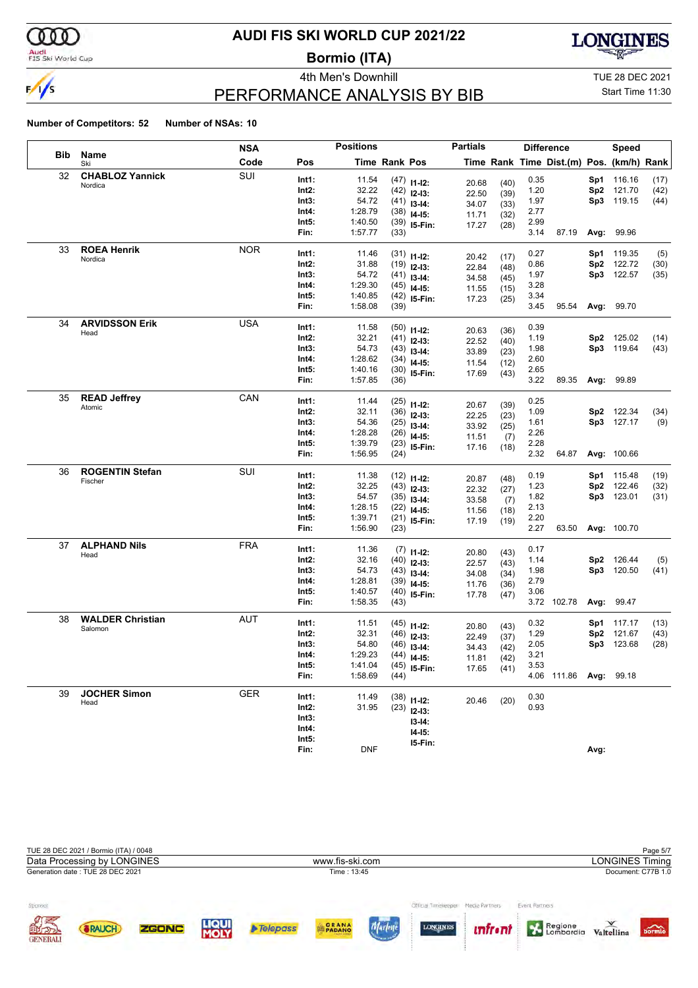

# Audi<br>FIS Ski World Cup

# **AUDI FIS SKI WORLD CUP 2021/22**

**Bormio (ITA)**



# PERFORMANCE ANALYSIS BY BIB

4th Men's Downhill **All Accord 2021** TUE 28 DEC 2021

### Start Time 11:30

|            |                         | <b>NSA</b> |       | <b>Positions</b> |                      |                | <b>Partials</b> |      |      | <b>Difference</b>                        |      | Speed       |      |
|------------|-------------------------|------------|-------|------------------|----------------------|----------------|-----------------|------|------|------------------------------------------|------|-------------|------|
| <b>Bib</b> | Name<br>Ski             | Code       | Pos   |                  | <b>Time Rank Pos</b> |                |                 |      |      | Time Rank Time Dist.(m) Pos. (km/h) Rank |      |             |      |
| 32         | <b>CHABLOZ Yannick</b>  | SUI        | Int1: | 11.54            |                      | $(47)$ 11-12:  | 20.68           | (40) | 0.35 |                                          | Sp1. | 116.16      | (17) |
|            | Nordica                 |            | Int2: | 32.22            |                      | $(42)$ 12-13:  | 22.50           | (39) | 1.20 |                                          | Sp2  | 121.70      | (42) |
|            |                         |            | Int3: | 54.72            |                      | $(41)$ 13-14:  | 34.07           | (33) | 1.97 |                                          |      | Sp3 119.15  | (44) |
|            |                         |            | Int4: | 1:28.79          |                      | $(38)$ 14-15:  | 11.71           | (32) | 2.77 |                                          |      |             |      |
|            |                         |            | Int5: | 1:40.50          |                      | $(39)$ 15-Fin: | 17.27           | (28) | 2.99 |                                          |      |             |      |
|            |                         |            | Fin:  | 1:57.77          | (33)                 |                |                 |      | 3.14 | 87.19                                    |      | Avg: 99.96  |      |
| 33         | <b>ROEA Henrik</b>      | <b>NOR</b> | Int1: | 11.46            |                      | $(31)$ 11-12:  | 20.42           | (17) | 0.27 |                                          | Sp1  | 119.35      | (5)  |
|            | Nordica                 |            | Int2: | 31.88            |                      | $(19)$ 12-13:  | 22.84           | (48) | 0.86 |                                          | Sp2  | 122.72      | (30) |
|            |                         |            | Int3: | 54.72            |                      | $(41)$ 13-14:  | 34.58           | (45) | 1.97 |                                          |      | Sp3 122.57  | (35) |
|            |                         |            | Int4: | 1:29.30          |                      | $(45)$ 14-15:  | 11.55           | (15) | 3.28 |                                          |      |             |      |
|            |                         |            | Int5: | 1:40.85          |                      | $(42)$ 15-Fin: | 17.23           | (25) | 3.34 |                                          |      |             |      |
|            |                         |            | Fin:  | 1:58.08          | (39)                 |                |                 |      | 3.45 | 95.54                                    |      | Avg: 99.70  |      |
| 34         | <b>ARVIDSSON Erik</b>   | <b>USA</b> | Int1: | 11.58            |                      | $(50)$ 11-12:  | 20.63           | (36) | 0.39 |                                          |      |             |      |
|            | Head                    |            | Int2: | 32.21            |                      | $(41)$ 12-13:  | 22.52           | (40) | 1.19 |                                          | Sp2  | 125.02      | (14) |
|            |                         |            | Int3: | 54.73            |                      | $(43)$ 13-14:  | 33.89           | (23) | 1.98 |                                          |      | Sp3 119.64  | (43) |
|            |                         |            | Int4: | 1:28.62          |                      | $(34)$ 14-15:  | 11.54           | (12) | 2.60 |                                          |      |             |      |
|            |                         |            | Int5: | 1:40.16          |                      | $(30)$ 15-Fin: | 17.69           | (43) | 2.65 |                                          |      |             |      |
|            |                         |            | Fin:  | 1:57.85          | (36)                 |                |                 |      | 3.22 | 89.35                                    |      | Avg: 99.89  |      |
| 35         | <b>READ Jeffrey</b>     | CAN        | Int1: | 11.44            |                      | $(25)$ 11-12:  | 20.67           | (39) | 0.25 |                                          |      |             |      |
|            | Atomic                  |            | Int2: | 32.11            |                      | $(36)$ 12-13:  | 22.25           | (23) | 1.09 |                                          | Sp2  | 122.34      | (34) |
|            |                         |            | Int3: | 54.36            |                      | $(25)$ 13-14:  | 33.92           | (25) | 1.61 |                                          |      | Sp3 127.17  | (9)  |
|            |                         |            | Int4: | 1:28.28          |                      | $(26)$ 14-15:  | 11.51           | (7)  | 2.26 |                                          |      |             |      |
|            |                         |            | Int5: | 1:39.79          |                      | $(23)$ 15-Fin: | 17.16           | (18) | 2.28 |                                          |      |             |      |
|            |                         |            | Fin:  | 1:56.95          | (24)                 |                |                 |      | 2.32 | 64.87                                    |      | Avg: 100.66 |      |
| 36         | <b>ROGENTIN Stefan</b>  | SUI        | Int1: | 11.38            |                      | $(12)$ 11-12:  | 20.87           | (48) | 0.19 |                                          |      | Sp1 115.48  | (19) |
|            | Fischer                 |            | Int2: | 32.25            |                      | $(43)$ 12-13:  | 22.32           | (27) | 1.23 |                                          | Sp2  | 122.46      | (32) |
|            |                         |            | Int3: | 54.57            |                      | $(35)$ 13-14:  | 33.58           | (7)  | 1.82 |                                          |      | Sp3 123.01  | (31) |
|            |                         |            | Int4: | 1:28.15          |                      | $(22)$ 14-15:  | 11.56           | (18) | 2.13 |                                          |      |             |      |
|            |                         |            | Int5: | 1:39.71          |                      | $(21)$ 15-Fin: | 17.19           | (19) | 2.20 |                                          |      |             |      |
|            |                         |            | Fin:  | 1:56.90          | (23)                 |                |                 |      | 2.27 | 63.50                                    |      | Avg: 100.70 |      |
| 37         | <b>ALPHAND Nils</b>     | <b>FRA</b> | Int1: | 11.36            |                      | $(7)$ 11-12:   | 20.80           | (43) | 0.17 |                                          |      |             |      |
|            | Head                    |            | Int2: | 32.16            |                      | $(40)$ 12-13:  | 22.57           | (43) | 1.14 |                                          | Sp2  | 126.44      | (5)  |
|            |                         |            | Int3: | 54.73            |                      | $(43)$ 13-14:  | 34.08           | (34) | 1.98 |                                          |      | Sp3 120.50  | (41) |
|            |                         |            | Int4: | 1:28.81          |                      | $(39)$ 14-15:  | 11.76           | (36) | 2.79 |                                          |      |             |      |
|            |                         |            | Int5: | 1:40.57          |                      | $(40)$ 15-Fin: | 17.78           | (47) | 3.06 |                                          |      |             |      |
|            |                         |            | Fin:  | 1:58.35          | (43)                 |                |                 |      |      | 3.72 102.78                              |      | Avg: 99.47  |      |
| 38         | <b>WALDER Christian</b> | AUT        | Int1: | 11.51            |                      | $(45)$ 11-12:  | 20.80           | (43) | 0.32 |                                          | Sp1  | 117.17      | (13) |
|            | Salomon                 |            | Int2: | 32.31            |                      | $(46)$ 12-13:  | 22.49           | (37) | 1.29 |                                          | Sp2  | 121.67      | (43) |
|            |                         |            | Int3: | 54.80            |                      | $(46)$ 13-14:  | 34.43           | (42) | 2.05 |                                          | Sp3  | 123.68      | (28) |
|            |                         |            | Int4: | 1:29.23          |                      | $(44)$ 14-15:  | 11.81           | (42) | 3.21 |                                          |      |             |      |
|            |                         |            | Int5: | 1:41.04          |                      | $(45)$ 15-Fin: | 17.65           | (41) | 3.53 |                                          |      |             |      |
|            |                         |            | Fin:  | 1:58.69          | (44)                 |                |                 |      |      | 4.06 111.86 Avg: 99.18                   |      |             |      |
| 39         | <b>JOCHER Simon</b>     | <b>GER</b> | Int1: | 11.49            |                      | $(38)$ 11-12:  | 20.46           | (20) | 0.30 |                                          |      |             |      |
|            | Head                    |            | Int2: | 31.95            |                      | $(23)$ 12-13:  |                 |      | 0.93 |                                          |      |             |      |
|            |                         |            | Int3: |                  |                      | $13-14:$       |                 |      |      |                                          |      |             |      |
|            |                         |            | Int4: |                  |                      | $14 - 15$ :    |                 |      |      |                                          |      |             |      |
|            |                         |            | Int5: |                  |                      | 15-Fin:        |                 |      |      |                                          |      |             |      |
|            |                         |            | Fin:  | <b>DNF</b>       |                      |                |                 |      |      |                                          | Avg: |             |      |

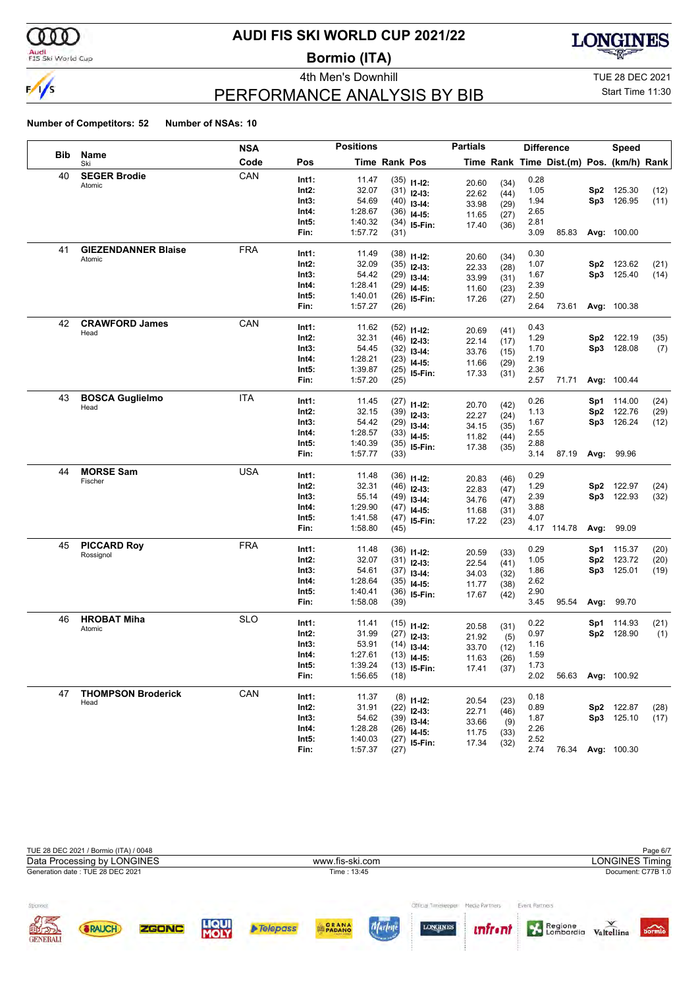

### Audi<br>FIS Ski World Cup

# **AUDI FIS SKI WORLD CUP 2021/22**

**Bormio (ITA)**



# PERFORMANCE ANALYSIS BY BIB

4th Men's Downhill **All Accord 2021** TUE 28 DEC 2021

### Start Time 11:30

|     |                            | <b>NSA</b> |       | <b>Positions</b> |               |                                | <b>Partials</b> |              |      | <b>Difference</b>                        |     | Speed              |      |
|-----|----------------------------|------------|-------|------------------|---------------|--------------------------------|-----------------|--------------|------|------------------------------------------|-----|--------------------|------|
| Bib | Name<br>Ski                | Code       | Pos   |                  | Time Rank Pos |                                |                 |              |      | Time Rank Time Dist.(m) Pos. (km/h) Rank |     |                    |      |
| 40  | <b>SEGER Brodie</b>        | CAN        | Int1: | 11.47            |               | $(35)$ 11-12:                  | 20.60           | (34)         | 0.28 |                                          |     |                    |      |
|     | Atomic                     |            | Int2: | 32.07            |               | $(31)$ 12-13:                  | 22.62           | (44)         | 1.05 |                                          | Sp2 | 125.30             | (12) |
|     |                            |            | Int3: | 54.69            |               | $(40)$ 13-14:                  | 33.98           | (29)         | 1.94 |                                          |     | Sp3 126.95         | (11) |
|     |                            |            | Int4: | 1:28.67          |               | $(36)$ 14-15:                  | 11.65           | (27)         | 2.65 |                                          |     |                    |      |
|     |                            |            | Int5: | 1:40.32          |               | $(34)$ 15-Fin:                 | 17.40           | (36)         | 2.81 |                                          |     |                    |      |
|     |                            |            | Fin:  | 1:57.72          | (31)          |                                |                 |              | 3.09 | 85.83                                    |     | Avg: 100.00        |      |
| 41  | <b>GIEZENDANNER Blaise</b> | <b>FRA</b> | Int1: | 11.49            |               | $(38)$ 11-12:                  |                 |              | 0.30 |                                          |     |                    |      |
|     | Atomic                     |            | Int2: | 32.09            |               | $(35)$ 12-13:                  | 20.60           | (34)         | 1.07 |                                          | Sp2 | 123.62             | (21) |
|     |                            |            | Int3: | 54.42            |               | $(29)$ 13-14:                  | 22.33<br>33.99  | (28)<br>(31) | 1.67 |                                          |     | Sp3 125.40         | (14) |
|     |                            |            | Int4: | 1:28.41          |               | $(29)$ 14-15:                  | 11.60           | (23)         | 2.39 |                                          |     |                    |      |
|     |                            |            | Int5: | 1:40.01          |               | $(26)$ 15-Fin:                 | 17.26           | (27)         | 2.50 |                                          |     |                    |      |
|     |                            |            | Fin:  | 1:57.27          | (26)          |                                |                 |              | 2.64 | 73.61                                    |     | Avg: 100.38        |      |
| 42  | <b>CRAWFORD James</b>      | CAN        | Int1: | 11.62            |               | $(52)$ 11-12:                  |                 |              | 0.43 |                                          |     |                    |      |
|     | Head                       |            | Int2: | 32.31            |               | $(46)$ 12-13:                  | 20.69           | (41)         | 1.29 |                                          | Sp2 | 122.19             | (35) |
|     |                            |            | Int3: | 54.45            |               | $(32)$ 13-14:                  | 22.14           | (17)         | 1.70 |                                          |     | Sp3 128.08         | (7)  |
|     |                            |            | Int4: | 1:28.21          |               | $(23)$ 14-15:                  | 33.76           | (15)         | 2.19 |                                          |     |                    |      |
|     |                            |            | Int5: | 1:39.87          |               | $(25)$ 15-Fin:                 | 11.66<br>17.33  | (29)<br>(31) | 2.36 |                                          |     |                    |      |
|     |                            |            | Fin:  | 1:57.20          | (25)          |                                |                 |              | 2.57 | 71.71                                    |     | Avg: 100.44        |      |
| 43  | <b>BOSCA Guglielmo</b>     | <b>ITA</b> | Int1: | 11.45            |               |                                |                 |              | 0.26 |                                          |     | <b>Sp1</b> 114.00  | (24) |
|     | Head                       |            | Int2: | 32.15            |               | $(27)$ 11-12:<br>$(39)$ 12-13: | 20.70           | (42)         | 1.13 |                                          | Sp2 | 122.76             | (29) |
|     |                            |            | Int3: | 54.42            |               | $(29)$ 13-14:                  | 22.27           | (24)         | 1.67 |                                          |     | Sp3 126.24         | (12) |
|     |                            |            | Int4: | 1:28.57          |               | $(33)$ 14-15:                  | 34.15           | (35)         | 2.55 |                                          |     |                    |      |
|     |                            |            | Int5: | 1:40.39          |               | $(35)$ 15-Fin:                 | 11.82           | (44)         | 2.88 |                                          |     |                    |      |
|     |                            |            | Fin:  | 1:57.77          | (33)          |                                | 17.38           | (35)         | 3.14 | 87.19                                    |     | Avg: 99.96         |      |
| 44  | <b>MORSE Sam</b>           | <b>USA</b> | Int1: | 11.48            |               |                                |                 |              | 0.29 |                                          |     |                    |      |
|     | Fischer                    |            | Int2: | 32.31            |               | $(36)$ 11-12:                  | 20.83           | (46)         | 1.29 |                                          | Sp2 | 122.97             | (24) |
|     |                            |            | Int3: | 55.14            |               | $(46)$ 12-13:<br>$(49)$ 13-14: | 22.83           | (47)         | 2.39 |                                          |     | Sp3 122.93         | (32) |
|     |                            |            | Int4: | 1:29.90          |               | $(47)$ 14-15:                  | 34.76           | (47)         | 3.88 |                                          |     |                    |      |
|     |                            |            | Int5: | 1:41.58          |               | $(47)$ 15-Fin:                 | 11.68           | (31)         | 4.07 |                                          |     |                    |      |
|     |                            |            | Fin:  | 1:58.80          | (45)          |                                | 17.22           | (23)         |      | 4.17 114.78                              |     | Avg: 99.09         |      |
| 45  | <b>PICCARD Roy</b>         | <b>FRA</b> | Int1: | 11.48            |               |                                |                 |              | 0.29 |                                          | Sp1 | 115.37             | (20) |
|     | Rossignol                  |            | Int2: | 32.07            |               | $(36)$ 11-12:                  | 20.59           | (33)         | 1.05 |                                          | Sp2 | 123.72             | (20) |
|     |                            |            | Int3: | 54.61            |               | $(31)$ 12-13:<br>$(37)$ 13-14: | 22.54           | (41)         | 1.86 |                                          |     | Sp3 125.01         | (19) |
|     |                            |            | Int4: | 1:28.64          |               | $(35)$ 14-15:                  | 34.03           | (32)         | 2.62 |                                          |     |                    |      |
|     |                            |            | Int5: | 1:40.41          |               | $(36)$ 15-Fin:                 | 11.77           | (38)         | 2.90 |                                          |     |                    |      |
|     |                            |            | Fin:  | 1:58.08          | (39)          |                                | 17.67           | (42)         | 3.45 | 95.54                                    |     | Avg: 99.70         |      |
| 46  | <b>HROBAT Miha</b>         | <b>SLO</b> | Int1: | 11.41            |               |                                |                 |              | 0.22 |                                          | Sp1 | 114.93             | (21) |
|     | Atomic                     |            | Int2: | 31.99            |               | $(15)$ 11-12:                  | 20.58           | (31)         | 0.97 |                                          |     | Sp2 128.90         | (1)  |
|     |                            |            | Int3: | 53.91            |               | $(27)$ 12-13:<br>$(14)$ 13-14: | 21.92           | (5)          | 1.16 |                                          |     |                    |      |
|     |                            |            | Int4: | 1:27.61          |               | $(13)$ 14-15:                  | 33.70           | (12)         | 1.59 |                                          |     |                    |      |
|     |                            |            | Int5: | 1:39.24          |               | $(13)$ 15-Fin:                 | 11.63           | (26)         | 1.73 |                                          |     |                    |      |
|     |                            |            | Fin:  | 1:56.65          | (18)          |                                | 17.41           | (37)         | 2.02 | 56.63                                    |     | <b>Avg: 100.92</b> |      |
| 47  | <b>THOMPSON Broderick</b>  | CAN        | Int1: | 11.37            |               |                                |                 |              | 0.18 |                                          |     |                    |      |
|     | Head                       |            | Int2: | 31.91            |               | $(8)$ 11-12:<br>$(22)$ 12-13:  | 20.54           | (23)         | 0.89 |                                          |     | Sp2 122.87         | (28) |
|     |                            |            | Int3: | 54.62            |               | $(39)$ 13-14:                  | 22.71           | (46)         | 1.87 |                                          |     | Sp3 125.10         | (17) |
|     |                            |            | Int4: | 1:28.28          |               | $(26)$ 14-15:                  | 33.66           | (9)          | 2.26 |                                          |     |                    |      |
|     |                            |            | Int5: | 1:40.03          |               | $(27)$ 15-Fin:                 | 11.75<br>17.34  | (33)         | 2.52 |                                          |     |                    |      |
|     |                            |            | Fin:  | 1:57.37          | (27)          |                                |                 | (32)         | 2.74 | 76.34                                    |     | Avg: 100.30        |      |

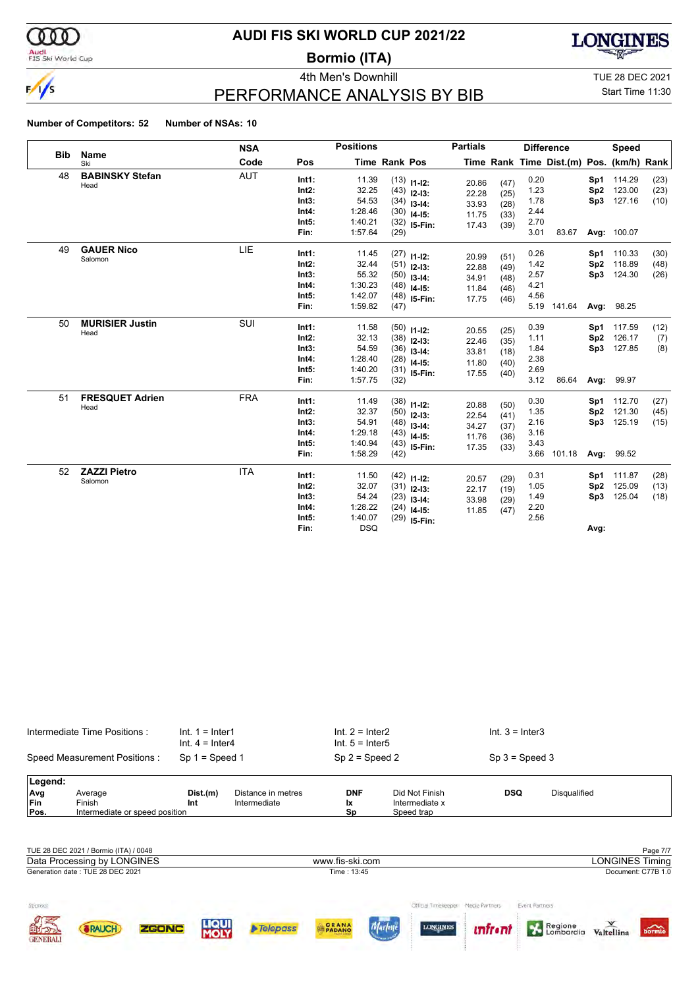

# Audi<br>FIS Ski World Cup

# **AUDI FIS SKI WORLD CUP 2021/22**

**Bormio (ITA)**



4th Men's Downhill TUE 28 DEC 2021

Start Time 11:30

# PERFORMANCE ANALYSIS BY BIB

### **Number of Competitors: 52 Number of NSAs: 10**

|            |                                | <b>NSA</b> |                                                      | <b>Positions</b>                                            |               |                                                                                    | <b>Partials</b>                           |                                      |                                              | <b>Difference</b>                        |                                | <b>Speed</b>                                      |                      |
|------------|--------------------------------|------------|------------------------------------------------------|-------------------------------------------------------------|---------------|------------------------------------------------------------------------------------|-------------------------------------------|--------------------------------------|----------------------------------------------|------------------------------------------|--------------------------------|---------------------------------------------------|----------------------|
| <b>Bib</b> | <b>Name</b><br>Ski             | Code       | Pos                                                  |                                                             | Time Rank Pos |                                                                                    |                                           |                                      |                                              | Time Rank Time Dist.(m) Pos. (km/h) Rank |                                |                                                   |                      |
| 48         | <b>BABINSKY Stefan</b><br>Head | <b>AUT</b> | Int1:<br>$Int2$ :<br>Int3:<br>Int4:<br>Int5:<br>Fin: | 11.39<br>32.25<br>54.53<br>1:28.46<br>1:40.21<br>1:57.64    | (29)          | $(13)$ 11-12:<br>$(43)$ 12-13:<br>$(34)$ 13-14:<br>$(30)$ 14-15:<br>$(32)$ 15-Fin: | 20.86<br>22.28<br>33.93<br>11.75<br>17.43 | (47)<br>(25)<br>(28)<br>(33)<br>(39) | 0.20<br>1.23<br>1.78<br>2.44<br>2.70<br>3.01 | 83.67                                    | Sp2                            | Sp1 114.29<br>123.00<br>Sp3 127.16<br>Avg: 100.07 | (23)<br>(23)<br>(10) |
| 49         | <b>GAUER Nico</b><br>Salomon   | LIE        | Int1:<br>$Int2$ :<br>Int3:<br>Int4:<br>Int5:<br>Fin: | 11.45<br>32.44<br>55.32<br>1:30.23<br>1:42.07<br>1:59.82    | (47)          | $(27)$ 11-12:<br>$(51)$ 12-13:<br>$(50)$ 13-14:<br>$(48)$ 14-15:<br>$(48)$ 15-Fin: | 20.99<br>22.88<br>34.91<br>11.84<br>17.75 | (51)<br>(49)<br>(48)<br>(46)<br>(46) | 0.26<br>1.42<br>2.57<br>4.21<br>4.56<br>5.19 | 141.64                                   | Sp2                            | Sp1 110.33<br>118.89<br>Sp3 124.30<br>Avg: 98.25  | (30)<br>(48)<br>(26) |
| 50         | <b>MURISIER Justin</b><br>Head | SUI        | Int1:<br>$Int2$ :<br>Int3:<br>Int4:<br>Int5:<br>Fin: | 11.58<br>32.13<br>54.59<br>1:28.40<br>1:40.20<br>1:57.75    | (32)          | $(50)$ 11-12:<br>$(38)$ 12-13:<br>$(36)$ 13-14:<br>$(28)$ 14-15:<br>$(31)$ 15-Fin: | 20.55<br>22.46<br>33.81<br>11.80<br>17.55 | (25)<br>(35)<br>(18)<br>(40)<br>(40) | 0.39<br>1.11<br>1.84<br>2.38<br>2.69<br>3.12 | 86.64                                    | Sp2                            | Sp1 117.59<br>126.17<br>Sp3 127.85<br>Avg: 99.97  | (12)<br>(7)<br>(8)   |
| 51         | <b>FRESQUET Adrien</b><br>Head | <b>FRA</b> | Int1:<br>$Int2$ :<br>Int3:<br>Int4:<br>Int5:<br>Fin: | 11.49<br>32.37<br>54.91<br>1:29.18<br>1:40.94<br>1:58.29    | (42)          | $(38)$ 11-12:<br>$(50)$ 12-13:<br>$(48)$ 13-14:<br>$(43)$ 14-15:<br>$(43)$ 15-Fin: | 20.88<br>22.54<br>34.27<br>11.76<br>17.35 | (50)<br>(41)<br>(37)<br>(36)<br>(33) | 0.30<br>1.35<br>2.16<br>3.16<br>3.43<br>3.66 | 101.18                                   | Sp2<br>Sp3<br>Avg:             | Sp1 112.70<br>121.30<br>125.19<br>99.52           | (27)<br>(45)<br>(15) |
| 52         | <b>ZAZZI Pietro</b><br>Salomon | <b>ITA</b> | Int1:<br>$Int2$ :<br>Int3:<br>Int4:<br>Int5:<br>Fin: | 11.50<br>32.07<br>54.24<br>1:28.22<br>1:40.07<br><b>DSQ</b> |               | $(42)$ 11-12:<br>$(31)$ 12-13:<br>$(23)$ 13-14:<br>$(24)$ 14-15:<br>$(29)$ 15-Fin: | 20.57<br>22.17<br>33.98<br>11.85          | (29)<br>(19)<br>(29)<br>(47)         | 0.31<br>1.05<br>1.49<br>2.20<br>2.56         |                                          | Sp <sub>2</sub><br>Sp3<br>Avg: | Sp1 111.87<br>125.09<br>125.04                    | (28)<br>(13)<br>(18) |

|         | Intermediate Time Positions:   | $Int. 1 = Inter1$<br>$Int. 4 = Inter4$ |                    | $Int. 2 = Inter2$<br>$Int. 5 = Inter5$ |                | $Int. 3 = Inter3$ |              |
|---------|--------------------------------|----------------------------------------|--------------------|----------------------------------------|----------------|-------------------|--------------|
|         | Speed Measurement Positions:   | Sp $1 =$ Speed 1                       |                    | $Sp 2 = Speed 2$                       |                | $Sp 3 = Speed 3$  |              |
| Legend: |                                |                                        |                    |                                        |                |                   |              |
| Avg     | Average                        | Dist.(m)                               | Distance in metres | <b>DNF</b>                             | Did Not Finish | <b>DSQ</b>        | Disqualified |
| Fin     | Finish                         | Int                                    | Intermediate       | lχ                                     | Intermediate x |                   |              |
| Pos.    | Intermediate or speed position |                                        |                    | Sp                                     | Speed trap     |                   |              |

|                                  | TUE 28 DEC 2021 / Bormio (ITA) / 0048<br>Data Processing by LONGINES |       |                      |                   | www.fis-ski.com |                                        |                                  |                           | <b>LONGINES Timing</b> | Page 7/7                    |
|----------------------------------|----------------------------------------------------------------------|-------|----------------------|-------------------|-----------------|----------------------------------------|----------------------------------|---------------------------|------------------------|-----------------------------|
|                                  | Generation date: TUE 28 DEC 2021                                     |       |                      |                   | Time: 13:45     |                                        |                                  |                           |                        | Document: C77B 1.0          |
| Sponsor<br><b>OTHER OFFICIAL</b> | RAUCH                                                                | ZGONC | <b>LIQUI</b><br>MOLY | <b>A</b> Telepass | <b>GRANA</b>    | Official Timelepope<br><b>LONGINES</b> | Media Partners<br><i>unfront</i> | Event Partners<br>Regione | Valtellina             | $\overbrace{\text{bornio}}$ |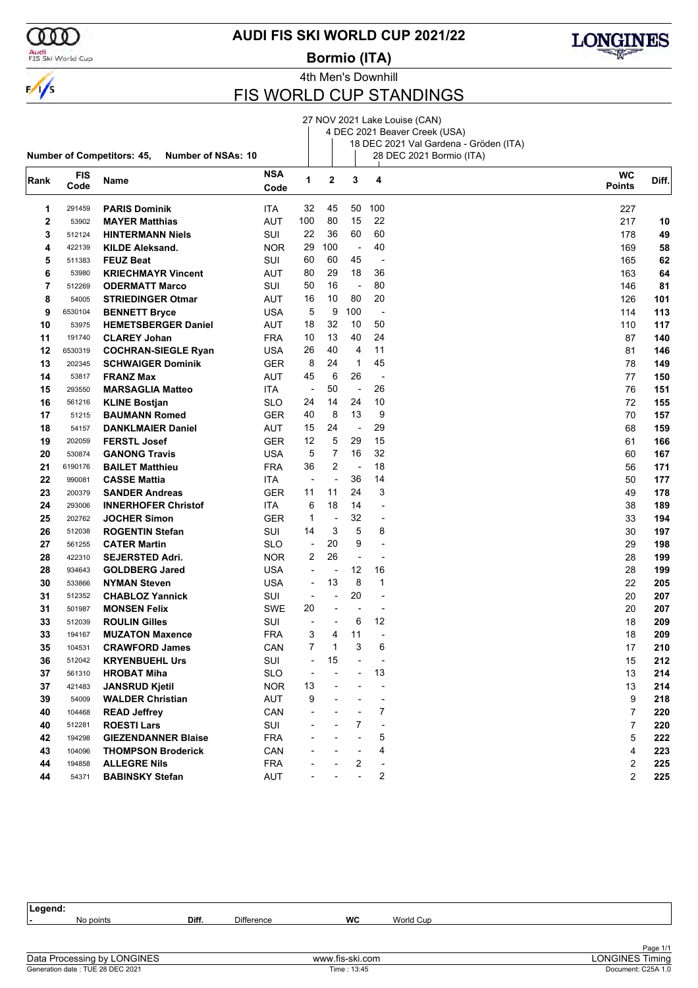

Audi<br>FIS Ski World Cup

### **AUDI FIS SKI WORLD CUP 2021/22**

**Bormio (ITA)**



4th Men's Downhill

# FIS WORLD CUP STANDINGS

|      |            |                                                                |            |                          |                          |                          |                                | 27 NOV 2021 Lake Louise (CAN)          |                |       |
|------|------------|----------------------------------------------------------------|------------|--------------------------|--------------------------|--------------------------|--------------------------------|----------------------------------------|----------------|-------|
|      |            |                                                                |            |                          |                          |                          |                                | 4 DEC 2021 Beaver Creek (USA)          |                |       |
|      |            |                                                                |            |                          |                          |                          |                                | 18 DEC 2021 Val Gardena - Gröden (ITA) |                |       |
|      |            | <b>Number of Competitors: 45,</b><br><b>Number of NSAs: 10</b> |            |                          |                          |                          |                                | 28 DEC 2021 Bormio (ITA)               |                |       |
|      | <b>FIS</b> |                                                                | <b>NSA</b> | 1                        | 2                        | 3                        | 4                              |                                        | <b>WC</b>      |       |
| Rank | Code       | Name                                                           | Code       |                          |                          |                          |                                |                                        | <b>Points</b>  | Diff. |
| 1    | 291459     | <b>PARIS Dominik</b>                                           | ITA        | 32                       | 45                       | 50                       | 100                            |                                        | 227            |       |
| 2    | 53902      | <b>MAYER Matthias</b>                                          | AUT        | 100                      | 80                       | 15                       | 22                             |                                        | 217            | 10    |
| 3    | 512124     | <b>HINTERMANN Niels</b>                                        | SUI        | 22                       | 36                       | 60                       | 60                             |                                        | 178            | 49    |
| 4    | 422139     | <b>KILDE Aleksand.</b>                                         | <b>NOR</b> | 29                       | 100                      | $\overline{\phantom{a}}$ | 40                             |                                        | 169            | 58    |
| 5    | 511383     | <b>FEUZ Beat</b>                                               | SUI        | 60                       | 60                       | 45                       | $\overline{\phantom{a}}$       |                                        | 165            | 62    |
| 6    | 53980      | <b>KRIECHMAYR Vincent</b>                                      | AUT        | 80                       | 29                       | 18                       | 36                             |                                        | 163            | 64    |
| 7    | 512269     | <b>ODERMATT Marco</b>                                          | SUI        | 50                       | 16                       | $\overline{\phantom{a}}$ | 80                             |                                        | 146            | 81    |
| 8    | 54005      | <b>STRIEDINGER Otmar</b>                                       | AUT        | 16                       | 10                       | 80                       | 20                             |                                        | 126            | 101   |
| 9    | 6530104    | <b>BENNETT Bryce</b>                                           | <b>USA</b> | 5                        | 9                        | 100                      | ÷,                             |                                        | 114            | 113   |
| 10   | 53975      | <b>HEMETSBERGER Daniel</b>                                     | AUT        | 18                       | 32                       | 10                       | 50                             |                                        | 110            | 117   |
| 11   | 191740     | <b>CLAREY Johan</b>                                            | FRA        | 10                       | 13                       | 40                       | 24                             |                                        | 87             | 140   |
| 12   | 6530319    |                                                                | <b>USA</b> | 26                       | 40                       | 4                        | 11                             |                                        | 81             | 146   |
| 13   |            | <b>COCHRAN-SIEGLE Ryan</b>                                     |            | 8                        | 24                       | $\mathbf{1}$             | 45                             |                                        | 78             |       |
|      | 202345     | <b>SCHWAIGER Dominik</b>                                       | GER        |                          | 6                        | 26                       |                                |                                        |                | 149   |
| 14   | 53817      | <b>FRANZ Max</b>                                               | AUT        | 45                       |                          |                          | $\overline{\phantom{a}}$<br>26 |                                        | 77             | 150   |
| 15   | 293550     | <b>MARSAGLIA Matteo</b>                                        | ITA.       | $\overline{\phantom{a}}$ | 50                       | $\overline{\phantom{a}}$ |                                |                                        | 76             | 151   |
| 16   | 561216     | <b>KLINE Bostjan</b>                                           | SLO        | 24                       | 14                       | 24                       | 10                             |                                        | 72             | 155   |
| 17   | 51215      | <b>BAUMANN Romed</b>                                           | GER        | 40                       | 8                        | 13                       | 9                              |                                        | 70             | 157   |
| 18   | 54157      | <b>DANKLMAIER Daniel</b>                                       | AUT        | 15                       | 24                       | $\blacksquare$           | 29                             |                                        | 68             | 159   |
| 19   | 202059     | <b>FERSTL Josef</b>                                            | GER        | 12                       | 5                        | 29                       | 15                             |                                        | 61             | 166   |
| 20   | 530874     | <b>GANONG Travis</b>                                           | USA        | 5                        | 7                        | 16                       | 32                             |                                        | 60             | 167   |
| 21   | 6190176    | <b>BAILET Matthieu</b>                                         | FRA        | 36                       | $\overline{2}$           | $\overline{\phantom{a}}$ | 18                             |                                        | 56             | 171   |
| 22   | 990081     | <b>CASSE Mattia</b>                                            | ITA        | $\overline{\phantom{a}}$ | $\overline{\phantom{a}}$ | 36                       | 14                             |                                        | 50             | 177   |
| 23   | 200379     | <b>SANDER Andreas</b>                                          | GER        | 11                       | 11                       | 24                       | 3                              |                                        | 49             | 178   |
| 24   | 293006     | <b>INNERHOFER Christof</b>                                     | ITA.       | 6                        | 18                       | 14                       | $\overline{a}$                 |                                        | 38             | 189   |
| 25   | 202762     | <b>JOCHER Simon</b>                                            | GER        | 1                        | $\overline{\phantom{a}}$ | 32                       | $\overline{\phantom{a}}$       |                                        | 33             | 194   |
| 26   | 512038     | <b>ROGENTIN Stefan</b>                                         | SUI        | 14                       | 3                        | 5                        | 8                              |                                        | 30             | 197   |
| 27   | 561255     | <b>CATER Martin</b>                                            | SLO        | $\overline{\phantom{a}}$ | 20                       | 9                        | $\overline{a}$                 |                                        | 29             | 198   |
| 28   | 422310     | <b>SEJERSTED Adri.</b>                                         | <b>NOR</b> | 2                        | 26                       | $\overline{\phantom{a}}$ | $\overline{a}$                 |                                        | 28             | 199   |
| 28   | 934643     | <b>GOLDBERG Jared</b>                                          | USA        | ÷,                       | $\overline{a}$           | 12                       | 16                             |                                        | 28             | 199   |
| 30   | 533866     | <b>NYMAN Steven</b>                                            | USA        | $\overline{\phantom{a}}$ | 13                       | 8                        | 1                              |                                        | 22             | 205   |
| 31   | 512352     | <b>CHABLOZ Yannick</b>                                         | SUI        | $\overline{\phantom{a}}$ | -                        | 20                       | $\overline{a}$                 |                                        | 20             | 207   |
| 31   | 501987     | <b>MONSEN Felix</b>                                            | SWE        | 20                       | -                        | $\overline{\phantom{a}}$ | $\overline{a}$                 |                                        | 20             | 207   |
| 33   | 512039     | <b>ROULIN Gilles</b>                                           | SUI        |                          |                          | 6                        | 12                             |                                        | 18             | 209   |
| 33   | 194167     | <b>MUZATON Maxence</b>                                         | <b>FRA</b> | 3                        | 4                        | 11                       |                                |                                        | 18             | 209   |
| 35   | 104531     | <b>CRAWFORD James</b>                                          | CAN        | 7                        | $\mathbf 1$              | 3                        | 6                              |                                        | $17\,$         | 210   |
| 36   | 512042     | <b>KRYENBUEHL Urs</b>                                          | SUI        |                          | 15                       |                          |                                |                                        | 15             | 212   |
| 37   | 561310     | <b>HROBAT Miha</b>                                             | <b>SLO</b> | ÷,                       |                          |                          | 13                             |                                        | 13             | 214   |
| 37   | 421483     | <b>JANSRUD Kjetil</b>                                          | <b>NOR</b> | 13                       |                          |                          |                                |                                        | 13             | 214   |
| 39   | 54009      | <b>WALDER Christian</b>                                        | AUT        | 9                        |                          |                          |                                |                                        | 9              | 218   |
| 40   | 104468     | <b>READ Jeffrey</b>                                            | CAN        |                          |                          |                          | 7                              |                                        | $\overline{7}$ | 220   |
| 40   | 512281     | <b>ROESTI Lars</b>                                             | SUI        |                          |                          | 7                        |                                |                                        | 7              | 220   |
| 42   | 194298     | <b>GIEZENDANNER Blaise</b>                                     | <b>FRA</b> |                          |                          |                          | 5                              |                                        | 5              | 222   |
| 43   | 104096     | <b>THOMPSON Broderick</b>                                      | CAN        |                          |                          |                          | 4                              |                                        | 4              | 223   |
| 44   | 194858     | <b>ALLEGRE Nils</b>                                            | <b>FRA</b> |                          |                          | 2                        | $\overline{\phantom{a}}$       |                                        | 2              | 225   |
| 44   | 54371      | <b>BABINSKY Stefan</b>                                         | AUT        |                          |                          |                          | 2                              |                                        | 2              | 225   |

| Legend:                          |       |                   |                 |           |                        |
|----------------------------------|-------|-------------------|-----------------|-----------|------------------------|
| No points                        | Diff. | <b>Difference</b> | WC              | World Cup |                        |
|                                  |       |                   |                 |           |                        |
|                                  |       |                   |                 |           | Page 1/1               |
| Data Processing by LONGINES      |       |                   | www.fis-ski.com |           | <b>LONGINES Timing</b> |
| Generation date: TUE 28 DEC 2021 |       |                   | Time: 13:45     |           | Document: C25A 1.0     |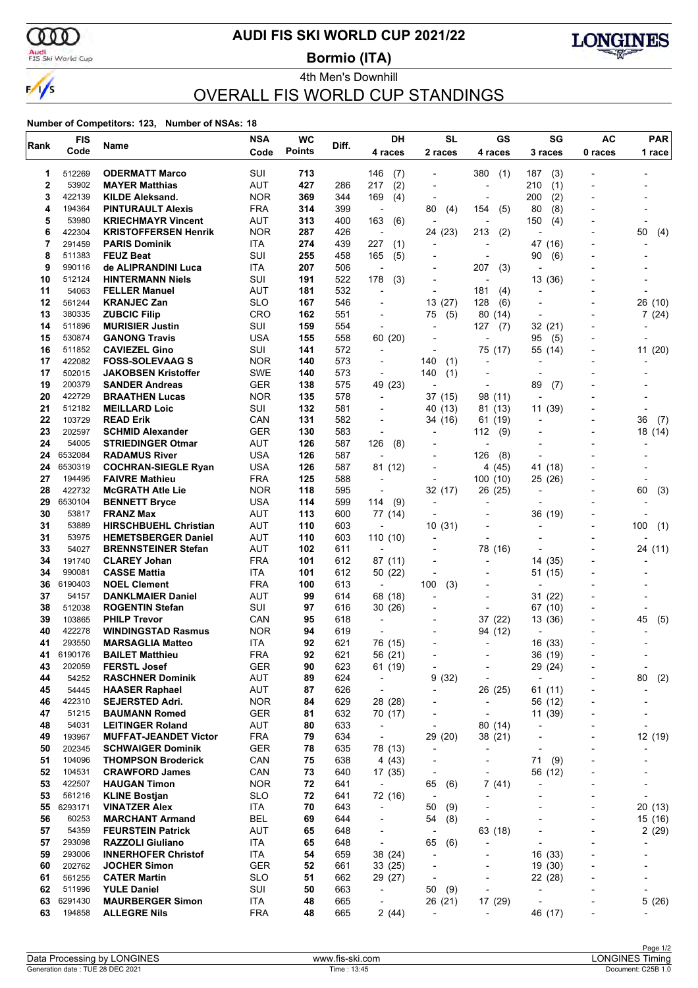

### **AUDI FIS SKI WORLD CUP 2021/22**

**Bormio (ITA)**



### 4th Men's Downhill OVERALL FIS WORLD CUP STANDINGS

| Rank     | <b>FIS</b>        | Name                                              | <b>NSA</b>               | <b>WC</b>     | Diff.      | DH                                     | <b>SL</b>                                            | GS                                                       | SG                           | <b>AC</b>                | <b>PAR</b>               |
|----------|-------------------|---------------------------------------------------|--------------------------|---------------|------------|----------------------------------------|------------------------------------------------------|----------------------------------------------------------|------------------------------|--------------------------|--------------------------|
|          | Code              |                                                   | Code                     | <b>Points</b> |            | 4 races                                | 2 races                                              | 4 races                                                  | 3 races                      | 0 races                  | 1 race                   |
| 1        | 512269            | <b>ODERMATT Marco</b>                             | SUI                      | 713           |            | 146<br>(7)                             |                                                      | 380<br>(1)                                               | (3)<br>187                   |                          |                          |
| 2        | 53902             | <b>MAYER Matthias</b>                             | AUT                      | 427           | 286        | (2)<br>217                             |                                                      | ٠                                                        | (1)<br>210                   |                          |                          |
| 3        | 422139            | <b>KILDE Aleksand.</b>                            | <b>NOR</b>               | 369           | 344        | 169<br>(4)                             | $\overline{\phantom{a}}$                             | $\overline{\phantom{a}}$                                 | 200<br>(2)                   | ۰                        |                          |
| 4        | 194364            | <b>PINTURAULT Alexis</b>                          | <b>FRA</b>               | 314           | 399        | $\overline{\phantom{a}}$               | 80<br>(4)                                            | 154<br>(5)                                               | (8)<br>80                    |                          |                          |
| 5        | 53980             | <b>KRIECHMAYR Vincent</b>                         | AUT                      | 313           | 400        | 163<br>(6)                             |                                                      | ٠                                                        | 150<br>(4)                   |                          |                          |
| 6        | 422304            | <b>KRISTOFFERSEN Henrik</b>                       | <b>NOR</b>               | 287           | 426        | $\overline{\phantom{a}}$               | 24 (23)                                              | 213<br>(2)                                               | $\overline{a}$               | ٠                        | 50<br>(4)                |
| 7        | 291459            | <b>PARIS Dominik</b>                              | ITA                      | 274           | 439        | 227<br>(1)                             |                                                      | $\overline{a}$                                           | 47 (16)                      |                          |                          |
| 8        | 511383            | <b>FEUZ Beat</b>                                  | SUI                      | 255           | 458        | 165<br>(5)                             |                                                      | ٠                                                        | 90<br>(6)                    |                          |                          |
| 9        | 990116            | de ALIPRANDINI Luca                               | ITA                      | 207           | 506        | $\overline{\phantom{a}}$               | $\overline{\phantom{a}}$                             | 207<br>(3)                                               | $\overline{\phantom{a}}$     | ۰                        |                          |
| 10<br>11 | 512124<br>54063   | <b>HINTERMANN Niels</b><br><b>FELLER Manuel</b>   | SUI<br>AUT               | 191<br>181    | 522<br>532 | 178<br>(3)<br>$\overline{\phantom{a}}$ | $\blacksquare$                                       | $\overline{a}$<br>181<br>(4)                             | 13 (36)                      |                          |                          |
| 12       | 561244            | <b>KRANJEC Zan</b>                                | <b>SLO</b>               | 167           | 546        | $\overline{a}$                         | 13 (27)                                              | 128<br>(6)                                               | $\overline{\phantom{a}}$     |                          | 26<br>(10)               |
| 13       | 380335            | <b>ZUBCIC Filip</b>                               | CRO                      | 162           | 551        |                                        | 75<br>(5)                                            | 80 (14)                                                  | $\blacksquare$               |                          | 7(24)                    |
| 14       | 511896            | <b>MURISIER Justin</b>                            | SUI                      | 159           | 554        | ÷                                      |                                                      | 127<br>(7)                                               | 32 (21)                      |                          |                          |
| 15       | 530874            | <b>GANONG Travis</b>                              | USA                      | 155           | 558        | 60 (20)                                |                                                      | $\overline{a}$                                           | 95<br>(5)                    | ٠                        |                          |
| 16       | 511852            | <b>CAVIEZEL Gino</b>                              | SUI                      | 141           | 572        |                                        |                                                      | 75 (17)                                                  | 55 (14)                      |                          | 11(20)                   |
| 17       | 422082            | <b>FOSS-SOLEVAAG S</b>                            | <b>NOR</b>               | 140           | 573        |                                        | 140<br>(1)                                           |                                                          |                              |                          |                          |
| 17       | 502015            | <b>JAKOBSEN Kristoffer</b>                        | <b>SWE</b>               | 140           | 573        | $\overline{\phantom{a}}$               | 140<br>(1)                                           | $\overline{a}$                                           | $\overline{\phantom{a}}$     |                          |                          |
| 19       | 200379            | <b>SANDER Andreas</b>                             | <b>GER</b>               | 138           | 575        | 49 (23)                                | $\blacksquare$                                       | $\overline{\phantom{a}}$                                 | 89<br>(7)                    |                          |                          |
| 20       | 422729            | <b>BRAATHEN Lucas</b>                             | <b>NOR</b>               | 135           | 578        | $\overline{\phantom{a}}$               | 37 (15)                                              | 98 (11)                                                  |                              |                          |                          |
| 21       | 512182            | <b>MEILLARD Loic</b>                              | SUI                      | 132           | 581        | $\overline{\phantom{a}}$               | 40 (13)                                              | 81 (13)                                                  | 11 (39)                      |                          |                          |
| 22       | 103729            | <b>READ Erik</b>                                  | CAN                      | 131           | 582        | $\overline{\phantom{a}}$               | 34 (16)                                              | 61 (19)                                                  |                              |                          | 36<br>(7)                |
| 23       | 202597            | <b>SCHMID Alexander</b>                           | <b>GER</b>               | 130           | 583        | ÷                                      |                                                      | 112<br>(9)                                               |                              |                          | 18 (14)                  |
| 24       | 54005             | <b>STRIEDINGER Otmar</b>                          | AUT                      | 126           | 587        | 126<br>(8)                             |                                                      | ٠                                                        |                              | ۰                        |                          |
| 24       | 6532084           | <b>RADAMUS River</b>                              | <b>USA</b>               | 126           | 587        | $\overline{\phantom{a}}$               |                                                      | 126<br>(8)                                               |                              |                          |                          |
| 24<br>27 | 6530319<br>194495 | <b>COCHRAN-SIEGLE Ryan</b>                        | <b>USA</b><br><b>FRA</b> | 126           | 587        | 81 (12)                                |                                                      | 4 (45)                                                   | 41 (18)                      |                          |                          |
| 28       | 422732            | <b>FAIVRE Mathieu</b><br><b>McGRATH Atle Lie</b>  | <b>NOR</b>               | 125<br>118    | 588<br>595 | $\overline{\phantom{a}}$               | $\overline{a}$<br>32 (17)                            | 100(10)<br>26 (25)                                       | 25 (26)                      |                          | 60<br>(3)                |
| 29       | 6530104           | <b>BENNETT Bryce</b>                              | USA                      | 114           | 599        | 114<br>(9)                             | $\overline{\phantom{a}}$                             |                                                          |                              |                          |                          |
| 30       | 53817             | <b>FRANZ Max</b>                                  | AUT                      | 113           | 600        | 77 (14)                                | $\overline{a}$                                       | $\overline{\phantom{0}}$                                 | 36 (19)                      | ۰                        |                          |
| 31       | 53889             | <b>HIRSCHBUEHL Christian</b>                      | <b>AUT</b>               | 110           | 603        | $\overline{\phantom{a}}$               | 10(31)                                               |                                                          | $\overline{\phantom{a}}$     |                          | 100<br>(1)               |
| 31       | 53975             | <b>HEMETSBERGER Daniel</b>                        | AUT                      | 110           | 603        | 110(10)                                |                                                      | -                                                        |                              |                          |                          |
| 33       | 54027             | <b>BRENNSTEINER Stefan</b>                        | AUT                      | 102           | 611        | $\overline{\phantom{a}}$               | $\overline{\phantom{a}}$                             | 78 (16)                                                  | $\overline{\phantom{a}}$     | ٠                        | 24 (11)                  |
| 34       | 191740            | <b>CLAREY Johan</b>                               | <b>FRA</b>               | 101           | 612        | 87 (11)                                |                                                      | $\overline{\phantom{0}}$                                 | 14 (35)                      |                          |                          |
| 34       | 990081            | <b>CASSE Mattia</b>                               | ITA                      | 101           | 612        | 50 (22)                                |                                                      |                                                          | 51 (15)                      |                          |                          |
| 36       | 6190403           | <b>NOEL Clement</b>                               | <b>FRA</b>               | 100           | 613        | $\overline{\phantom{a}}$               | 100<br>(3)                                           | $\overline{\phantom{0}}$                                 | $\overline{\phantom{a}}$     | ۰                        |                          |
| 37       | 54157             | <b>DANKLMAIER Daniel</b>                          | AUT                      | 99            | 614        | 68 (18)                                |                                                      | $\overline{\phantom{0}}$                                 | 31 (22)                      |                          |                          |
| 38       | 512038            | <b>ROGENTIN Stefan</b>                            | SUI                      | 97            | 616        | 30 (26)                                |                                                      | $\overline{\phantom{0}}$                                 | 67 (10)                      |                          |                          |
| 39       | 103865            | <b>PHILP Trevor</b>                               | CAN                      | 95            | 618        | $\overline{\phantom{a}}$               | $\overline{\phantom{a}}$                             | 37<br>(22)                                               | 13 (36)                      | ۰                        | 45<br>(5)                |
| 40       | 422278            | <b>WINDINGSTAD Rasmus</b>                         | <b>NOR</b>               | 94            | 619        | L,                                     |                                                      | 94 (12)                                                  |                              |                          |                          |
| 41<br>41 | 293550<br>6190176 | <b>MARSAGLIA Matteo</b>                           | ITA                      | 92<br>92      | 621        | 76 (15)                                |                                                      | $\overline{\phantom{0}}$                                 | 16 (33)                      |                          |                          |
| 43       | 202059            | <b>BAILET Matthieu</b><br><b>FERSTL Josef</b>     | <b>FRA</b><br>GER        | 90            | 621<br>623 | 56 (21)<br>61 (19)                     |                                                      |                                                          | 36 (19)<br>29 (24)           | -                        |                          |
| 44       | 54252             | <b>RASCHNER Dominik</b>                           | AUT                      | 89            | 624        | $\overline{\phantom{a}}$               | $\overline{\phantom{a}}$<br>9(32)                    | -                                                        | $\overline{\phantom{a}}$     | $\overline{\phantom{a}}$ | (2)<br>80                |
| 45       | 54445             | <b>HAASER Raphael</b>                             | AUT                      | 87            | 626        | $\overline{\phantom{a}}$               | $\overline{\phantom{a}}$                             | 26 (25)                                                  | 61 (11)                      | $\overline{a}$           |                          |
| 46       | 422310            | <b>SEJERSTED Adri.</b>                            | <b>NOR</b>               | 84            | 629        | 28 (28)                                | $\qquad \qquad \blacksquare$                         | $\qquad \qquad \blacksquare$                             | 56 (12)                      |                          |                          |
| 47       | 51215             | <b>BAUMANN Romed</b>                              | <b>GER</b>               | 81            | 632        | 70 (17)                                | $\overline{\phantom{a}}$                             | $\overline{\phantom{0}}$                                 | 11 (39)                      |                          |                          |
| 48       | 54031             | <b>LEITINGER Roland</b>                           | AUT                      | 80            | 633        | $\blacksquare$                         | $\overline{\phantom{a}}$                             | 80 (14)                                                  | $\overline{\phantom{a}}$     |                          | $\overline{\phantom{a}}$ |
| 49       | 193967            | <b>MUFFAT-JEANDET Victor</b>                      | <b>FRA</b>               | 79            | 634        | $\overline{\phantom{a}}$               | 29 (20)                                              | 38 (21)                                                  | $\overline{a}$               |                          | 12 (19)                  |
| 50       | 202345            | <b>SCHWAIGER Dominik</b>                          | <b>GER</b>               | 78            | 635        | 78 (13)                                | $\overline{\phantom{a}}$                             | $\overline{\phantom{0}}$                                 | $\overline{a}$               | ٠                        |                          |
| 51       | 104096            | <b>THOMPSON Broderick</b>                         | CAN                      | 75            | 638        | 4 (43)                                 |                                                      | $\overline{\phantom{0}}$                                 | 71<br>(9)                    | $\overline{a}$           |                          |
| 52       | 104531            | <b>CRAWFORD James</b>                             | CAN                      | 73            | 640        | 17 (35)                                |                                                      | $\overline{\phantom{0}}$                                 | 56 (12)                      |                          |                          |
| 53       | 422507            | <b>HAUGAN Timon</b>                               | <b>NOR</b>               | 72            | 641        | $\overline{\phantom{a}}$               | 65<br>(6)                                            | 7(41)                                                    | $\overline{\phantom{a}}$     |                          | $\overline{\phantom{a}}$ |
| 53       | 561216            | <b>KLINE Bostjan</b>                              | SLO                      | 72            | 641        | 72 (16)                                | $\overline{\phantom{a}}$                             |                                                          | $\overline{\phantom{a}}$     |                          | $\overline{\phantom{a}}$ |
| 55       | 6293171           | <b>VINATZER Alex</b>                              | ITA                      | 70            | 643        | $\overline{\phantom{a}}$               | 50<br>(9)                                            | $\qquad \qquad \blacksquare$                             |                              |                          | 20 (13)                  |
| 56       | 60253             | <b>MARCHANT Armand</b>                            | <b>BEL</b>               | 69            | 644        | $\overline{\phantom{0}}$               | (8)<br>54                                            | ٠                                                        |                              | $\overline{\phantom{0}}$ | 15 (16)                  |
| 57       | 54359             | <b>FEURSTEIN Patrick</b>                          | AUT                      | 65            | 648        | $\overline{\phantom{a}}$               | $\overline{\phantom{a}}$                             | 63 (18)                                                  | $\overline{a}$               | $\overline{a}$           | 2(29)                    |
| 57<br>59 | 293098<br>293006  | <b>RAZZOLI Giuliano</b>                           | <b>ITA</b>               | 65<br>54      | 648<br>659 | $\overline{\phantom{a}}$               | 65<br>(6)                                            | $\overline{\phantom{0}}$                                 | $\blacksquare$<br>16(33)     |                          |                          |
| 60       | 202762            | <b>INNERHOFER Christof</b><br><b>JOCHER Simon</b> | ITA<br>GER               | 52            | 661        | 38 (24)<br>33(25)                      | $\overline{\phantom{a}}$<br>$\overline{\phantom{a}}$ | $\overline{\phantom{0}}$<br>$\qquad \qquad \blacksquare$ | 19 (30)                      | ٠<br>$\overline{a}$      |                          |
| 61       | 561255            | <b>CATER Martin</b>                               | <b>SLO</b>               | 51            | 662        | 29 (27)                                |                                                      | $\overline{\phantom{0}}$                                 | 22 (28)                      |                          |                          |
| 62       | 511996            | <b>YULE Daniel</b>                                | SUI                      | 50            | 663        | $\overline{\phantom{a}}$               | 50<br>(9)                                            | $\overline{\phantom{0}}$                                 | $\qquad \qquad \blacksquare$ |                          | $\overline{\phantom{a}}$ |
| 63       | 6291430           | <b>MAURBERGER Simon</b>                           | ITA                      | 48            | 665        | $\overline{\phantom{a}}$               | 26 (21)                                              | 17 (29)                                                  | $\overline{\phantom{a}}$     |                          | 5(26)                    |
| 63       | 194858            | <b>ALLEGRE Nils</b>                               | <b>FRA</b>               | 48            | 665        | 2(44)                                  | $\overline{\phantom{a}}$                             | $\overline{\phantom{a}}$                                 | 46 (17)                      |                          |                          |
|          |                   |                                                   |                          |               |            |                                        |                                                      |                                                          |                              |                          |                          |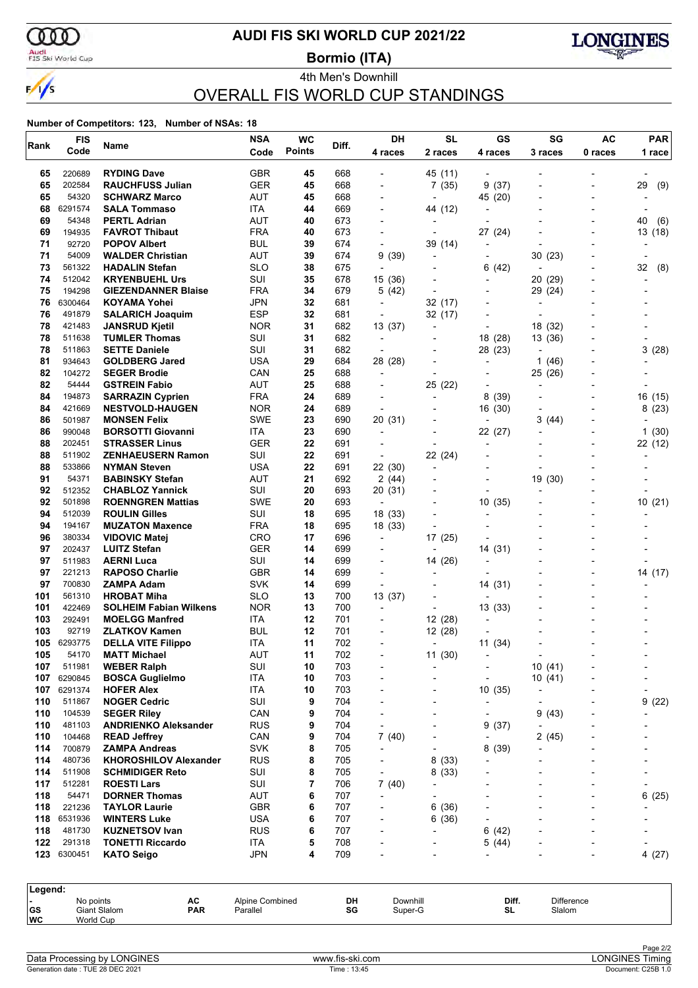

### **AUDI FIS SKI WORLD CUP 2021/22**

Audi<br>FIS Ski World Cup

4th Men's Downhill **Bormio (ITA)**



# OVERALL FIS WORLD CUP STANDINGS

| Rank       | <b>FIS</b>       | Name                                             | <b>NSA</b>        | <b>WC</b>     | Diff.      | DH             | <b>SL</b>                | GS                       | SG         | <b>AC</b> | <b>PAR</b> |
|------------|------------------|--------------------------------------------------|-------------------|---------------|------------|----------------|--------------------------|--------------------------|------------|-----------|------------|
|            | Code             |                                                  | Code              | <b>Points</b> |            | 4 races        | 2 races                  | 4 races                  | 3 races    | 0 races   | 1 race     |
| 65         | 220689           | <b>RYDING Dave</b>                               | GBR               | 45            | 668        |                | 45 (11)                  |                          |            |           |            |
| 65         | 202584           | <b>RAUCHFUSS Julian</b>                          | <b>GER</b>        | 45            | 668        |                | 7(35)                    | (37)<br>9                |            |           | 29<br>(9)  |
| 65         | 54320            | <b>SCHWARZ Marco</b>                             | <b>AUT</b>        | 45            | 668        |                |                          | 45 (20)                  |            |           |            |
| 68         | 6291574          | <b>SALA Tommaso</b>                              | ITA               | 44            | 669        |                | 44 (12)                  |                          |            |           |            |
| 69         | 54348            | <b>PERTL Adrian</b>                              | <b>AUT</b>        | 40            | 673        |                |                          |                          |            |           | 40<br>(6)  |
| 69         | 194935<br>92720  | <b>FAVROT Thibaut</b>                            | <b>FRA</b>        | 40            | 673        |                |                          | 27 (24)                  |            |           | 13<br>(18) |
| 71<br>71   | 54009            | <b>POPOV Albert</b><br><b>WALDER Christian</b>   | BUL<br><b>AUT</b> | 39<br>39      | 674<br>674 | 9 (39)         | 39 (14)                  |                          | 30(23)     |           |            |
| 73         | 561322           | <b>HADALIN Stefan</b>                            | SLO               | 38            | 675        |                |                          | (42)<br>6                |            |           | 32<br>(8)  |
| 74         | 512042           | <b>KRYENBUEHL Urs</b>                            | SUI               | 35            | 678        | 15 (36)        |                          |                          | 20 (29)    |           |            |
| 75         | 194298           | <b>GIEZENDANNER Blaise</b>                       | <b>FRA</b>        | 34            | 679        | 5 (42)         |                          |                          | 29 (24)    |           |            |
| 76         | 6300464          | <b>KOYAMA Yohei</b>                              | <b>JPN</b>        | 32            | 681        |                | 32(17)                   |                          | ÷          |           |            |
| 76         | 491879           | <b>SALARICH Joaquim</b>                          | <b>ESP</b>        | 32            | 681        |                | 32 (17)                  |                          |            |           |            |
| 78         | 421483           | <b>JANSRUD Kjetil</b>                            | <b>NOR</b>        | 31            | 682        | 13 (37)        | $\overline{\phantom{0}}$ | $\overline{\phantom{a}}$ | 18 (32)    |           |            |
| 78         | 511638           | <b>TUMLER Thomas</b>                             | SUI               | 31            | 682        |                |                          | 18 (28)                  | 13 (36)    |           |            |
| 78         | 511863           | <b>SETTE Daniele</b>                             | SUI               | 31            | 682        |                |                          | 28 (23)                  |            |           | 3(28)      |
| 81         | 934643           | <b>GOLDBERG Jared</b>                            | <b>USA</b>        | 29            | 684        | 28 (28)        |                          |                          | (46)<br>1  |           |            |
| 82         | 104272           | <b>SEGER Brodie</b>                              | CAN               | 25            | 688        | $\overline{a}$ |                          |                          | 25 (26)    |           |            |
| 82         | 54444            | <b>GSTREIN Fabio</b>                             | AUT               | 25            | 688        |                | 25 (22)                  |                          |            |           |            |
| 84         | 194873           | <b>SARRAZIN Cyprien</b>                          | <b>FRA</b>        | 24            | 689        |                |                          | 8<br>(39)                |            |           | 16 (15)    |
| 84         | 421669           | <b>NESTVOLD-HAUGEN</b>                           | <b>NOR</b>        | 24            | 689        |                |                          | 16 (30)                  |            |           | 8(23)      |
| 86         | 501987           | <b>MONSEN Felix</b>                              | SWE               | 23            | 690        | 20 (31)        |                          |                          | 3<br>(44)  |           |            |
| 86         | 990048<br>202451 | <b>BORSOTTI Giovanni</b>                         | ITA               | 23<br>22      | 690        |                |                          | 22 (27)                  |            |           | 1(30)      |
| 88<br>88   | 511902           | <b>STRASSER Linus</b><br>ZENHAEUSERN Ramon       | <b>GER</b><br>SUI | 22            | 691<br>691 |                | 22 (24)                  | $\overline{\phantom{a}}$ |            |           | 22 (12)    |
| 88         | 533866           | <b>NYMAN Steven</b>                              | <b>USA</b>        | 22            | 691        | 22 (30)        | $\blacksquare$           |                          |            |           |            |
| 91         | 54371            | <b>BABINSKY Stefan</b>                           | <b>AUT</b>        | 21            | 692        | 2(44)          |                          | $\overline{\phantom{0}}$ | 19 (30)    |           |            |
| 92         | 512352           | <b>CHABLOZ Yannick</b>                           | SUI               | 20            | 693        | 20 (31)        |                          |                          |            |           |            |
| 92         | 501898           | <b>ROENNGREN Mattias</b>                         | <b>SWE</b>        | 20            | 693        |                |                          | 10 (35)                  |            |           | 10(21)     |
| 94         | 512039           | <b>ROULIN Gilles</b>                             | SUI               | 18            | 695        | 18 (33)        |                          | ٠                        |            |           |            |
| 94         | 194167           | <b>MUZATON Maxence</b>                           | <b>FRA</b>        | 18            | 695        | 18 (33)        | $\overline{\phantom{a}}$ |                          |            |           |            |
| 96         | 380334           | <b>VIDOVIC Matej</b>                             | <b>CRO</b>        | 17            | 696        |                | 17 (25)                  |                          |            |           |            |
| 97         | 202437           | <b>LUITZ Stefan</b>                              | <b>GER</b>        | 14            | 699        |                |                          | 14 (31)                  |            |           |            |
| 97         | 511983           | <b>AERNI Luca</b>                                | SUI               | 14            | 699        |                | 14 (26)                  |                          |            |           |            |
| 97         | 221213           | <b>RAPOSO Charlie</b>                            | <b>GBR</b>        | 14            | 699        |                |                          |                          |            |           | 14 (17)    |
| 97         | 700830           | ZAMPA Adam                                       | <b>SVK</b>        | 14            | 699        |                |                          | 14 (31)                  |            |           |            |
| 101        | 561310           | <b>HROBAT Miha</b>                               | SLO               | 13            | 700        | 13 (37)        |                          |                          |            |           |            |
| 101        | 422469           | <b>SOLHEIM Fabian Wilkens</b>                    | <b>NOR</b>        | 13            | 700        | $\blacksquare$ |                          | 13 (33)                  |            |           |            |
| 103        | 292491           | <b>MOELGG Manfred</b>                            | ITA               | 12            | 701        |                | 12(28)                   |                          |            |           |            |
| 103        | 92719            | <b>ZLATKOV Kamen</b>                             | BUL               | 12            | 701        |                | 12 (28)                  |                          |            |           |            |
| 105<br>105 | 6293775<br>54170 | <b>DELLA VITE Filippo</b><br><b>MATT Michael</b> | ITA<br>AUT        | 11<br>11      | 702<br>702 |                | $\blacksquare$           | 11(34)                   |            |           |            |
| 107        | 511981           | <b>WEBER Ralph</b>                               | SUI               | 10            | 703        |                | 11(30)                   |                          | 10(41)     |           |            |
| 107        | 6290845          | <b>BOSCA Guglielmo</b>                           | <b>ITA</b>        | 10            | 703        |                |                          |                          | 10(41)     |           |            |
| 107        | 6291374          | <b>HOFER Alex</b>                                | <b>ITA</b>        | 10            | 703        |                |                          | 10(35)                   |            |           |            |
| 110        | 511867           | <b>NOGER Cedric</b>                              | SUI               | 9             | 704        |                |                          |                          |            |           | 9<br>(22)  |
| 110        | 104539           | <b>SEGER Riley</b>                               | CAN               | 9             | 704        |                |                          |                          | 9(43)      |           |            |
| 110        | 481103           | <b>ANDRIENKO Aleksander</b>                      | <b>RUS</b>        | 9             | 704        |                |                          | 9<br>(37)                |            |           |            |
| 110        | 104468           | <b>READ Jeffrey</b>                              | CAN               | 9             | 704        | 7(40)          |                          |                          | 2(45)      |           |            |
| 114        | 700879           | <b>ZAMPA Andreas</b>                             | <b>SVK</b>        | 8             | 705        |                |                          | 8<br>(39)                |            |           |            |
| 114        | 480736           | <b>KHOROSHILOV Alexander</b>                     | <b>RUS</b>        | 8             | 705        |                | 8<br>(33)                |                          |            |           |            |
| 114        | 511908           | <b>SCHMIDIGER Reto</b>                           | SUI               | 8             | 705        |                | 8(33)                    |                          |            |           |            |
| 117        | 512281           | <b>ROESTI Lars</b>                               | SUI               | 7             | 706        | 7(40)          |                          |                          |            |           |            |
| 118        | 54471            | <b>DORNER Thomas</b>                             | AUT               | 6             | 707        |                |                          |                          |            |           | 6<br>(25)  |
| 118        | 221236           | <b>TAYLOR Laurie</b>                             | <b>GBR</b>        | 6             | 707        |                | (36)<br>6                |                          |            |           |            |
| 118        | 6531936          | <b>WINTERS Luke</b>                              | <b>USA</b>        | 6             | 707        |                | 6(36)                    |                          |            |           |            |
| 118        | 481730           | <b>KUZNETSOV Ivan</b>                            | <b>RUS</b>        | 6             | 707        |                |                          | 6<br>(42)                |            |           |            |
| 122<br>123 | 291318           | <b>TONETTI Riccardo</b>                          | ITA               | 5<br>4        | 708<br>709 |                |                          | 5<br>(44)                |            |           |            |
|            | 6300451          | <b>KATO Seigo</b>                                | <b>JPN</b>        |               |            |                |                          |                          |            |           | 4(27)      |
|            |                  |                                                  |                   |               |            |                |                          |                          |            |           |            |
| Legend:    | No points        | AC                                               | Alpine Combined   |               | DH         | Downhill       |                          | Diff.                    | Difference |           |            |
| GS         |                  | Giant Slalom<br><b>PAR</b>                       | Parallel          |               | SG         | Super-G        |                          | SL                       | Slalom     |           |            |
| WC         | World Cup        |                                                  |                   |               |            |                |                          |                          |            |           |            |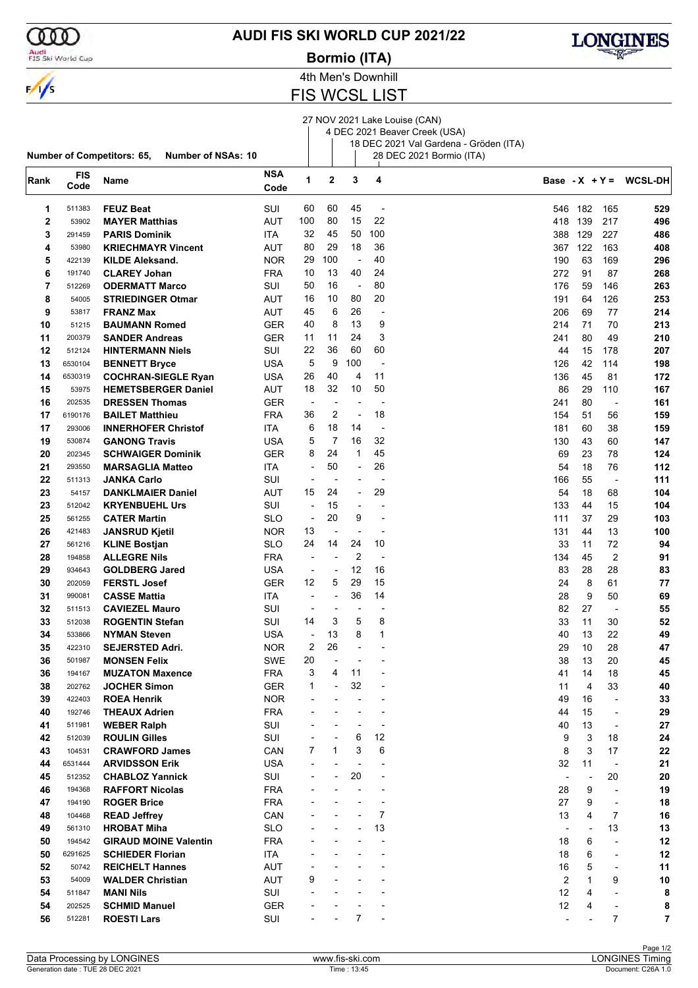

### Audi<br>FIS Ski World Cup

### **AUDI FIS SKI WORLD CUP 2021/22**

**Bormio (ITA)**



4th Men's Downhill

# **FIS WCSL LIST**

#### 27 NOV 2021 Lake Louise (CAN) 4 DEC 2021 Beaver Creek (USA)

18 DEC 2021 Val Gardena - Gröden (ITA)

|             |                    | Number of Competitors: 65,<br>Number of NSAs: 10 |                    |                          |                          |                          |                          | 28 DEC 2021 Bormio (ITA) |                          |              |                          |                          |
|-------------|--------------------|--------------------------------------------------|--------------------|--------------------------|--------------------------|--------------------------|--------------------------|--------------------------|--------------------------|--------------|--------------------------|--------------------------|
| Rank        | <b>FIS</b><br>Code | Name                                             | <b>NSA</b><br>Code | 1                        | $\mathbf 2$              | 3                        | 4                        |                          |                          |              |                          | Base - $X + Y = WCSL-DH$ |
| 1           | 511383             | <b>FEUZ Beat</b>                                 | SUI                | 60                       | 60                       | 45                       | $\overline{a}$           |                          | 546                      | 182          | 165                      | 529                      |
| $\mathbf 2$ | 53902              | <b>MAYER Matthias</b>                            | AUT                | 100                      | 80                       | 15                       | 22                       |                          | 418                      | 139          | 217                      | 496                      |
| 3           | 291459             | <b>PARIS Dominik</b>                             | ITA.               | 32                       | 45                       | 50                       | 100                      |                          | 388                      | 129          | 227                      | 486                      |
| 4           | 53980              | <b>KRIECHMAYR Vincent</b>                        | AUT                | 80                       | 29                       | 18                       | 36                       |                          | 367                      | 122          | 163                      | 408                      |
| 5           | 422139             | <b>KILDE Aleksand.</b>                           | <b>NOR</b>         | 29                       | 100                      | $\blacksquare$           | 40                       |                          | 190                      | 63           | 169                      | 296                      |
| 6           | 191740             | <b>CLAREY Johan</b>                              | <b>FRA</b>         | 10                       | 13                       | 40                       | 24                       |                          | 272                      | 91           | 87                       | 268                      |
| 7           | 512269             | <b>ODERMATT Marco</b>                            | SUI                | 50                       | 16                       | $\overline{\phantom{a}}$ | 80                       |                          | 176                      | 59           | 146                      | 263                      |
| 8           | 54005              | <b>STRIEDINGER Otmar</b>                         | AUT                | 16                       | 10                       | 80                       | 20                       |                          | 191                      | 64           | 126                      | 253                      |
| 9           | 53817              | <b>FRANZ Max</b>                                 | AUT                | 45                       | 6                        | 26                       |                          |                          | 206                      | 69           | 77                       | 214                      |
| 10          | 51215              | <b>BAUMANN Romed</b>                             | GER                | 40                       | 8                        | 13                       | 9                        |                          | 214                      | 71           | 70                       | 213                      |
| 11          | 200379             | <b>SANDER Andreas</b>                            | <b>GER</b>         | 11                       | 11                       | 24                       | 3                        |                          | 241                      | 80           | 49                       | 210                      |
| 12          | 512124             | <b>HINTERMANN Niels</b>                          | SUI                | 22                       | 36                       | 60                       | 60                       |                          | 44                       | 15           | 178                      | 207                      |
| 13          | 6530104            | <b>BENNETT Bryce</b>                             | USA                | 5                        | 9                        | 100                      | $\overline{a}$           |                          | 126                      | 42           | 114                      | 198                      |
| 14          | 6530319            | <b>COCHRAN-SIEGLE Ryan</b>                       | USA                | 26                       | 40                       | 4                        | 11                       |                          | 136                      | 45           | 81                       | 172                      |
| 15          | 53975              | <b>HEMETSBERGER Daniel</b>                       | AUT                | 18                       | 32                       | 10                       | 50                       |                          | 86                       | 29           | 110                      | 167                      |
| 16          | 202535             | <b>DRESSEN Thomas</b>                            | GER                | $\overline{\phantom{a}}$ | $\overline{\phantom{a}}$ | $\overline{\phantom{a}}$ |                          |                          | 241                      | 80           | $\overline{\phantom{a}}$ | 161                      |
| 17          | 6190176            | <b>BAILET Matthieu</b>                           | <b>FRA</b>         | 36                       | 2                        | $\overline{\phantom{a}}$ | 18                       |                          | 154                      | 51           | 56                       | 159                      |
| 17          | 293006             | <b>INNERHOFER Christof</b>                       | ITA                | 6                        | 18                       | 14                       | $\overline{a}$           |                          | 181                      | 60           | 38                       | 159                      |
| 19          | 530874             | <b>GANONG Travis</b>                             | USA                | 5                        | 7                        | 16                       | 32                       |                          | 130                      | 43           | 60                       | 147                      |
| 20          | 202345             | <b>SCHWAIGER Dominik</b>                         | <b>GER</b>         | 8                        | 24                       | $\mathbf 1$              | 45                       |                          | 69                       | 23           | 78                       | 124                      |
| 21          | 293550             | <b>MARSAGLIA Matteo</b>                          | ITA                | $\overline{a}$           | 50                       | $\overline{a}$           | 26                       |                          | 54                       | 18           | 76                       | 112                      |
| 22          | 511313             | <b>JANKA Carlo</b>                               | SUI                | $\overline{a}$           | $\overline{a}$           |                          |                          |                          | 166                      | 55           | $\overline{\phantom{a}}$ | 111                      |
| 23          | 54157              | <b>DANKLMAIER Daniel</b>                         | AUT                | 15                       | 24                       | $\overline{\phantom{a}}$ | 29                       |                          | 54                       | 18           | 68                       | 104                      |
| 23          | 512042             | <b>KRYENBUEHL Urs</b>                            | SUI                | $\overline{a}$           | 15                       | ÷                        |                          |                          | 133                      | 44           | 15                       | 104                      |
| 25          | 561255             | <b>CATER Martin</b>                              | <b>SLO</b>         | $\overline{\phantom{a}}$ | 20                       | 9                        | $\overline{\phantom{a}}$ |                          | 111                      | 37           | 29                       | 103                      |
| 26          | 421483             | <b>JANSRUD Kjetil</b>                            | <b>NOR</b>         | 13                       | ÷                        | $\overline{a}$           | $\overline{a}$           |                          | 131                      | 44           | 13                       | 100                      |
| 27          | 561216             | <b>KLINE Bostjan</b>                             | SLO                | 24                       | 14                       | 24                       | 10                       |                          | 33                       | 11           | 72                       | 94                       |
| 28          | 194858             | <b>ALLEGRE Nils</b>                              | <b>FRA</b>         | $\overline{a}$           | $\overline{\phantom{0}}$ | $\overline{2}$           | $\overline{a}$           |                          | 134                      | 45           | 2                        | 91                       |
| 29          | 934643             | <b>GOLDBERG Jared</b>                            | USA                | $\overline{\phantom{a}}$ | $\overline{a}$           | 12                       | 16                       |                          | 83                       | 28           | 28                       | 83                       |
| 30          | 202059             | <b>FERSTL Josef</b>                              | <b>GER</b>         | 12                       | 5                        | 29                       | 15                       |                          | 24                       | 8            | 61                       | 77                       |
| 31          | 990081             | <b>CASSE Mattia</b>                              | ITA                | $\overline{\phantom{a}}$ | $\overline{\phantom{0}}$ | 36                       | 14                       |                          | 28                       | 9            | 50                       | 69                       |
| 32          | 511513             | <b>CAVIEZEL Mauro</b>                            | SUI                | $\overline{a}$           |                          | $\overline{\phantom{a}}$ |                          |                          | 82                       | 27           | $\overline{\phantom{a}}$ | 55                       |
| 33          | 512038             | <b>ROGENTIN Stefan</b>                           | SUI                | 14                       | 3                        | 5                        | 8                        |                          | 33                       | 11           | 30                       | 52                       |
| 34          | 533866             | <b>NYMAN Steven</b>                              | USA                | $\overline{\phantom{a}}$ | 13                       | 8                        | $\mathbf{1}$             |                          | 40                       | 13           | 22                       | 49                       |
| 35          | 422310             | <b>SEJERSTED Adri.</b>                           | <b>NOR</b>         | $\overline{c}$           | 26                       |                          |                          |                          | 29                       | 10           | 28                       | 47                       |
| 36          | 501987             | <b>MONSEN Felix</b>                              | SWE                | 20                       | $\overline{a}$           |                          |                          |                          | 38                       | 13           | 20                       | 45                       |
| 36          | 194167             | <b>MUZATON Maxence</b>                           | <b>FRA</b>         | 3                        | 4                        | 11                       |                          |                          | 41                       | 14           | 18                       | 45                       |
| 38          | 202762             | <b>JOCHER Simon</b>                              | <b>GER</b>         | 1                        | -                        | 32                       |                          |                          | 11                       | 4            | 33                       | 40                       |
| 39          | 422403             | <b>ROEA Henrik</b>                               | <b>NOR</b>         |                          |                          |                          |                          |                          | 49                       | 16           | $\overline{\phantom{a}}$ | 33                       |
| 40          | 192746             | <b>THEAUX Adrien</b>                             | <b>FRA</b>         |                          |                          |                          |                          |                          | 44                       | 15           | $\overline{\phantom{a}}$ | 29                       |
| 41          | 511981             | <b>WEBER Ralph</b>                               | SUI                |                          |                          | $\overline{a}$           |                          |                          | 40                       | 13           | $\overline{\phantom{a}}$ | 27                       |
| 42          | 512039             | <b>ROULIN Gilles</b>                             | SUI                |                          | $\overline{a}$           | 6                        | 12                       |                          | 9                        | 3            | 18                       | 24                       |
| 43          | 104531             | <b>CRAWFORD James</b>                            | CAN                | 7                        | 1                        | 3                        | 6                        |                          | 8                        | 3            | 17                       | 22                       |
| 44          | 6531444            | <b>ARVIDSSON Erik</b>                            | <b>USA</b>         |                          |                          | $\overline{a}$           |                          |                          | 32                       | 11           | $\overline{\phantom{m}}$ | 21                       |
| 45          | 512352             | <b>CHABLOZ Yannick</b>                           | SUI                |                          |                          | 20                       |                          |                          | $\overline{\phantom{a}}$ |              | 20                       | 20                       |
| 46          | 194368             | <b>RAFFORT Nicolas</b>                           | <b>FRA</b>         |                          |                          |                          |                          |                          | 28                       | 9            | $\blacksquare$           | 19                       |
| 47          | 194190             | <b>ROGER Brice</b>                               | <b>FRA</b>         |                          |                          |                          |                          |                          | 27                       | 9            | $\overline{\phantom{a}}$ | 18                       |
| 48          | 104468             | <b>READ Jeffrey</b>                              | CAN                |                          |                          |                          | 7                        |                          | 13                       | 4            | 7                        | 16                       |
| 49          | 561310             | <b>HROBAT Miha</b>                               | <b>SLO</b>         |                          |                          |                          | 13                       |                          |                          |              | 13                       | 13                       |
| 50          | 194542             | <b>GIRAUD MOINE Valentin</b>                     | <b>FRA</b>         |                          |                          |                          |                          |                          | 18                       | 6            | $\overline{\phantom{a}}$ | 12                       |
| 50          | 6291625            | <b>SCHIEDER Florian</b>                          | ITA                |                          |                          |                          |                          |                          | 18                       | 6            | $\overline{\phantom{a}}$ | 12                       |
| 52          | 50742              | <b>REICHELT Hannes</b>                           | <b>AUT</b>         |                          |                          |                          |                          |                          | 16                       | 5            |                          | 11                       |
| 53          | 54009              | <b>WALDER Christian</b>                          | <b>AUT</b>         | 9                        |                          |                          |                          |                          | $\overline{2}$           | $\mathbf{1}$ | 9                        | 10                       |
| 54          | 511847             | <b>MANI Nils</b>                                 | SUI                |                          |                          |                          |                          |                          | 12                       | 4            | $\overline{\phantom{a}}$ | 8                        |
| 54          | 202525             | <b>SCHMID Manuel</b>                             | <b>GER</b>         |                          |                          |                          |                          |                          | 12                       | 4            |                          | 8                        |
| 56          | 512281             | <b>ROESTI Lars</b>                               | SUI                |                          |                          | 7                        |                          |                          | $\overline{\phantom{a}}$ |              | 7                        | 7                        |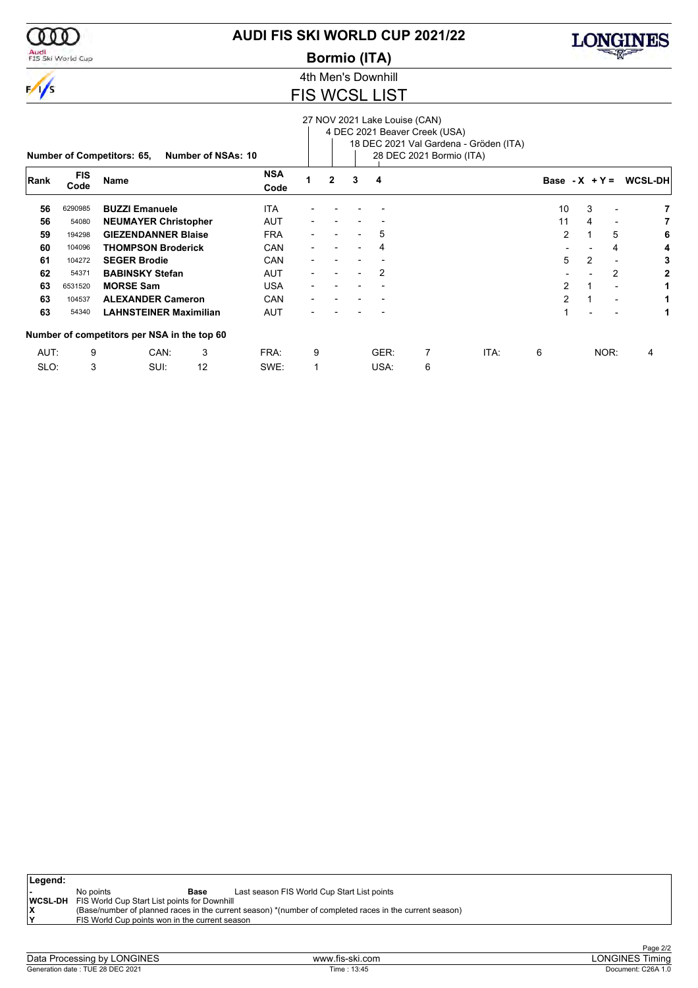

Audi<br>FIS Ski World Cup

# **AUDI FIS SKI WORLD CUP 2021/22**

**Bormio (ITA)**



4th Men's Downhill

### FIS WCSL LIST

|      |                    |                                             |                    |                    |   |                |   | 27 NOV 2021 Lake Louise (CAN) | 4 DEC 2021 Beaver Creek (USA) |                                        |                  |                |                          |                 |
|------|--------------------|---------------------------------------------|--------------------|--------------------|---|----------------|---|-------------------------------|-------------------------------|----------------------------------------|------------------|----------------|--------------------------|-----------------|
|      |                    | <b>Number of Competitors: 65,</b>           | Number of NSAs: 10 |                    |   |                |   |                               | 28 DEC 2021 Bormio (ITA)      | 18 DEC 2021 Val Gardena - Gröden (ITA) |                  |                |                          |                 |
| Rank | <b>FIS</b><br>Code | Name                                        |                    | <b>NSA</b><br>Code |   | $\overline{2}$ | 3 | 4                             |                               |                                        | Base - $X + Y =$ |                |                          | <b>WCSL-DHI</b> |
| 56   | 6290985            | <b>BUZZI Emanuele</b>                       |                    | <b>ITA</b>         |   |                |   |                               |                               |                                        | 10               | 3              |                          |                 |
| 56   | 54080              | <b>NEUMAYER Christopher</b>                 |                    | AUT                |   |                |   |                               |                               |                                        | 11               | 4              | ٠                        | 7               |
| 59   | 194298             | <b>GIEZENDANNER Blaise</b>                  |                    | <b>FRA</b>         |   |                |   | 5                             |                               |                                        | $\overline{2}$   |                | 5                        | 6               |
| 60   | 104096             | <b>THOMPSON Broderick</b>                   |                    | CAN                |   |                |   | 4                             |                               |                                        |                  |                | 4                        | 4               |
| 61   | 104272             | <b>SEGER Brodie</b>                         |                    | CAN                |   |                |   |                               |                               |                                        | 5                | $\overline{2}$ | $\overline{\phantom{a}}$ | 3               |
| 62   | 54371              | <b>BABINSKY Stefan</b>                      |                    | <b>AUT</b>         |   |                |   | 2                             |                               |                                        |                  |                | 2                        | 2               |
| 63   | 6531520            | <b>MORSE Sam</b>                            |                    | <b>USA</b>         |   |                |   |                               |                               |                                        | 2                |                | $\overline{a}$           | 1               |
| 63   | 104537             | <b>ALEXANDER Cameron</b>                    |                    | CAN                |   |                |   |                               |                               |                                        | $\overline{2}$   |                |                          | 1               |
| 63   | 54340              | <b>LAHNSTEINER Maximilian</b>               |                    | <b>AUT</b>         |   |                |   |                               |                               |                                        |                  |                |                          | 1               |
|      |                    | Number of competitors per NSA in the top 60 |                    |                    |   |                |   |                               |                               |                                        |                  |                |                          |                 |
| AUT: | 9                  | CAN:                                        | 3                  | FRA:               | 9 |                |   | GER:                          | 7                             | ITA:                                   | 6                |                | NOR:                     | 4               |
| SLO: | 3                  | SUI:                                        | 12                 | SWE:               | 1 |                |   | USA:                          | 6                             |                                        |                  |                |                          |                 |

| Legend: |                                                             |                                                                                                         |
|---------|-------------------------------------------------------------|---------------------------------------------------------------------------------------------------------|
|         | No points<br>Base                                           | Last season FIS World Cup Start List points                                                             |
|         | <b>WCSL-DH</b> FIS World Cup Start List points for Downhill |                                                                                                         |
|         |                                                             | (Base/number of planned races in the current season) *(number of completed races in the current season) |
| ١v      | FIS World Cup points won in the current season              |                                                                                                         |
|         |                                                             |                                                                                                         |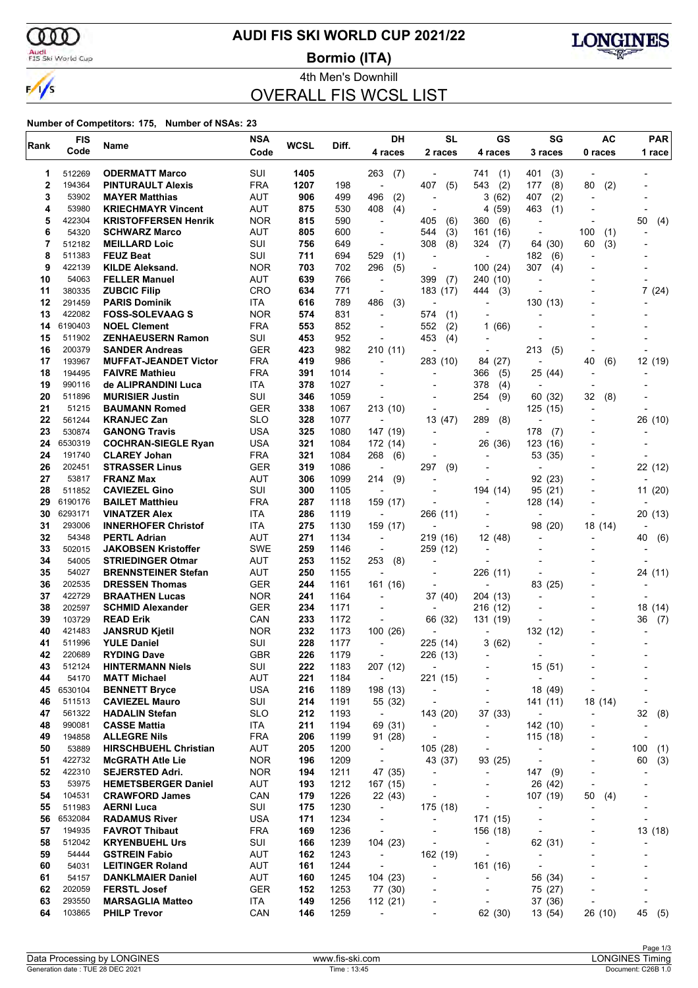ഞ Audi<br>FIS Ski World Cup

 $\frac{1}{s}$ 

# **AUDI FIS SKI WORLD CUP 2021/22**

**Bormio (ITA)**



4th Men's Downhill

# OVERALL FIS WCSL LIST

| Code<br>2 races<br>0 races<br>4 races<br>4 races<br>3 races<br>512269<br><b>ODERMATT Marco</b><br>SUI<br>1405<br>1<br>263<br>(7)<br>741<br>(1)<br>401<br>(3)<br>2<br>194364<br><b>FRA</b><br>1207<br>407<br>(5)<br>543<br>(2)<br>177<br>(8)<br>80<br>(2)<br><b>PINTURAULT Alexis</b><br>198<br>$\overline{\phantom{a}}$<br>3<br>53902<br>AUT<br>906<br>499<br>496<br>(2)<br>3<br>(62)<br>407<br>(2)<br><b>MAYER Matthias</b><br>$\overline{a}$<br>4<br>53980<br>AUT<br><b>KRIECHMAYR Vincent</b><br>875<br>530<br>408<br>(4)<br>4<br>(59)<br>463<br>(1)<br>$\overline{a}$<br>5<br>422304<br><b>NOR</b><br>590<br>(6)<br>50<br><b>KRISTOFFERSEN Henrik</b><br>815<br>405<br>(6)<br>360<br>(4)<br>$\blacksquare$<br>6<br>54320<br><b>SCHWARZ Marco</b><br>AUT<br>805<br>600<br>(3)<br>544<br>161<br>(16)<br>100<br>(1)<br>$\overline{a}$<br>$\overline{a}$<br>-<br>7<br>512182<br>SUI<br>(8)<br>(3)<br><b>MEILLARD Loic</b><br>756<br>649<br>308<br>324<br>(7)<br>64 (30)<br>60<br>$\overline{a}$<br>SUI<br>8<br>511383<br>711<br>694<br>529<br>182<br><b>FEUZ Beat</b><br>(1)<br>(6)<br>$\overline{\phantom{a}}$<br>9<br>422139<br><b>KILDE Aleksand.</b><br><b>NOR</b><br>703<br>702<br>296<br>(5)<br>100(24)<br>307<br>(4)<br>÷,<br>54063<br><b>FELLER Manuel</b><br>AUT<br>10<br>639<br>766<br>399<br>(7)<br>240 (10)<br>$\overline{a}$<br>CRO<br>11<br>380335<br><b>ZUBCIC Filip</b><br>634<br>771<br>183 (17)<br>444<br>(3)<br>$\overline{a}$<br>12<br>291459<br><b>PARIS Dominik</b><br>ITA<br>616<br>789<br>486<br>(3)<br>130 (13)<br>$\overline{\phantom{a}}$<br>13<br>422082<br><b>FOSS-SOLEVAAG S</b><br><b>NOR</b><br>831<br>574<br>574<br>(1)<br>$\overline{\phantom{a}}$<br><b>FRA</b><br>14<br>6190403<br>553<br>852<br>552<br>(2)<br><b>NOEL Clement</b><br>(66)<br>1<br>$\blacksquare$<br>SUI<br>15<br>511902<br><b>ZENHAEUSERN Ramon</b><br>453<br>952<br>453<br>(4)<br>16<br>200379<br><b>GER</b><br>423<br>982<br>210(11)<br>213<br><b>SANDER Andreas</b><br>(5)<br>17<br>193967<br><b>FRA</b><br>419<br>986<br><b>MUFFAT-JEANDET Victor</b><br>283 (10)<br>84 (27)<br>40<br>(6)<br>$\blacksquare$<br><b>FRA</b><br>18<br>194495<br><b>FAIVRE Mathieu</b><br>391<br>1014<br>366<br>(5)<br>25 (44)<br>$\overline{a}$<br>19<br>990116<br>ITA<br>de ALIPRANDINI Luca<br>378<br>1027<br>378<br>(4)<br>$\overline{a}$<br>SUI<br>20<br>1059<br>254<br>32<br>511896<br><b>MURISIER Justin</b><br>346<br>(9)<br>60 (32)<br>(8)<br>21<br>51215<br><b>GER</b><br>338<br>1067<br>213 (10)<br><b>BAUMANN Romed</b><br>125 (15)<br>22<br>561244<br><b>KRANJEC Zan</b><br><b>SLO</b><br>328<br>289<br>1077<br>13 (47)<br>(8)<br>26 (10)<br><b>USA</b><br>23<br>530874<br><b>GANONG Travis</b><br>325<br>1080<br>147 (19)<br>178<br>(7)<br><b>USA</b><br>24<br>6530319<br><b>COCHRAN-SIEGLE Ryan</b><br>321<br>1084<br>123 (16)<br>172 (14)<br>26 (36)<br>24<br>191740<br><b>CLAREY Johan</b><br><b>FRA</b><br>321<br>1084<br>268<br>53 (35)<br>(6)<br>$\overline{\phantom{a}}$<br>26<br><b>STRASSER Linus</b><br><b>GER</b><br>1086<br>297<br>202451<br>319<br>(9)<br>$\blacksquare$<br>$\overline{\phantom{0}}$<br>27<br>53817<br>AUT<br>306<br>1099<br>214<br>(9)<br>92 (23)<br><b>FRANZ Max</b><br>28<br>511852<br>SUI<br><b>CAVIEZEL Gino</b><br>300<br>1105<br>194 (14)<br>95 (21)<br>-<br>29<br>6190176<br><b>FRA</b><br>287<br>1118<br><b>BAILET Matthieu</b><br>159 (17)<br>128 (14)<br>30<br>6293171<br><b>VINATZER Alex</b><br>ITA<br>286<br>1119<br>266 (11)<br>20 (13)<br>$\overline{\phantom{a}}$<br>$\overline{\phantom{a}}$<br>31<br>293006<br><b>INNERHOFER Christof</b><br>ITA<br>275<br>159 (17)<br>1130<br>98 (20)<br>18 (14)<br>$\overline{a}$<br>32<br>AUT<br>271<br>1134<br>54348<br><b>PERTL Adrian</b><br>219 (16)<br>12 (48)<br>40<br>$\overline{\phantom{a}}$<br>$\overline{\phantom{0}}$<br><b>SWE</b><br>33<br>502015<br><b>JAKOBSEN Kristoffer</b><br>259<br>1146<br>259 (12)<br>$\overline{\phantom{a}}$<br>$\overline{\phantom{a}}$<br>34<br>AUT<br>253<br>253<br>54005<br><b>STRIEDINGER Otmar</b><br>1152<br>(8)<br>AUT<br>35<br>54027<br>250<br>1155<br>226 (11)<br><b>BRENNSTEINER Stefan</b><br>36<br>202535<br><b>DRESSEN Thomas</b><br><b>GER</b><br>244<br>1161<br>161 (16)<br>83 (25)<br>37<br>422729<br><b>NOR</b><br><b>BRAATHEN Lucas</b><br>241<br>1164<br>37 (40)<br>204 (13)<br>$\overline{a}$<br>38<br><b>GER</b><br>234<br>18<br><b>SCHMID Alexander</b><br>1171<br>216 (12)<br>(14)<br>202597<br>39<br>103729<br><b>READ Erik</b><br>CAN<br>233<br>66 (32)<br>131 (19)<br>1172<br>36<br>(7)<br>$\overline{a}$<br>40<br><b>JANSRUD Kjetil</b><br><b>NOR</b><br>232<br>421483<br>1173<br>100 (26)<br>132 (12)<br>SUI<br>511996<br><b>YULE Daniel</b><br>228<br>1177<br>225 (14)<br>41<br>3(62)<br>$\overline{a}$<br>$\overline{\phantom{a}}$<br><b>GBR</b><br>226<br>42<br>220689<br><b>RYDING Dave</b><br>1179<br>226 (13)<br>512124<br>SUI<br>222<br>43<br><b>HINTERMANN Niels</b><br>1183<br>207 (12)<br>15 (51)<br>$\overline{\phantom{a}}$<br>AUT<br>44<br>54170<br>221<br>1184<br><b>MATT Michael</b><br>221 (15)<br>$\overline{\phantom{a}}$<br>$\overline{\phantom{a}}$<br>6530104<br><b>USA</b><br>216<br>1189<br>198 (13)<br>18 (49)<br>45<br><b>BENNETT Bryce</b><br>$\blacksquare$<br>$\overline{a}$<br>$\overline{\phantom{a}}$<br>SUI<br>46<br>511513<br><b>CAVIEZEL Mauro</b><br>214<br>1191<br>55 (32)<br>141 (11)<br>18 (14)<br>$\overline{\phantom{a}}$<br>$\overline{\phantom{a}}$<br>$\overline{\phantom{a}}$<br><b>SLO</b><br>1193<br>47<br>561322<br><b>HADALIN Stefan</b><br>212<br>143 (20)<br>37 (33)<br>32<br>(8)<br>$\sim$<br>$\sim$<br>$\overline{\phantom{0}}$<br>990081<br>ITA<br>211<br>69 (31)<br>142 (10)<br>48<br><b>CASSE Mattia</b><br>1194<br>$\overline{\phantom{a}}$<br>$\overline{\phantom{a}}$<br>49<br><b>FRA</b><br>194858<br><b>ALLEGRE Nils</b><br>206<br>1199<br>91 (28)<br>115 (18)<br>$\overline{\phantom{a}}$<br>$\overline{\phantom{a}}$<br>AUT<br>50<br>1200<br>53889<br><b>HIRSCHBUEHL Christian</b><br>205<br>105 (28)<br>$\overline{\phantom{a}}$<br>$\overline{\phantom{a}}$<br>422732<br><b>NOR</b><br>196<br>51<br><b>McGRATH Atle Lie</b><br>1209<br>43 (37)<br>93 (25)<br>60<br>$\blacksquare$<br>$\overline{\phantom{a}}$<br>$\overline{\phantom{0}}$<br>52<br><b>NOR</b><br>422310<br><b>SEJERSTED Adri.</b><br>194<br>1211<br>47 (35)<br>$147$ (9)<br>$\overline{\phantom{a}}$<br>$\overline{\phantom{a}}$<br>$\overline{a}$<br>53<br><b>AUT</b><br>1212<br>53975<br><b>HEMETSBERGER Daniel</b><br>193<br>167(15)<br>26 (42)<br>$\overline{\phantom{a}}$<br>$\overline{\phantom{a}}$<br>54<br>CAN<br>179<br>1226<br>(4)<br>104531<br><b>CRAWFORD James</b><br>22 (43)<br>107 (19)<br>50<br>$\overline{\phantom{a}}$<br>$\overline{\phantom{0}}$<br>-<br>SUI<br>175 (18)<br>55<br>511983<br><b>AERNI Luca</b><br>175<br>1230<br>$\blacksquare$<br>$\overline{a}$<br>$\overline{a}$<br>56<br>6532084<br><b>RADAMUS River</b><br><b>USA</b><br>171<br>1234<br>171 (15)<br>$\overline{a}$<br>$\overline{\phantom{a}}$<br>$\overline{\phantom{a}}$<br>$\overline{\phantom{a}}$<br><b>FRA</b><br>169<br>1236<br>13 (18)<br>57<br>194935<br><b>FAVROT Thibaut</b><br>156 (18)<br>$\overline{\phantom{a}}$<br>$\overline{\phantom{0}}$<br>$\overline{\phantom{a}}$<br>SUI<br>1239<br>58<br>512042<br><b>KRYENBUEHL Urs</b><br>166<br>104 (23)<br>62 (31)<br>$\overline{\phantom{a}}$<br>$\overline{\phantom{a}}$<br>59<br>54444<br><b>AUT</b><br>1243<br><b>GSTREIN Fabio</b><br>162<br>162 (19)<br>$\sim$<br>$\blacksquare$<br>$\overline{\phantom{a}}$<br>60<br>54031<br><b>AUT</b><br>161<br>1244<br>161 (16)<br><b>LEITINGER Roland</b><br>$\sim$<br>$\overline{\phantom{a}}$<br>$\overline{\phantom{a}}$<br>61<br>AUT<br>54157<br><b>DANKLMAIER Daniel</b><br>160<br>1245<br>104 (23)<br>56 (34)<br>$\overline{\phantom{a}}$<br>$\overline{a}$<br>62<br><b>FERSTL Josef</b><br><b>GER</b><br>152<br>1253<br>202059<br>77 (30)<br>75 (27)<br>$\overline{\phantom{a}}$<br>63<br>ITA<br>149<br>1256<br>37 (36)<br>293550<br><b>MARSAGLIA Matteo</b><br>112(21)<br>$\overline{\phantom{0}}$<br>$\overline{\phantom{a}}$<br>$\overline{a}$<br>64<br>62 (30)<br>45<br>103865<br><b>PHILP Trevor</b><br>CAN<br>146<br>1259<br>13 (54)<br>26 (10)<br>$\overline{\phantom{a}}$<br>$\overline{a}$ | Rank | <b>FIS</b> | Name | <b>NSA</b> | <b>WCSL</b> | Diff. | DH | <b>SL</b> | GS | SG | AC | <b>PAR</b> |
|-------------------------------------------------------------------------------------------------------------------------------------------------------------------------------------------------------------------------------------------------------------------------------------------------------------------------------------------------------------------------------------------------------------------------------------------------------------------------------------------------------------------------------------------------------------------------------------------------------------------------------------------------------------------------------------------------------------------------------------------------------------------------------------------------------------------------------------------------------------------------------------------------------------------------------------------------------------------------------------------------------------------------------------------------------------------------------------------------------------------------------------------------------------------------------------------------------------------------------------------------------------------------------------------------------------------------------------------------------------------------------------------------------------------------------------------------------------------------------------------------------------------------------------------------------------------------------------------------------------------------------------------------------------------------------------------------------------------------------------------------------------------------------------------------------------------------------------------------------------------------------------------------------------------------------------------------------------------------------------------------------------------------------------------------------------------------------------------------------------------------------------------------------------------------------------------------------------------------------------------------------------------------------------------------------------------------------------------------------------------------------------------------------------------------------------------------------------------------------------------------------------------------------------------------------------------------------------------------------------------------------------------------------------------------------------------------------------------------------------------------------------------------------------------------------------------------------------------------------------------------------------------------------------------------------------------------------------------------------------------------------------------------------------------------------------------------------------------------------------------------------------------------------------------------------------------------------------------------------------------------------------------------------------------------------------------------------------------------------------------------------------------------------------------------------------------------------------------------------------------------------------------------------------------------------------------------------------------------------------------------------------------------------------------------------------------------------------------------------------------------------------------------------------------------------------------------------------------------------------------------------------------------------------------------------------------------------------------------------------------------------------------------------------------------------------------------------------------------------------------------------------------------------------------------------------------------------------------------------------------------------------------------------------------------------------------------------------------------------------------------------------------------------------------------------------------------------------------------------------------------------------------------------------------------------------------------------------------------------------------------------------------------------------------------------------------------------------------------------------------------------------------------------------------------------------------------------------------------------------------------------------------------------------------------------------------------------------------------------------------------------------------------------------------------------------------------------------------------------------------------------------------------------------------------------------------------------------------------------------------------------------------------------------------------------------------------------------------------------------------------------------------------------------------------------------------------------------------------------------------------------------------------------------------------------------------------------------------------------------------------------------------------------------------------------------------------------------------------------------------------------------------------------------------------------------------------------------------------------------------------------------------------------------------------------------------------------------------------------------------------------------------------------------------------------------------------------------------------------------------------------------------------------------------------------------------------------------------------------------------------------------------------------------------------------------------------------------------------------------------------------------------------------------------------------------------------------------------------------------------------------------------------------------------------------------------------------------------------------------------------------------------------------------------------------------------------------------------------------------------------------------------------------------------------------------------------------------------------------------------------------------------------------------------------------------------------------------------------------------------------------------------------------------------------------------------------------------------------------------------------------------------------------------------------------------------------------------------------------------------------------------------------------------------------------------------------------------------------------------------------------------------------------------------------------------------------------------------------------------------------------------------------------------------------------------------------------------------------------------------------------------------------------------------------------------------------------------------------------------------------------------------------------------------------------------------------------------------------------------------------------------------------------------------------------------------------------------------------------------------------------------------------------------------------------------------------------------------------------------------------------------------------------------------------------------------------------------------------------------------------------------------------------------------------------|------|------------|------|------------|-------------|-------|----|-----------|----|----|----|------------|
|                                                                                                                                                                                                                                                                                                                                                                                                                                                                                                                                                                                                                                                                                                                                                                                                                                                                                                                                                                                                                                                                                                                                                                                                                                                                                                                                                                                                                                                                                                                                                                                                                                                                                                                                                                                                                                                                                                                                                                                                                                                                                                                                                                                                                                                                                                                                                                                                                                                                                                                                                                                                                                                                                                                                                                                                                                                                                                                                                                                                                                                                                                                                                                                                                                                                                                                                                                                                                                                                                                                                                                                                                                                                                                                                                                                                                                                                                                                                                                                                                                                                                                                                                                                                                                                                                                                                                                                                                                                                                                                                                                                                                                                                                                                                                                                                                                                                                                                                                                                                                                                                                                                                                                                                                                                                                                                                                                                                                                                                                                                                                                                                                                                                                                                                                                                                                                                                                                                                                                                                                                                                                                                                                                                                                                                                                                                                                                                                                                                                                                                                                                                                                                                                                                                                                                                                                                                                                                                                                                                                                                                                                                                                                                                                                                                                                                                                                                                                                                                                                                                                                                                                                                                                                                                                                                                                                                                                                                                                                                                                                                                                                                                                                                                                                                                                                                       |      | Code       |      |            |             |       |    |           |    |    |    | 1 race     |
|                                                                                                                                                                                                                                                                                                                                                                                                                                                                                                                                                                                                                                                                                                                                                                                                                                                                                                                                                                                                                                                                                                                                                                                                                                                                                                                                                                                                                                                                                                                                                                                                                                                                                                                                                                                                                                                                                                                                                                                                                                                                                                                                                                                                                                                                                                                                                                                                                                                                                                                                                                                                                                                                                                                                                                                                                                                                                                                                                                                                                                                                                                                                                                                                                                                                                                                                                                                                                                                                                                                                                                                                                                                                                                                                                                                                                                                                                                                                                                                                                                                                                                                                                                                                                                                                                                                                                                                                                                                                                                                                                                                                                                                                                                                                                                                                                                                                                                                                                                                                                                                                                                                                                                                                                                                                                                                                                                                                                                                                                                                                                                                                                                                                                                                                                                                                                                                                                                                                                                                                                                                                                                                                                                                                                                                                                                                                                                                                                                                                                                                                                                                                                                                                                                                                                                                                                                                                                                                                                                                                                                                                                                                                                                                                                                                                                                                                                                                                                                                                                                                                                                                                                                                                                                                                                                                                                                                                                                                                                                                                                                                                                                                                                                                                                                                                                                       |      |            |      |            |             |       |    |           |    |    |    |            |
|                                                                                                                                                                                                                                                                                                                                                                                                                                                                                                                                                                                                                                                                                                                                                                                                                                                                                                                                                                                                                                                                                                                                                                                                                                                                                                                                                                                                                                                                                                                                                                                                                                                                                                                                                                                                                                                                                                                                                                                                                                                                                                                                                                                                                                                                                                                                                                                                                                                                                                                                                                                                                                                                                                                                                                                                                                                                                                                                                                                                                                                                                                                                                                                                                                                                                                                                                                                                                                                                                                                                                                                                                                                                                                                                                                                                                                                                                                                                                                                                                                                                                                                                                                                                                                                                                                                                                                                                                                                                                                                                                                                                                                                                                                                                                                                                                                                                                                                                                                                                                                                                                                                                                                                                                                                                                                                                                                                                                                                                                                                                                                                                                                                                                                                                                                                                                                                                                                                                                                                                                                                                                                                                                                                                                                                                                                                                                                                                                                                                                                                                                                                                                                                                                                                                                                                                                                                                                                                                                                                                                                                                                                                                                                                                                                                                                                                                                                                                                                                                                                                                                                                                                                                                                                                                                                                                                                                                                                                                                                                                                                                                                                                                                                                                                                                                                                       |      |            |      |            |             |       |    |           |    |    |    |            |
|                                                                                                                                                                                                                                                                                                                                                                                                                                                                                                                                                                                                                                                                                                                                                                                                                                                                                                                                                                                                                                                                                                                                                                                                                                                                                                                                                                                                                                                                                                                                                                                                                                                                                                                                                                                                                                                                                                                                                                                                                                                                                                                                                                                                                                                                                                                                                                                                                                                                                                                                                                                                                                                                                                                                                                                                                                                                                                                                                                                                                                                                                                                                                                                                                                                                                                                                                                                                                                                                                                                                                                                                                                                                                                                                                                                                                                                                                                                                                                                                                                                                                                                                                                                                                                                                                                                                                                                                                                                                                                                                                                                                                                                                                                                                                                                                                                                                                                                                                                                                                                                                                                                                                                                                                                                                                                                                                                                                                                                                                                                                                                                                                                                                                                                                                                                                                                                                                                                                                                                                                                                                                                                                                                                                                                                                                                                                                                                                                                                                                                                                                                                                                                                                                                                                                                                                                                                                                                                                                                                                                                                                                                                                                                                                                                                                                                                                                                                                                                                                                                                                                                                                                                                                                                                                                                                                                                                                                                                                                                                                                                                                                                                                                                                                                                                                                                       |      |            |      |            |             |       |    |           |    |    |    |            |
|                                                                                                                                                                                                                                                                                                                                                                                                                                                                                                                                                                                                                                                                                                                                                                                                                                                                                                                                                                                                                                                                                                                                                                                                                                                                                                                                                                                                                                                                                                                                                                                                                                                                                                                                                                                                                                                                                                                                                                                                                                                                                                                                                                                                                                                                                                                                                                                                                                                                                                                                                                                                                                                                                                                                                                                                                                                                                                                                                                                                                                                                                                                                                                                                                                                                                                                                                                                                                                                                                                                                                                                                                                                                                                                                                                                                                                                                                                                                                                                                                                                                                                                                                                                                                                                                                                                                                                                                                                                                                                                                                                                                                                                                                                                                                                                                                                                                                                                                                                                                                                                                                                                                                                                                                                                                                                                                                                                                                                                                                                                                                                                                                                                                                                                                                                                                                                                                                                                                                                                                                                                                                                                                                                                                                                                                                                                                                                                                                                                                                                                                                                                                                                                                                                                                                                                                                                                                                                                                                                                                                                                                                                                                                                                                                                                                                                                                                                                                                                                                                                                                                                                                                                                                                                                                                                                                                                                                                                                                                                                                                                                                                                                                                                                                                                                                                                       |      |            |      |            |             |       |    |           |    |    |    |            |
|                                                                                                                                                                                                                                                                                                                                                                                                                                                                                                                                                                                                                                                                                                                                                                                                                                                                                                                                                                                                                                                                                                                                                                                                                                                                                                                                                                                                                                                                                                                                                                                                                                                                                                                                                                                                                                                                                                                                                                                                                                                                                                                                                                                                                                                                                                                                                                                                                                                                                                                                                                                                                                                                                                                                                                                                                                                                                                                                                                                                                                                                                                                                                                                                                                                                                                                                                                                                                                                                                                                                                                                                                                                                                                                                                                                                                                                                                                                                                                                                                                                                                                                                                                                                                                                                                                                                                                                                                                                                                                                                                                                                                                                                                                                                                                                                                                                                                                                                                                                                                                                                                                                                                                                                                                                                                                                                                                                                                                                                                                                                                                                                                                                                                                                                                                                                                                                                                                                                                                                                                                                                                                                                                                                                                                                                                                                                                                                                                                                                                                                                                                                                                                                                                                                                                                                                                                                                                                                                                                                                                                                                                                                                                                                                                                                                                                                                                                                                                                                                                                                                                                                                                                                                                                                                                                                                                                                                                                                                                                                                                                                                                                                                                                                                                                                                                                       |      |            |      |            |             |       |    |           |    |    |    |            |
|                                                                                                                                                                                                                                                                                                                                                                                                                                                                                                                                                                                                                                                                                                                                                                                                                                                                                                                                                                                                                                                                                                                                                                                                                                                                                                                                                                                                                                                                                                                                                                                                                                                                                                                                                                                                                                                                                                                                                                                                                                                                                                                                                                                                                                                                                                                                                                                                                                                                                                                                                                                                                                                                                                                                                                                                                                                                                                                                                                                                                                                                                                                                                                                                                                                                                                                                                                                                                                                                                                                                                                                                                                                                                                                                                                                                                                                                                                                                                                                                                                                                                                                                                                                                                                                                                                                                                                                                                                                                                                                                                                                                                                                                                                                                                                                                                                                                                                                                                                                                                                                                                                                                                                                                                                                                                                                                                                                                                                                                                                                                                                                                                                                                                                                                                                                                                                                                                                                                                                                                                                                                                                                                                                                                                                                                                                                                                                                                                                                                                                                                                                                                                                                                                                                                                                                                                                                                                                                                                                                                                                                                                                                                                                                                                                                                                                                                                                                                                                                                                                                                                                                                                                                                                                                                                                                                                                                                                                                                                                                                                                                                                                                                                                                                                                                                                                       |      |            |      |            |             |       |    |           |    |    |    |            |
|                                                                                                                                                                                                                                                                                                                                                                                                                                                                                                                                                                                                                                                                                                                                                                                                                                                                                                                                                                                                                                                                                                                                                                                                                                                                                                                                                                                                                                                                                                                                                                                                                                                                                                                                                                                                                                                                                                                                                                                                                                                                                                                                                                                                                                                                                                                                                                                                                                                                                                                                                                                                                                                                                                                                                                                                                                                                                                                                                                                                                                                                                                                                                                                                                                                                                                                                                                                                                                                                                                                                                                                                                                                                                                                                                                                                                                                                                                                                                                                                                                                                                                                                                                                                                                                                                                                                                                                                                                                                                                                                                                                                                                                                                                                                                                                                                                                                                                                                                                                                                                                                                                                                                                                                                                                                                                                                                                                                                                                                                                                                                                                                                                                                                                                                                                                                                                                                                                                                                                                                                                                                                                                                                                                                                                                                                                                                                                                                                                                                                                                                                                                                                                                                                                                                                                                                                                                                                                                                                                                                                                                                                                                                                                                                                                                                                                                                                                                                                                                                                                                                                                                                                                                                                                                                                                                                                                                                                                                                                                                                                                                                                                                                                                                                                                                                                                       |      |            |      |            |             |       |    |           |    |    |    |            |
|                                                                                                                                                                                                                                                                                                                                                                                                                                                                                                                                                                                                                                                                                                                                                                                                                                                                                                                                                                                                                                                                                                                                                                                                                                                                                                                                                                                                                                                                                                                                                                                                                                                                                                                                                                                                                                                                                                                                                                                                                                                                                                                                                                                                                                                                                                                                                                                                                                                                                                                                                                                                                                                                                                                                                                                                                                                                                                                                                                                                                                                                                                                                                                                                                                                                                                                                                                                                                                                                                                                                                                                                                                                                                                                                                                                                                                                                                                                                                                                                                                                                                                                                                                                                                                                                                                                                                                                                                                                                                                                                                                                                                                                                                                                                                                                                                                                                                                                                                                                                                                                                                                                                                                                                                                                                                                                                                                                                                                                                                                                                                                                                                                                                                                                                                                                                                                                                                                                                                                                                                                                                                                                                                                                                                                                                                                                                                                                                                                                                                                                                                                                                                                                                                                                                                                                                                                                                                                                                                                                                                                                                                                                                                                                                                                                                                                                                                                                                                                                                                                                                                                                                                                                                                                                                                                                                                                                                                                                                                                                                                                                                                                                                                                                                                                                                                                       |      |            |      |            |             |       |    |           |    |    |    |            |
|                                                                                                                                                                                                                                                                                                                                                                                                                                                                                                                                                                                                                                                                                                                                                                                                                                                                                                                                                                                                                                                                                                                                                                                                                                                                                                                                                                                                                                                                                                                                                                                                                                                                                                                                                                                                                                                                                                                                                                                                                                                                                                                                                                                                                                                                                                                                                                                                                                                                                                                                                                                                                                                                                                                                                                                                                                                                                                                                                                                                                                                                                                                                                                                                                                                                                                                                                                                                                                                                                                                                                                                                                                                                                                                                                                                                                                                                                                                                                                                                                                                                                                                                                                                                                                                                                                                                                                                                                                                                                                                                                                                                                                                                                                                                                                                                                                                                                                                                                                                                                                                                                                                                                                                                                                                                                                                                                                                                                                                                                                                                                                                                                                                                                                                                                                                                                                                                                                                                                                                                                                                                                                                                                                                                                                                                                                                                                                                                                                                                                                                                                                                                                                                                                                                                                                                                                                                                                                                                                                                                                                                                                                                                                                                                                                                                                                                                                                                                                                                                                                                                                                                                                                                                                                                                                                                                                                                                                                                                                                                                                                                                                                                                                                                                                                                                                                       |      |            |      |            |             |       |    |           |    |    |    |            |
|                                                                                                                                                                                                                                                                                                                                                                                                                                                                                                                                                                                                                                                                                                                                                                                                                                                                                                                                                                                                                                                                                                                                                                                                                                                                                                                                                                                                                                                                                                                                                                                                                                                                                                                                                                                                                                                                                                                                                                                                                                                                                                                                                                                                                                                                                                                                                                                                                                                                                                                                                                                                                                                                                                                                                                                                                                                                                                                                                                                                                                                                                                                                                                                                                                                                                                                                                                                                                                                                                                                                                                                                                                                                                                                                                                                                                                                                                                                                                                                                                                                                                                                                                                                                                                                                                                                                                                                                                                                                                                                                                                                                                                                                                                                                                                                                                                                                                                                                                                                                                                                                                                                                                                                                                                                                                                                                                                                                                                                                                                                                                                                                                                                                                                                                                                                                                                                                                                                                                                                                                                                                                                                                                                                                                                                                                                                                                                                                                                                                                                                                                                                                                                                                                                                                                                                                                                                                                                                                                                                                                                                                                                                                                                                                                                                                                                                                                                                                                                                                                                                                                                                                                                                                                                                                                                                                                                                                                                                                                                                                                                                                                                                                                                                                                                                                                                       |      |            |      |            |             |       |    |           |    |    |    | 7 (24)     |
|                                                                                                                                                                                                                                                                                                                                                                                                                                                                                                                                                                                                                                                                                                                                                                                                                                                                                                                                                                                                                                                                                                                                                                                                                                                                                                                                                                                                                                                                                                                                                                                                                                                                                                                                                                                                                                                                                                                                                                                                                                                                                                                                                                                                                                                                                                                                                                                                                                                                                                                                                                                                                                                                                                                                                                                                                                                                                                                                                                                                                                                                                                                                                                                                                                                                                                                                                                                                                                                                                                                                                                                                                                                                                                                                                                                                                                                                                                                                                                                                                                                                                                                                                                                                                                                                                                                                                                                                                                                                                                                                                                                                                                                                                                                                                                                                                                                                                                                                                                                                                                                                                                                                                                                                                                                                                                                                                                                                                                                                                                                                                                                                                                                                                                                                                                                                                                                                                                                                                                                                                                                                                                                                                                                                                                                                                                                                                                                                                                                                                                                                                                                                                                                                                                                                                                                                                                                                                                                                                                                                                                                                                                                                                                                                                                                                                                                                                                                                                                                                                                                                                                                                                                                                                                                                                                                                                                                                                                                                                                                                                                                                                                                                                                                                                                                                                                       |      |            |      |            |             |       |    |           |    |    |    |            |
|                                                                                                                                                                                                                                                                                                                                                                                                                                                                                                                                                                                                                                                                                                                                                                                                                                                                                                                                                                                                                                                                                                                                                                                                                                                                                                                                                                                                                                                                                                                                                                                                                                                                                                                                                                                                                                                                                                                                                                                                                                                                                                                                                                                                                                                                                                                                                                                                                                                                                                                                                                                                                                                                                                                                                                                                                                                                                                                                                                                                                                                                                                                                                                                                                                                                                                                                                                                                                                                                                                                                                                                                                                                                                                                                                                                                                                                                                                                                                                                                                                                                                                                                                                                                                                                                                                                                                                                                                                                                                                                                                                                                                                                                                                                                                                                                                                                                                                                                                                                                                                                                                                                                                                                                                                                                                                                                                                                                                                                                                                                                                                                                                                                                                                                                                                                                                                                                                                                                                                                                                                                                                                                                                                                                                                                                                                                                                                                                                                                                                                                                                                                                                                                                                                                                                                                                                                                                                                                                                                                                                                                                                                                                                                                                                                                                                                                                                                                                                                                                                                                                                                                                                                                                                                                                                                                                                                                                                                                                                                                                                                                                                                                                                                                                                                                                                                       |      |            |      |            |             |       |    |           |    |    |    |            |
|                                                                                                                                                                                                                                                                                                                                                                                                                                                                                                                                                                                                                                                                                                                                                                                                                                                                                                                                                                                                                                                                                                                                                                                                                                                                                                                                                                                                                                                                                                                                                                                                                                                                                                                                                                                                                                                                                                                                                                                                                                                                                                                                                                                                                                                                                                                                                                                                                                                                                                                                                                                                                                                                                                                                                                                                                                                                                                                                                                                                                                                                                                                                                                                                                                                                                                                                                                                                                                                                                                                                                                                                                                                                                                                                                                                                                                                                                                                                                                                                                                                                                                                                                                                                                                                                                                                                                                                                                                                                                                                                                                                                                                                                                                                                                                                                                                                                                                                                                                                                                                                                                                                                                                                                                                                                                                                                                                                                                                                                                                                                                                                                                                                                                                                                                                                                                                                                                                                                                                                                                                                                                                                                                                                                                                                                                                                                                                                                                                                                                                                                                                                                                                                                                                                                                                                                                                                                                                                                                                                                                                                                                                                                                                                                                                                                                                                                                                                                                                                                                                                                                                                                                                                                                                                                                                                                                                                                                                                                                                                                                                                                                                                                                                                                                                                                                                       |      |            |      |            |             |       |    |           |    |    |    |            |
|                                                                                                                                                                                                                                                                                                                                                                                                                                                                                                                                                                                                                                                                                                                                                                                                                                                                                                                                                                                                                                                                                                                                                                                                                                                                                                                                                                                                                                                                                                                                                                                                                                                                                                                                                                                                                                                                                                                                                                                                                                                                                                                                                                                                                                                                                                                                                                                                                                                                                                                                                                                                                                                                                                                                                                                                                                                                                                                                                                                                                                                                                                                                                                                                                                                                                                                                                                                                                                                                                                                                                                                                                                                                                                                                                                                                                                                                                                                                                                                                                                                                                                                                                                                                                                                                                                                                                                                                                                                                                                                                                                                                                                                                                                                                                                                                                                                                                                                                                                                                                                                                                                                                                                                                                                                                                                                                                                                                                                                                                                                                                                                                                                                                                                                                                                                                                                                                                                                                                                                                                                                                                                                                                                                                                                                                                                                                                                                                                                                                                                                                                                                                                                                                                                                                                                                                                                                                                                                                                                                                                                                                                                                                                                                                                                                                                                                                                                                                                                                                                                                                                                                                                                                                                                                                                                                                                                                                                                                                                                                                                                                                                                                                                                                                                                                                                                       |      |            |      |            |             |       |    |           |    |    |    |            |
|                                                                                                                                                                                                                                                                                                                                                                                                                                                                                                                                                                                                                                                                                                                                                                                                                                                                                                                                                                                                                                                                                                                                                                                                                                                                                                                                                                                                                                                                                                                                                                                                                                                                                                                                                                                                                                                                                                                                                                                                                                                                                                                                                                                                                                                                                                                                                                                                                                                                                                                                                                                                                                                                                                                                                                                                                                                                                                                                                                                                                                                                                                                                                                                                                                                                                                                                                                                                                                                                                                                                                                                                                                                                                                                                                                                                                                                                                                                                                                                                                                                                                                                                                                                                                                                                                                                                                                                                                                                                                                                                                                                                                                                                                                                                                                                                                                                                                                                                                                                                                                                                                                                                                                                                                                                                                                                                                                                                                                                                                                                                                                                                                                                                                                                                                                                                                                                                                                                                                                                                                                                                                                                                                                                                                                                                                                                                                                                                                                                                                                                                                                                                                                                                                                                                                                                                                                                                                                                                                                                                                                                                                                                                                                                                                                                                                                                                                                                                                                                                                                                                                                                                                                                                                                                                                                                                                                                                                                                                                                                                                                                                                                                                                                                                                                                                                                       |      |            |      |            |             |       |    |           |    |    |    | 12 (19)    |
|                                                                                                                                                                                                                                                                                                                                                                                                                                                                                                                                                                                                                                                                                                                                                                                                                                                                                                                                                                                                                                                                                                                                                                                                                                                                                                                                                                                                                                                                                                                                                                                                                                                                                                                                                                                                                                                                                                                                                                                                                                                                                                                                                                                                                                                                                                                                                                                                                                                                                                                                                                                                                                                                                                                                                                                                                                                                                                                                                                                                                                                                                                                                                                                                                                                                                                                                                                                                                                                                                                                                                                                                                                                                                                                                                                                                                                                                                                                                                                                                                                                                                                                                                                                                                                                                                                                                                                                                                                                                                                                                                                                                                                                                                                                                                                                                                                                                                                                                                                                                                                                                                                                                                                                                                                                                                                                                                                                                                                                                                                                                                                                                                                                                                                                                                                                                                                                                                                                                                                                                                                                                                                                                                                                                                                                                                                                                                                                                                                                                                                                                                                                                                                                                                                                                                                                                                                                                                                                                                                                                                                                                                                                                                                                                                                                                                                                                                                                                                                                                                                                                                                                                                                                                                                                                                                                                                                                                                                                                                                                                                                                                                                                                                                                                                                                                                                       |      |            |      |            |             |       |    |           |    |    |    |            |
|                                                                                                                                                                                                                                                                                                                                                                                                                                                                                                                                                                                                                                                                                                                                                                                                                                                                                                                                                                                                                                                                                                                                                                                                                                                                                                                                                                                                                                                                                                                                                                                                                                                                                                                                                                                                                                                                                                                                                                                                                                                                                                                                                                                                                                                                                                                                                                                                                                                                                                                                                                                                                                                                                                                                                                                                                                                                                                                                                                                                                                                                                                                                                                                                                                                                                                                                                                                                                                                                                                                                                                                                                                                                                                                                                                                                                                                                                                                                                                                                                                                                                                                                                                                                                                                                                                                                                                                                                                                                                                                                                                                                                                                                                                                                                                                                                                                                                                                                                                                                                                                                                                                                                                                                                                                                                                                                                                                                                                                                                                                                                                                                                                                                                                                                                                                                                                                                                                                                                                                                                                                                                                                                                                                                                                                                                                                                                                                                                                                                                                                                                                                                                                                                                                                                                                                                                                                                                                                                                                                                                                                                                                                                                                                                                                                                                                                                                                                                                                                                                                                                                                                                                                                                                                                                                                                                                                                                                                                                                                                                                                                                                                                                                                                                                                                                                                       |      |            |      |            |             |       |    |           |    |    |    |            |
|                                                                                                                                                                                                                                                                                                                                                                                                                                                                                                                                                                                                                                                                                                                                                                                                                                                                                                                                                                                                                                                                                                                                                                                                                                                                                                                                                                                                                                                                                                                                                                                                                                                                                                                                                                                                                                                                                                                                                                                                                                                                                                                                                                                                                                                                                                                                                                                                                                                                                                                                                                                                                                                                                                                                                                                                                                                                                                                                                                                                                                                                                                                                                                                                                                                                                                                                                                                                                                                                                                                                                                                                                                                                                                                                                                                                                                                                                                                                                                                                                                                                                                                                                                                                                                                                                                                                                                                                                                                                                                                                                                                                                                                                                                                                                                                                                                                                                                                                                                                                                                                                                                                                                                                                                                                                                                                                                                                                                                                                                                                                                                                                                                                                                                                                                                                                                                                                                                                                                                                                                                                                                                                                                                                                                                                                                                                                                                                                                                                                                                                                                                                                                                                                                                                                                                                                                                                                                                                                                                                                                                                                                                                                                                                                                                                                                                                                                                                                                                                                                                                                                                                                                                                                                                                                                                                                                                                                                                                                                                                                                                                                                                                                                                                                                                                                                                       |      |            |      |            |             |       |    |           |    |    |    |            |
|                                                                                                                                                                                                                                                                                                                                                                                                                                                                                                                                                                                                                                                                                                                                                                                                                                                                                                                                                                                                                                                                                                                                                                                                                                                                                                                                                                                                                                                                                                                                                                                                                                                                                                                                                                                                                                                                                                                                                                                                                                                                                                                                                                                                                                                                                                                                                                                                                                                                                                                                                                                                                                                                                                                                                                                                                                                                                                                                                                                                                                                                                                                                                                                                                                                                                                                                                                                                                                                                                                                                                                                                                                                                                                                                                                                                                                                                                                                                                                                                                                                                                                                                                                                                                                                                                                                                                                                                                                                                                                                                                                                                                                                                                                                                                                                                                                                                                                                                                                                                                                                                                                                                                                                                                                                                                                                                                                                                                                                                                                                                                                                                                                                                                                                                                                                                                                                                                                                                                                                                                                                                                                                                                                                                                                                                                                                                                                                                                                                                                                                                                                                                                                                                                                                                                                                                                                                                                                                                                                                                                                                                                                                                                                                                                                                                                                                                                                                                                                                                                                                                                                                                                                                                                                                                                                                                                                                                                                                                                                                                                                                                                                                                                                                                                                                                                                       |      |            |      |            |             |       |    |           |    |    |    |            |
|                                                                                                                                                                                                                                                                                                                                                                                                                                                                                                                                                                                                                                                                                                                                                                                                                                                                                                                                                                                                                                                                                                                                                                                                                                                                                                                                                                                                                                                                                                                                                                                                                                                                                                                                                                                                                                                                                                                                                                                                                                                                                                                                                                                                                                                                                                                                                                                                                                                                                                                                                                                                                                                                                                                                                                                                                                                                                                                                                                                                                                                                                                                                                                                                                                                                                                                                                                                                                                                                                                                                                                                                                                                                                                                                                                                                                                                                                                                                                                                                                                                                                                                                                                                                                                                                                                                                                                                                                                                                                                                                                                                                                                                                                                                                                                                                                                                                                                                                                                                                                                                                                                                                                                                                                                                                                                                                                                                                                                                                                                                                                                                                                                                                                                                                                                                                                                                                                                                                                                                                                                                                                                                                                                                                                                                                                                                                                                                                                                                                                                                                                                                                                                                                                                                                                                                                                                                                                                                                                                                                                                                                                                                                                                                                                                                                                                                                                                                                                                                                                                                                                                                                                                                                                                                                                                                                                                                                                                                                                                                                                                                                                                                                                                                                                                                                                                       |      |            |      |            |             |       |    |           |    |    |    |            |
|                                                                                                                                                                                                                                                                                                                                                                                                                                                                                                                                                                                                                                                                                                                                                                                                                                                                                                                                                                                                                                                                                                                                                                                                                                                                                                                                                                                                                                                                                                                                                                                                                                                                                                                                                                                                                                                                                                                                                                                                                                                                                                                                                                                                                                                                                                                                                                                                                                                                                                                                                                                                                                                                                                                                                                                                                                                                                                                                                                                                                                                                                                                                                                                                                                                                                                                                                                                                                                                                                                                                                                                                                                                                                                                                                                                                                                                                                                                                                                                                                                                                                                                                                                                                                                                                                                                                                                                                                                                                                                                                                                                                                                                                                                                                                                                                                                                                                                                                                                                                                                                                                                                                                                                                                                                                                                                                                                                                                                                                                                                                                                                                                                                                                                                                                                                                                                                                                                                                                                                                                                                                                                                                                                                                                                                                                                                                                                                                                                                                                                                                                                                                                                                                                                                                                                                                                                                                                                                                                                                                                                                                                                                                                                                                                                                                                                                                                                                                                                                                                                                                                                                                                                                                                                                                                                                                                                                                                                                                                                                                                                                                                                                                                                                                                                                                                                       |      |            |      |            |             |       |    |           |    |    |    |            |
|                                                                                                                                                                                                                                                                                                                                                                                                                                                                                                                                                                                                                                                                                                                                                                                                                                                                                                                                                                                                                                                                                                                                                                                                                                                                                                                                                                                                                                                                                                                                                                                                                                                                                                                                                                                                                                                                                                                                                                                                                                                                                                                                                                                                                                                                                                                                                                                                                                                                                                                                                                                                                                                                                                                                                                                                                                                                                                                                                                                                                                                                                                                                                                                                                                                                                                                                                                                                                                                                                                                                                                                                                                                                                                                                                                                                                                                                                                                                                                                                                                                                                                                                                                                                                                                                                                                                                                                                                                                                                                                                                                                                                                                                                                                                                                                                                                                                                                                                                                                                                                                                                                                                                                                                                                                                                                                                                                                                                                                                                                                                                                                                                                                                                                                                                                                                                                                                                                                                                                                                                                                                                                                                                                                                                                                                                                                                                                                                                                                                                                                                                                                                                                                                                                                                                                                                                                                                                                                                                                                                                                                                                                                                                                                                                                                                                                                                                                                                                                                                                                                                                                                                                                                                                                                                                                                                                                                                                                                                                                                                                                                                                                                                                                                                                                                                                                       |      |            |      |            |             |       |    |           |    |    |    |            |
|                                                                                                                                                                                                                                                                                                                                                                                                                                                                                                                                                                                                                                                                                                                                                                                                                                                                                                                                                                                                                                                                                                                                                                                                                                                                                                                                                                                                                                                                                                                                                                                                                                                                                                                                                                                                                                                                                                                                                                                                                                                                                                                                                                                                                                                                                                                                                                                                                                                                                                                                                                                                                                                                                                                                                                                                                                                                                                                                                                                                                                                                                                                                                                                                                                                                                                                                                                                                                                                                                                                                                                                                                                                                                                                                                                                                                                                                                                                                                                                                                                                                                                                                                                                                                                                                                                                                                                                                                                                                                                                                                                                                                                                                                                                                                                                                                                                                                                                                                                                                                                                                                                                                                                                                                                                                                                                                                                                                                                                                                                                                                                                                                                                                                                                                                                                                                                                                                                                                                                                                                                                                                                                                                                                                                                                                                                                                                                                                                                                                                                                                                                                                                                                                                                                                                                                                                                                                                                                                                                                                                                                                                                                                                                                                                                                                                                                                                                                                                                                                                                                                                                                                                                                                                                                                                                                                                                                                                                                                                                                                                                                                                                                                                                                                                                                                                                       |      |            |      |            |             |       |    |           |    |    |    | 22 (12)    |
|                                                                                                                                                                                                                                                                                                                                                                                                                                                                                                                                                                                                                                                                                                                                                                                                                                                                                                                                                                                                                                                                                                                                                                                                                                                                                                                                                                                                                                                                                                                                                                                                                                                                                                                                                                                                                                                                                                                                                                                                                                                                                                                                                                                                                                                                                                                                                                                                                                                                                                                                                                                                                                                                                                                                                                                                                                                                                                                                                                                                                                                                                                                                                                                                                                                                                                                                                                                                                                                                                                                                                                                                                                                                                                                                                                                                                                                                                                                                                                                                                                                                                                                                                                                                                                                                                                                                                                                                                                                                                                                                                                                                                                                                                                                                                                                                                                                                                                                                                                                                                                                                                                                                                                                                                                                                                                                                                                                                                                                                                                                                                                                                                                                                                                                                                                                                                                                                                                                                                                                                                                                                                                                                                                                                                                                                                                                                                                                                                                                                                                                                                                                                                                                                                                                                                                                                                                                                                                                                                                                                                                                                                                                                                                                                                                                                                                                                                                                                                                                                                                                                                                                                                                                                                                                                                                                                                                                                                                                                                                                                                                                                                                                                                                                                                                                                                                       |      |            |      |            |             |       |    |           |    |    |    |            |
|                                                                                                                                                                                                                                                                                                                                                                                                                                                                                                                                                                                                                                                                                                                                                                                                                                                                                                                                                                                                                                                                                                                                                                                                                                                                                                                                                                                                                                                                                                                                                                                                                                                                                                                                                                                                                                                                                                                                                                                                                                                                                                                                                                                                                                                                                                                                                                                                                                                                                                                                                                                                                                                                                                                                                                                                                                                                                                                                                                                                                                                                                                                                                                                                                                                                                                                                                                                                                                                                                                                                                                                                                                                                                                                                                                                                                                                                                                                                                                                                                                                                                                                                                                                                                                                                                                                                                                                                                                                                                                                                                                                                                                                                                                                                                                                                                                                                                                                                                                                                                                                                                                                                                                                                                                                                                                                                                                                                                                                                                                                                                                                                                                                                                                                                                                                                                                                                                                                                                                                                                                                                                                                                                                                                                                                                                                                                                                                                                                                                                                                                                                                                                                                                                                                                                                                                                                                                                                                                                                                                                                                                                                                                                                                                                                                                                                                                                                                                                                                                                                                                                                                                                                                                                                                                                                                                                                                                                                                                                                                                                                                                                                                                                                                                                                                                                                       |      |            |      |            |             |       |    |           |    |    |    | 11 (20)    |
|                                                                                                                                                                                                                                                                                                                                                                                                                                                                                                                                                                                                                                                                                                                                                                                                                                                                                                                                                                                                                                                                                                                                                                                                                                                                                                                                                                                                                                                                                                                                                                                                                                                                                                                                                                                                                                                                                                                                                                                                                                                                                                                                                                                                                                                                                                                                                                                                                                                                                                                                                                                                                                                                                                                                                                                                                                                                                                                                                                                                                                                                                                                                                                                                                                                                                                                                                                                                                                                                                                                                                                                                                                                                                                                                                                                                                                                                                                                                                                                                                                                                                                                                                                                                                                                                                                                                                                                                                                                                                                                                                                                                                                                                                                                                                                                                                                                                                                                                                                                                                                                                                                                                                                                                                                                                                                                                                                                                                                                                                                                                                                                                                                                                                                                                                                                                                                                                                                                                                                                                                                                                                                                                                                                                                                                                                                                                                                                                                                                                                                                                                                                                                                                                                                                                                                                                                                                                                                                                                                                                                                                                                                                                                                                                                                                                                                                                                                                                                                                                                                                                                                                                                                                                                                                                                                                                                                                                                                                                                                                                                                                                                                                                                                                                                                                                                                       |      |            |      |            |             |       |    |           |    |    |    |            |
|                                                                                                                                                                                                                                                                                                                                                                                                                                                                                                                                                                                                                                                                                                                                                                                                                                                                                                                                                                                                                                                                                                                                                                                                                                                                                                                                                                                                                                                                                                                                                                                                                                                                                                                                                                                                                                                                                                                                                                                                                                                                                                                                                                                                                                                                                                                                                                                                                                                                                                                                                                                                                                                                                                                                                                                                                                                                                                                                                                                                                                                                                                                                                                                                                                                                                                                                                                                                                                                                                                                                                                                                                                                                                                                                                                                                                                                                                                                                                                                                                                                                                                                                                                                                                                                                                                                                                                                                                                                                                                                                                                                                                                                                                                                                                                                                                                                                                                                                                                                                                                                                                                                                                                                                                                                                                                                                                                                                                                                                                                                                                                                                                                                                                                                                                                                                                                                                                                                                                                                                                                                                                                                                                                                                                                                                                                                                                                                                                                                                                                                                                                                                                                                                                                                                                                                                                                                                                                                                                                                                                                                                                                                                                                                                                                                                                                                                                                                                                                                                                                                                                                                                                                                                                                                                                                                                                                                                                                                                                                                                                                                                                                                                                                                                                                                                                                       |      |            |      |            |             |       |    |           |    |    |    |            |
|                                                                                                                                                                                                                                                                                                                                                                                                                                                                                                                                                                                                                                                                                                                                                                                                                                                                                                                                                                                                                                                                                                                                                                                                                                                                                                                                                                                                                                                                                                                                                                                                                                                                                                                                                                                                                                                                                                                                                                                                                                                                                                                                                                                                                                                                                                                                                                                                                                                                                                                                                                                                                                                                                                                                                                                                                                                                                                                                                                                                                                                                                                                                                                                                                                                                                                                                                                                                                                                                                                                                                                                                                                                                                                                                                                                                                                                                                                                                                                                                                                                                                                                                                                                                                                                                                                                                                                                                                                                                                                                                                                                                                                                                                                                                                                                                                                                                                                                                                                                                                                                                                                                                                                                                                                                                                                                                                                                                                                                                                                                                                                                                                                                                                                                                                                                                                                                                                                                                                                                                                                                                                                                                                                                                                                                                                                                                                                                                                                                                                                                                                                                                                                                                                                                                                                                                                                                                                                                                                                                                                                                                                                                                                                                                                                                                                                                                                                                                                                                                                                                                                                                                                                                                                                                                                                                                                                                                                                                                                                                                                                                                                                                                                                                                                                                                                                       |      |            |      |            |             |       |    |           |    |    |    | (6)        |
|                                                                                                                                                                                                                                                                                                                                                                                                                                                                                                                                                                                                                                                                                                                                                                                                                                                                                                                                                                                                                                                                                                                                                                                                                                                                                                                                                                                                                                                                                                                                                                                                                                                                                                                                                                                                                                                                                                                                                                                                                                                                                                                                                                                                                                                                                                                                                                                                                                                                                                                                                                                                                                                                                                                                                                                                                                                                                                                                                                                                                                                                                                                                                                                                                                                                                                                                                                                                                                                                                                                                                                                                                                                                                                                                                                                                                                                                                                                                                                                                                                                                                                                                                                                                                                                                                                                                                                                                                                                                                                                                                                                                                                                                                                                                                                                                                                                                                                                                                                                                                                                                                                                                                                                                                                                                                                                                                                                                                                                                                                                                                                                                                                                                                                                                                                                                                                                                                                                                                                                                                                                                                                                                                                                                                                                                                                                                                                                                                                                                                                                                                                                                                                                                                                                                                                                                                                                                                                                                                                                                                                                                                                                                                                                                                                                                                                                                                                                                                                                                                                                                                                                                                                                                                                                                                                                                                                                                                                                                                                                                                                                                                                                                                                                                                                                                                                       |      |            |      |            |             |       |    |           |    |    |    |            |
|                                                                                                                                                                                                                                                                                                                                                                                                                                                                                                                                                                                                                                                                                                                                                                                                                                                                                                                                                                                                                                                                                                                                                                                                                                                                                                                                                                                                                                                                                                                                                                                                                                                                                                                                                                                                                                                                                                                                                                                                                                                                                                                                                                                                                                                                                                                                                                                                                                                                                                                                                                                                                                                                                                                                                                                                                                                                                                                                                                                                                                                                                                                                                                                                                                                                                                                                                                                                                                                                                                                                                                                                                                                                                                                                                                                                                                                                                                                                                                                                                                                                                                                                                                                                                                                                                                                                                                                                                                                                                                                                                                                                                                                                                                                                                                                                                                                                                                                                                                                                                                                                                                                                                                                                                                                                                                                                                                                                                                                                                                                                                                                                                                                                                                                                                                                                                                                                                                                                                                                                                                                                                                                                                                                                                                                                                                                                                                                                                                                                                                                                                                                                                                                                                                                                                                                                                                                                                                                                                                                                                                                                                                                                                                                                                                                                                                                                                                                                                                                                                                                                                                                                                                                                                                                                                                                                                                                                                                                                                                                                                                                                                                                                                                                                                                                                                                       |      |            |      |            |             |       |    |           |    |    |    |            |
|                                                                                                                                                                                                                                                                                                                                                                                                                                                                                                                                                                                                                                                                                                                                                                                                                                                                                                                                                                                                                                                                                                                                                                                                                                                                                                                                                                                                                                                                                                                                                                                                                                                                                                                                                                                                                                                                                                                                                                                                                                                                                                                                                                                                                                                                                                                                                                                                                                                                                                                                                                                                                                                                                                                                                                                                                                                                                                                                                                                                                                                                                                                                                                                                                                                                                                                                                                                                                                                                                                                                                                                                                                                                                                                                                                                                                                                                                                                                                                                                                                                                                                                                                                                                                                                                                                                                                                                                                                                                                                                                                                                                                                                                                                                                                                                                                                                                                                                                                                                                                                                                                                                                                                                                                                                                                                                                                                                                                                                                                                                                                                                                                                                                                                                                                                                                                                                                                                                                                                                                                                                                                                                                                                                                                                                                                                                                                                                                                                                                                                                                                                                                                                                                                                                                                                                                                                                                                                                                                                                                                                                                                                                                                                                                                                                                                                                                                                                                                                                                                                                                                                                                                                                                                                                                                                                                                                                                                                                                                                                                                                                                                                                                                                                                                                                                                                       |      |            |      |            |             |       |    |           |    |    |    | 24 (11)    |
|                                                                                                                                                                                                                                                                                                                                                                                                                                                                                                                                                                                                                                                                                                                                                                                                                                                                                                                                                                                                                                                                                                                                                                                                                                                                                                                                                                                                                                                                                                                                                                                                                                                                                                                                                                                                                                                                                                                                                                                                                                                                                                                                                                                                                                                                                                                                                                                                                                                                                                                                                                                                                                                                                                                                                                                                                                                                                                                                                                                                                                                                                                                                                                                                                                                                                                                                                                                                                                                                                                                                                                                                                                                                                                                                                                                                                                                                                                                                                                                                                                                                                                                                                                                                                                                                                                                                                                                                                                                                                                                                                                                                                                                                                                                                                                                                                                                                                                                                                                                                                                                                                                                                                                                                                                                                                                                                                                                                                                                                                                                                                                                                                                                                                                                                                                                                                                                                                                                                                                                                                                                                                                                                                                                                                                                                                                                                                                                                                                                                                                                                                                                                                                                                                                                                                                                                                                                                                                                                                                                                                                                                                                                                                                                                                                                                                                                                                                                                                                                                                                                                                                                                                                                                                                                                                                                                                                                                                                                                                                                                                                                                                                                                                                                                                                                                                                       |      |            |      |            |             |       |    |           |    |    |    |            |
|                                                                                                                                                                                                                                                                                                                                                                                                                                                                                                                                                                                                                                                                                                                                                                                                                                                                                                                                                                                                                                                                                                                                                                                                                                                                                                                                                                                                                                                                                                                                                                                                                                                                                                                                                                                                                                                                                                                                                                                                                                                                                                                                                                                                                                                                                                                                                                                                                                                                                                                                                                                                                                                                                                                                                                                                                                                                                                                                                                                                                                                                                                                                                                                                                                                                                                                                                                                                                                                                                                                                                                                                                                                                                                                                                                                                                                                                                                                                                                                                                                                                                                                                                                                                                                                                                                                                                                                                                                                                                                                                                                                                                                                                                                                                                                                                                                                                                                                                                                                                                                                                                                                                                                                                                                                                                                                                                                                                                                                                                                                                                                                                                                                                                                                                                                                                                                                                                                                                                                                                                                                                                                                                                                                                                                                                                                                                                                                                                                                                                                                                                                                                                                                                                                                                                                                                                                                                                                                                                                                                                                                                                                                                                                                                                                                                                                                                                                                                                                                                                                                                                                                                                                                                                                                                                                                                                                                                                                                                                                                                                                                                                                                                                                                                                                                                                                       |      |            |      |            |             |       |    |           |    |    |    |            |
|                                                                                                                                                                                                                                                                                                                                                                                                                                                                                                                                                                                                                                                                                                                                                                                                                                                                                                                                                                                                                                                                                                                                                                                                                                                                                                                                                                                                                                                                                                                                                                                                                                                                                                                                                                                                                                                                                                                                                                                                                                                                                                                                                                                                                                                                                                                                                                                                                                                                                                                                                                                                                                                                                                                                                                                                                                                                                                                                                                                                                                                                                                                                                                                                                                                                                                                                                                                                                                                                                                                                                                                                                                                                                                                                                                                                                                                                                                                                                                                                                                                                                                                                                                                                                                                                                                                                                                                                                                                                                                                                                                                                                                                                                                                                                                                                                                                                                                                                                                                                                                                                                                                                                                                                                                                                                                                                                                                                                                                                                                                                                                                                                                                                                                                                                                                                                                                                                                                                                                                                                                                                                                                                                                                                                                                                                                                                                                                                                                                                                                                                                                                                                                                                                                                                                                                                                                                                                                                                                                                                                                                                                                                                                                                                                                                                                                                                                                                                                                                                                                                                                                                                                                                                                                                                                                                                                                                                                                                                                                                                                                                                                                                                                                                                                                                                                                       |      |            |      |            |             |       |    |           |    |    |    |            |
|                                                                                                                                                                                                                                                                                                                                                                                                                                                                                                                                                                                                                                                                                                                                                                                                                                                                                                                                                                                                                                                                                                                                                                                                                                                                                                                                                                                                                                                                                                                                                                                                                                                                                                                                                                                                                                                                                                                                                                                                                                                                                                                                                                                                                                                                                                                                                                                                                                                                                                                                                                                                                                                                                                                                                                                                                                                                                                                                                                                                                                                                                                                                                                                                                                                                                                                                                                                                                                                                                                                                                                                                                                                                                                                                                                                                                                                                                                                                                                                                                                                                                                                                                                                                                                                                                                                                                                                                                                                                                                                                                                                                                                                                                                                                                                                                                                                                                                                                                                                                                                                                                                                                                                                                                                                                                                                                                                                                                                                                                                                                                                                                                                                                                                                                                                                                                                                                                                                                                                                                                                                                                                                                                                                                                                                                                                                                                                                                                                                                                                                                                                                                                                                                                                                                                                                                                                                                                                                                                                                                                                                                                                                                                                                                                                                                                                                                                                                                                                                                                                                                                                                                                                                                                                                                                                                                                                                                                                                                                                                                                                                                                                                                                                                                                                                                                                       |      |            |      |            |             |       |    |           |    |    |    |            |
|                                                                                                                                                                                                                                                                                                                                                                                                                                                                                                                                                                                                                                                                                                                                                                                                                                                                                                                                                                                                                                                                                                                                                                                                                                                                                                                                                                                                                                                                                                                                                                                                                                                                                                                                                                                                                                                                                                                                                                                                                                                                                                                                                                                                                                                                                                                                                                                                                                                                                                                                                                                                                                                                                                                                                                                                                                                                                                                                                                                                                                                                                                                                                                                                                                                                                                                                                                                                                                                                                                                                                                                                                                                                                                                                                                                                                                                                                                                                                                                                                                                                                                                                                                                                                                                                                                                                                                                                                                                                                                                                                                                                                                                                                                                                                                                                                                                                                                                                                                                                                                                                                                                                                                                                                                                                                                                                                                                                                                                                                                                                                                                                                                                                                                                                                                                                                                                                                                                                                                                                                                                                                                                                                                                                                                                                                                                                                                                                                                                                                                                                                                                                                                                                                                                                                                                                                                                                                                                                                                                                                                                                                                                                                                                                                                                                                                                                                                                                                                                                                                                                                                                                                                                                                                                                                                                                                                                                                                                                                                                                                                                                                                                                                                                                                                                                                                       |      |            |      |            |             |       |    |           |    |    |    |            |
|                                                                                                                                                                                                                                                                                                                                                                                                                                                                                                                                                                                                                                                                                                                                                                                                                                                                                                                                                                                                                                                                                                                                                                                                                                                                                                                                                                                                                                                                                                                                                                                                                                                                                                                                                                                                                                                                                                                                                                                                                                                                                                                                                                                                                                                                                                                                                                                                                                                                                                                                                                                                                                                                                                                                                                                                                                                                                                                                                                                                                                                                                                                                                                                                                                                                                                                                                                                                                                                                                                                                                                                                                                                                                                                                                                                                                                                                                                                                                                                                                                                                                                                                                                                                                                                                                                                                                                                                                                                                                                                                                                                                                                                                                                                                                                                                                                                                                                                                                                                                                                                                                                                                                                                                                                                                                                                                                                                                                                                                                                                                                                                                                                                                                                                                                                                                                                                                                                                                                                                                                                                                                                                                                                                                                                                                                                                                                                                                                                                                                                                                                                                                                                                                                                                                                                                                                                                                                                                                                                                                                                                                                                                                                                                                                                                                                                                                                                                                                                                                                                                                                                                                                                                                                                                                                                                                                                                                                                                                                                                                                                                                                                                                                                                                                                                                                                       |      |            |      |            |             |       |    |           |    |    |    |            |
|                                                                                                                                                                                                                                                                                                                                                                                                                                                                                                                                                                                                                                                                                                                                                                                                                                                                                                                                                                                                                                                                                                                                                                                                                                                                                                                                                                                                                                                                                                                                                                                                                                                                                                                                                                                                                                                                                                                                                                                                                                                                                                                                                                                                                                                                                                                                                                                                                                                                                                                                                                                                                                                                                                                                                                                                                                                                                                                                                                                                                                                                                                                                                                                                                                                                                                                                                                                                                                                                                                                                                                                                                                                                                                                                                                                                                                                                                                                                                                                                                                                                                                                                                                                                                                                                                                                                                                                                                                                                                                                                                                                                                                                                                                                                                                                                                                                                                                                                                                                                                                                                                                                                                                                                                                                                                                                                                                                                                                                                                                                                                                                                                                                                                                                                                                                                                                                                                                                                                                                                                                                                                                                                                                                                                                                                                                                                                                                                                                                                                                                                                                                                                                                                                                                                                                                                                                                                                                                                                                                                                                                                                                                                                                                                                                                                                                                                                                                                                                                                                                                                                                                                                                                                                                                                                                                                                                                                                                                                                                                                                                                                                                                                                                                                                                                                                                       |      |            |      |            |             |       |    |           |    |    |    |            |
|                                                                                                                                                                                                                                                                                                                                                                                                                                                                                                                                                                                                                                                                                                                                                                                                                                                                                                                                                                                                                                                                                                                                                                                                                                                                                                                                                                                                                                                                                                                                                                                                                                                                                                                                                                                                                                                                                                                                                                                                                                                                                                                                                                                                                                                                                                                                                                                                                                                                                                                                                                                                                                                                                                                                                                                                                                                                                                                                                                                                                                                                                                                                                                                                                                                                                                                                                                                                                                                                                                                                                                                                                                                                                                                                                                                                                                                                                                                                                                                                                                                                                                                                                                                                                                                                                                                                                                                                                                                                                                                                                                                                                                                                                                                                                                                                                                                                                                                                                                                                                                                                                                                                                                                                                                                                                                                                                                                                                                                                                                                                                                                                                                                                                                                                                                                                                                                                                                                                                                                                                                                                                                                                                                                                                                                                                                                                                                                                                                                                                                                                                                                                                                                                                                                                                                                                                                                                                                                                                                                                                                                                                                                                                                                                                                                                                                                                                                                                                                                                                                                                                                                                                                                                                                                                                                                                                                                                                                                                                                                                                                                                                                                                                                                                                                                                                                       |      |            |      |            |             |       |    |           |    |    |    |            |
|                                                                                                                                                                                                                                                                                                                                                                                                                                                                                                                                                                                                                                                                                                                                                                                                                                                                                                                                                                                                                                                                                                                                                                                                                                                                                                                                                                                                                                                                                                                                                                                                                                                                                                                                                                                                                                                                                                                                                                                                                                                                                                                                                                                                                                                                                                                                                                                                                                                                                                                                                                                                                                                                                                                                                                                                                                                                                                                                                                                                                                                                                                                                                                                                                                                                                                                                                                                                                                                                                                                                                                                                                                                                                                                                                                                                                                                                                                                                                                                                                                                                                                                                                                                                                                                                                                                                                                                                                                                                                                                                                                                                                                                                                                                                                                                                                                                                                                                                                                                                                                                                                                                                                                                                                                                                                                                                                                                                                                                                                                                                                                                                                                                                                                                                                                                                                                                                                                                                                                                                                                                                                                                                                                                                                                                                                                                                                                                                                                                                                                                                                                                                                                                                                                                                                                                                                                                                                                                                                                                                                                                                                                                                                                                                                                                                                                                                                                                                                                                                                                                                                                                                                                                                                                                                                                                                                                                                                                                                                                                                                                                                                                                                                                                                                                                                                                       |      |            |      |            |             |       |    |           |    |    |    |            |
|                                                                                                                                                                                                                                                                                                                                                                                                                                                                                                                                                                                                                                                                                                                                                                                                                                                                                                                                                                                                                                                                                                                                                                                                                                                                                                                                                                                                                                                                                                                                                                                                                                                                                                                                                                                                                                                                                                                                                                                                                                                                                                                                                                                                                                                                                                                                                                                                                                                                                                                                                                                                                                                                                                                                                                                                                                                                                                                                                                                                                                                                                                                                                                                                                                                                                                                                                                                                                                                                                                                                                                                                                                                                                                                                                                                                                                                                                                                                                                                                                                                                                                                                                                                                                                                                                                                                                                                                                                                                                                                                                                                                                                                                                                                                                                                                                                                                                                                                                                                                                                                                                                                                                                                                                                                                                                                                                                                                                                                                                                                                                                                                                                                                                                                                                                                                                                                                                                                                                                                                                                                                                                                                                                                                                                                                                                                                                                                                                                                                                                                                                                                                                                                                                                                                                                                                                                                                                                                                                                                                                                                                                                                                                                                                                                                                                                                                                                                                                                                                                                                                                                                                                                                                                                                                                                                                                                                                                                                                                                                                                                                                                                                                                                                                                                                                                                       |      |            |      |            |             |       |    |           |    |    |    |            |
|                                                                                                                                                                                                                                                                                                                                                                                                                                                                                                                                                                                                                                                                                                                                                                                                                                                                                                                                                                                                                                                                                                                                                                                                                                                                                                                                                                                                                                                                                                                                                                                                                                                                                                                                                                                                                                                                                                                                                                                                                                                                                                                                                                                                                                                                                                                                                                                                                                                                                                                                                                                                                                                                                                                                                                                                                                                                                                                                                                                                                                                                                                                                                                                                                                                                                                                                                                                                                                                                                                                                                                                                                                                                                                                                                                                                                                                                                                                                                                                                                                                                                                                                                                                                                                                                                                                                                                                                                                                                                                                                                                                                                                                                                                                                                                                                                                                                                                                                                                                                                                                                                                                                                                                                                                                                                                                                                                                                                                                                                                                                                                                                                                                                                                                                                                                                                                                                                                                                                                                                                                                                                                                                                                                                                                                                                                                                                                                                                                                                                                                                                                                                                                                                                                                                                                                                                                                                                                                                                                                                                                                                                                                                                                                                                                                                                                                                                                                                                                                                                                                                                                                                                                                                                                                                                                                                                                                                                                                                                                                                                                                                                                                                                                                                                                                                                                       |      |            |      |            |             |       |    |           |    |    |    |            |
|                                                                                                                                                                                                                                                                                                                                                                                                                                                                                                                                                                                                                                                                                                                                                                                                                                                                                                                                                                                                                                                                                                                                                                                                                                                                                                                                                                                                                                                                                                                                                                                                                                                                                                                                                                                                                                                                                                                                                                                                                                                                                                                                                                                                                                                                                                                                                                                                                                                                                                                                                                                                                                                                                                                                                                                                                                                                                                                                                                                                                                                                                                                                                                                                                                                                                                                                                                                                                                                                                                                                                                                                                                                                                                                                                                                                                                                                                                                                                                                                                                                                                                                                                                                                                                                                                                                                                                                                                                                                                                                                                                                                                                                                                                                                                                                                                                                                                                                                                                                                                                                                                                                                                                                                                                                                                                                                                                                                                                                                                                                                                                                                                                                                                                                                                                                                                                                                                                                                                                                                                                                                                                                                                                                                                                                                                                                                                                                                                                                                                                                                                                                                                                                                                                                                                                                                                                                                                                                                                                                                                                                                                                                                                                                                                                                                                                                                                                                                                                                                                                                                                                                                                                                                                                                                                                                                                                                                                                                                                                                                                                                                                                                                                                                                                                                                                                       |      |            |      |            |             |       |    |           |    |    |    |            |
|                                                                                                                                                                                                                                                                                                                                                                                                                                                                                                                                                                                                                                                                                                                                                                                                                                                                                                                                                                                                                                                                                                                                                                                                                                                                                                                                                                                                                                                                                                                                                                                                                                                                                                                                                                                                                                                                                                                                                                                                                                                                                                                                                                                                                                                                                                                                                                                                                                                                                                                                                                                                                                                                                                                                                                                                                                                                                                                                                                                                                                                                                                                                                                                                                                                                                                                                                                                                                                                                                                                                                                                                                                                                                                                                                                                                                                                                                                                                                                                                                                                                                                                                                                                                                                                                                                                                                                                                                                                                                                                                                                                                                                                                                                                                                                                                                                                                                                                                                                                                                                                                                                                                                                                                                                                                                                                                                                                                                                                                                                                                                                                                                                                                                                                                                                                                                                                                                                                                                                                                                                                                                                                                                                                                                                                                                                                                                                                                                                                                                                                                                                                                                                                                                                                                                                                                                                                                                                                                                                                                                                                                                                                                                                                                                                                                                                                                                                                                                                                                                                                                                                                                                                                                                                                                                                                                                                                                                                                                                                                                                                                                                                                                                                                                                                                                                                       |      |            |      |            |             |       |    |           |    |    |    | 100(1)     |
|                                                                                                                                                                                                                                                                                                                                                                                                                                                                                                                                                                                                                                                                                                                                                                                                                                                                                                                                                                                                                                                                                                                                                                                                                                                                                                                                                                                                                                                                                                                                                                                                                                                                                                                                                                                                                                                                                                                                                                                                                                                                                                                                                                                                                                                                                                                                                                                                                                                                                                                                                                                                                                                                                                                                                                                                                                                                                                                                                                                                                                                                                                                                                                                                                                                                                                                                                                                                                                                                                                                                                                                                                                                                                                                                                                                                                                                                                                                                                                                                                                                                                                                                                                                                                                                                                                                                                                                                                                                                                                                                                                                                                                                                                                                                                                                                                                                                                                                                                                                                                                                                                                                                                                                                                                                                                                                                                                                                                                                                                                                                                                                                                                                                                                                                                                                                                                                                                                                                                                                                                                                                                                                                                                                                                                                                                                                                                                                                                                                                                                                                                                                                                                                                                                                                                                                                                                                                                                                                                                                                                                                                                                                                                                                                                                                                                                                                                                                                                                                                                                                                                                                                                                                                                                                                                                                                                                                                                                                                                                                                                                                                                                                                                                                                                                                                                                       |      |            |      |            |             |       |    |           |    |    |    | (3)        |
|                                                                                                                                                                                                                                                                                                                                                                                                                                                                                                                                                                                                                                                                                                                                                                                                                                                                                                                                                                                                                                                                                                                                                                                                                                                                                                                                                                                                                                                                                                                                                                                                                                                                                                                                                                                                                                                                                                                                                                                                                                                                                                                                                                                                                                                                                                                                                                                                                                                                                                                                                                                                                                                                                                                                                                                                                                                                                                                                                                                                                                                                                                                                                                                                                                                                                                                                                                                                                                                                                                                                                                                                                                                                                                                                                                                                                                                                                                                                                                                                                                                                                                                                                                                                                                                                                                                                                                                                                                                                                                                                                                                                                                                                                                                                                                                                                                                                                                                                                                                                                                                                                                                                                                                                                                                                                                                                                                                                                                                                                                                                                                                                                                                                                                                                                                                                                                                                                                                                                                                                                                                                                                                                                                                                                                                                                                                                                                                                                                                                                                                                                                                                                                                                                                                                                                                                                                                                                                                                                                                                                                                                                                                                                                                                                                                                                                                                                                                                                                                                                                                                                                                                                                                                                                                                                                                                                                                                                                                                                                                                                                                                                                                                                                                                                                                                                                       |      |            |      |            |             |       |    |           |    |    |    |            |
|                                                                                                                                                                                                                                                                                                                                                                                                                                                                                                                                                                                                                                                                                                                                                                                                                                                                                                                                                                                                                                                                                                                                                                                                                                                                                                                                                                                                                                                                                                                                                                                                                                                                                                                                                                                                                                                                                                                                                                                                                                                                                                                                                                                                                                                                                                                                                                                                                                                                                                                                                                                                                                                                                                                                                                                                                                                                                                                                                                                                                                                                                                                                                                                                                                                                                                                                                                                                                                                                                                                                                                                                                                                                                                                                                                                                                                                                                                                                                                                                                                                                                                                                                                                                                                                                                                                                                                                                                                                                                                                                                                                                                                                                                                                                                                                                                                                                                                                                                                                                                                                                                                                                                                                                                                                                                                                                                                                                                                                                                                                                                                                                                                                                                                                                                                                                                                                                                                                                                                                                                                                                                                                                                                                                                                                                                                                                                                                                                                                                                                                                                                                                                                                                                                                                                                                                                                                                                                                                                                                                                                                                                                                                                                                                                                                                                                                                                                                                                                                                                                                                                                                                                                                                                                                                                                                                                                                                                                                                                                                                                                                                                                                                                                                                                                                                                                       |      |            |      |            |             |       |    |           |    |    |    |            |
|                                                                                                                                                                                                                                                                                                                                                                                                                                                                                                                                                                                                                                                                                                                                                                                                                                                                                                                                                                                                                                                                                                                                                                                                                                                                                                                                                                                                                                                                                                                                                                                                                                                                                                                                                                                                                                                                                                                                                                                                                                                                                                                                                                                                                                                                                                                                                                                                                                                                                                                                                                                                                                                                                                                                                                                                                                                                                                                                                                                                                                                                                                                                                                                                                                                                                                                                                                                                                                                                                                                                                                                                                                                                                                                                                                                                                                                                                                                                                                                                                                                                                                                                                                                                                                                                                                                                                                                                                                                                                                                                                                                                                                                                                                                                                                                                                                                                                                                                                                                                                                                                                                                                                                                                                                                                                                                                                                                                                                                                                                                                                                                                                                                                                                                                                                                                                                                                                                                                                                                                                                                                                                                                                                                                                                                                                                                                                                                                                                                                                                                                                                                                                                                                                                                                                                                                                                                                                                                                                                                                                                                                                                                                                                                                                                                                                                                                                                                                                                                                                                                                                                                                                                                                                                                                                                                                                                                                                                                                                                                                                                                                                                                                                                                                                                                                                                       |      |            |      |            |             |       |    |           |    |    |    |            |
|                                                                                                                                                                                                                                                                                                                                                                                                                                                                                                                                                                                                                                                                                                                                                                                                                                                                                                                                                                                                                                                                                                                                                                                                                                                                                                                                                                                                                                                                                                                                                                                                                                                                                                                                                                                                                                                                                                                                                                                                                                                                                                                                                                                                                                                                                                                                                                                                                                                                                                                                                                                                                                                                                                                                                                                                                                                                                                                                                                                                                                                                                                                                                                                                                                                                                                                                                                                                                                                                                                                                                                                                                                                                                                                                                                                                                                                                                                                                                                                                                                                                                                                                                                                                                                                                                                                                                                                                                                                                                                                                                                                                                                                                                                                                                                                                                                                                                                                                                                                                                                                                                                                                                                                                                                                                                                                                                                                                                                                                                                                                                                                                                                                                                                                                                                                                                                                                                                                                                                                                                                                                                                                                                                                                                                                                                                                                                                                                                                                                                                                                                                                                                                                                                                                                                                                                                                                                                                                                                                                                                                                                                                                                                                                                                                                                                                                                                                                                                                                                                                                                                                                                                                                                                                                                                                                                                                                                                                                                                                                                                                                                                                                                                                                                                                                                                                       |      |            |      |            |             |       |    |           |    |    |    |            |
|                                                                                                                                                                                                                                                                                                                                                                                                                                                                                                                                                                                                                                                                                                                                                                                                                                                                                                                                                                                                                                                                                                                                                                                                                                                                                                                                                                                                                                                                                                                                                                                                                                                                                                                                                                                                                                                                                                                                                                                                                                                                                                                                                                                                                                                                                                                                                                                                                                                                                                                                                                                                                                                                                                                                                                                                                                                                                                                                                                                                                                                                                                                                                                                                                                                                                                                                                                                                                                                                                                                                                                                                                                                                                                                                                                                                                                                                                                                                                                                                                                                                                                                                                                                                                                                                                                                                                                                                                                                                                                                                                                                                                                                                                                                                                                                                                                                                                                                                                                                                                                                                                                                                                                                                                                                                                                                                                                                                                                                                                                                                                                                                                                                                                                                                                                                                                                                                                                                                                                                                                                                                                                                                                                                                                                                                                                                                                                                                                                                                                                                                                                                                                                                                                                                                                                                                                                                                                                                                                                                                                                                                                                                                                                                                                                                                                                                                                                                                                                                                                                                                                                                                                                                                                                                                                                                                                                                                                                                                                                                                                                                                                                                                                                                                                                                                                                       |      |            |      |            |             |       |    |           |    |    |    |            |
|                                                                                                                                                                                                                                                                                                                                                                                                                                                                                                                                                                                                                                                                                                                                                                                                                                                                                                                                                                                                                                                                                                                                                                                                                                                                                                                                                                                                                                                                                                                                                                                                                                                                                                                                                                                                                                                                                                                                                                                                                                                                                                                                                                                                                                                                                                                                                                                                                                                                                                                                                                                                                                                                                                                                                                                                                                                                                                                                                                                                                                                                                                                                                                                                                                                                                                                                                                                                                                                                                                                                                                                                                                                                                                                                                                                                                                                                                                                                                                                                                                                                                                                                                                                                                                                                                                                                                                                                                                                                                                                                                                                                                                                                                                                                                                                                                                                                                                                                                                                                                                                                                                                                                                                                                                                                                                                                                                                                                                                                                                                                                                                                                                                                                                                                                                                                                                                                                                                                                                                                                                                                                                                                                                                                                                                                                                                                                                                                                                                                                                                                                                                                                                                                                                                                                                                                                                                                                                                                                                                                                                                                                                                                                                                                                                                                                                                                                                                                                                                                                                                                                                                                                                                                                                                                                                                                                                                                                                                                                                                                                                                                                                                                                                                                                                                                                                       |      |            |      |            |             |       |    |           |    |    |    |            |
|                                                                                                                                                                                                                                                                                                                                                                                                                                                                                                                                                                                                                                                                                                                                                                                                                                                                                                                                                                                                                                                                                                                                                                                                                                                                                                                                                                                                                                                                                                                                                                                                                                                                                                                                                                                                                                                                                                                                                                                                                                                                                                                                                                                                                                                                                                                                                                                                                                                                                                                                                                                                                                                                                                                                                                                                                                                                                                                                                                                                                                                                                                                                                                                                                                                                                                                                                                                                                                                                                                                                                                                                                                                                                                                                                                                                                                                                                                                                                                                                                                                                                                                                                                                                                                                                                                                                                                                                                                                                                                                                                                                                                                                                                                                                                                                                                                                                                                                                                                                                                                                                                                                                                                                                                                                                                                                                                                                                                                                                                                                                                                                                                                                                                                                                                                                                                                                                                                                                                                                                                                                                                                                                                                                                                                                                                                                                                                                                                                                                                                                                                                                                                                                                                                                                                                                                                                                                                                                                                                                                                                                                                                                                                                                                                                                                                                                                                                                                                                                                                                                                                                                                                                                                                                                                                                                                                                                                                                                                                                                                                                                                                                                                                                                                                                                                                                       |      |            |      |            |             |       |    |           |    |    |    |            |
|                                                                                                                                                                                                                                                                                                                                                                                                                                                                                                                                                                                                                                                                                                                                                                                                                                                                                                                                                                                                                                                                                                                                                                                                                                                                                                                                                                                                                                                                                                                                                                                                                                                                                                                                                                                                                                                                                                                                                                                                                                                                                                                                                                                                                                                                                                                                                                                                                                                                                                                                                                                                                                                                                                                                                                                                                                                                                                                                                                                                                                                                                                                                                                                                                                                                                                                                                                                                                                                                                                                                                                                                                                                                                                                                                                                                                                                                                                                                                                                                                                                                                                                                                                                                                                                                                                                                                                                                                                                                                                                                                                                                                                                                                                                                                                                                                                                                                                                                                                                                                                                                                                                                                                                                                                                                                                                                                                                                                                                                                                                                                                                                                                                                                                                                                                                                                                                                                                                                                                                                                                                                                                                                                                                                                                                                                                                                                                                                                                                                                                                                                                                                                                                                                                                                                                                                                                                                                                                                                                                                                                                                                                                                                                                                                                                                                                                                                                                                                                                                                                                                                                                                                                                                                                                                                                                                                                                                                                                                                                                                                                                                                                                                                                                                                                                                                                       |      |            |      |            |             |       |    |           |    |    |    |            |
|                                                                                                                                                                                                                                                                                                                                                                                                                                                                                                                                                                                                                                                                                                                                                                                                                                                                                                                                                                                                                                                                                                                                                                                                                                                                                                                                                                                                                                                                                                                                                                                                                                                                                                                                                                                                                                                                                                                                                                                                                                                                                                                                                                                                                                                                                                                                                                                                                                                                                                                                                                                                                                                                                                                                                                                                                                                                                                                                                                                                                                                                                                                                                                                                                                                                                                                                                                                                                                                                                                                                                                                                                                                                                                                                                                                                                                                                                                                                                                                                                                                                                                                                                                                                                                                                                                                                                                                                                                                                                                                                                                                                                                                                                                                                                                                                                                                                                                                                                                                                                                                                                                                                                                                                                                                                                                                                                                                                                                                                                                                                                                                                                                                                                                                                                                                                                                                                                                                                                                                                                                                                                                                                                                                                                                                                                                                                                                                                                                                                                                                                                                                                                                                                                                                                                                                                                                                                                                                                                                                                                                                                                                                                                                                                                                                                                                                                                                                                                                                                                                                                                                                                                                                                                                                                                                                                                                                                                                                                                                                                                                                                                                                                                                                                                                                                                                       |      |            |      |            |             |       |    |           |    |    |    |            |
|                                                                                                                                                                                                                                                                                                                                                                                                                                                                                                                                                                                                                                                                                                                                                                                                                                                                                                                                                                                                                                                                                                                                                                                                                                                                                                                                                                                                                                                                                                                                                                                                                                                                                                                                                                                                                                                                                                                                                                                                                                                                                                                                                                                                                                                                                                                                                                                                                                                                                                                                                                                                                                                                                                                                                                                                                                                                                                                                                                                                                                                                                                                                                                                                                                                                                                                                                                                                                                                                                                                                                                                                                                                                                                                                                                                                                                                                                                                                                                                                                                                                                                                                                                                                                                                                                                                                                                                                                                                                                                                                                                                                                                                                                                                                                                                                                                                                                                                                                                                                                                                                                                                                                                                                                                                                                                                                                                                                                                                                                                                                                                                                                                                                                                                                                                                                                                                                                                                                                                                                                                                                                                                                                                                                                                                                                                                                                                                                                                                                                                                                                                                                                                                                                                                                                                                                                                                                                                                                                                                                                                                                                                                                                                                                                                                                                                                                                                                                                                                                                                                                                                                                                                                                                                                                                                                                                                                                                                                                                                                                                                                                                                                                                                                                                                                                                                       |      |            |      |            |             |       |    |           |    |    |    |            |
|                                                                                                                                                                                                                                                                                                                                                                                                                                                                                                                                                                                                                                                                                                                                                                                                                                                                                                                                                                                                                                                                                                                                                                                                                                                                                                                                                                                                                                                                                                                                                                                                                                                                                                                                                                                                                                                                                                                                                                                                                                                                                                                                                                                                                                                                                                                                                                                                                                                                                                                                                                                                                                                                                                                                                                                                                                                                                                                                                                                                                                                                                                                                                                                                                                                                                                                                                                                                                                                                                                                                                                                                                                                                                                                                                                                                                                                                                                                                                                                                                                                                                                                                                                                                                                                                                                                                                                                                                                                                                                                                                                                                                                                                                                                                                                                                                                                                                                                                                                                                                                                                                                                                                                                                                                                                                                                                                                                                                                                                                                                                                                                                                                                                                                                                                                                                                                                                                                                                                                                                                                                                                                                                                                                                                                                                                                                                                                                                                                                                                                                                                                                                                                                                                                                                                                                                                                                                                                                                                                                                                                                                                                                                                                                                                                                                                                                                                                                                                                                                                                                                                                                                                                                                                                                                                                                                                                                                                                                                                                                                                                                                                                                                                                                                                                                                                                       |      |            |      |            |             |       |    |           |    |    |    |            |
|                                                                                                                                                                                                                                                                                                                                                                                                                                                                                                                                                                                                                                                                                                                                                                                                                                                                                                                                                                                                                                                                                                                                                                                                                                                                                                                                                                                                                                                                                                                                                                                                                                                                                                                                                                                                                                                                                                                                                                                                                                                                                                                                                                                                                                                                                                                                                                                                                                                                                                                                                                                                                                                                                                                                                                                                                                                                                                                                                                                                                                                                                                                                                                                                                                                                                                                                                                                                                                                                                                                                                                                                                                                                                                                                                                                                                                                                                                                                                                                                                                                                                                                                                                                                                                                                                                                                                                                                                                                                                                                                                                                                                                                                                                                                                                                                                                                                                                                                                                                                                                                                                                                                                                                                                                                                                                                                                                                                                                                                                                                                                                                                                                                                                                                                                                                                                                                                                                                                                                                                                                                                                                                                                                                                                                                                                                                                                                                                                                                                                                                                                                                                                                                                                                                                                                                                                                                                                                                                                                                                                                                                                                                                                                                                                                                                                                                                                                                                                                                                                                                                                                                                                                                                                                                                                                                                                                                                                                                                                                                                                                                                                                                                                                                                                                                                                                       |      |            |      |            |             |       |    |           |    |    |    | (5)        |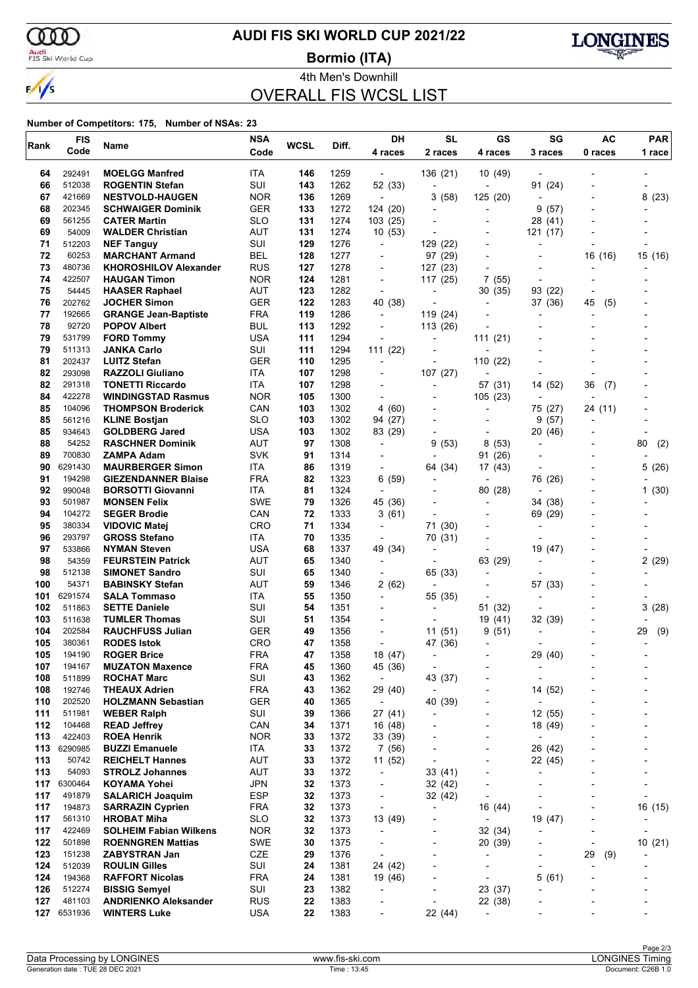

# **AUDI FIS SKI WORLD CUP 2021/22**

Audi<br>FIS Ski World Cup

4th Men's Downhill **Bormio (ITA)**



OVERALL FIS WCSL LIST

| Rank       | <b>FIS</b>       | Name                                                | <b>NSA</b>        | <b>WCSL</b> | Diff.        | DH                                  | <b>SL</b>                                  | GS                                         | SG                                  | AC        | <b>PAR</b>               |  |
|------------|------------------|-----------------------------------------------------|-------------------|-------------|--------------|-------------------------------------|--------------------------------------------|--------------------------------------------|-------------------------------------|-----------|--------------------------|--|
|            | Code             |                                                     | Code              |             |              | 4 races                             | 2 races                                    | 4 races                                    | 3 races                             | 0 races   | 1 race                   |  |
| 64         | 292491           | <b>MOELGG Manfred</b>                               | ITA               | 146         | 1259         |                                     | 136 (21)                                   | 10 (49)                                    |                                     |           |                          |  |
| 66         | 512038           | <b>ROGENTIN Stefan</b>                              | SUI               | 143         | 1262         | 52 (33)                             | $\overline{\phantom{a}}$                   |                                            | 91 (24)                             |           |                          |  |
| 67         | 421669           | <b>NESTVOLD-HAUGEN</b>                              | <b>NOR</b>        | 136         | 1269         | $\overline{a}$                      | 3<br>(58)                                  | 125 (20)                                   |                                     |           | 8<br>(23)                |  |
| 68         | 202345           | <b>SCHWAIGER Dominik</b>                            | GER               | 133         | 1272         | 124 (20)                            | $\overline{a}$                             |                                            | 9<br>(57)                           |           |                          |  |
| 69         | 561255           | <b>CATER Martin</b>                                 | <b>SLO</b>        | 131         | 1274         | 103(25)                             | $\overline{\phantom{a}}$                   |                                            | 28 (41)                             |           |                          |  |
| 69         | 54009            | <b>WALDER Christian</b>                             | AUT               | 131         | 1274         | 10 (53)                             | ٠                                          | $\overline{\phantom{a}}$                   | 121 (17)                            |           |                          |  |
| 71         | 512203           | <b>NEF Tanguy</b>                                   | SUI               | 129         | 1276         |                                     | 129 (22)                                   |                                            |                                     |           |                          |  |
| 72         | 60253            | <b>MARCHANT Armand</b>                              | <b>BEL</b>        | 128         | 1277         | $\blacksquare$                      | 97 (29)                                    |                                            |                                     | 16 (16)   | 15 (16)                  |  |
| 73         | 480736           | <b>KHOROSHILOV Alexander</b>                        | <b>RUS</b>        | 127         | 1278         | $\blacksquare$                      | 127 (23)                                   |                                            |                                     |           |                          |  |
| 74         | 422507           | <b>HAUGAN Timon</b>                                 | <b>NOR</b>        | 124         | 1281         |                                     | 117 (25)                                   | 7(55)                                      |                                     |           |                          |  |
| 75<br>76   | 54445<br>202762  | <b>HAASER Raphael</b><br><b>JOCHER Simon</b>        | <b>AUT</b><br>GER | 123<br>122  | 1282<br>1283 | $\blacksquare$<br>40 (38)           | $\overline{\phantom{a}}$<br>$\overline{a}$ | 30(35)                                     | 93 (22)                             |           |                          |  |
| 77         | 192665           | <b>GRANGE Jean-Baptiste</b>                         | <b>FRA</b>        | 119         | 1286         | $\blacksquare$                      | 119 (24)                                   | $\overline{a}$                             | 37 (36)                             | (5)<br>45 |                          |  |
| 78         | 92720            | <b>POPOV Albert</b>                                 | <b>BUL</b>        | 113         | 1292         | $\blacksquare$                      | 113 (26)                                   |                                            |                                     |           |                          |  |
| 79         | 531799           | <b>FORD Tommy</b>                                   | USA               | 111         | 1294         |                                     | ٠                                          | 111(21)                                    |                                     |           |                          |  |
| 79         | 511313           | <b>JANKA Carlo</b>                                  | SUI               | 111         | 1294         | 111 (22)                            |                                            |                                            |                                     |           |                          |  |
| 81         | 202437           | <b>LUITZ Stefan</b>                                 | <b>GER</b>        | 110         | 1295         | $\blacksquare$                      | $\overline{a}$                             | 110 (22)                                   |                                     |           |                          |  |
| 82         | 293098           | <b>RAZZOLI Giuliano</b>                             | <b>ITA</b>        | 107         | 1298         |                                     | 107(27)                                    | $\overline{a}$                             |                                     |           |                          |  |
| 82         | 291318           | <b>TONETTI Riccardo</b>                             | ITA               | 107         | 1298         |                                     |                                            | 57 (31)                                    | 14 (52)                             | 36<br>(7) |                          |  |
| 84         | 422278           | <b>WINDINGSTAD Rasmus</b>                           | <b>NOR</b>        | 105         | 1300         |                                     | $\overline{\phantom{a}}$                   | 105(23)                                    |                                     |           |                          |  |
| 85         | 104096           | <b>THOMPSON Broderick</b>                           | CAN               | 103         | 1302         | 4 (60)                              | $\overline{a}$                             | $\overline{\phantom{a}}$                   | 75 (27)                             | 24 (11)   |                          |  |
| 85         | 561216           | <b>KLINE Bostjan</b>                                | <b>SLO</b>        | 103         | 1302         | 94 (27)                             |                                            |                                            | 9<br>(57)                           |           |                          |  |
| 85         | 934643           | <b>GOLDBERG Jared</b>                               | <b>USA</b>        | 103         | 1302         | 83 (29)                             | $\overline{\phantom{a}}$                   |                                            | 20 (46)                             |           |                          |  |
| 88         | 54252            | <b>RASCHNER Dominik</b>                             | AUT               | 97          | 1308         |                                     | 9<br>(53)                                  | 8<br>(53)                                  | $\overline{\phantom{a}}$            |           | 80<br>(2)                |  |
| 89         | 700830           | ZAMPA Adam                                          | <b>SVK</b>        | 91          | 1314         |                                     |                                            | 91 (26)                                    |                                     |           |                          |  |
| 90         | 6291430          | <b>MAURBERGER Simon</b>                             | ITA               | 86          | 1319         |                                     | 64 (34)                                    | 17 (43)                                    |                                     |           | 5(26)                    |  |
| 91         | 194298           | <b>GIEZENDANNER Blaise</b>                          | <b>FRA</b>        | 82          | 1323         | 6 (59)                              |                                            |                                            | 76 (26)                             |           |                          |  |
| 92<br>93   | 990048<br>501987 | <b>BORSOTTI Giovanni</b>                            | ITA<br><b>SWE</b> | 81<br>79    | 1324<br>1326 |                                     | $\overline{\phantom{a}}$                   | 80 (28)<br>$\overline{a}$                  |                                     |           | 1(30)                    |  |
| 94         | 104272           | <b>MONSEN Felix</b><br><b>SEGER Brodie</b>          | CAN               | 72          | 1333         | 45 (36)<br>3(61)                    | ٠                                          | $\overline{\phantom{a}}$                   | 34 (38)<br>69 (29)                  |           |                          |  |
| 95         | 380334           | <b>VIDOVIC Matej</b>                                | <b>CRO</b>        | 71          | 1334         |                                     | 71 (30)                                    |                                            |                                     |           |                          |  |
| 96         | 293797           | <b>GROSS Stefano</b>                                | ITA               | 70          | 1335         |                                     | 70 (31)                                    |                                            |                                     |           |                          |  |
| 97         | 533866           | <b>NYMAN Steven</b>                                 | USA               | 68          | 1337         | 49 (34)                             | ٠                                          |                                            | 19 (47)                             |           |                          |  |
| 98         | 54359            | <b>FEURSTEIN Patrick</b>                            | AUT               | 65          | 1340         |                                     | $\blacksquare$                             | 63 (29)                                    |                                     |           | 2(29)                    |  |
| 98         | 512138           | <b>SIMONET Sandro</b>                               | SUI               | 65          | 1340         |                                     | 65 (33)                                    | $\overline{a}$                             |                                     |           |                          |  |
| 100        | 54371            | <b>BABINSKY Stefan</b>                              | AUT               | 59          | 1346         | 2(62)                               | $\overline{a}$                             | $\overline{\phantom{a}}$                   | 57 (33)                             |           |                          |  |
| 101        | 6291574          | <b>SALA Tommaso</b>                                 | ITA               | 55          | 1350         |                                     | 55 (35)                                    | $\overline{\phantom{a}}$                   |                                     |           |                          |  |
| 102        | 511863           | <b>SETTE Daniele</b>                                | SUI               | 54          | 1351         |                                     | $\overline{\phantom{0}}$                   | 51 (32)                                    |                                     |           | 3(28)                    |  |
| 103        | 511638           | <b>TUMLER Thomas</b>                                | SUI               | 51          | 1354         |                                     | $\overline{a}$                             | 19 (41)                                    | 32 (39)                             |           |                          |  |
| 104        | 202584           | <b>RAUCHFUSS Julian</b>                             | <b>GER</b>        | 49          | 1356         |                                     | 11(51)                                     | 9<br>(51)                                  |                                     |           | 29<br>(9)                |  |
| 105        | 380361           | <b>RODES Istok</b>                                  | CRO               | 47          | 1358         |                                     | 47 (36)                                    | $\overline{\phantom{0}}$                   |                                     |           |                          |  |
| 105        | 194190           | <b>ROGER Brice</b>                                  | <b>FRA</b>        | 47          | 1358         | 18 (47)                             | -                                          |                                            | (40)<br>29                          |           |                          |  |
| 107        | 194167<br>511899 | <b>MUZATON Maxence</b>                              | <b>FRA</b>        | 45          | 1360         | 45 (36)                             | $\overline{a}$                             |                                            | $\overline{\phantom{a}}$            |           |                          |  |
| 108<br>108 | 192746           | <b>ROCHAT Marc</b><br><b>THEAUX Adrien</b>          | SUI<br><b>FRA</b> | 43<br>43    | 1362<br>1362 | $\overline{\phantom{a}}$<br>29 (40) | 43 (37)<br>$\overline{\phantom{a}}$        | $\overline{\phantom{a}}$<br>$\overline{a}$ | $\overline{\phantom{a}}$<br>14 (52) |           |                          |  |
| 110        | 202520           | <b>HOLZMANN Sebastian</b>                           | <b>GER</b>        | 40          | 1365         | $\overline{\phantom{a}}$            | 40 (39)                                    |                                            | $\overline{\phantom{a}}$            |           |                          |  |
| 111        | 511981           | <b>WEBER Ralph</b>                                  | SUI               | 39          | 1366         | 27 (41)                             | $\overline{\phantom{0}}$                   | $\overline{\phantom{a}}$                   | 12 (55)                             |           |                          |  |
| 112        | 104468           | <b>READ Jeffrey</b>                                 | CAN               | 34          | 1371         | 16 (48)                             | $\overline{a}$                             | $\overline{a}$                             | 18 (49)                             |           |                          |  |
| 113        | 422403           | <b>ROEA Henrik</b>                                  | <b>NOR</b>        | 33          | 1372         | 33 (39)                             |                                            | $\overline{a}$                             | $\overline{\phantom{a}}$            |           |                          |  |
| 113        | 6290985          | <b>BUZZI Emanuele</b>                               | ITA               | 33          | 1372         | 7(56)                               | $\overline{\phantom{0}}$                   | $\overline{a}$                             | 26 (42)                             |           |                          |  |
| 113        | 50742            | <b>REICHELT Hannes</b>                              | AUT               | 33          | 1372         | 11 (52)                             | $\overline{a}$                             | $\overline{a}$                             | 22 (45)                             |           |                          |  |
| 113        | 54093            | <b>STROLZ Johannes</b>                              | AUT               | 33          | 1372         | $\overline{\phantom{a}}$            | 33(41)                                     |                                            |                                     |           |                          |  |
| 117        | 6300464          | <b>KOYAMA Yohei</b>                                 | <b>JPN</b>        | 32          | 1373         | $\overline{\phantom{a}}$            | 32 (42)                                    | $\overline{a}$                             | $\overline{\phantom{a}}$            |           | $\overline{\phantom{a}}$ |  |
| 117        | 491879           | <b>SALARICH Joaquim</b>                             | <b>ESP</b>        | 32          | 1373         | $\overline{\phantom{a}}$            | 32 (42)                                    | $\overline{a}$                             |                                     |           | $\overline{\phantom{0}}$ |  |
| 117        | 194873           | <b>SARRAZIN Cyprien</b>                             | FRA               | 32          | 1373         |                                     | $\overline{\phantom{a}}$                   | 16 (44)                                    |                                     |           | 16 (15)                  |  |
| 117        | 561310           | <b>HROBAT Miha</b>                                  | <b>SLO</b>        | 32          | 1373         | 13 (49)                             | $\qquad \qquad \blacksquare$               | $\overline{\phantom{a}}$                   | 19 (47)                             | -         |                          |  |
| 117        | 422469           | <b>SOLHEIM Fabian Wilkens</b>                       | <b>NOR</b>        | 32          | 1373         | $\overline{\phantom{a}}$            | $\overline{\phantom{0}}$                   | 32 (34)                                    | $\overline{a}$                      |           |                          |  |
| 122        | 501898           | <b>ROENNGREN Mattias</b>                            | SWE               | 30          | 1375         |                                     | ٠                                          | 20 (39)                                    |                                     |           | 10 (21)                  |  |
| 123        | 151238           | ZABYSTRAN Jan                                       | CZE               | 29          | 1376         |                                     | $\overline{\phantom{0}}$                   | $\overline{\phantom{a}}$                   | $\overline{\phantom{a}}$            | 29<br>(9) |                          |  |
| 124        | 512039           | <b>ROULIN Gilles</b>                                | SUI               | 24          | 1381         | 24 (42)                             | -                                          | $\qquad \qquad \blacksquare$               | $\overline{\phantom{a}}$            |           |                          |  |
| 124        | 194368           | <b>RAFFORT Nicolas</b>                              | <b>FRA</b>        | 24          | 1381         | 19 (46)                             |                                            | $\overline{a}$                             | 5(61)                               |           |                          |  |
| 126<br>127 | 512274<br>481103 | <b>BISSIG Semyel</b><br><b>ANDRIENKO Aleksander</b> | SUI<br><b>RUS</b> | 23<br>22    | 1382<br>1383 | $\overline{a}$<br>$\overline{a}$    | -<br>÷,                                    | 23 (37)<br>22 (38)                         | -                                   |           |                          |  |
| 127        | 6531936          | <b>WINTERS Luke</b>                                 | <b>USA</b>        | 22          | 1383         |                                     | 22 (44)                                    | $\overline{\phantom{a}}$                   |                                     |           |                          |  |
|            |                  |                                                     |                   |             |              |                                     |                                            |                                            |                                     |           |                          |  |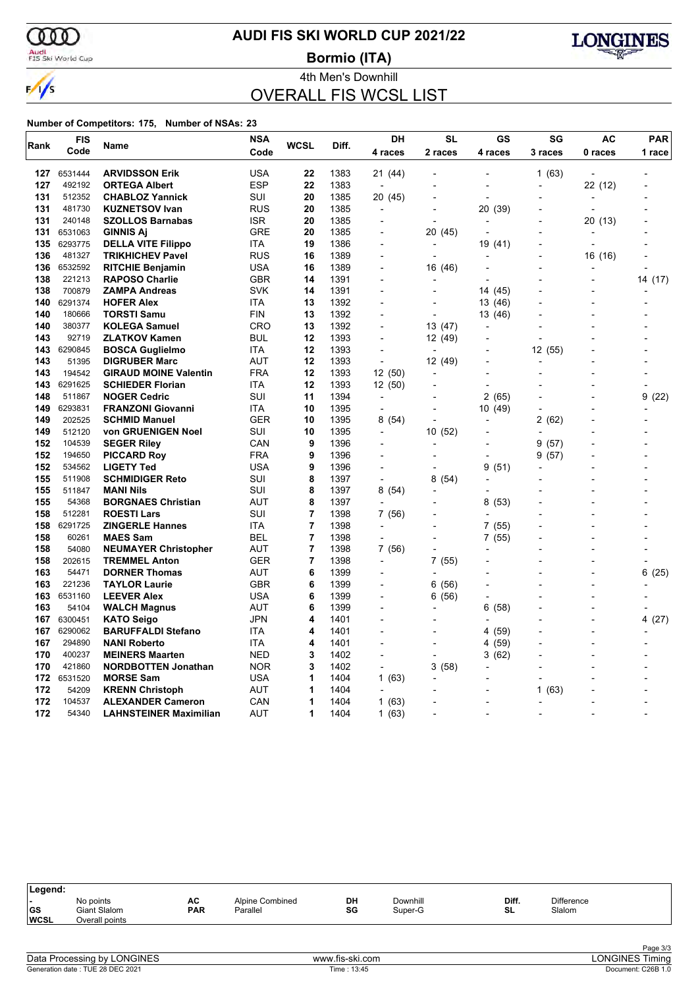

# **AUDI FIS SKI WORLD CUP 2021/22**

Audi<br>FIS Ski World Cup

**Bormio (ITA)**



### 4th Men's Downhill OVERALL FIS WCSL LIST

| Rank       | <b>FIS</b>      | Name                                     | <b>NSA</b>        | WCSL           | Diff.        | DH                               | <b>SL</b>                | GS             | SG                       | <b>AC</b>      | <b>PAR</b> |  |
|------------|-----------------|------------------------------------------|-------------------|----------------|--------------|----------------------------------|--------------------------|----------------|--------------------------|----------------|------------|--|
|            | Code            |                                          | Code              |                |              | 4 races                          | 2 races                  | 4 races        | 3 races                  | 0 races        | 1 race     |  |
| 127        | 6531444         | <b>ARVIDSSON Erik</b>                    | <b>USA</b>        | 22             | 1383         | 21 (44)                          | $\overline{\phantom{0}}$ |                | 1(63)                    | ÷,             |            |  |
| 127        | 492192          | <b>ORTEGA Albert</b>                     | <b>ESP</b>        | 22             | 1383         | $\overline{a}$                   |                          |                |                          | 22 (12)        |            |  |
| 131        | 512352          | <b>CHABLOZ Yannick</b>                   | SUI               | 20             | 1385         | 20 (45)                          |                          | $\overline{a}$ |                          | ÷              |            |  |
| 131        | 481730          | <b>KUZNETSOV Ivan</b>                    | <b>RUS</b>        | 20             | 1385         | $\overline{a}$                   |                          | 20<br>(39)     |                          |                |            |  |
| 131        | 240148          | <b>SZOLLOS Barnabas</b>                  | <b>ISR</b>        | 20             | 1385         | $\overline{a}$                   | $\overline{a}$           |                |                          | 20 (13)        |            |  |
| 131        | 6531063         | <b>GINNIS Aj</b>                         | <b>GRE</b>        | 20             | 1385         |                                  | 20 (45)                  |                |                          |                |            |  |
| 135        | 6293775         | <b>DELLA VITE Filippo</b>                | ITA               | 19             | 1386         | $\overline{a}$                   |                          | 19 (41)        |                          |                |            |  |
| 136        | 481327          | <b>TRIKHICHEV Pavel</b>                  | <b>RUS</b>        | 16             | 1389         |                                  |                          |                |                          | 16 (16)        |            |  |
| 136        | 6532592         | <b>RITCHIE Benjamin</b>                  | USA               | 16             | 1389         | $\overline{a}$                   | 16 (46)                  | $\overline{a}$ |                          |                |            |  |
| 138        | 221213          | <b>RAPOSO Charlie</b>                    | <b>GBR</b>        | 14             | 1391         |                                  |                          |                |                          |                | 14 (17)    |  |
| 138        | 700879          | <b>ZAMPA Andreas</b>                     | <b>SVK</b>        | 14             | 1391         |                                  |                          | 14 (45)        |                          |                |            |  |
| 140        | 6291374         | <b>HOFER Alex</b>                        | ITA               | 13             | 1392         |                                  |                          | 13 (46)        |                          |                |            |  |
| 140        | 180666          | <b>TORSTI Samu</b>                       | <b>FIN</b>        | 13             | 1392         |                                  |                          | 13 (46)        |                          |                |            |  |
| 140        | 380377          | <b>KOLEGA Samuel</b>                     | CRO               | 13             | 1392         |                                  | 13 (47)                  |                |                          |                |            |  |
| 143        | 92719           | <b>ZLATKOV Kamen</b>                     | BUL               | 12             | 1393         |                                  | 12 (49)                  |                |                          |                |            |  |
| 143        | 6290845         | <b>BOSCA Guglielmo</b>                   | ITA               | 12             | 1393         | $\overline{a}$                   |                          |                | 12 (55)                  |                |            |  |
| 143        | 51395           | <b>DIGRUBER Marc</b>                     | AUT               | 12             | 1393         | L,                               | 12 (49)                  |                |                          |                |            |  |
| 143        | 194542          | <b>GIRAUD MOINE Valentin</b>             | <b>FRA</b>        | 12             | 1393         | 12(50)                           | $\overline{a}$           |                |                          |                |            |  |
| 143        | 6291625         | <b>SCHIEDER Florian</b>                  | ITA               | 12             | 1393         | 12 (50)                          |                          | $\overline{a}$ |                          |                |            |  |
| 148        | 511867          | <b>NOGER Cedric</b>                      | SUI               | 11             | 1394         | ÷,                               |                          | (65)<br>2      |                          |                | 9<br>(22)  |  |
| 149        | 6293831         | <b>FRANZONI Giovanni</b>                 | ITA               | 10             | 1395         | $\overline{a}$                   |                          | 10 (49)        |                          |                |            |  |
| 149        | 202525          | <b>SCHMID Manuel</b>                     | <b>GER</b>        | 10             | 1395         | 8(54)                            |                          |                | 2<br>(62)                |                |            |  |
| 149        | 512120          | von GRUENIGEN Noel                       | SUI               | 10             | 1395         | $\overline{a}$                   | 10 (52)                  |                | $\overline{a}$           |                |            |  |
| 152        | 104539          | <b>SEGER Riley</b>                       | CAN               | 9              | 1396         |                                  |                          |                | 9<br>(57)                |                |            |  |
| 152        | 194650          | <b>PICCARD Roy</b>                       | <b>FRA</b>        | 9              | 1396         |                                  |                          |                | 9<br>(57)                |                |            |  |
| 152        | 534562          | <b>LIGETY Ted</b>                        | <b>USA</b>        | 9              | 1396         |                                  |                          | 9<br>(51)      |                          |                |            |  |
| 155        | 511908          | <b>SCHMIDIGER Reto</b>                   | SUI               | 8              | 1397         | $\overline{a}$                   | 8(54)                    |                |                          |                |            |  |
| 155        | 511847          | <b>MANI Nils</b>                         | SUI               | 8              | 1397         | 8(54)                            |                          |                |                          |                |            |  |
| 155        | 54368           | <b>BORGNAES Christian</b>                | AUT               | 8              | 1397         |                                  |                          | (53)<br>8      |                          |                |            |  |
| 158        | 512281          | <b>ROESTI Lars</b>                       | SUI               | $\overline{7}$ | 1398         | 7 (56)                           |                          |                |                          |                |            |  |
| 158        | 6291725         | <b>ZINGERLE Hannes</b>                   | <b>ITA</b>        | $\overline{7}$ | 1398         | $\blacksquare$                   |                          | 7(55)          |                          |                |            |  |
| 158        | 60261           | <b>MAES Sam</b>                          | <b>BEL</b>        | $\overline{7}$ | 1398         |                                  |                          | 7(55)          |                          |                |            |  |
| 158        | 54080           | <b>NEUMAYER Christopher</b>              | AUT               | $\overline{7}$ | 1398         | 7 (56)                           |                          |                |                          |                |            |  |
| 158<br>163 | 202615          | <b>TREMMEL Anton</b>                     | GER<br><b>AUT</b> | 7<br>6         | 1398<br>1399 | $\overline{a}$<br>$\overline{a}$ | 7(55)                    |                |                          |                | 6          |  |
| 163        | 54471<br>221236 | <b>DORNER Thomas</b>                     | <b>GBR</b>        | 6              | 1399         |                                  |                          |                |                          |                | (25)       |  |
| 163        | 6531160         | <b>TAYLOR Laurie</b>                     | <b>USA</b>        | 6              | 1399         | $\overline{\phantom{a}}$         | 6(56)                    |                |                          |                |            |  |
| 163        | 54104           | <b>LEEVER Alex</b>                       | AUT               | 6              | 1399         | $\overline{a}$                   | 6<br>(56)                | (58)<br>6      |                          |                |            |  |
| 167        | 6300451         | <b>WALCH Magnus</b><br><b>KATO Seigo</b> | JPN               | 4              | 1401         | $\overline{a}$                   |                          |                |                          |                | 4 (27)     |  |
| 167        | 6290062         | <b>BARUFFALDI Stefano</b>                | <b>ITA</b>        | 4              | 1401         | $\overline{a}$                   |                          | 4 (59)         |                          | $\overline{a}$ |            |  |
| 167        | 294890          | <b>NANI Roberto</b>                      | <b>ITA</b>        | 4              | 1401         | $\overline{a}$                   |                          | 4 (59)         |                          |                |            |  |
| 170        | 400237          | <b>MEINERS Maarten</b>                   | <b>NED</b>        | 3              | 1402         | $\overline{a}$                   | $\blacksquare$           | (62)<br>3      |                          | ۰              |            |  |
| 170        | 421860          | <b>NORDBOTTEN Jonathan</b>               | <b>NOR</b>        | 3              | 1402         | $\overline{a}$                   | 3(58)                    |                |                          |                |            |  |
| 172        | 6531520         | <b>MORSE Sam</b>                         | USA               | 1              | 1404         | 1(63)                            |                          |                |                          |                |            |  |
| 172        | 54209           | <b>KRENN Christoph</b>                   | <b>AUT</b>        | 1              | 1404         |                                  |                          |                | 1<br>(63)                |                |            |  |
| 172        | 104537          | <b>ALEXANDER Cameron</b>                 | CAN               | 1              | 1404         | 1(63)                            |                          | $\overline{a}$ |                          |                |            |  |
| 172        | 54340           | <b>LAHNSTEINER Maximilian</b>            | <b>AUT</b>        | 1              | 1404         | 1(63)                            |                          | $\overline{a}$ | $\overline{\phantom{a}}$ |                |            |  |
|            |                 |                                          |                   |                |              |                                  |                          |                |                          |                |            |  |

| Legend:                                        |                                             |                  |                             |          |                     |             |                             |  |
|------------------------------------------------|---------------------------------------------|------------------|-----------------------------|----------|---------------------|-------------|-----------------------------|--|
| $\overline{\phantom{0}}$<br> GS<br><b>WCSL</b> | No points<br>Giant Slalom<br>Overall points | AC<br><b>PAR</b> | Alpine Combined<br>Parallel | DH<br>SG | Downhill<br>Super-G | Diff.<br>SL | <b>Difference</b><br>Slalom |  |
|                                                |                                             |                  |                             |          |                     |             |                             |  |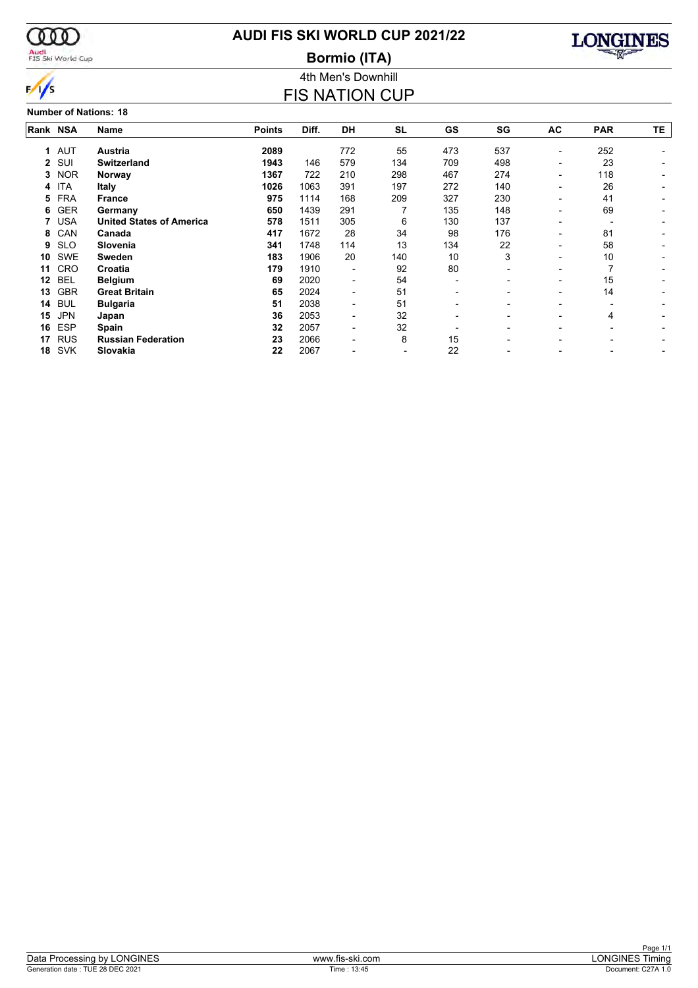

### Audi<br>FIS Ski World Cup

### **AUDI FIS SKI WORLD CUP 2021/22**

4th Men's Downhill **Bormio (ITA)**



#### FIS NATION CUP **Number of Nations: 18 Rank Name NSA Points Diff. DH SL GS SG AC PAR TE 1 Austria** AUT **2089** 772 55 473 537 - 252 - **2 Switzerland** SUI **1943** 146 579 134 709 498 - 23 - **3 Norway** NOR **1367** 722 210 298 467 274 - 118 - **4 Italy** ITA **1026** 1063 391 197 272 140 - 26 - **5 France** FRA **975** 1114 168 209 327 230 - 41 - **6 Germany** GER **650** 1439 291 7 135 148 - 69 - **7 United States of America** USA **578** 1511 305 6 130 137 - - - **8 Canada** CAN **417** 1672 28 34 98 176 - 81 - **9 Slovenia** SLO **341** 1748 114 13 134 22 - 58 - **10 Sweden** SWE **183** 1906 20 140 10 3 - 10 - **11 Croatia** CRO **179** 1910 - 92 80 - - 7 - **12 Belgium** BEL **69** 2020 - 54 - - - 15 - **13 Great Britain** GBR **65** 2024 - 51 - - - 14 - **14 Bulgaria** BUL **51** 2038 - 51 - - - - -

**15 Japan** JPN **36** 2053 - 32 - - - 4 - **16 Spain** ESP **32** 2057 - 32 - - - - - **17 Russian Federation** RUS **23** 2066 - 8 15 - - - - **18 Slovakia** SVK **22** 2067 - - 22 - - - -

| <b>ONGINE:</b><br>Data<br>ssına<br>hv.<br>11.57 | $\sim$<br>·ski.com<br><b>AAAAA</b><br>.TIS | )N<br>l iminc<br>.⊣INF                             |
|-------------------------------------------------|--------------------------------------------|----------------------------------------------------|
| 28 DEC 202<br>UF<br>Generation<br>date          | 13:45<br>1 <sub>Ime</sub>                  | $\sim$ $\sim$ $\sim$<br>וסג<br>men<br>$\mathbf{L}$ |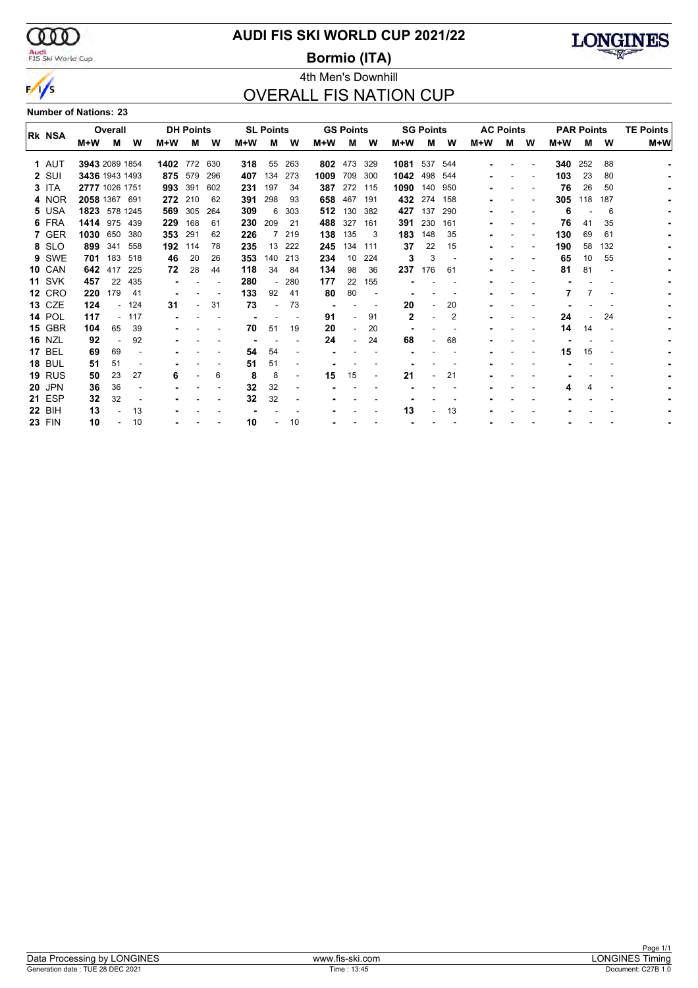

# Audi<br>FIS Ski World Cup

### **AUDI FIS SKI WORLD CUP 2021/22**

**Bormio (ITA)**



### 4th Men's Downhill OVERALL FIS NATION CUP

#### **Number of Nations: 23**

|               | Overall        |         |        |      | <b>DH Points</b> |     |     | <b>SL Points</b> |                |      | <b>GS Points</b> |       |              | <b>SG Points</b> |                | <b>AC Points</b> |   |   |     | <b>PAR Points</b> | <b>TE Points</b> |       |
|---------------|----------------|---------|--------|------|------------------|-----|-----|------------------|----------------|------|------------------|-------|--------------|------------------|----------------|------------------|---|---|-----|-------------------|------------------|-------|
| <b>RK NSA</b> | M+W            | м       | w      | M+W  | м                | W   | M+W | М                | w              | M+W  | м                | W     | M+W          | М                | W              | M+W              | м | W | M+W | м                 | W                | $M+W$ |
| 1 AUT         | 3943 2089 1854 |         |        | 1402 | 772              | 630 | 318 | 55               | 263            | 802  | 473              | 329   | 1081         | 537              | 544            |                  |   |   | 340 | 252               | 88               |       |
| 2 SUI         | 3436 1943 1493 |         |        | 875  | 579              | 296 | 407 | 134              | 273            | 1009 | 709              | 300   | 1042         | 498              | 544            |                  |   |   | 103 | 23                | 80               |       |
| 3 ITA         | 2777 1026 1751 |         |        | 993  | 391              | 602 | 231 | 197              | 34             | 387  | 272              | - 115 | 1090         | 140              | 950            |                  |   |   | 76  | 26                | 50               |       |
| 4 NOR         | 2058 1367 691  |         |        | 272  | 210              | 62  | 391 | 298              | 93             | 658  | 467              | 191   | 432 274      |                  | 158            |                  |   |   | 305 | 118               | 187              |       |
| 5 USA         | 1823 578 1245  |         |        | 569  | 305              | 264 | 309 | 6                | 303            | 512  | 130              | 382   | 427          | 137              | 290            |                  |   |   | 6   |                   | 6                |       |
| 6 FRA         | 1414 975       |         | 439    | 229  | 168              | 61  | 230 | 209              | 21             | 488  | 327              | 161   | 391          | 230              | 161            |                  |   |   | 76  | 41                | 35               |       |
| 7 GER         | 1030           | 650     | 380    | 353  | 291              | 62  | 226 |                  | 219            | 138  | 135              | 3     | 183          | 148              | 35             |                  |   |   | 130 | 69                | 61               |       |
| 8 SLO         | 899            | 341     | 558    | 192  | 114              | 78  | 235 | 13               | 222            | 245  | 134              | 111   | 37           | 22               | 15             |                  |   |   | 190 | 58                | 132              |       |
| 9 SWE         |                | 701 183 | 518    | 46   | 20               | 26  | 353 | 140              | 213            | 234  | 10               | 224   | 3            | 3                |                |                  |   |   | 65  | 10                | 55               |       |
| <b>10 CAN</b> | 642            | 417     | 225    | 72   | 28               | 44  | 118 | 34               | 84             | 134  | 98               | 36    | 237          | 176              | 61             |                  |   |   | 81  | 81                |                  |       |
| <b>11 SVK</b> | 457            | 22      | 435    |      |                  |     | 280 |                  | 280            | 177  | 22               | 155   |              |                  |                |                  |   |   |     |                   |                  |       |
| <b>12 CRO</b> | 220            | 179     | 41     |      |                  |     | 133 | 92               | 41             | 80   | 80               |       |              |                  |                |                  |   |   |     |                   |                  |       |
| <b>13 CZE</b> | 124            |         | $-124$ | 31   |                  | 31  | 73  |                  | 73             |      |                  |       | 20           |                  | 20             |                  |   |   |     |                   |                  |       |
| <b>14 POL</b> | 117            |         | $-117$ |      |                  |     |     |                  |                | 91   |                  | 91    | $\mathbf{2}$ |                  | $\overline{2}$ |                  |   |   | 24  |                   | 24               |       |
| <b>15 GBR</b> | 104            | 65      | 39     |      |                  |     | 70  | 51               | 19             | 20   | $\overline{a}$   | 20    |              |                  |                |                  |   |   | 14  | 14                |                  |       |
| <b>16 NZL</b> | 92             |         | 92     |      |                  |     |     |                  |                | 24   |                  | 24    | 68           |                  | 68             |                  |   |   |     |                   |                  |       |
| <b>17 BEL</b> | 69             | 69      |        |      |                  |     | 54  | 54               |                |      |                  |       |              |                  |                |                  |   |   | 15  | 15                |                  |       |
| <b>18 BUL</b> | 51             | 51      |        |      |                  |     | 51  | 51               |                |      |                  |       |              |                  |                |                  |   |   |     |                   |                  |       |
| <b>19 RUS</b> | 50             | 23      | 27     | 6    |                  | 6   | 8   | 8                | $\blacksquare$ | 15   | 15               |       | 21           |                  | 21             |                  |   |   |     |                   |                  |       |
| <b>20 JPN</b> | 36             | 36      |        |      |                  |     | 32  | 32               |                |      |                  |       |              |                  |                |                  |   |   |     |                   |                  |       |
| <b>21 ESP</b> | 32             | 32      |        |      |                  |     | 32  | 32               |                |      |                  |       |              |                  |                |                  |   |   |     |                   |                  |       |
| <b>22 BIH</b> | 13             |         | 13     |      |                  |     |     |                  |                |      |                  |       | 13           |                  | 13             |                  |   |   |     |                   |                  |       |
| <b>23 FIN</b> | 10             |         | 10     |      |                  |     | 10  |                  | 10             |      |                  |       |              |                  |                |                  |   |   |     |                   |                  |       |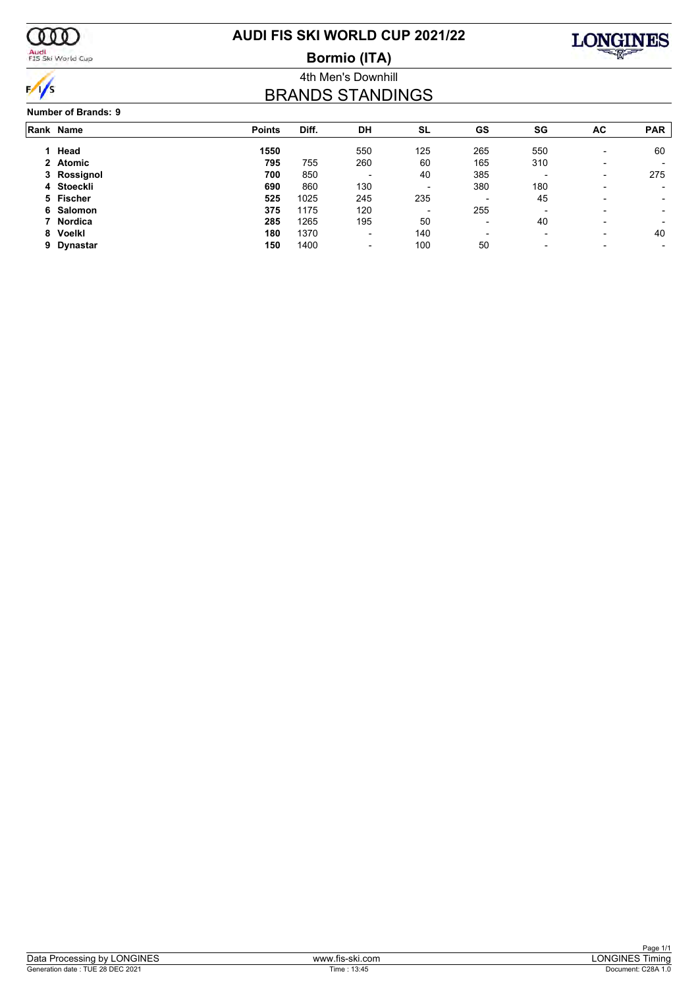

Audi<br>FIS Ski World Cup

# **AUDI FIS SKI WORLD CUP 2021/22**

**Bormio (ITA)**



4th Men's Downhill

# BRANDS STANDINGS

|  | <b>Number of Brands: 9</b> |
|--|----------------------------|
|--|----------------------------|

| Rank Name   | <b>Points</b>                                   | Diff.                           | DH                                         | SL                                                          | GS                       | SG                       | <b>AC</b>                                   | <b>PAR</b> |
|-------------|-------------------------------------------------|---------------------------------|--------------------------------------------|-------------------------------------------------------------|--------------------------|--------------------------|---------------------------------------------|------------|
| 1 Head      | 1550                                            |                                 | 550                                        | 125                                                         | 265                      | 550                      | $\overline{\phantom{0}}$                    | 60         |
| 2 Atomic    | 795                                             | 755                             |                                            |                                                             |                          | 310                      | $\overline{\phantom{0}}$                    |            |
| 3 Rossignol | 700                                             |                                 | $\overline{\phantom{0}}$                   | 40                                                          | 385                      |                          | $\overline{\phantom{0}}$                    | 275        |
| 4 Stoeckli  |                                                 |                                 |                                            | $\overline{\phantom{a}}$                                    |                          |                          |                                             |            |
|             |                                                 |                                 |                                            |                                                             | $\blacksquare$           |                          | $\overline{\phantom{0}}$                    | -          |
|             |                                                 |                                 |                                            | $\overline{\phantom{a}}$                                    |                          | $\overline{\phantom{0}}$ | $\overline{\phantom{0}}$                    | -          |
|             |                                                 |                                 |                                            |                                                             | $\overline{\phantom{0}}$ |                          | -                                           |            |
|             |                                                 |                                 |                                            |                                                             | $\overline{\phantom{0}}$ |                          | $\overline{\phantom{0}}$                    | 40         |
| Dynastar    | 150                                             | 1400                            | -                                          | 100                                                         | 50                       | $\overline{\phantom{0}}$ | $\overline{\phantom{0}}$                    |            |
|             | 5 Fischer<br>6 Salomon<br>7 Nordica<br>8 Voelkl | 690<br>525<br>375<br>285<br>180 | 850<br>860<br>1025<br>1175<br>1265<br>1370 | 260<br>130<br>245<br>120<br>195<br>$\overline{\phantom{0}}$ | 60<br>235<br>50<br>140   | 165<br>380<br>255        | 180<br>45<br>40<br>$\overline{\phantom{0}}$ |            |